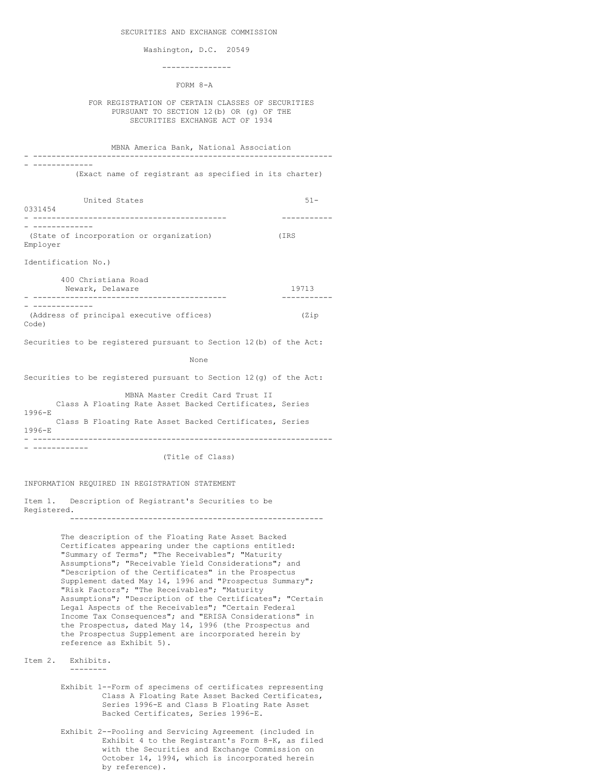Washington, D.C. 20549

---------------

FORM 8-A

FOR REGISTRATION OF CERTAIN CLASSES OF SECURITIES PURSUANT TO SECTION 12(b) OR (g) OF THE SECURITIES EXCHANGE ACT OF 1934

MBNA America Bank, National Association

- -----------------------------------------------------------------

- -------------

(Exact name of registrant as specified in its charter)

| United States                            | $51 -$ |
|------------------------------------------|--------|
| 0331454                                  |        |
|                                          |        |
|                                          |        |
| (State of incorporation or organization) | (IRS   |
| Emplover                                 |        |

Identification No.)

| 400 Christiana Road                               |       |
|---------------------------------------------------|-------|
| Newark, Delaware                                  | 19713 |
|                                                   |       |
|                                                   |       |
| (Address of principal executive offices)<br>Code) | (Zip  |

Securities to be registered pursuant to Section 12(b) of the Act:

None

Securities to be registered pursuant to Section 12(g) of the Act:

MBNA Master Credit Card Trust II Class A Floating Rate Asset Backed Certificates, Series 1996-E Class B Floating Rate Asset Backed Certificates, Series 1996-E - ----------------------------------------------------------------- - ------------

(Title of Class)

## INFORMATION REQUIRED IN REGISTRATION STATEMENT

Item 1. Description of Registrant's Securities to be Registered.

-------------------------------------------------------

The description of the Floating Rate Asset Backed Certificates appearing under the captions entitled: "Summary of Terms"; "The Receivables"; "Maturity Assumptions"; "Receivable Yield Considerations"; and "Description of the Certificates" in the Prospectus Supplement dated May 14, 1996 and "Prospectus Summary"; "Risk Factors"; "The Receivables"; "Maturity Assumptions"; "Description of the Certificates"; "Certain Legal Aspects of the Receivables"; "Certain Federal Income Tax Consequences"; and "ERISA Considerations" in the Prospectus, dated May 14, 1996 (the Prospectus and the Prospectus Supplement are incorporated herein by reference as Exhibit 5).

Item 2. Exhibits.

--------

- Exhibit 1--Form of specimens of certificates representing Class A Floating Rate Asset Backed Certificates, Series 1996-E and Class B Floating Rate Asset Backed Certificates, Series 1996-E.
- Exhibit 2--Pooling and Servicing Agreement (included in Exhibit 4 to the Registrant's Form 8-K, as filed with the Securities and Exchange Commission on October 14, 1994, which is incorporated herein by reference).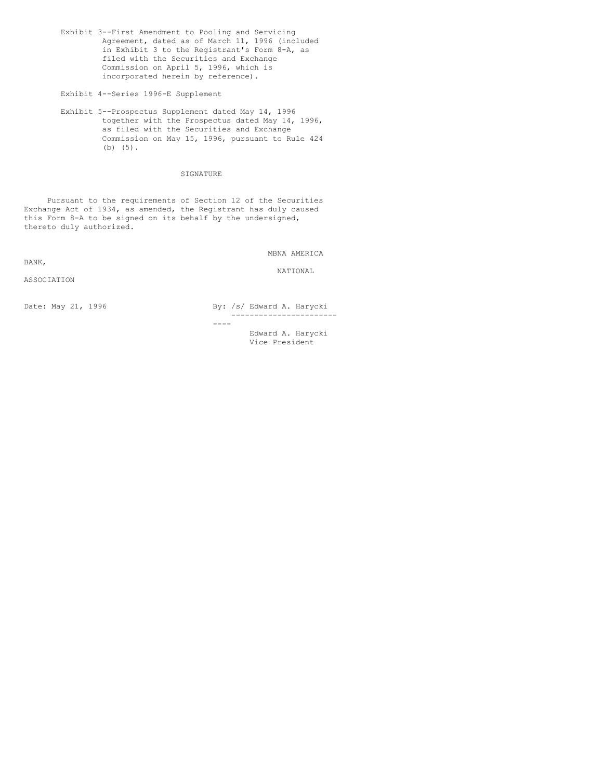Exhibit 3--First Amendment to Pooling and Servicing Agreement, dated as of March 11, 1996 (included in Exhibit 3 to the Registrant's Form 8-A, as filed with the Securities and Exchange Commission on April 5, 1996, which is incorporated herein by reference).

Exhibit 4--Series 1996-E Supplement

Exhibit 5--Prospectus Supplement dated May 14, 1996 together with the Prospectus dated May 14, 1996, as filed with the Securities and Exchange Commission on May 15, 1996, pursuant to Rule 424 (b) (5).

## SIGNATURE

----

Pursuant to the requirements of Section 12 of the Securities Exchange Act of 1934, as amended, the Registrant has duly caused this Form 8-A to be signed on its behalf by the undersigned, thereto duly authorized.

BANK,

MBNA AMERICA

ASSOCIATION

NATIONAL

Date: May 21, 1996 By: /s/ Edward A. Harycki -----------------------

> Edward A. Harycki Vice President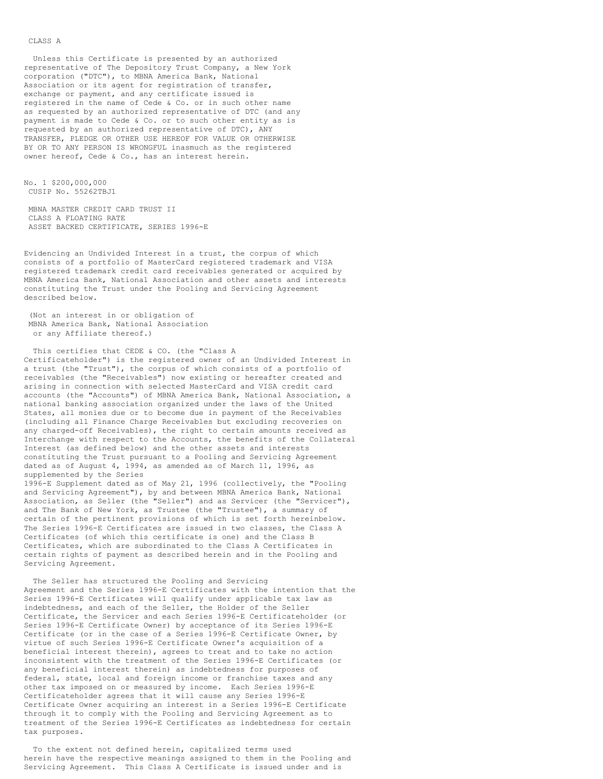## CLASS A

Unless this Certificate is presented by an authorized representative of The Depository Trust Company, a New York corporation ("DTC"), to MBNA America Bank, National Association or its agent for registration of transfer, exchange or payment, and any certificate issued is registered in the name of Cede & Co. or in such other name as requested by an authorized representative of DTC (and any payment is made to Cede & Co. or to such other entity as is requested by an authorized representative of DTC), ANY TRANSFER, PLEDGE OR OTHER USE HEREOF FOR VALUE OR OTHERWISE BY OR TO ANY PERSON IS WRONGFUL inasmuch as the registered owner hereof, Cede & Co., has an interest herein.

No. 1 \$200,000,000 CUSIP No. 55262TBJ1

MBNA MASTER CREDIT CARD TRUST II CLASS A FLOATING RATE ASSET BACKED CERTIFICATE, SERIES 1996-E

Evidencing an Undivided Interest in a trust, the corpus of which consists of a portfolio of MasterCard registered trademark and VISA registered trademark credit card receivables generated or acquired by MBNA America Bank, National Association and other assets and interests constituting the Trust under the Pooling and Servicing Agreement described below.

(Not an interest in or obligation of MBNA America Bank, National Association or any Affiliate thereof.)

This certifies that CEDE & CO. (the "Class A Certificateholder") is the registered owner of an Undivided Interest in a trust (the "Trust"), the corpus of which consists of a portfolio of receivables (the "Receivables") now existing or hereafter created and arising in connection with selected MasterCard and VISA credit card accounts (the "Accounts") of MBNA America Bank, National Association, a national banking association organized under the laws of the United States, all monies due or to become due in payment of the Receivables (including all Finance Charge Receivables but excluding recoveries on any charged-off Receivables), the right to certain amounts received as Interchange with respect to the Accounts, the benefits of the Collateral Interest (as defined below) and the other assets and interests constituting the Trust pursuant to a Pooling and Servicing Agreement dated as of August 4, 1994, as amended as of March 11, 1996, as supplemented by the Series

1996-E Supplement dated as of May 21, 1996 (collectively, the "Pooling and Servicing Agreement"), by and between MBNA America Bank, National Association, as Seller (the "Seller") and as Servicer (the "Servicer"), and The Bank of New York, as Trustee (the "Trustee"), a summary of certain of the pertinent provisions of which is set forth hereinbelow. The Series 1996-E Certificates are issued in two classes, the Class A Certificates (of which this certificate is one) and the Class B Certificates, which are subordinated to the Class A Certificates in certain rights of payment as described herein and in the Pooling and Servicing Agreement.

The Seller has structured the Pooling and Servicing Agreement and the Series 1996-E Certificates with the intention that the Series 1996-E Certificates will qualify under applicable tax law as indebtedness, and each of the Seller, the Holder of the Seller Certificate, the Servicer and each Series 1996-E Certificateholder (or Series 1996-E Certificate Owner) by acceptance of its Series 1996-E Certificate (or in the case of a Series 1996-E Certificate Owner, by virtue of such Series 1996-E Certificate Owner's acquisition of a beneficial interest therein), agrees to treat and to take no action inconsistent with the treatment of the Series 1996-E Certificates (or any beneficial interest therein) as indebtedness for purposes of federal, state, local and foreign income or franchise taxes and any other tax imposed on or measured by income. Each Series 1996-E Certificateholder agrees that it will cause any Series 1996-E Certificate Owner acquiring an interest in a Series 1996-E Certificate through it to comply with the Pooling and Servicing Agreement as to treatment of the Series 1996-E Certificates as indebtedness for certain tax purposes.

To the extent not defined herein, capitalized terms used herein have the respective meanings assigned to them in the Pooling and Servicing Agreement. This Class A Certificate is issued under and is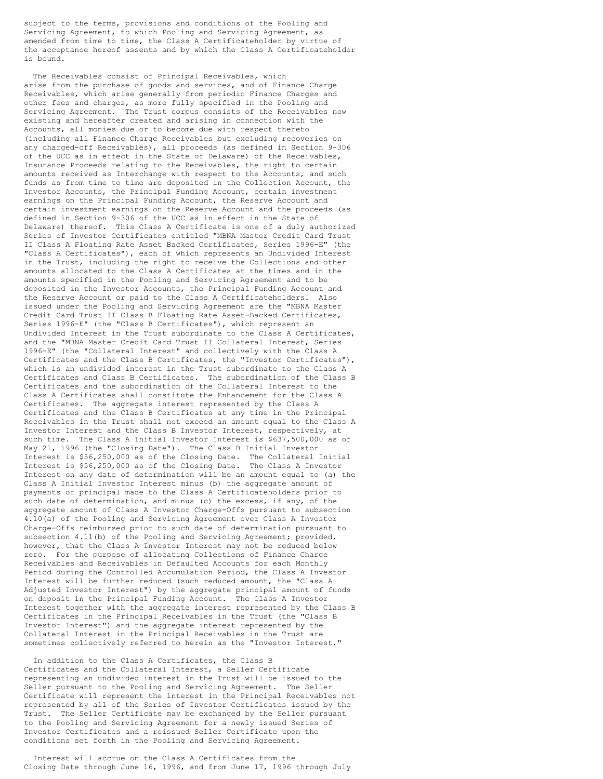subject to the terms, provisions and conditions of the Pooling and Servicing Agreement, to which Pooling and Servicing Agreement, as amended from time to time, the Class A Certificateholder by virtue of the acceptance hereof assents and by which the Class A Certificateholder is bound.

The Receivables consist of Principal Receivables, which arise from the purchase of goods and services, and of Finance Charge Receivables, which arise generally from periodic Finance Charges and other fees and charges, as more fully specified in the Pooling and Servicing Agreement. The Trust corpus consists of the Receivables now existing and hereafter created and arising in connection with the Accounts, all monies due or to become due with respect thereto (including all Finance Charge Receivables but excluding recoveries on any charged-off Receivables), all proceeds (as defined in Section 9-306 of the UCC as in effect in the State of Delaware) of the Receivables, Insurance Proceeds relating to the Receivables, the right to certain amounts received as Interchange with respect to the Accounts, and such funds as from time to time are deposited in the Collection Account, the Investor Accounts, the Principal Funding Account, certain investment earnings on the Principal Funding Account, the Reserve Account and certain investment earnings on the Reserve Account and the proceeds (as defined in Section 9-306 of the UCC as in effect in the State of Delaware) thereof. This Class A Certificate is one of a duly authorized Series of Investor Certificates entitled "MBNA Master Credit Card Trust II Class A Floating Rate Asset Backed Certificates, Series 1996-E" (the "Class A Certificates"), each of which represents an Undivided Interest in the Trust, including the right to receive the Collections and other amounts allocated to the Class A Certificates at the times and in the amounts specified in the Pooling and Servicing Agreement and to be deposited in the Investor Accounts, the Principal Funding Account and the Reserve Account or paid to the Class A Certificateholders. Also issued under the Pooling and Servicing Agreement are the "MBNA Master Credit Card Trust II Class B Floating Rate Asset-Backed Certificates, Series 1996-E" (the "Class B Certificates"), which represent an Undivided Interest in the Trust subordinate to the Class A Certificates, and the "MBNA Master Credit Card Trust II Collateral Interest, Series 1996-E" (the "Collateral Interest" and collectively with the Class A Certificates and the Class B Certificates, the "Investor Certificates"), which is an undivided interest in the Trust subordinate to the Class A Certificates and Class B Certificates. The subordination of the Class B Certificates and the subordination of the Collateral Interest to the Class A Certificates shall constitute the Enhancement for the Class A Certificates. The aggregate interest represented by the Class A Certificates and the Class B Certificates at any time in the Principal Receivables in the Trust shall not exceed an amount equal to the Class A Investor Interest and the Class B Investor Interest, respectively, at such time. The Class A Initial Investor Interest is \$637,500,000 as of May 21, 1996 (the "Closing Date"). The Class B Initial Investor Interest is \$56,250,000 as of the Closing Date. The Collateral Initial Interest is \$56,250,000 as of the Closing Date. The Class A Investor Interest on any date of determination will be an amount equal to (a) the Class A Initial Investor Interest minus (b) the aggregate amount of payments of principal made to the Class A Certificateholders prior to such date of determination, and minus (c) the excess, if any, of the aggregate amount of Class A Investor Charge-Offs pursuant to subsection 4.10(a) of the Pooling and Servicing Agreement over Class A Investor Charge-Offs reimbursed prior to such date of determination pursuant to subsection 4.11(b) of the Pooling and Servicing Agreement; provided, however, that the Class A Investor Interest may not be reduced below zero. For the purpose of allocating Collections of Finance Charge Receivables and Receivables in Defaulted Accounts for each Monthly Period during the Controlled Accumulation Period, the Class A Investor Interest will be further reduced (such reduced amount, the "Class A Adjusted Investor Interest") by the aggregate principal amount of funds on deposit in the Principal Funding Account. The Class A Investor Interest together with the aggregate interest represented by the Class B Certificates in the Principal Receivables in the Trust (the "Class B Investor Interest") and the aggregate interest represented by the Collateral Interest in the Principal Receivables in the Trust are sometimes collectively referred to herein as the "Investor Interest."

In addition to the Class A Certificates, the Class B Certificates and the Collateral Interest, a Seller Certificate representing an undivided interest in the Trust will be issued to the Seller pursuant to the Pooling and Servicing Agreement. The Seller Certificate will represent the interest in the Principal Receivables not represented by all of the Series of Investor Certificates issued by the Trust. The Seller Certificate may be exchanged by the Seller pursuant to the Pooling and Servicing Agreement for a newly issued Series of Investor Certificates and a reissued Seller Certificate upon the conditions set forth in the Pooling and Servicing Agreement.

Interest will accrue on the Class A Certificates from the Closing Date through June 16, 1996, and from June 17, 1996 through July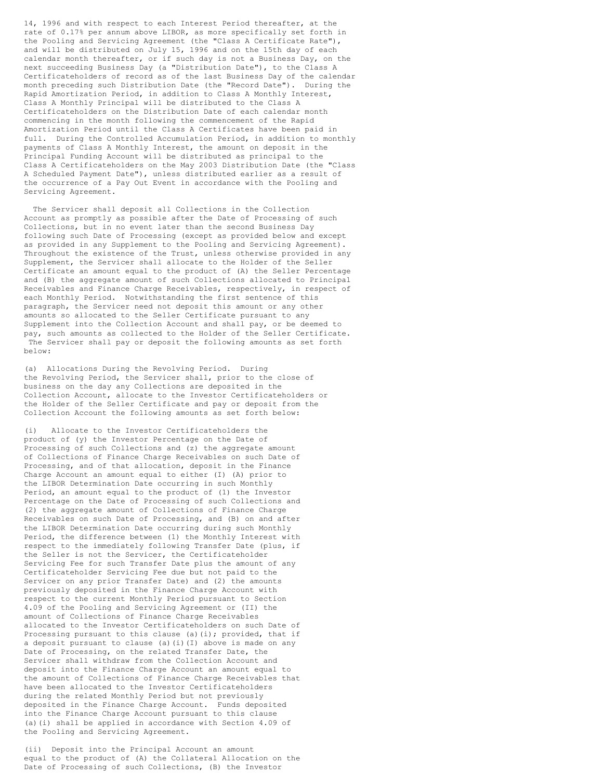14, 1996 and with respect to each Interest Period thereafter, at the rate of 0.17% per annum above LIBOR, as more specifically set forth in the Pooling and Servicing Agreement (the "Class A Certificate Rate"), and will be distributed on July 15, 1996 and on the 15th day of each calendar month thereafter, or if such day is not a Business Day, on the next succeeding Business Day (a "Distribution Date"), to the Class A Certificateholders of record as of the last Business Day of the calendar month preceding such Distribution Date (the "Record Date"). During the Rapid Amortization Period, in addition to Class A Monthly Interest, Class A Monthly Principal will be distributed to the Class A Certificateholders on the Distribution Date of each calendar month commencing in the month following the commencement of the Rapid Amortization Period until the Class A Certificates have been paid in full. During the Controlled Accumulation Period, in addition to monthly payments of Class A Monthly Interest, the amount on deposit in the Principal Funding Account will be distributed as principal to the Class A Certificateholders on the May 2003 Distribution Date (the "Class A Scheduled Payment Date"), unless distributed earlier as a result of the occurrence of a Pay Out Event in accordance with the Pooling and Servicing Agreement.

The Servicer shall deposit all Collections in the Collection Account as promptly as possible after the Date of Processing of such Collections, but in no event later than the second Business Day following such Date of Processing (except as provided below and except as provided in any Supplement to the Pooling and Servicing Agreement). Throughout the existence of the Trust, unless otherwise provided in any Supplement, the Servicer shall allocate to the Holder of the Seller Certificate an amount equal to the product of (A) the Seller Percentage and (B) the aggregate amount of such Collections allocated to Principal Receivables and Finance Charge Receivables, respectively, in respect of each Monthly Period. Notwithstanding the first sentence of this paragraph, the Servicer need not deposit this amount or any other amounts so allocated to the Seller Certificate pursuant to any Supplement into the Collection Account and shall pay, or be deemed to pay, such amounts as collected to the Holder of the Seller Certificate. The Servicer shall pay or deposit the following amounts as set forth below:

(a) Allocations During the Revolving Period. During the Revolving Period, the Servicer shall, prior to the close of business on the day any Collections are deposited in the Collection Account, allocate to the Investor Certificateholders or the Holder of the Seller Certificate and pay or deposit from the Collection Account the following amounts as set forth below:

(i) Allocate to the Investor Certificateholders the product of (y) the Investor Percentage on the Date of Processing of such Collections and (z) the aggregate amount of Collections of Finance Charge Receivables on such Date of Processing, and of that allocation, deposit in the Finance Charge Account an amount equal to either (I) (A) prior to the LIBOR Determination Date occurring in such Monthly Period, an amount equal to the product of (1) the Investor Percentage on the Date of Processing of such Collections and (2) the aggregate amount of Collections of Finance Charge Receivables on such Date of Processing, and (B) on and after the LIBOR Determination Date occurring during such Monthly Period, the difference between (1) the Monthly Interest with respect to the immediately following Transfer Date (plus, if the Seller is not the Servicer, the Certificateholder Servicing Fee for such Transfer Date plus the amount of any Certificateholder Servicing Fee due but not paid to the Servicer on any prior Transfer Date) and (2) the amounts previously deposited in the Finance Charge Account with respect to the current Monthly Period pursuant to Section 4.09 of the Pooling and Servicing Agreement or (II) the amount of Collections of Finance Charge Receivables allocated to the Investor Certificateholders on such Date of Processing pursuant to this clause (a)(i); provided, that if a deposit pursuant to clause (a)(i)(I) above is made on any Date of Processing, on the related Transfer Date, the Servicer shall withdraw from the Collection Account and deposit into the Finance Charge Account an amount equal to the amount of Collections of Finance Charge Receivables that have been allocated to the Investor Certificateholders during the related Monthly Period but not previously deposited in the Finance Charge Account. Funds deposited into the Finance Charge Account pursuant to this clause (a)(i) shall be applied in accordance with Section 4.09 of the Pooling and Servicing Agreement.

(ii) Deposit into the Principal Account an amount equal to the product of (A) the Collateral Allocation on the Date of Processing of such Collections, (B) the Investor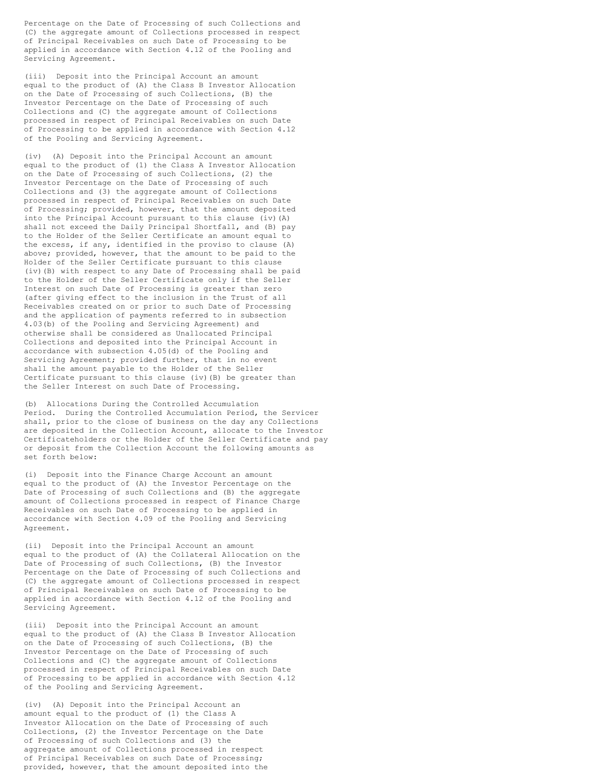Percentage on the Date of Processing of such Collections and (C) the aggregate amount of Collections processed in respect of Principal Receivables on such Date of Processing to be applied in accordance with Section 4.12 of the Pooling and Servicing Agreement.

(iii) Deposit into the Principal Account an amount equal to the product of (A) the Class B Investor Allocation on the Date of Processing of such Collections, (B) the Investor Percentage on the Date of Processing of such Collections and (C) the aggregate amount of Collections processed in respect of Principal Receivables on such Date of Processing to be applied in accordance with Section 4.12 of the Pooling and Servicing Agreement.

(iv) (A) Deposit into the Principal Account an amount equal to the product of (1) the Class A Investor Allocation on the Date of Processing of such Collections, (2) the Investor Percentage on the Date of Processing of such Collections and (3) the aggregate amount of Collections processed in respect of Principal Receivables on such Date of Processing; provided, however, that the amount deposited into the Principal Account pursuant to this clause (iv)(A) shall not exceed the Daily Principal Shortfall, and (B) pay to the Holder of the Seller Certificate an amount equal to the excess, if any, identified in the proviso to clause (A) above; provided, however, that the amount to be paid to the Holder of the Seller Certificate pursuant to this clause (iv)(B) with respect to any Date of Processing shall be paid to the Holder of the Seller Certificate only if the Seller Interest on such Date of Processing is greater than zero (after giving effect to the inclusion in the Trust of all Receivables created on or prior to such Date of Processing and the application of payments referred to in subsection 4.03(b) of the Pooling and Servicing Agreement) and otherwise shall be considered as Unallocated Principal Collections and deposited into the Principal Account in accordance with subsection 4.05(d) of the Pooling and Servicing Agreement; provided further, that in no event shall the amount payable to the Holder of the Seller Certificate pursuant to this clause (iv)(B) be greater than the Seller Interest on such Date of Processing.

(b) Allocations During the Controlled Accumulation Period. During the Controlled Accumulation Period, the Servicer shall, prior to the close of business on the day any Collections are deposited in the Collection Account, allocate to the Investor Certificateholders or the Holder of the Seller Certificate and pay or deposit from the Collection Account the following amounts as set forth below:

(i) Deposit into the Finance Charge Account an amount equal to the product of (A) the Investor Percentage on the Date of Processing of such Collections and (B) the aggregate amount of Collections processed in respect of Finance Charge Receivables on such Date of Processing to be applied in accordance with Section 4.09 of the Pooling and Servicing Agreement.

(ii) Deposit into the Principal Account an amount equal to the product of (A) the Collateral Allocation on the Date of Processing of such Collections, (B) the Investor Percentage on the Date of Processing of such Collections and (C) the aggregate amount of Collections processed in respect of Principal Receivables on such Date of Processing to be applied in accordance with Section 4.12 of the Pooling and Servicing Agreement.

(iii) Deposit into the Principal Account an amount equal to the product of (A) the Class B Investor Allocation on the Date of Processing of such Collections, (B) the Investor Percentage on the Date of Processing of such Collections and (C) the aggregate amount of Collections processed in respect of Principal Receivables on such Date of Processing to be applied in accordance with Section 4.12 of the Pooling and Servicing Agreement.

(iv) (A) Deposit into the Principal Account an amount equal to the product of (1) the Class A Investor Allocation on the Date of Processing of such Collections, (2) the Investor Percentage on the Date of Processing of such Collections and (3) the aggregate amount of Collections processed in respect of Principal Receivables on such Date of Processing; provided, however, that the amount deposited into the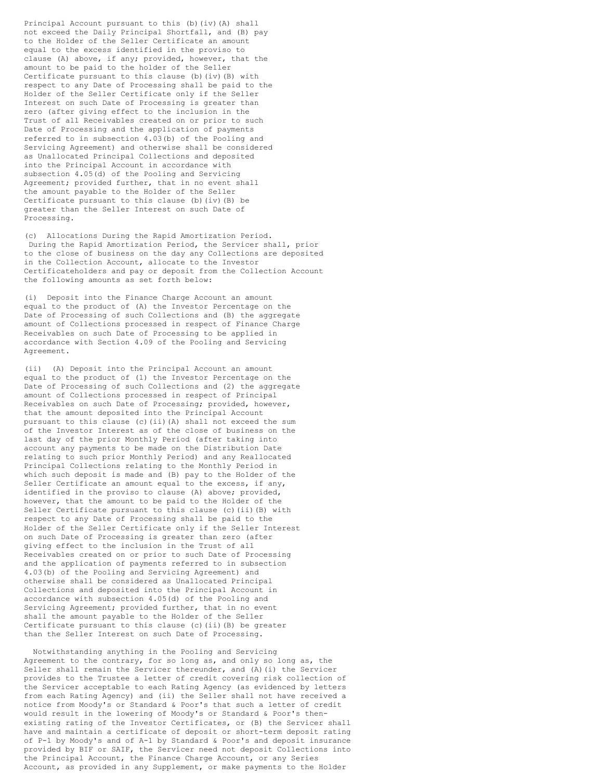Principal Account pursuant to this (b)(iv)(A) shall not exceed the Daily Principal Shortfall, and (B) pay to the Holder of the Seller Certificate an amount equal to the excess identified in the proviso to clause (A) above, if any; provided, however, that the amount to be paid to the holder of the Seller Certificate pursuant to this clause (b)(iv)(B) with respect to any Date of Processing shall be paid to the Holder of the Seller Certificate only if the Seller Interest on such Date of Processing is greater than zero (after giving effect to the inclusion in the Trust of all Receivables created on or prior to such Date of Processing and the application of payments referred to in subsection 4.03(b) of the Pooling and Servicing Agreement) and otherwise shall be considered as Unallocated Principal Collections and deposited into the Principal Account in accordance with subsection 4.05(d) of the Pooling and Servicing Agreement; provided further, that in no event shall the amount payable to the Holder of the Seller Certificate pursuant to this clause (b)(iv)(B) be greater than the Seller Interest on such Date of Processing.

(c) Allocations During the Rapid Amortization Period. During the Rapid Amortization Period, the Servicer shall, prior to the close of business on the day any Collections are deposited in the Collection Account, allocate to the Investor Certificateholders and pay or deposit from the Collection Account the following amounts as set forth below:

(i) Deposit into the Finance Charge Account an amount equal to the product of (A) the Investor Percentage on the Date of Processing of such Collections and (B) the aggregate amount of Collections processed in respect of Finance Charge Receivables on such Date of Processing to be applied in accordance with Section 4.09 of the Pooling and Servicing Agreement.

(ii) (A) Deposit into the Principal Account an amount equal to the product of (1) the Investor Percentage on the Date of Processing of such Collections and (2) the aggregate amount of Collections processed in respect of Principal Receivables on such Date of Processing; provided, however, that the amount deposited into the Principal Account pursuant to this clause (c)(ii)(A) shall not exceed the sum of the Investor Interest as of the close of business on the last day of the prior Monthly Period (after taking into account any payments to be made on the Distribution Date relating to such prior Monthly Period) and any Reallocated Principal Collections relating to the Monthly Period in which such deposit is made and (B) pay to the Holder of the Seller Certificate an amount equal to the excess, if any, identified in the proviso to clause (A) above; provided, however, that the amount to be paid to the Holder of the Seller Certificate pursuant to this clause (c)(ii)(B) with respect to any Date of Processing shall be paid to the Holder of the Seller Certificate only if the Seller Interest on such Date of Processing is greater than zero (after giving effect to the inclusion in the Trust of all Receivables created on or prior to such Date of Processing and the application of payments referred to in subsection 4.03(b) of the Pooling and Servicing Agreement) and otherwise shall be considered as Unallocated Principal Collections and deposited into the Principal Account in accordance with subsection 4.05(d) of the Pooling and Servicing Agreement; provided further, that in no event shall the amount payable to the Holder of the Seller Certificate pursuant to this clause (c)(ii)(B) be greater than the Seller Interest on such Date of Processing.

Notwithstanding anything in the Pooling and Servicing Agreement to the contrary, for so long as, and only so long as, the Seller shall remain the Servicer thereunder, and (A)(i) the Servicer provides to the Trustee a letter of credit covering risk collection of the Servicer acceptable to each Rating Agency (as evidenced by letters from each Rating Agency) and (ii) the Seller shall not have received a notice from Moody's or Standard & Poor's that such a letter of credit would result in the lowering of Moody's or Standard & Poor's thenexisting rating of the Investor Certificates, or (B) the Servicer shall have and maintain a certificate of deposit or short-term deposit rating of P-1 by Moody's and of A-1 by Standard & Poor's and deposit insurance provided by BIF or SAIF, the Servicer need not deposit Collections into the Principal Account, the Finance Charge Account, or any Series Account, as provided in any Supplement, or make payments to the Holder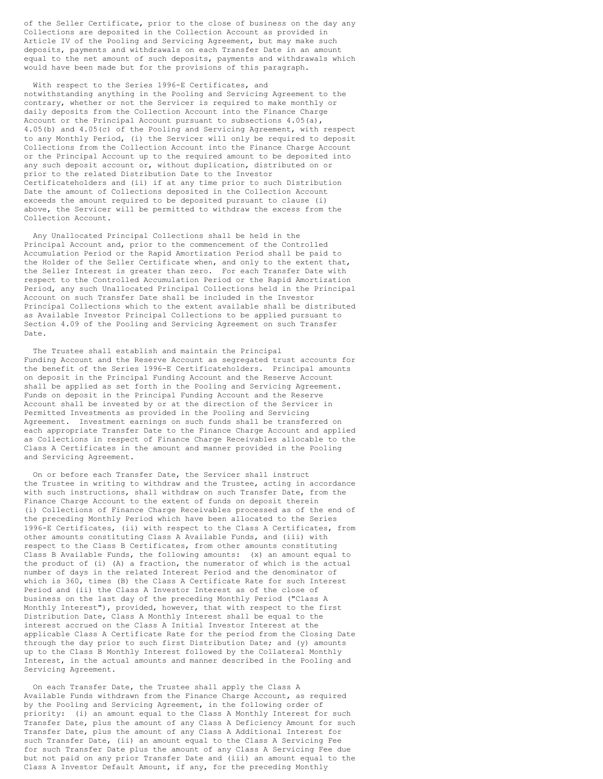of the Seller Certificate, prior to the close of business on the day any Collections are deposited in the Collection Account as provided in Article IV of the Pooling and Servicing Agreement, but may make such deposits, payments and withdrawals on each Transfer Date in an amount equal to the net amount of such deposits, payments and withdrawals which would have been made but for the provisions of this paragraph.

With respect to the Series 1996-E Certificates, and notwithstanding anything in the Pooling and Servicing Agreement to the contrary, whether or not the Servicer is required to make monthly or daily deposits from the Collection Account into the Finance Charge Account or the Principal Account pursuant to subsections 4.05(a), 4.05(b) and 4.05(c) of the Pooling and Servicing Agreement, with respect to any Monthly Period, (i) the Servicer will only be required to deposit Collections from the Collection Account into the Finance Charge Account or the Principal Account up to the required amount to be deposited into any such deposit account or, without duplication, distributed on or prior to the related Distribution Date to the Investor Certificateholders and (ii) if at any time prior to such Distribution Date the amount of Collections deposited in the Collection Account exceeds the amount required to be deposited pursuant to clause (i) above, the Servicer will be permitted to withdraw the excess from the Collection Account.

Any Unallocated Principal Collections shall be held in the Principal Account and, prior to the commencement of the Controlled Accumulation Period or the Rapid Amortization Period shall be paid to the Holder of the Seller Certificate when, and only to the extent that, the Seller Interest is greater than zero. For each Transfer Date with respect to the Controlled Accumulation Period or the Rapid Amortization Period, any such Unallocated Principal Collections held in the Principal Account on such Transfer Date shall be included in the Investor Principal Collections which to the extent available shall be distributed as Available Investor Principal Collections to be applied pursuant to Section 4.09 of the Pooling and Servicing Agreement on such Transfer Date.

The Trustee shall establish and maintain the Principal Funding Account and the Reserve Account as segregated trust accounts for the benefit of the Series 1996-E Certificateholders. Principal amounts on deposit in the Principal Funding Account and the Reserve Account shall be applied as set forth in the Pooling and Servicing Agreement. Funds on deposit in the Principal Funding Account and the Reserve Account shall be invested by or at the direction of the Servicer in Permitted Investments as provided in the Pooling and Servicing Agreement. Investment earnings on such funds shall be transferred on each appropriate Transfer Date to the Finance Charge Account and applied as Collections in respect of Finance Charge Receivables allocable to the Class A Certificates in the amount and manner provided in the Pooling and Servicing Agreement.

On or before each Transfer Date, the Servicer shall instruct the Trustee in writing to withdraw and the Trustee, acting in accordance with such instructions, shall withdraw on such Transfer Date, from the Finance Charge Account to the extent of funds on deposit therein (i) Collections of Finance Charge Receivables processed as of the end of the preceding Monthly Period which have been allocated to the Series 1996-E Certificates, (ii) with respect to the Class A Certificates, from other amounts constituting Class A Available Funds, and (iii) with respect to the Class B Certificates, from other amounts constituting Class B Available Funds, the following amounts: (x) an amount equal to the product of (i) (A) a fraction, the numerator of which is the actual number of days in the related Interest Period and the denominator of which is 360, times (B) the Class A Certificate Rate for such Interest Period and (ii) the Class A Investor Interest as of the close of business on the last day of the preceding Monthly Period ("Class A Monthly Interest"), provided, however, that with respect to the first Distribution Date, Class A Monthly Interest shall be equal to the interest accrued on the Class A Initial Investor Interest at the applicable Class A Certificate Rate for the period from the Closing Date through the day prior to such first Distribution Date; and (y) amounts up to the Class B Monthly Interest followed by the Collateral Monthly Interest, in the actual amounts and manner described in the Pooling and Servicing Agreement.

On each Transfer Date, the Trustee shall apply the Class A Available Funds withdrawn from the Finance Charge Account, as required by the Pooling and Servicing Agreement, in the following order of priority: (i) an amount equal to the Class A Monthly Interest for such Transfer Date, plus the amount of any Class A Deficiency Amount for such Transfer Date, plus the amount of any Class A Additional Interest for such Transfer Date, (ii) an amount equal to the Class A Servicing Fee for such Transfer Date plus the amount of any Class A Servicing Fee due but not paid on any prior Transfer Date and (iii) an amount equal to the Class A Investor Default Amount, if any, for the preceding Monthly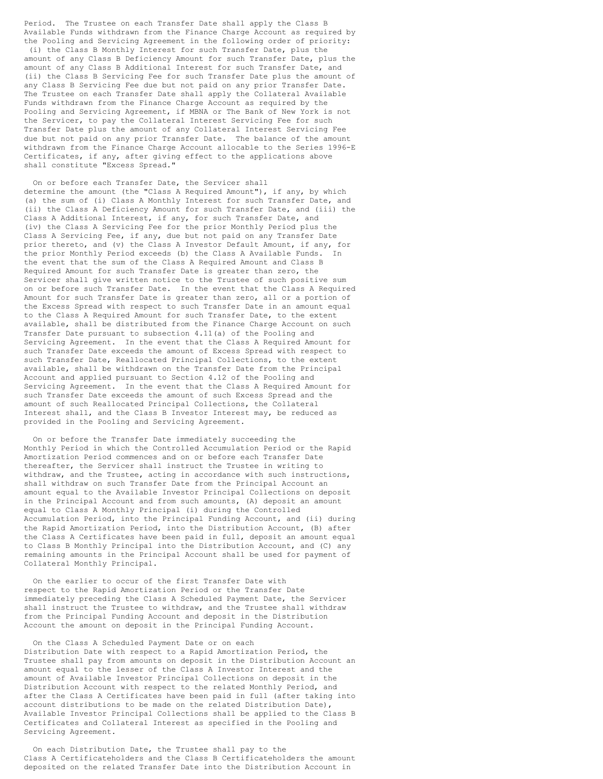Period. The Trustee on each Transfer Date shall apply the Class B Available Funds withdrawn from the Finance Charge Account as required by the Pooling and Servicing Agreement in the following order of priority: (i) the Class B Monthly Interest for such Transfer Date, plus the amount of any Class B Deficiency Amount for such Transfer Date, plus the amount of any Class B Additional Interest for such Transfer Date, and (ii) the Class B Servicing Fee for such Transfer Date plus the amount of any Class B Servicing Fee due but not paid on any prior Transfer Date. The Trustee on each Transfer Date shall apply the Collateral Available Funds withdrawn from the Finance Charge Account as required by the Pooling and Servicing Agreement, if MBNA or The Bank of New York is not the Servicer, to pay the Collateral Interest Servicing Fee for such Transfer Date plus the amount of any Collateral Interest Servicing Fee due but not paid on any prior Transfer Date. The balance of the amount withdrawn from the Finance Charge Account allocable to the Series 1996-E Certificates, if any, after giving effect to the applications above shall constitute "Excess Spread."

On or before each Transfer Date, the Servicer shall determine the amount (the "Class A Required Amount"), if any, by which (a) the sum of (i) Class A Monthly Interest for such Transfer Date, and (ii) the Class A Deficiency Amount for such Transfer Date, and (iii) the Class A Additional Interest, if any, for such Transfer Date, and (iv) the Class A Servicing Fee for the prior Monthly Period plus the Class A Servicing Fee, if any, due but not paid on any Transfer Date prior thereto, and (v) the Class A Investor Default Amount, if any, for the prior Monthly Period exceeds (b) the Class A Available Funds. In the event that the sum of the Class A Required Amount and Class B Required Amount for such Transfer Date is greater than zero, the Servicer shall give written notice to the Trustee of such positive sum on or before such Transfer Date. In the event that the Class A Required Amount for such Transfer Date is greater than zero, all or a portion of the Excess Spread with respect to such Transfer Date in an amount equal to the Class A Required Amount for such Transfer Date, to the extent available, shall be distributed from the Finance Charge Account on such Transfer Date pursuant to subsection 4.11(a) of the Pooling and Servicing Agreement. In the event that the Class A Required Amount for such Transfer Date exceeds the amount of Excess Spread with respect to such Transfer Date, Reallocated Principal Collections, to the extent available, shall be withdrawn on the Transfer Date from the Principal Account and applied pursuant to Section 4.12 of the Pooling and Servicing Agreement. In the event that the Class A Required Amount for such Transfer Date exceeds the amount of such Excess Spread and the amount of such Reallocated Principal Collections, the Collateral Interest shall, and the Class B Investor Interest may, be reduced as provided in the Pooling and Servicing Agreement.

On or before the Transfer Date immediately succeeding the Monthly Period in which the Controlled Accumulation Period or the Rapid Amortization Period commences and on or before each Transfer Date thereafter, the Servicer shall instruct the Trustee in writing to withdraw, and the Trustee, acting in accordance with such instructions, shall withdraw on such Transfer Date from the Principal Account an amount equal to the Available Investor Principal Collections on deposit in the Principal Account and from such amounts, (A) deposit an amount equal to Class A Monthly Principal (i) during the Controlled Accumulation Period, into the Principal Funding Account, and (ii) during the Rapid Amortization Period, into the Distribution Account, (B) after the Class A Certificates have been paid in full, deposit an amount equal to Class B Monthly Principal into the Distribution Account, and (C) any remaining amounts in the Principal Account shall be used for payment of Collateral Monthly Principal.

On the earlier to occur of the first Transfer Date with respect to the Rapid Amortization Period or the Transfer Date immediately preceding the Class A Scheduled Payment Date, the Servicer shall instruct the Trustee to withdraw, and the Trustee shall withdraw from the Principal Funding Account and deposit in the Distribution Account the amount on deposit in the Principal Funding Account.

On the Class A Scheduled Payment Date or on each Distribution Date with respect to a Rapid Amortization Period, the Trustee shall pay from amounts on deposit in the Distribution Account an amount equal to the lesser of the Class A Investor Interest and the amount of Available Investor Principal Collections on deposit in the Distribution Account with respect to the related Monthly Period, and after the Class A Certificates have been paid in full (after taking into account distributions to be made on the related Distribution Date), Available Investor Principal Collections shall be applied to the Class B Certificates and Collateral Interest as specified in the Pooling and Servicing Agreement.

On each Distribution Date, the Trustee shall pay to the Class A Certificateholders and the Class B Certificateholders the amount deposited on the related Transfer Date into the Distribution Account in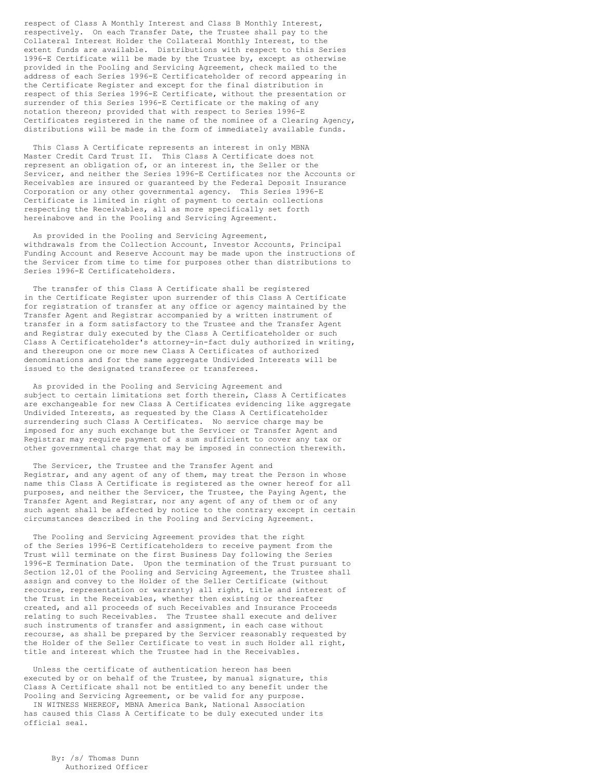respect of Class A Monthly Interest and Class B Monthly Interest, respectively. On each Transfer Date, the Trustee shall pay to the Collateral Interest Holder the Collateral Monthly Interest, to the extent funds are available. Distributions with respect to this Series 1996-E Certificate will be made by the Trustee by, except as otherwise provided in the Pooling and Servicing Agreement, check mailed to the address of each Series 1996-E Certificateholder of record appearing in the Certificate Register and except for the final distribution in respect of this Series 1996-E Certificate, without the presentation or surrender of this Series 1996-E Certificate or the making of any notation thereon; provided that with respect to Series 1996-E Certificates registered in the name of the nominee of a Clearing Agency, distributions will be made in the form of immediately available funds.

This Class A Certificate represents an interest in only MBNA Master Credit Card Trust II. This Class A Certificate does not represent an obligation of, or an interest in, the Seller or the Servicer, and neither the Series 1996-E Certificates nor the Accounts or Receivables are insured or guaranteed by the Federal Deposit Insurance Corporation or any other governmental agency. This Series 1996-E Certificate is limited in right of payment to certain collections respecting the Receivables, all as more specifically set forth hereinabove and in the Pooling and Servicing Agreement.

As provided in the Pooling and Servicing Agreement, withdrawals from the Collection Account, Investor Accounts, Principal Funding Account and Reserve Account may be made upon the instructions of the Servicer from time to time for purposes other than distributions to Series 1996-E Certificateholders.

The transfer of this Class A Certificate shall be registered in the Certificate Register upon surrender of this Class A Certificate for registration of transfer at any office or agency maintained by the Transfer Agent and Registrar accompanied by a written instrument of transfer in a form satisfactory to the Trustee and the Transfer Agent and Registrar duly executed by the Class A Certificateholder or such Class A Certificateholder's attorney-in-fact duly authorized in writing, and thereupon one or more new Class A Certificates of authorized denominations and for the same aggregate Undivided Interests will be issued to the designated transferee or transferees.

As provided in the Pooling and Servicing Agreement and subject to certain limitations set forth therein, Class A Certificates are exchangeable for new Class A Certificates evidencing like aggregate Undivided Interests, as requested by the Class A Certificateholder surrendering such Class A Certificates. No service charge may be imposed for any such exchange but the Servicer or Transfer Agent and Registrar may require payment of a sum sufficient to cover any tax or other governmental charge that may be imposed in connection therewith.

The Servicer, the Trustee and the Transfer Agent and Registrar, and any agent of any of them, may treat the Person in whose name this Class A Certificate is registered as the owner hereof for all purposes, and neither the Servicer, the Trustee, the Paying Agent, the Transfer Agent and Registrar, nor any agent of any of them or of any such agent shall be affected by notice to the contrary except in certain circumstances described in the Pooling and Servicing Agreement.

The Pooling and Servicing Agreement provides that the right of the Series 1996-E Certificateholders to receive payment from the Trust will terminate on the first Business Day following the Series 1996-E Termination Date. Upon the termination of the Trust pursuant to Section 12.01 of the Pooling and Servicing Agreement, the Trustee shall assign and convey to the Holder of the Seller Certificate (without recourse, representation or warranty) all right, title and interest of the Trust in the Receivables, whether then existing or thereafter created, and all proceeds of such Receivables and Insurance Proceeds relating to such Receivables. The Trustee shall execute and deliver such instruments of transfer and assignment, in each case without recourse, as shall be prepared by the Servicer reasonably requested by the Holder of the Seller Certificate to vest in such Holder all right, title and interest which the Trustee had in the Receivables.

Unless the certificate of authentication hereon has been executed by or on behalf of the Trustee, by manual signature, this Class A Certificate shall not be entitled to any benefit under the Pooling and Servicing Agreement, or be valid for any purpose.

IN WITNESS WHEREOF, MBNA America Bank, National Association has caused this Class A Certificate to be duly executed under its official seal.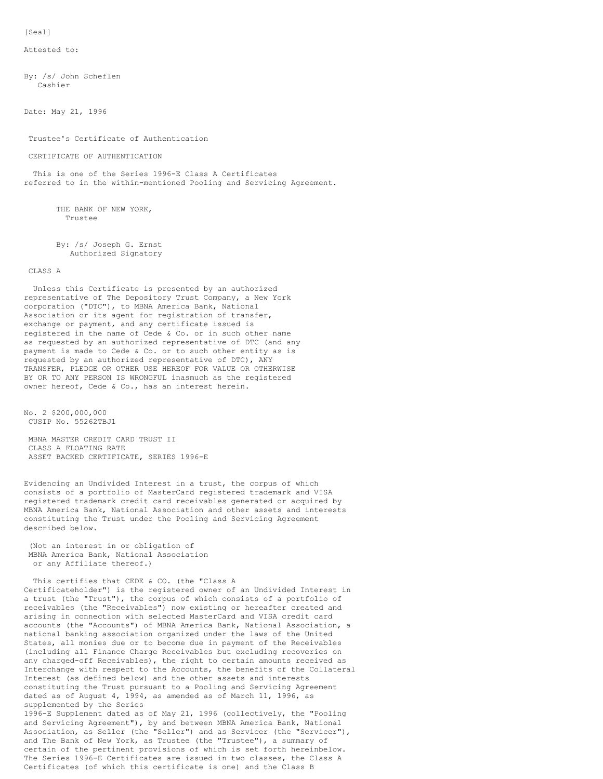[Seal]

Attested to:

By: /s/ John Scheflen Cashier

Date: May 21, 1996

Trustee's Certificate of Authentication

CERTIFICATE OF AUTHENTICATION

This is one of the Series 1996-E Class A Certificates referred to in the within-mentioned Pooling and Servicing Agreement.

THE BANK OF NEW YORK, Trustee

By: /s/ Joseph G. Ernst Authorized Signatory

## CLASS A

Unless this Certificate is presented by an authorized representative of The Depository Trust Company, a New York corporation ("DTC"), to MBNA America Bank, National Association or its agent for registration of transfer, exchange or payment, and any certificate issued is registered in the name of Cede & Co. or in such other name as requested by an authorized representative of DTC (and any payment is made to Cede & Co. or to such other entity as is requested by an authorized representative of DTC), ANY TRANSFER, PLEDGE OR OTHER USE HEREOF FOR VALUE OR OTHERWISE BY OR TO ANY PERSON IS WRONGFUL inasmuch as the registered owner hereof, Cede & Co., has an interest herein.

No. 2 \$200,000,000 CUSIP No. 55262TBJ1

MBNA MASTER CREDIT CARD TRUST II CLASS A FLOATING RATE ASSET BACKED CERTIFICATE, SERIES 1996-E

Evidencing an Undivided Interest in a trust, the corpus of which consists of a portfolio of MasterCard registered trademark and VISA registered trademark credit card receivables generated or acquired by MBNA America Bank, National Association and other assets and interests constituting the Trust under the Pooling and Servicing Agreement described below.

(Not an interest in or obligation of MBNA America Bank, National Association or any Affiliate thereof.)

This certifies that CEDE & CO. (the "Class A Certificateholder") is the registered owner of an Undivided Interest in

a trust (the "Trust"), the corpus of which consists of a portfolio of receivables (the "Receivables") now existing or hereafter created and arising in connection with selected MasterCard and VISA credit card accounts (the "Accounts") of MBNA America Bank, National Association, a national banking association organized under the laws of the United States, all monies due or to become due in payment of the Receivables (including all Finance Charge Receivables but excluding recoveries on any charged-off Receivables), the right to certain amounts received as Interchange with respect to the Accounts, the benefits of the Collateral Interest (as defined below) and the other assets and interests constituting the Trust pursuant to a Pooling and Servicing Agreement dated as of August 4, 1994, as amended as of March 11, 1996, as supplemented by the Series 1996-E Supplement dated as of May 21, 1996 (collectively, the "Pooling and Servicing Agreement"), by and between MBNA America Bank, National Association, as Seller (the "Seller") and as Servicer (the "Servicer"), and The Bank of New York, as Trustee (the "Trustee"), a summary of certain of the pertinent provisions of which is set forth hereinbelow. The Series 1996-E Certificates are issued in two classes, the Class A Certificates (of which this certificate is one) and the Class B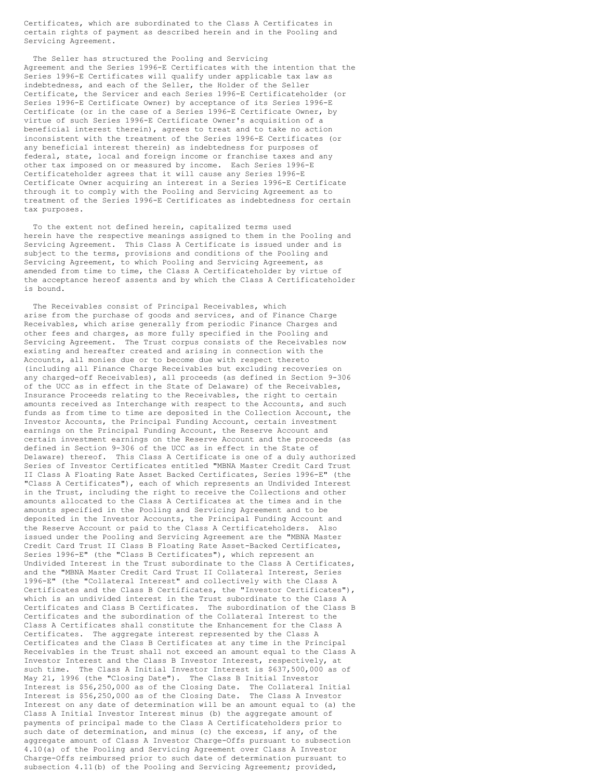Certificates, which are subordinated to the Class A Certificates in certain rights of payment as described herein and in the Pooling and Servicing Agreement.

The Seller has structured the Pooling and Servicing Agreement and the Series 1996-E Certificates with the intention that the Series 1996-E Certificates will qualify under applicable tax law as indebtedness, and each of the Seller, the Holder of the Seller Certificate, the Servicer and each Series 1996-E Certificateholder (or Series 1996-E Certificate Owner) by acceptance of its Series 1996-E Certificate (or in the case of a Series 1996-E Certificate Owner, by virtue of such Series 1996-E Certificate Owner's acquisition of a beneficial interest therein), agrees to treat and to take no action inconsistent with the treatment of the Series 1996-E Certificates (or any beneficial interest therein) as indebtedness for purposes of federal, state, local and foreign income or franchise taxes and any other tax imposed on or measured by income. Each Series 1996-E Certificateholder agrees that it will cause any Series 1996-E Certificate Owner acquiring an interest in a Series 1996-E Certificate through it to comply with the Pooling and Servicing Agreement as to treatment of the Series 1996-E Certificates as indebtedness for certain tax purposes.

To the extent not defined herein, capitalized terms used herein have the respective meanings assigned to them in the Pooling and Servicing Agreement. This Class A Certificate is issued under and is subject to the terms, provisions and conditions of the Pooling and Servicing Agreement, to which Pooling and Servicing Agreement, as amended from time to time, the Class A Certificateholder by virtue of the acceptance hereof assents and by which the Class A Certificateholder is bound.

The Receivables consist of Principal Receivables, which arise from the purchase of goods and services, and of Finance Charge Receivables, which arise generally from periodic Finance Charges and other fees and charges, as more fully specified in the Pooling and Servicing Agreement. The Trust corpus consists of the Receivables now existing and hereafter created and arising in connection with the Accounts, all monies due or to become due with respect thereto (including all Finance Charge Receivables but excluding recoveries on any charged-off Receivables), all proceeds (as defined in Section 9-306 of the UCC as in effect in the State of Delaware) of the Receivables, Insurance Proceeds relating to the Receivables, the right to certain amounts received as Interchange with respect to the Accounts, and such funds as from time to time are deposited in the Collection Account, the Investor Accounts, the Principal Funding Account, certain investment earnings on the Principal Funding Account, the Reserve Account and certain investment earnings on the Reserve Account and the proceeds (as defined in Section 9-306 of the UCC as in effect in the State of Delaware) thereof. This Class A Certificate is one of a duly authorized Series of Investor Certificates entitled "MBNA Master Credit Card Trust II Class A Floating Rate Asset Backed Certificates, Series 1996-E" (the "Class A Certificates"), each of which represents an Undivided Interest in the Trust, including the right to receive the Collections and other amounts allocated to the Class A Certificates at the times and in the amounts specified in the Pooling and Servicing Agreement and to be deposited in the Investor Accounts, the Principal Funding Account and the Reserve Account or paid to the Class A Certificateholders. Also issued under the Pooling and Servicing Agreement are the "MBNA Master Credit Card Trust II Class B Floating Rate Asset-Backed Certificates, Series 1996-E" (the "Class B Certificates"), which represent an Undivided Interest in the Trust subordinate to the Class A Certificates, and the "MBNA Master Credit Card Trust II Collateral Interest, Series 1996-E" (the "Collateral Interest" and collectively with the Class A Certificates and the Class B Certificates, the "Investor Certificates"), which is an undivided interest in the Trust subordinate to the Class A Certificates and Class B Certificates. The subordination of the Class B Certificates and the subordination of the Collateral Interest to the Class A Certificates shall constitute the Enhancement for the Class A Certificates. The aggregate interest represented by the Class A Certificates and the Class B Certificates at any time in the Principal Receivables in the Trust shall not exceed an amount equal to the Class A Investor Interest and the Class B Investor Interest, respectively, at such time. The Class A Initial Investor Interest is \$637,500,000 as of May 21, 1996 (the "Closing Date"). The Class B Initial Investor Interest is \$56,250,000 as of the Closing Date. The Collateral Initial Interest is \$56,250,000 as of the Closing Date. The Class A Investor Interest on any date of determination will be an amount equal to (a) the Class A Initial Investor Interest minus (b) the aggregate amount of payments of principal made to the Class A Certificateholders prior to such date of determination, and minus (c) the excess, if any, of the aggregate amount of Class A Investor Charge-Offs pursuant to subsection 4.10(a) of the Pooling and Servicing Agreement over Class A Investor Charge-Offs reimbursed prior to such date of determination pursuant to subsection 4.11(b) of the Pooling and Servicing Agreement; provided,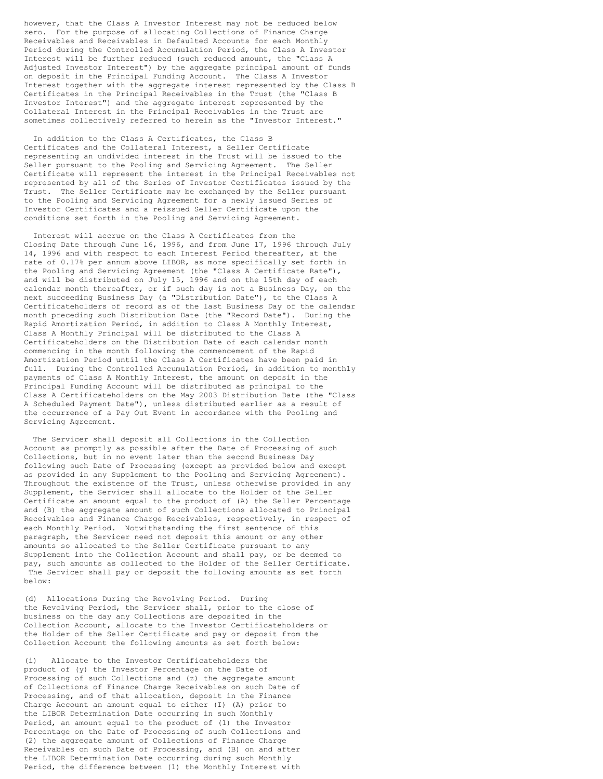however, that the Class A Investor Interest may not be reduced below zero. For the purpose of allocating Collections of Finance Charge Receivables and Receivables in Defaulted Accounts for each Monthly Period during the Controlled Accumulation Period, the Class A Investor Interest will be further reduced (such reduced amount, the "Class A Adjusted Investor Interest") by the aggregate principal amount of funds on deposit in the Principal Funding Account. The Class A Investor Interest together with the aggregate interest represented by the Class B Certificates in the Principal Receivables in the Trust (the "Class B Investor Interest") and the aggregate interest represented by the Collateral Interest in the Principal Receivables in the Trust are sometimes collectively referred to herein as the "Investor Interest."

In addition to the Class A Certificates, the Class B Certificates and the Collateral Interest, a Seller Certificate representing an undivided interest in the Trust will be issued to the Seller pursuant to the Pooling and Servicing Agreement. The Seller Certificate will represent the interest in the Principal Receivables not represented by all of the Series of Investor Certificates issued by the Trust. The Seller Certificate may be exchanged by the Seller pursuant to the Pooling and Servicing Agreement for a newly issued Series of Investor Certificates and a reissued Seller Certificate upon the conditions set forth in the Pooling and Servicing Agreement.

Interest will accrue on the Class A Certificates from the Closing Date through June 16, 1996, and from June 17, 1996 through July 14, 1996 and with respect to each Interest Period thereafter, at the rate of 0.17% per annum above LIBOR, as more specifically set forth in the Pooling and Servicing Agreement (the "Class A Certificate Rate"), and will be distributed on July 15, 1996 and on the 15th day of each calendar month thereafter, or if such day is not a Business Day, on the next succeeding Business Day (a "Distribution Date"), to the Class A Certificateholders of record as of the last Business Day of the calendar month preceding such Distribution Date (the "Record Date"). During the Rapid Amortization Period, in addition to Class A Monthly Interest, Class A Monthly Principal will be distributed to the Class A Certificateholders on the Distribution Date of each calendar month commencing in the month following the commencement of the Rapid Amortization Period until the Class A Certificates have been paid in full. During the Controlled Accumulation Period, in addition to monthly payments of Class A Monthly Interest, the amount on deposit in the Principal Funding Account will be distributed as principal to the Class A Certificateholders on the May 2003 Distribution Date (the "Class A Scheduled Payment Date"), unless distributed earlier as a result of the occurrence of a Pay Out Event in accordance with the Pooling and Servicing Agreement.

The Servicer shall deposit all Collections in the Collection Account as promptly as possible after the Date of Processing of such Collections, but in no event later than the second Business Day following such Date of Processing (except as provided below and except as provided in any Supplement to the Pooling and Servicing Agreement). Throughout the existence of the Trust, unless otherwise provided in any Supplement, the Servicer shall allocate to the Holder of the Seller Certificate an amount equal to the product of (A) the Seller Percentage and (B) the aggregate amount of such Collections allocated to Principal Receivables and Finance Charge Receivables, respectively, in respect of each Monthly Period. Notwithstanding the first sentence of this paragraph, the Servicer need not deposit this amount or any other amounts so allocated to the Seller Certificate pursuant to any Supplement into the Collection Account and shall pay, or be deemed to pay, such amounts as collected to the Holder of the Seller Certificate. The Servicer shall pay or deposit the following amounts as set forth below:

(d) Allocations During the Revolving Period. During the Revolving Period, the Servicer shall, prior to the close of business on the day any Collections are deposited in the Collection Account, allocate to the Investor Certificateholders or the Holder of the Seller Certificate and pay or deposit from the Collection Account the following amounts as set forth below:

(i) Allocate to the Investor Certificateholders the product of (y) the Investor Percentage on the Date of Processing of such Collections and (z) the aggregate amount of Collections of Finance Charge Receivables on such Date of Processing, and of that allocation, deposit in the Finance Charge Account an amount equal to either (I) (A) prior to the LIBOR Determination Date occurring in such Monthly Period, an amount equal to the product of (1) the Investor Percentage on the Date of Processing of such Collections and (2) the aggregate amount of Collections of Finance Charge Receivables on such Date of Processing, and (B) on and after the LIBOR Determination Date occurring during such Monthly Period, the difference between (1) the Monthly Interest with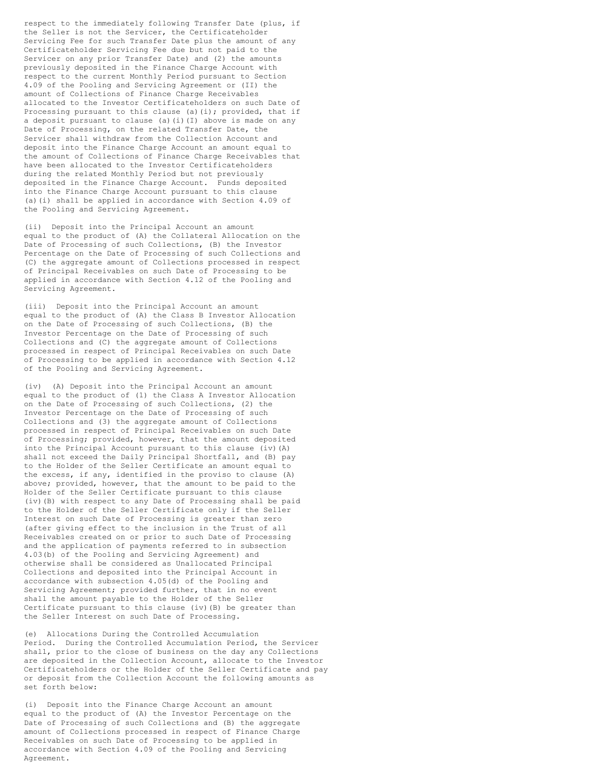respect to the immediately following Transfer Date (plus, if the Seller is not the Servicer, the Certificateholder Servicing Fee for such Transfer Date plus the amount of any Certificateholder Servicing Fee due but not paid to the Servicer on any prior Transfer Date) and (2) the amounts previously deposited in the Finance Charge Account with respect to the current Monthly Period pursuant to Section 4.09 of the Pooling and Servicing Agreement or (II) the amount of Collections of Finance Charge Receivables allocated to the Investor Certificateholders on such Date of Processing pursuant to this clause (a)(i); provided, that if a deposit pursuant to clause (a)(i)(I) above is made on any Date of Processing, on the related Transfer Date, the Servicer shall withdraw from the Collection Account and deposit into the Finance Charge Account an amount equal to the amount of Collections of Finance Charge Receivables that have been allocated to the Investor Certificateholders during the related Monthly Period but not previously deposited in the Finance Charge Account. Funds deposited into the Finance Charge Account pursuant to this clause (a)(i) shall be applied in accordance with Section 4.09 of the Pooling and Servicing Agreement.

(ii) Deposit into the Principal Account an amount equal to the product of (A) the Collateral Allocation on the Date of Processing of such Collections, (B) the Investor Percentage on the Date of Processing of such Collections and (C) the aggregate amount of Collections processed in respect of Principal Receivables on such Date of Processing to be applied in accordance with Section 4.12 of the Pooling and Servicing Agreement.

(iii) Deposit into the Principal Account an amount equal to the product of (A) the Class B Investor Allocation on the Date of Processing of such Collections, (B) the Investor Percentage on the Date of Processing of such Collections and (C) the aggregate amount of Collections processed in respect of Principal Receivables on such Date of Processing to be applied in accordance with Section 4.12 of the Pooling and Servicing Agreement.

(iv) (A) Deposit into the Principal Account an amount equal to the product of (1) the Class A Investor Allocation on the Date of Processing of such Collections, (2) the Investor Percentage on the Date of Processing of such Collections and (3) the aggregate amount of Collections processed in respect of Principal Receivables on such Date of Processing; provided, however, that the amount deposited into the Principal Account pursuant to this clause (iv)(A) shall not exceed the Daily Principal Shortfall, and (B) pay to the Holder of the Seller Certificate an amount equal to the excess, if any, identified in the proviso to clause (A) above; provided, however, that the amount to be paid to the Holder of the Seller Certificate pursuant to this clause (iv)(B) with respect to any Date of Processing shall be paid to the Holder of the Seller Certificate only if the Seller Interest on such Date of Processing is greater than zero (after giving effect to the inclusion in the Trust of all Receivables created on or prior to such Date of Processing and the application of payments referred to in subsection 4.03(b) of the Pooling and Servicing Agreement) and otherwise shall be considered as Unallocated Principal Collections and deposited into the Principal Account in accordance with subsection 4.05(d) of the Pooling and Servicing Agreement; provided further, that in no event shall the amount payable to the Holder of the Seller Certificate pursuant to this clause (iv)(B) be greater than the Seller Interest on such Date of Processing.

(e) Allocations During the Controlled Accumulation Period. During the Controlled Accumulation Period, the Servicer shall, prior to the close of business on the day any Collections are deposited in the Collection Account, allocate to the Investor Certificateholders or the Holder of the Seller Certificate and pay or deposit from the Collection Account the following amounts as set forth below:

(i) Deposit into the Finance Charge Account an amount equal to the product of (A) the Investor Percentage on the Date of Processing of such Collections and (B) the aggregate amount of Collections processed in respect of Finance Charge Receivables on such Date of Processing to be applied in accordance with Section 4.09 of the Pooling and Servicing Agreement.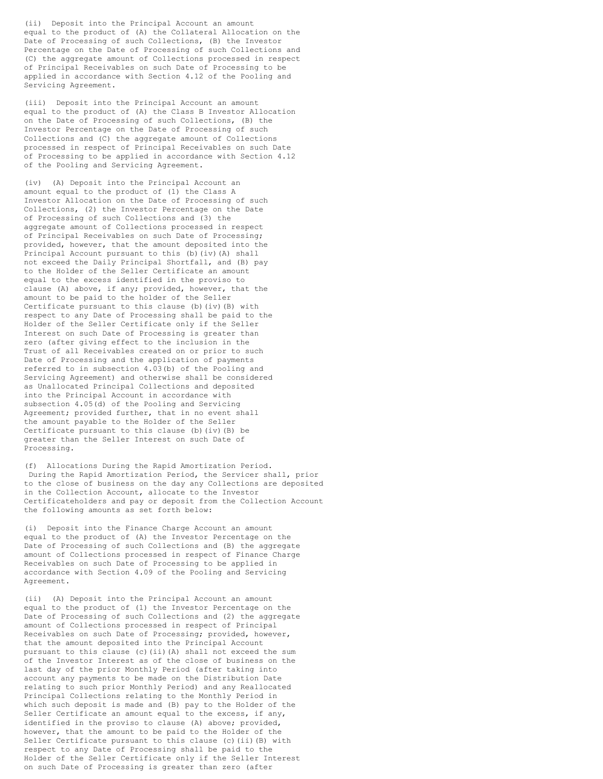(ii) Deposit into the Principal Account an amount equal to the product of (A) the Collateral Allocation on the Date of Processing of such Collections, (B) the Investor Percentage on the Date of Processing of such Collections and (C) the aggregate amount of Collections processed in respect of Principal Receivables on such Date of Processing to be applied in accordance with Section 4.12 of the Pooling and Servicing Agreement.

(iii) Deposit into the Principal Account an amount equal to the product of (A) the Class B Investor Allocation on the Date of Processing of such Collections, (B) the Investor Percentage on the Date of Processing of such Collections and (C) the aggregate amount of Collections processed in respect of Principal Receivables on such Date of Processing to be applied in accordance with Section 4.12 of the Pooling and Servicing Agreement.

(iv) (A) Deposit into the Principal Account an amount equal to the product of (1) the Class A Investor Allocation on the Date of Processing of such Collections, (2) the Investor Percentage on the Date of Processing of such Collections and (3) the aggregate amount of Collections processed in respect of Principal Receivables on such Date of Processing; provided, however, that the amount deposited into the Principal Account pursuant to this (b)(iv)(A) shall not exceed the Daily Principal Shortfall, and (B) pay to the Holder of the Seller Certificate an amount equal to the excess identified in the proviso to clause (A) above, if any; provided, however, that the amount to be paid to the holder of the Seller Certificate pursuant to this clause (b)(iv)(B) with respect to any Date of Processing shall be paid to the Holder of the Seller Certificate only if the Seller Interest on such Date of Processing is greater than zero (after giving effect to the inclusion in the Trust of all Receivables created on or prior to such Date of Processing and the application of payments referred to in subsection 4.03(b) of the Pooling and Servicing Agreement) and otherwise shall be considered as Unallocated Principal Collections and deposited into the Principal Account in accordance with subsection 4.05(d) of the Pooling and Servicing Agreement; provided further, that in no event shall the amount payable to the Holder of the Seller Certificate pursuant to this clause (b)(iv)(B) be greater than the Seller Interest on such Date of Processing.

(f) Allocations During the Rapid Amortization Period. During the Rapid Amortization Period, the Servicer shall, prior to the close of business on the day any Collections are deposited in the Collection Account, allocate to the Investor Certificateholders and pay or deposit from the Collection Account the following amounts as set forth below:

(i) Deposit into the Finance Charge Account an amount equal to the product of (A) the Investor Percentage on the Date of Processing of such Collections and (B) the aggregate amount of Collections processed in respect of Finance Charge Receivables on such Date of Processing to be applied in accordance with Section 4.09 of the Pooling and Servicing Agreement.

(ii) (A) Deposit into the Principal Account an amount equal to the product of (1) the Investor Percentage on the Date of Processing of such Collections and (2) the aggregate amount of Collections processed in respect of Principal Receivables on such Date of Processing; provided, however, that the amount deposited into the Principal Account pursuant to this clause (c)(ii)(A) shall not exceed the sum of the Investor Interest as of the close of business on the last day of the prior Monthly Period (after taking into account any payments to be made on the Distribution Date relating to such prior Monthly Period) and any Reallocated Principal Collections relating to the Monthly Period in which such deposit is made and (B) pay to the Holder of the Seller Certificate an amount equal to the excess, if any, identified in the proviso to clause (A) above; provided, however, that the amount to be paid to the Holder of the Seller Certificate pursuant to this clause (c)(ii)(B) with respect to any Date of Processing shall be paid to the Holder of the Seller Certificate only if the Seller Interest on such Date of Processing is greater than zero (after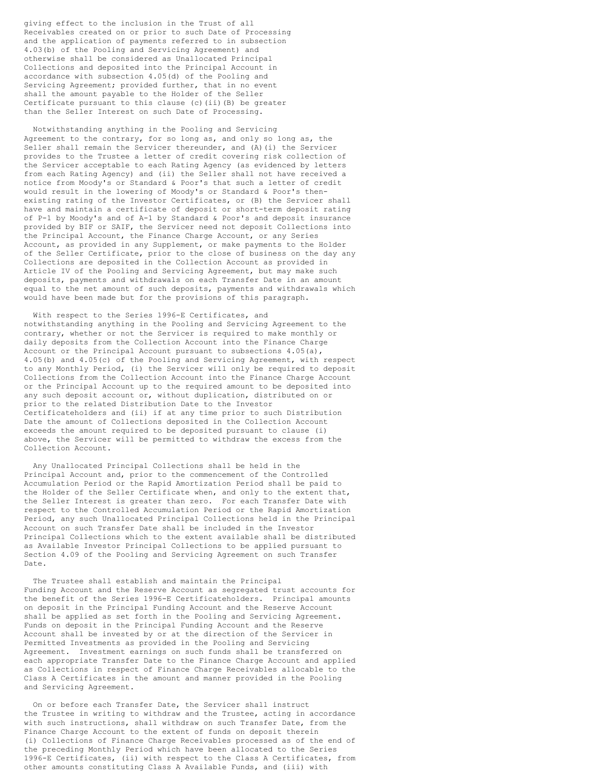giving effect to the inclusion in the Trust of all Receivables created on or prior to such Date of Processing and the application of payments referred to in subsection 4.03(b) of the Pooling and Servicing Agreement) and otherwise shall be considered as Unallocated Principal Collections and deposited into the Principal Account in accordance with subsection 4.05(d) of the Pooling and Servicing Agreement; provided further, that in no event shall the amount payable to the Holder of the Seller Certificate pursuant to this clause (c)(ii)(B) be greater than the Seller Interest on such Date of Processing.

Notwithstanding anything in the Pooling and Servicing Agreement to the contrary, for so long as, and only so long as, the Seller shall remain the Servicer thereunder, and (A)(i) the Servicer provides to the Trustee a letter of credit covering risk collection of the Servicer acceptable to each Rating Agency (as evidenced by letters from each Rating Agency) and (ii) the Seller shall not have received a notice from Moody's or Standard & Poor's that such a letter of credit would result in the lowering of Moody's or Standard & Poor's thenexisting rating of the Investor Certificates, or (B) the Servicer shall have and maintain a certificate of deposit or short-term deposit rating of P-1 by Moody's and of A-1 by Standard & Poor's and deposit insurance provided by BIF or SAIF, the Servicer need not deposit Collections into the Principal Account, the Finance Charge Account, or any Series Account, as provided in any Supplement, or make payments to the Holder of the Seller Certificate, prior to the close of business on the day any Collections are deposited in the Collection Account as provided in Article IV of the Pooling and Servicing Agreement, but may make such deposits, payments and withdrawals on each Transfer Date in an amount equal to the net amount of such deposits, payments and withdrawals which would have been made but for the provisions of this paragraph.

With respect to the Series 1996-E Certificates, and notwithstanding anything in the Pooling and Servicing Agreement to the contrary, whether or not the Servicer is required to make monthly or daily deposits from the Collection Account into the Finance Charge Account or the Principal Account pursuant to subsections  $4.05(a)$ , 4.05(b) and 4.05(c) of the Pooling and Servicing Agreement, with respect to any Monthly Period, (i) the Servicer will only be required to deposit Collections from the Collection Account into the Finance Charge Account or the Principal Account up to the required amount to be deposited into any such deposit account or, without duplication, distributed on or prior to the related Distribution Date to the Investor Certificateholders and (ii) if at any time prior to such Distribution Date the amount of Collections deposited in the Collection Account exceeds the amount required to be deposited pursuant to clause (i) above, the Servicer will be permitted to withdraw the excess from the Collection Account.

Any Unallocated Principal Collections shall be held in the Principal Account and, prior to the commencement of the Controlled Accumulation Period or the Rapid Amortization Period shall be paid to the Holder of the Seller Certificate when, and only to the extent that, the Seller Interest is greater than zero. For each Transfer Date with respect to the Controlled Accumulation Period or the Rapid Amortization Period, any such Unallocated Principal Collections held in the Principal Account on such Transfer Date shall be included in the Investor Principal Collections which to the extent available shall be distributed as Available Investor Principal Collections to be applied pursuant to Section 4.09 of the Pooling and Servicing Agreement on such Transfer Date.

The Trustee shall establish and maintain the Principal Funding Account and the Reserve Account as segregated trust accounts for the benefit of the Series 1996-E Certificateholders. Principal amounts on deposit in the Principal Funding Account and the Reserve Account shall be applied as set forth in the Pooling and Servicing Agreement. Funds on deposit in the Principal Funding Account and the Reserve Account shall be invested by or at the direction of the Servicer in Permitted Investments as provided in the Pooling and Servicing Agreement. Investment earnings on such funds shall be transferred on each appropriate Transfer Date to the Finance Charge Account and applied as Collections in respect of Finance Charge Receivables allocable to the Class A Certificates in the amount and manner provided in the Pooling and Servicing Agreement.

On or before each Transfer Date, the Servicer shall instruct the Trustee in writing to withdraw and the Trustee, acting in accordance with such instructions, shall withdraw on such Transfer Date, from the Finance Charge Account to the extent of funds on deposit therein (i) Collections of Finance Charge Receivables processed as of the end of the preceding Monthly Period which have been allocated to the Series 1996-E Certificates, (ii) with respect to the Class A Certificates, from other amounts constituting Class A Available Funds, and (iii) with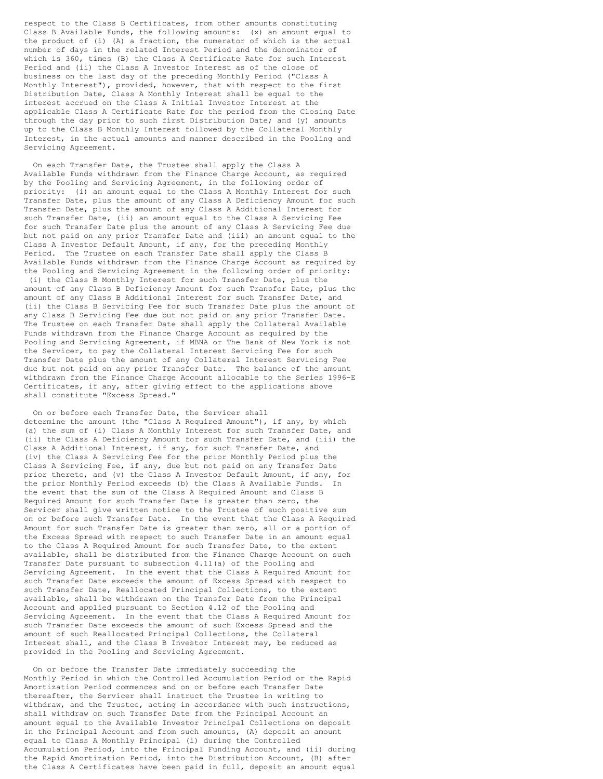respect to the Class B Certificates, from other amounts constituting Class B Available Funds, the following amounts: (x) an amount equal to the product of (i) (A) a fraction, the numerator of which is the actual number of days in the related Interest Period and the denominator of which is 360, times (B) the Class A Certificate Rate for such Interest Period and (ii) the Class A Investor Interest as of the close of business on the last day of the preceding Monthly Period ("Class A Monthly Interest"), provided, however, that with respect to the first Distribution Date, Class A Monthly Interest shall be equal to the interest accrued on the Class A Initial Investor Interest at the applicable Class A Certificate Rate for the period from the Closing Date through the day prior to such first Distribution Date; and (y) amounts up to the Class B Monthly Interest followed by the Collateral Monthly Interest, in the actual amounts and manner described in the Pooling and Servicing Agreement.

On each Transfer Date, the Trustee shall apply the Class A Available Funds withdrawn from the Finance Charge Account, as required by the Pooling and Servicing Agreement, in the following order of priority: (i) an amount equal to the Class A Monthly Interest for such Transfer Date, plus the amount of any Class A Deficiency Amount for such Transfer Date, plus the amount of any Class A Additional Interest for such Transfer Date, (ii) an amount equal to the Class A Servicing Fee for such Transfer Date plus the amount of any Class A Servicing Fee due but not paid on any prior Transfer Date and (iii) an amount equal to the Class A Investor Default Amount, if any, for the preceding Monthly Period. The Trustee on each Transfer Date shall apply the Class B Available Funds withdrawn from the Finance Charge Account as required by the Pooling and Servicing Agreement in the following order of priority: (i) the Class B Monthly Interest for such Transfer Date, plus the amount of any Class B Deficiency Amount for such Transfer Date, plus the amount of any Class B Additional Interest for such Transfer Date, and (ii) the Class B Servicing Fee for such Transfer Date plus the amount of any Class B Servicing Fee due but not paid on any prior Transfer Date. The Trustee on each Transfer Date shall apply the Collateral Available Funds withdrawn from the Finance Charge Account as required by the Pooling and Servicing Agreement, if MBNA or The Bank of New York is not the Servicer, to pay the Collateral Interest Servicing Fee for such Transfer Date plus the amount of any Collateral Interest Servicing Fee due but not paid on any prior Transfer Date. The balance of the amount withdrawn from the Finance Charge Account allocable to the Series 1996-E Certificates, if any, after giving effect to the applications above shall constitute "Excess Spread."

On or before each Transfer Date, the Servicer shall determine the amount (the "Class A Required Amount"), if any, by which (a) the sum of (i) Class A Monthly Interest for such Transfer Date, and (ii) the Class A Deficiency Amount for such Transfer Date, and (iii) the Class A Additional Interest, if any, for such Transfer Date, and (iv) the Class A Servicing Fee for the prior Monthly Period plus the Class A Servicing Fee, if any, due but not paid on any Transfer Date prior thereto, and (v) the Class A Investor Default Amount, if any, for the prior Monthly Period exceeds (b) the Class A Available Funds. In the event that the sum of the Class A Required Amount and Class B Required Amount for such Transfer Date is greater than zero, the Servicer shall give written notice to the Trustee of such positive sum on or before such Transfer Date. In the event that the Class A Required Amount for such Transfer Date is greater than zero, all or a portion of the Excess Spread with respect to such Transfer Date in an amount equal to the Class A Required Amount for such Transfer Date, to the extent available, shall be distributed from the Finance Charge Account on such Transfer Date pursuant to subsection 4.11(a) of the Pooling and Servicing Agreement. In the event that the Class A Required Amount for such Transfer Date exceeds the amount of Excess Spread with respect to such Transfer Date, Reallocated Principal Collections, to the extent available, shall be withdrawn on the Transfer Date from the Principal Account and applied pursuant to Section 4.12 of the Pooling and Servicing Agreement. In the event that the Class A Required Amount for such Transfer Date exceeds the amount of such Excess Spread and the amount of such Reallocated Principal Collections, the Collateral Interest shall, and the Class B Investor Interest may, be reduced as provided in the Pooling and Servicing Agreement.

On or before the Transfer Date immediately succeeding the Monthly Period in which the Controlled Accumulation Period or the Rapid Amortization Period commences and on or before each Transfer Date thereafter, the Servicer shall instruct the Trustee in writing to withdraw, and the Trustee, acting in accordance with such instructions, shall withdraw on such Transfer Date from the Principal Account an amount equal to the Available Investor Principal Collections on deposit in the Principal Account and from such amounts, (A) deposit an amount equal to Class A Monthly Principal (i) during the Controlled Accumulation Period, into the Principal Funding Account, and (ii) during the Rapid Amortization Period, into the Distribution Account, (B) after the Class A Certificates have been paid in full, deposit an amount equal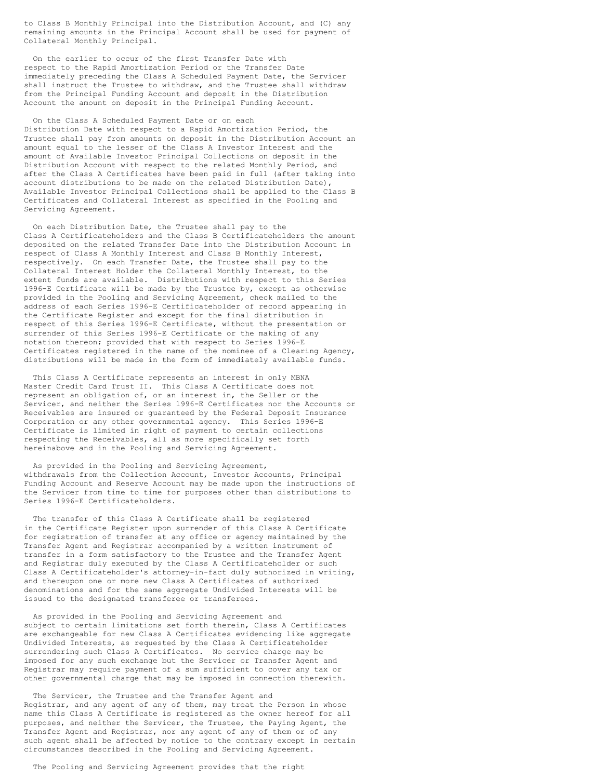to Class B Monthly Principal into the Distribution Account, and (C) any remaining amounts in the Principal Account shall be used for payment of Collateral Monthly Principal.

On the earlier to occur of the first Transfer Date with respect to the Rapid Amortization Period or the Transfer Date immediately preceding the Class A Scheduled Payment Date, the Servicer shall instruct the Trustee to withdraw, and the Trustee shall withdraw from the Principal Funding Account and deposit in the Distribution Account the amount on deposit in the Principal Funding Account.

On the Class A Scheduled Payment Date or on each Distribution Date with respect to a Rapid Amortization Period, the Trustee shall pay from amounts on deposit in the Distribution Account an amount equal to the lesser of the Class A Investor Interest and the amount of Available Investor Principal Collections on deposit in the Distribution Account with respect to the related Monthly Period, and after the Class A Certificates have been paid in full (after taking into account distributions to be made on the related Distribution Date), Available Investor Principal Collections shall be applied to the Class B Certificates and Collateral Interest as specified in the Pooling and Servicing Agreement.

On each Distribution Date, the Trustee shall pay to the Class A Certificateholders and the Class B Certificateholders the amount deposited on the related Transfer Date into the Distribution Account in respect of Class A Monthly Interest and Class B Monthly Interest, respectively. On each Transfer Date, the Trustee shall pay to the Collateral Interest Holder the Collateral Monthly Interest, to the extent funds are available. Distributions with respect to this Series 1996-E Certificate will be made by the Trustee by, except as otherwise provided in the Pooling and Servicing Agreement, check mailed to the address of each Series 1996-E Certificateholder of record appearing in the Certificate Register and except for the final distribution in respect of this Series 1996-E Certificate, without the presentation or surrender of this Series 1996-E Certificate or the making of any notation thereon; provided that with respect to Series 1996-E Certificates registered in the name of the nominee of a Clearing Agency, distributions will be made in the form of immediately available funds.

This Class A Certificate represents an interest in only MBNA Master Credit Card Trust II. This Class A Certificate does not represent an obligation of, or an interest in, the Seller or the Servicer, and neither the Series 1996-E Certificates nor the Accounts or Receivables are insured or guaranteed by the Federal Deposit Insurance Corporation or any other governmental agency. This Series 1996-E Certificate is limited in right of payment to certain collections respecting the Receivables, all as more specifically set forth hereinabove and in the Pooling and Servicing Agreement.

As provided in the Pooling and Servicing Agreement, withdrawals from the Collection Account, Investor Accounts, Principal Funding Account and Reserve Account may be made upon the instructions of the Servicer from time to time for purposes other than distributions to Series 1996-E Certificateholders.

The transfer of this Class A Certificate shall be registered in the Certificate Register upon surrender of this Class A Certificate for registration of transfer at any office or agency maintained by the Transfer Agent and Registrar accompanied by a written instrument of transfer in a form satisfactory to the Trustee and the Transfer Agent and Registrar duly executed by the Class A Certificateholder or such Class A Certificateholder's attorney-in-fact duly authorized in writing, and thereupon one or more new Class A Certificates of authorized denominations and for the same aggregate Undivided Interests will be issued to the designated transferee or transferees.

As provided in the Pooling and Servicing Agreement and subject to certain limitations set forth therein, Class A Certificates are exchangeable for new Class A Certificates evidencing like aggregate Undivided Interests, as requested by the Class A Certificateholder surrendering such Class A Certificates. No service charge may be imposed for any such exchange but the Servicer or Transfer Agent and Registrar may require payment of a sum sufficient to cover any tax or other governmental charge that may be imposed in connection therewith.

The Servicer, the Trustee and the Transfer Agent and Registrar, and any agent of any of them, may treat the Person in whose name this Class A Certificate is registered as the owner hereof for all purposes, and neither the Servicer, the Trustee, the Paying Agent, the Transfer Agent and Registrar, nor any agent of any of them or of any such agent shall be affected by notice to the contrary except in certain circumstances described in the Pooling and Servicing Agreement.

The Pooling and Servicing Agreement provides that the right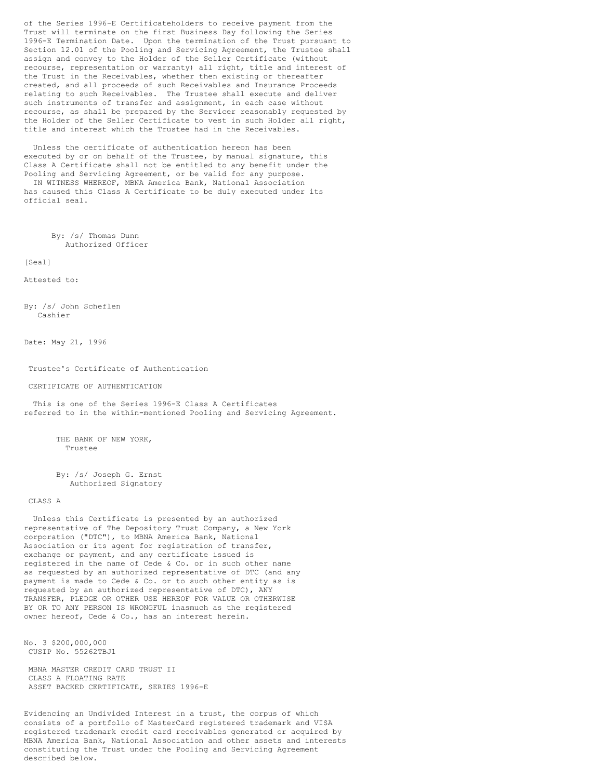of the Series 1996-E Certificateholders to receive payment from the Trust will terminate on the first Business Day following the Series 1996-E Termination Date. Upon the termination of the Trust pursuant to Section 12.01 of the Pooling and Servicing Agreement, the Trustee shall assign and convey to the Holder of the Seller Certificate (without recourse, representation or warranty) all right, title and interest of the Trust in the Receivables, whether then existing or thereafter created, and all proceeds of such Receivables and Insurance Proceeds relating to such Receivables. The Trustee shall execute and deliver such instruments of transfer and assignment, in each case without recourse, as shall be prepared by the Servicer reasonably requested by the Holder of the Seller Certificate to vest in such Holder all right, title and interest which the Trustee had in the Receivables.

Unless the certificate of authentication hereon has been executed by or on behalf of the Trustee, by manual signature, this Class A Certificate shall not be entitled to any benefit under the Pooling and Servicing Agreement, or be valid for any purpose. IN WITNESS WHEREOF, MBNA America Bank, National Association

has caused this Class A Certificate to be duly executed under its official seal.

By: /s/ Thomas Dunn Authorized Officer

[Seal]

Attested to:

By: /s/ John Scheflen Cashier

Date: May 21, 1996

Trustee's Certificate of Authentication

CERTIFICATE OF AUTHENTICATION

This is one of the Series 1996-E Class A Certificates referred to in the within-mentioned Pooling and Servicing Agreement.

THE BANK OF NEW YORK, Trustee

By: /s/ Joseph G. Ernst Authorized Signatory

CLASS A

Unless this Certificate is presented by an authorized representative of The Depository Trust Company, a New York corporation ("DTC"), to MBNA America Bank, National Association or its agent for registration of transfer, exchange or payment, and any certificate issued is registered in the name of Cede & Co. or in such other name as requested by an authorized representative of DTC (and any payment is made to Cede & Co. or to such other entity as is requested by an authorized representative of DTC), ANY TRANSFER, PLEDGE OR OTHER USE HEREOF FOR VALUE OR OTHERWISE BY OR TO ANY PERSON IS WRONGFUL inasmuch as the registered owner hereof, Cede & Co., has an interest herein.

No. 3 \$200,000,000 CUSIP No. 55262TBJ1

MBNA MASTER CREDIT CARD TRUST II CLASS A FLOATING RATE ASSET BACKED CERTIFICATE, SERIES 1996-E

Evidencing an Undivided Interest in a trust, the corpus of which consists of a portfolio of MasterCard registered trademark and VISA registered trademark credit card receivables generated or acquired by MBNA America Bank, National Association and other assets and interests constituting the Trust under the Pooling and Servicing Agreement described below.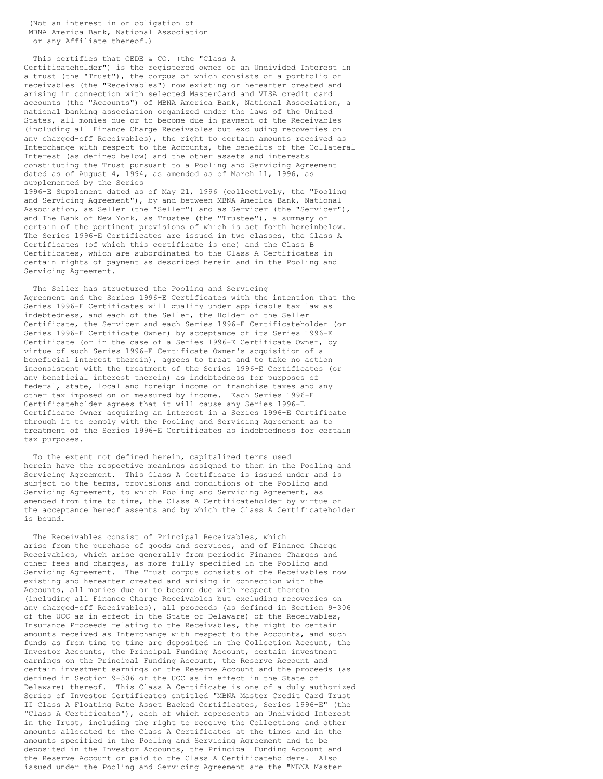(Not an interest in or obligation of MBNA America Bank, National Association or any Affiliate thereof.)

This certifies that CEDE & CO. (the "Class A Certificateholder") is the registered owner of an Undivided Interest in a trust (the "Trust"), the corpus of which consists of a portfolio of receivables (the "Receivables") now existing or hereafter created and arising in connection with selected MasterCard and VISA credit card accounts (the "Accounts") of MBNA America Bank, National Association, a national banking association organized under the laws of the United States, all monies due or to become due in payment of the Receivables (including all Finance Charge Receivables but excluding recoveries on any charged-off Receivables), the right to certain amounts received as Interchange with respect to the Accounts, the benefits of the Collateral Interest (as defined below) and the other assets and interests constituting the Trust pursuant to a Pooling and Servicing Agreement dated as of August 4, 1994, as amended as of March 11, 1996, as supplemented by the Series

1996-E Supplement dated as of May 21, 1996 (collectively, the "Pooling and Servicing Agreement"), by and between MBNA America Bank, National Association, as Seller (the "Seller") and as Servicer (the "Servicer"), and The Bank of New York, as Trustee (the "Trustee"), a summary of certain of the pertinent provisions of which is set forth hereinbelow. The Series 1996-E Certificates are issued in two classes, the Class A Certificates (of which this certificate is one) and the Class B Certificates, which are subordinated to the Class A Certificates in certain rights of payment as described herein and in the Pooling and Servicing Agreement.

The Seller has structured the Pooling and Servicing Agreement and the Series 1996-E Certificates with the intention that the Series 1996-E Certificates will qualify under applicable tax law as indebtedness, and each of the Seller, the Holder of the Seller Certificate, the Servicer and each Series 1996-E Certificateholder (or Series 1996-E Certificate Owner) by acceptance of its Series 1996-E Certificate (or in the case of a Series 1996-E Certificate Owner, by virtue of such Series 1996-E Certificate Owner's acquisition of a beneficial interest therein), agrees to treat and to take no action inconsistent with the treatment of the Series 1996-E Certificates (or any beneficial interest therein) as indebtedness for purposes of federal, state, local and foreign income or franchise taxes and any other tax imposed on or measured by income. Each Series 1996-E Certificateholder agrees that it will cause any Series 1996-E Certificate Owner acquiring an interest in a Series 1996-E Certificate through it to comply with the Pooling and Servicing Agreement as to treatment of the Series 1996-E Certificates as indebtedness for certain tax purposes.

To the extent not defined herein, capitalized terms used herein have the respective meanings assigned to them in the Pooling and Servicing Agreement. This Class A Certificate is issued under and is subject to the terms, provisions and conditions of the Pooling and Servicing Agreement, to which Pooling and Servicing Agreement, as amended from time to time, the Class A Certificateholder by virtue of the acceptance hereof assents and by which the Class A Certificateholder is bound.

The Receivables consist of Principal Receivables, which arise from the purchase of goods and services, and of Finance Charge Receivables, which arise generally from periodic Finance Charges and other fees and charges, as more fully specified in the Pooling and Servicing Agreement. The Trust corpus consists of the Receivables now existing and hereafter created and arising in connection with the Accounts, all monies due or to become due with respect thereto (including all Finance Charge Receivables but excluding recoveries on any charged-off Receivables), all proceeds (as defined in Section 9-306 of the UCC as in effect in the State of Delaware) of the Receivables, Insurance Proceeds relating to the Receivables, the right to certain amounts received as Interchange with respect to the Accounts, and such funds as from time to time are deposited in the Collection Account, the Investor Accounts, the Principal Funding Account, certain investment earnings on the Principal Funding Account, the Reserve Account and certain investment earnings on the Reserve Account and the proceeds (as defined in Section 9-306 of the UCC as in effect in the State of Delaware) thereof. This Class A Certificate is one of a duly authorized Series of Investor Certificates entitled "MBNA Master Credit Card Trust II Class A Floating Rate Asset Backed Certificates, Series 1996-E" (the "Class A Certificates"), each of which represents an Undivided Interest in the Trust, including the right to receive the Collections and other amounts allocated to the Class A Certificates at the times and in the amounts specified in the Pooling and Servicing Agreement and to be deposited in the Investor Accounts, the Principal Funding Account and the Reserve Account or paid to the Class A Certificateholders. Also issued under the Pooling and Servicing Agreement are the "MBNA Master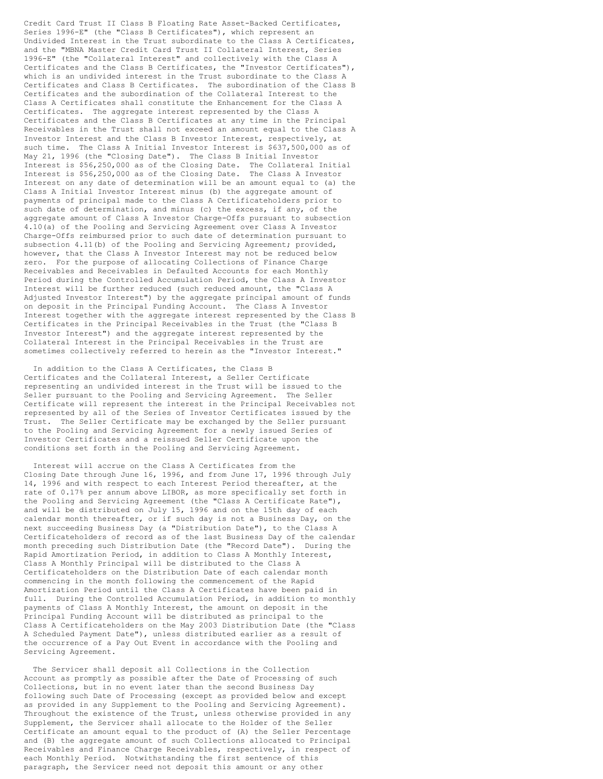Credit Card Trust II Class B Floating Rate Asset-Backed Certificates, Series 1996-E" (the "Class B Certificates"), which represent an Undivided Interest in the Trust subordinate to the Class A Certificates, and the "MBNA Master Credit Card Trust II Collateral Interest, Series 1996-E" (the "Collateral Interest" and collectively with the Class A Certificates and the Class B Certificates, the "Investor Certificates"), which is an undivided interest in the Trust subordinate to the Class A Certificates and Class B Certificates. The subordination of the Class B Certificates and the subordination of the Collateral Interest to the Class A Certificates shall constitute the Enhancement for the Class A Certificates. The aggregate interest represented by the Class A Certificates and the Class B Certificates at any time in the Principal Receivables in the Trust shall not exceed an amount equal to the Class A Investor Interest and the Class B Investor Interest, respectively, at such time. The Class A Initial Investor Interest is \$637,500,000 as of May 21, 1996 (the "Closing Date"). The Class B Initial Investor Interest is \$56,250,000 as of the Closing Date. The Collateral Initial Interest is \$56,250,000 as of the Closing Date. The Class A Investor Interest on any date of determination will be an amount equal to (a) the Class A Initial Investor Interest minus (b) the aggregate amount of payments of principal made to the Class A Certificateholders prior to such date of determination, and minus (c) the excess, if any, of the aggregate amount of Class A Investor Charge-Offs pursuant to subsection 4.10(a) of the Pooling and Servicing Agreement over Class A Investor Charge-Offs reimbursed prior to such date of determination pursuant to subsection 4.11(b) of the Pooling and Servicing Agreement; provided, however, that the Class A Investor Interest may not be reduced below zero. For the purpose of allocating Collections of Finance Charge Receivables and Receivables in Defaulted Accounts for each Monthly Period during the Controlled Accumulation Period, the Class A Investor Interest will be further reduced (such reduced amount, the "Class A Adjusted Investor Interest") by the aggregate principal amount of funds on deposit in the Principal Funding Account. The Class A Investor Interest together with the aggregate interest represented by the Class B Certificates in the Principal Receivables in the Trust (the "Class B Investor Interest") and the aggregate interest represented by the Collateral Interest in the Principal Receivables in the Trust are sometimes collectively referred to herein as the "Investor Interest."

In addition to the Class A Certificates, the Class B Certificates and the Collateral Interest, a Seller Certificate representing an undivided interest in the Trust will be issued to the Seller pursuant to the Pooling and Servicing Agreement. The Seller Certificate will represent the interest in the Principal Receivables not represented by all of the Series of Investor Certificates issued by the Trust. The Seller Certificate may be exchanged by the Seller pursuant to the Pooling and Servicing Agreement for a newly issued Series of Investor Certificates and a reissued Seller Certificate upon the conditions set forth in the Pooling and Servicing Agreement.

Interest will accrue on the Class A Certificates from the Closing Date through June 16, 1996, and from June 17, 1996 through July 14, 1996 and with respect to each Interest Period thereafter, at the rate of 0.17% per annum above LIBOR, as more specifically set forth in the Pooling and Servicing Agreement (the "Class A Certificate Rate"), and will be distributed on July 15, 1996 and on the 15th day of each calendar month thereafter, or if such day is not a Business Day, on the next succeeding Business Day (a "Distribution Date"), to the Class A Certificateholders of record as of the last Business Day of the calendar month preceding such Distribution Date (the "Record Date"). During the Rapid Amortization Period, in addition to Class A Monthly Interest, Class A Monthly Principal will be distributed to the Class A Certificateholders on the Distribution Date of each calendar month commencing in the month following the commencement of the Rapid Amortization Period until the Class A Certificates have been paid in full. During the Controlled Accumulation Period, in addition to monthly payments of Class A Monthly Interest, the amount on deposit in the Principal Funding Account will be distributed as principal to the Class A Certificateholders on the May 2003 Distribution Date (the "Class A Scheduled Payment Date"), unless distributed earlier as a result of the occurrence of a Pay Out Event in accordance with the Pooling and Servicing Agreement.

The Servicer shall deposit all Collections in the Collection Account as promptly as possible after the Date of Processing of such Collections, but in no event later than the second Business Day following such Date of Processing (except as provided below and except as provided in any Supplement to the Pooling and Servicing Agreement). Throughout the existence of the Trust, unless otherwise provided in any Supplement, the Servicer shall allocate to the Holder of the Seller Certificate an amount equal to the product of (A) the Seller Percentage and (B) the aggregate amount of such Collections allocated to Principal Receivables and Finance Charge Receivables, respectively, in respect of each Monthly Period. Notwithstanding the first sentence of this paragraph, the Servicer need not deposit this amount or any other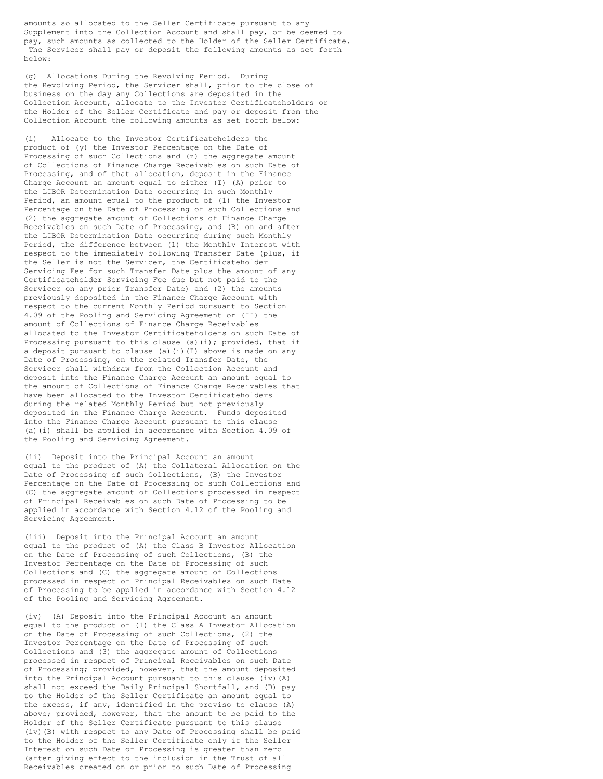amounts so allocated to the Seller Certificate pursuant to any Supplement into the Collection Account and shall pay, or be deemed to pay, such amounts as collected to the Holder of the Seller Certificate. The Servicer shall pay or deposit the following amounts as set forth below:

(g) Allocations During the Revolving Period. During the Revolving Period, the Servicer shall, prior to the close of business on the day any Collections are deposited in the Collection Account, allocate to the Investor Certificateholders or the Holder of the Seller Certificate and pay or deposit from the Collection Account the following amounts as set forth below:

(i) Allocate to the Investor Certificateholders the product of (y) the Investor Percentage on the Date of Processing of such Collections and (z) the aggregate amount of Collections of Finance Charge Receivables on such Date of Processing, and of that allocation, deposit in the Finance Charge Account an amount equal to either (I) (A) prior to the LIBOR Determination Date occurring in such Monthly Period, an amount equal to the product of (1) the Investor Percentage on the Date of Processing of such Collections and (2) the aggregate amount of Collections of Finance Charge Receivables on such Date of Processing, and (B) on and after the LIBOR Determination Date occurring during such Monthly Period, the difference between (1) the Monthly Interest with respect to the immediately following Transfer Date (plus, if the Seller is not the Servicer, the Certificateholder Servicing Fee for such Transfer Date plus the amount of any Certificateholder Servicing Fee due but not paid to the Servicer on any prior Transfer Date) and (2) the amounts previously deposited in the Finance Charge Account with respect to the current Monthly Period pursuant to Section 4.09 of the Pooling and Servicing Agreement or (II) the amount of Collections of Finance Charge Receivables allocated to the Investor Certificateholders on such Date of Processing pursuant to this clause (a)(i); provided, that if a deposit pursuant to clause (a)(i)(I) above is made on any Date of Processing, on the related Transfer Date, the Servicer shall withdraw from the Collection Account and deposit into the Finance Charge Account an amount equal to the amount of Collections of Finance Charge Receivables that have been allocated to the Investor Certificateholders during the related Monthly Period but not previously deposited in the Finance Charge Account. Funds deposited into the Finance Charge Account pursuant to this clause (a)(i) shall be applied in accordance with Section 4.09 of the Pooling and Servicing Agreement.

(ii) Deposit into the Principal Account an amount equal to the product of (A) the Collateral Allocation on the Date of Processing of such Collections, (B) the Investor Percentage on the Date of Processing of such Collections and (C) the aggregate amount of Collections processed in respect of Principal Receivables on such Date of Processing to be applied in accordance with Section 4.12 of the Pooling and Servicing Agreement.

(iii) Deposit into the Principal Account an amount equal to the product of (A) the Class B Investor Allocation on the Date of Processing of such Collections, (B) the Investor Percentage on the Date of Processing of such Collections and (C) the aggregate amount of Collections processed in respect of Principal Receivables on such Date of Processing to be applied in accordance with Section 4.12 of the Pooling and Servicing Agreement.

(iv) (A) Deposit into the Principal Account an amount equal to the product of (1) the Class A Investor Allocation on the Date of Processing of such Collections, (2) the Investor Percentage on the Date of Processing of such Collections and (3) the aggregate amount of Collections processed in respect of Principal Receivables on such Date of Processing; provided, however, that the amount deposited into the Principal Account pursuant to this clause (iv)(A) shall not exceed the Daily Principal Shortfall, and (B) pay to the Holder of the Seller Certificate an amount equal to the excess, if any, identified in the proviso to clause (A) above; provided, however, that the amount to be paid to the Holder of the Seller Certificate pursuant to this clause (iv)(B) with respect to any Date of Processing shall be paid to the Holder of the Seller Certificate only if the Seller Interest on such Date of Processing is greater than zero (after giving effect to the inclusion in the Trust of all Receivables created on or prior to such Date of Processing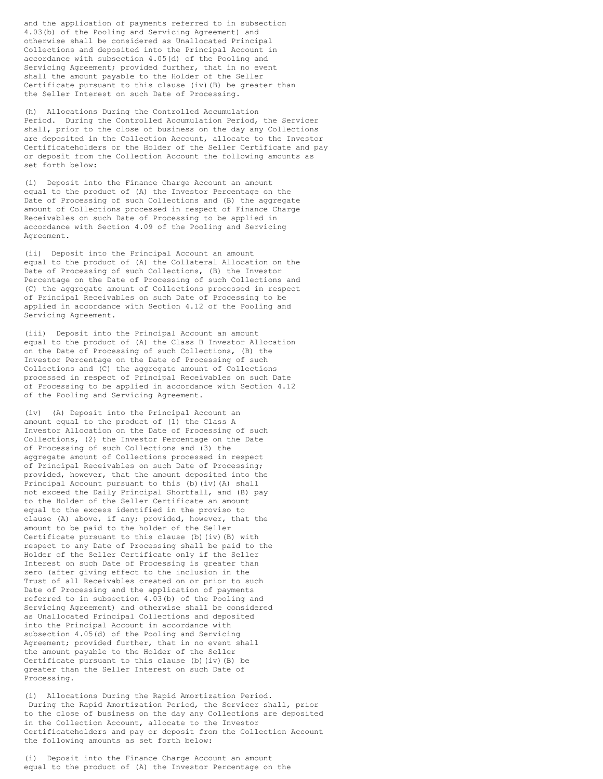and the application of payments referred to in subsection 4.03(b) of the Pooling and Servicing Agreement) and otherwise shall be considered as Unallocated Principal Collections and deposited into the Principal Account in accordance with subsection 4.05(d) of the Pooling and Servicing Agreement; provided further, that in no event shall the amount payable to the Holder of the Seller Certificate pursuant to this clause (iv)(B) be greater than the Seller Interest on such Date of Processing.

(h) Allocations During the Controlled Accumulation Period. During the Controlled Accumulation Period, the Servicer shall, prior to the close of business on the day any Collections are deposited in the Collection Account, allocate to the Investor Certificateholders or the Holder of the Seller Certificate and pay or deposit from the Collection Account the following amounts as set forth below:

(i) Deposit into the Finance Charge Account an amount equal to the product of (A) the Investor Percentage on the Date of Processing of such Collections and (B) the aggregate amount of Collections processed in respect of Finance Charge Receivables on such Date of Processing to be applied in accordance with Section 4.09 of the Pooling and Servicing Agreement.

(ii) Deposit into the Principal Account an amount equal to the product of (A) the Collateral Allocation on the Date of Processing of such Collections, (B) the Investor Percentage on the Date of Processing of such Collections and (C) the aggregate amount of Collections processed in respect of Principal Receivables on such Date of Processing to be applied in accordance with Section 4.12 of the Pooling and Servicing Agreement.

(iii) Deposit into the Principal Account an amount equal to the product of (A) the Class B Investor Allocation on the Date of Processing of such Collections, (B) the Investor Percentage on the Date of Processing of such Collections and (C) the aggregate amount of Collections processed in respect of Principal Receivables on such Date of Processing to be applied in accordance with Section 4.12 of the Pooling and Servicing Agreement.

(iv) (A) Deposit into the Principal Account an amount equal to the product of (1) the Class A Investor Allocation on the Date of Processing of such Collections, (2) the Investor Percentage on the Date of Processing of such Collections and (3) the aggregate amount of Collections processed in respect of Principal Receivables on such Date of Processing; provided, however, that the amount deposited into the Principal Account pursuant to this (b)(iv)(A) shall not exceed the Daily Principal Shortfall, and (B) pay to the Holder of the Seller Certificate an amount equal to the excess identified in the proviso to clause (A) above, if any; provided, however, that the amount to be paid to the holder of the Seller Certificate pursuant to this clause (b)(iv)(B) with respect to any Date of Processing shall be paid to the Holder of the Seller Certificate only if the Seller Interest on such Date of Processing is greater than zero (after giving effect to the inclusion in the Trust of all Receivables created on or prior to such Date of Processing and the application of payments referred to in subsection 4.03(b) of the Pooling and Servicing Agreement) and otherwise shall be considered as Unallocated Principal Collections and deposited into the Principal Account in accordance with subsection 4.05(d) of the Pooling and Servicing Agreement; provided further, that in no event shall the amount payable to the Holder of the Seller Certificate pursuant to this clause (b)(iv)(B) be greater than the Seller Interest on such Date of Processing.

(i) Allocations During the Rapid Amortization Period. During the Rapid Amortization Period, the Servicer shall, prior to the close of business on the day any Collections are deposited in the Collection Account, allocate to the Investor Certificateholders and pay or deposit from the Collection Account the following amounts as set forth below:

(i) Deposit into the Finance Charge Account an amount equal to the product of (A) the Investor Percentage on the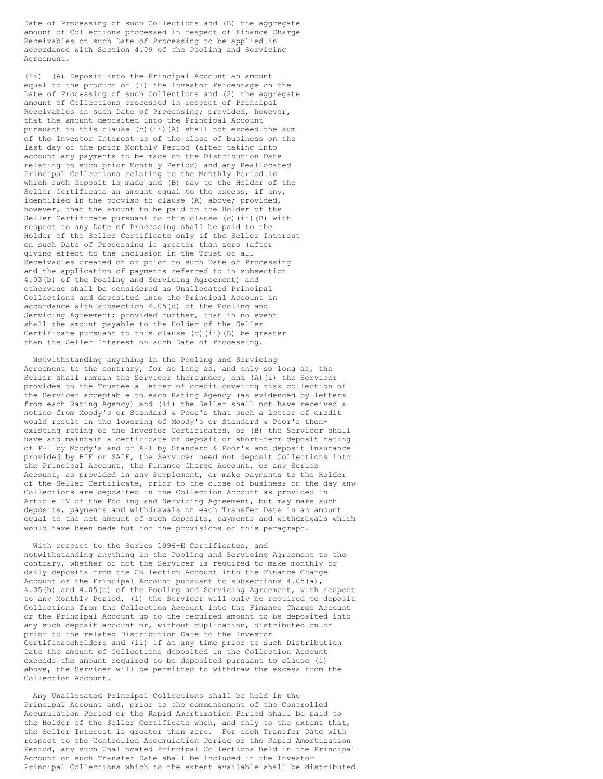Date of Processing of such Collections and (B) the aggregate amount of Collections processed in respect of Finance Charge Receivables on such Date of Processing to be applied in accordance with Section 4.09 of the Pooling and Servicing Agreement.

(ii) (A) Deposit into the Principal Account an amount equal to the product of (1) the Investor Percentage on the Date of Processing of such Collections and (2) the aggregate amount of Collections processed in respect of Principal Receivables on such Date of Processing; provided, however, that the amount deposited into the Principal Account pursuant to this clause (c)(ii)(A) shall not exceed the sum of the Investor Interest as of the close of business on the last day of the prior Monthly Period (after taking into account any payments to be made on the Distribution Date relating to such prior Monthly Period) and any Reallocated Principal Collections relating to the Monthly Period in which such deposit is made and (B) pay to the Holder of the Seller Certificate an amount equal to the excess, if any, identified in the proviso to clause (A) above; provided, however, that the amount to be paid to the Holder of the Seller Certificate pursuant to this clause (c)(ii)(B) with respect to any Date of Processing shall be paid to the Holder of the Seller Certificate only if the Seller Interest on such Date of Processing is greater than zero (after giving effect to the inclusion in the Trust of all Receivables created on or prior to such Date of Processing and the application of payments referred to in subsection 4.03(b) of the Pooling and Servicing Agreement) and otherwise shall be considered as Unallocated Principal Collections and deposited into the Principal Account in accordance with subsection 4.05(d) of the Pooling and Servicing Agreement; provided further, that in no event shall the amount payable to the Holder of the Seller Certificate pursuant to this clause (c)(ii)(B) be greater than the Seller Interest on such Date of Processing.

Notwithstanding anything in the Pooling and Servicing Agreement to the contrary, for so long as, and only so long as, the Seller shall remain the Servicer thereunder, and (A)(i) the Servicer provides to the Trustee a letter of credit covering risk collection of the Servicer acceptable to each Rating Agency (as evidenced by letters from each Rating Agency) and (ii) the Seller shall not have received a notice from Moody's or Standard & Poor's that such a letter of credit would result in the lowering of Moody's or Standard & Poor's thenexisting rating of the Investor Certificates, or (B) the Servicer shall have and maintain a certificate of deposit or short-term deposit rating of P-1 by Moody's and of A-1 by Standard & Poor's and deposit insurance provided by BIF or SAIF, the Servicer need not deposit Collections into the Principal Account, the Finance Charge Account, or any Series Account, as provided in any Supplement, or make payments to the Holder of the Seller Certificate, prior to the close of business on the day any Collections are deposited in the Collection Account as provided in Article IV of the Pooling and Servicing Agreement, but may make such deposits, payments and withdrawals on each Transfer Date in an amount equal to the net amount of such deposits, payments and withdrawals which would have been made but for the provisions of this paragraph.

With respect to the Series 1996-E Certificates, and notwithstanding anything in the Pooling and Servicing Agreement to the contrary, whether or not the Servicer is required to make monthly or daily deposits from the Collection Account into the Finance Charge Account or the Principal Account pursuant to subsections  $4.05(a)$ , 4.05(b) and 4.05(c) of the Pooling and Servicing Agreement, with respect to any Monthly Period, (i) the Servicer will only be required to deposit Collections from the Collection Account into the Finance Charge Account or the Principal Account up to the required amount to be deposited into any such deposit account or, without duplication, distributed on or prior to the related Distribution Date to the Investor Certificateholders and (ii) if at any time prior to such Distribution Date the amount of Collections deposited in the Collection Account exceeds the amount required to be deposited pursuant to clause (i) above, the Servicer will be permitted to withdraw the excess from the Collection Account.

Any Unallocated Principal Collections shall be held in the Principal Account and, prior to the commencement of the Controlled Accumulation Period or the Rapid Amortization Period shall be paid to the Holder of the Seller Certificate when, and only to the extent that, the Seller Interest is greater than zero. For each Transfer Date with respect to the Controlled Accumulation Period or the Rapid Amortization Period, any such Unallocated Principal Collections held in the Principal Account on such Transfer Date shall be included in the Investor Principal Collections which to the extent available shall be distributed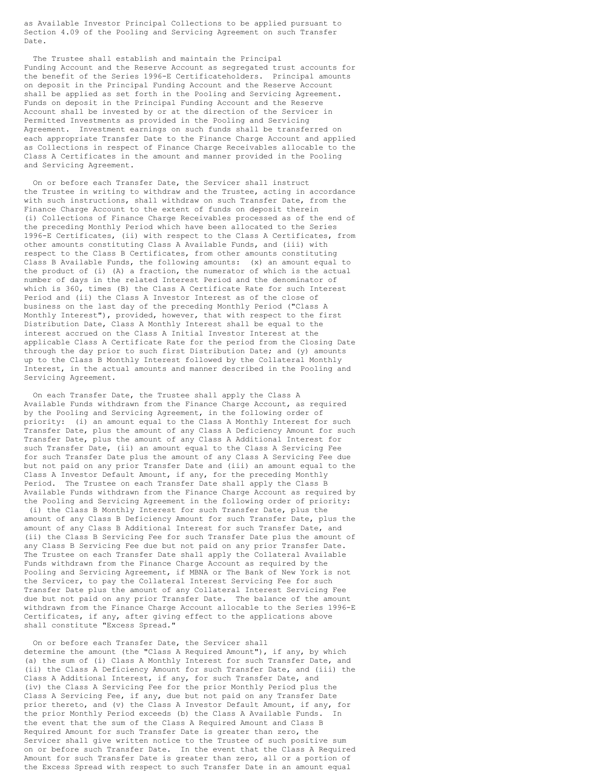as Available Investor Principal Collections to be applied pursuant to Section 4.09 of the Pooling and Servicing Agreement on such Transfer Date.

The Trustee shall establish and maintain the Principal Funding Account and the Reserve Account as segregated trust accounts for the benefit of the Series 1996-E Certificateholders. Principal amounts on deposit in the Principal Funding Account and the Reserve Account shall be applied as set forth in the Pooling and Servicing Agreement. Funds on deposit in the Principal Funding Account and the Reserve Account shall be invested by or at the direction of the Servicer in Permitted Investments as provided in the Pooling and Servicing Agreement. Investment earnings on such funds shall be transferred on each appropriate Transfer Date to the Finance Charge Account and applied as Collections in respect of Finance Charge Receivables allocable to the Class A Certificates in the amount and manner provided in the Pooling and Servicing Agreement.

On or before each Transfer Date, the Servicer shall instruct the Trustee in writing to withdraw and the Trustee, acting in accordance with such instructions, shall withdraw on such Transfer Date, from the Finance Charge Account to the extent of funds on deposit therein (i) Collections of Finance Charge Receivables processed as of the end of the preceding Monthly Period which have been allocated to the Series 1996-E Certificates, (ii) with respect to the Class A Certificates, from other amounts constituting Class A Available Funds, and (iii) with respect to the Class B Certificates, from other amounts constituting Class B Available Funds, the following amounts:  $(x)$  an amount equal to the product of (i) (A) a fraction, the numerator of which is the actual number of days in the related Interest Period and the denominator of which is 360, times (B) the Class A Certificate Rate for such Interest Period and (ii) the Class A Investor Interest as of the close of business on the last day of the preceding Monthly Period ("Class A Monthly Interest"), provided, however, that with respect to the first Distribution Date, Class A Monthly Interest shall be equal to the interest accrued on the Class A Initial Investor Interest at the applicable Class A Certificate Rate for the period from the Closing Date through the day prior to such first Distribution Date; and (y) amounts up to the Class B Monthly Interest followed by the Collateral Monthly Interest, in the actual amounts and manner described in the Pooling and Servicing Agreement.

On each Transfer Date, the Trustee shall apply the Class A Available Funds withdrawn from the Finance Charge Account, as required by the Pooling and Servicing Agreement, in the following order of priority: (i) an amount equal to the Class A Monthly Interest for such Transfer Date, plus the amount of any Class A Deficiency Amount for such Transfer Date, plus the amount of any Class A Additional Interest for such Transfer Date, (ii) an amount equal to the Class A Servicing Fee for such Transfer Date plus the amount of any Class A Servicing Fee due but not paid on any prior Transfer Date and (iii) an amount equal to the Class A Investor Default Amount, if any, for the preceding Monthly Period. The Trustee on each Transfer Date shall apply the Class B Available Funds withdrawn from the Finance Charge Account as required by the Pooling and Servicing Agreement in the following order of priority: (i) the Class B Monthly Interest for such Transfer Date, plus the amount of any Class B Deficiency Amount for such Transfer Date, plus the amount of any Class B Additional Interest for such Transfer Date, and (ii) the Class B Servicing Fee for such Transfer Date plus the amount of any Class B Servicing Fee due but not paid on any prior Transfer Date. The Trustee on each Transfer Date shall apply the Collateral Available Funds withdrawn from the Finance Charge Account as required by the Pooling and Servicing Agreement, if MBNA or The Bank of New York is not the Servicer, to pay the Collateral Interest Servicing Fee for such Transfer Date plus the amount of any Collateral Interest Servicing Fee due but not paid on any prior Transfer Date. The balance of the amount withdrawn from the Finance Charge Account allocable to the Series 1996-E Certificates, if any, after giving effect to the applications above shall constitute "Excess Spread."

On or before each Transfer Date, the Servicer shall determine the amount (the "Class A Required Amount"), if any, by which (a) the sum of (i) Class A Monthly Interest for such Transfer Date, and (ii) the Class A Deficiency Amount for such Transfer Date, and (iii) the Class A Additional Interest, if any, for such Transfer Date, and (iv) the Class A Servicing Fee for the prior Monthly Period plus the Class A Servicing Fee, if any, due but not paid on any Transfer Date prior thereto, and (v) the Class A Investor Default Amount, if any, for the prior Monthly Period exceeds (b) the Class A Available Funds. In the event that the sum of the Class A Required Amount and Class B Required Amount for such Transfer Date is greater than zero, the Servicer shall give written notice to the Trustee of such positive sum on or before such Transfer Date. In the event that the Class A Required Amount for such Transfer Date is greater than zero, all or a portion of the Excess Spread with respect to such Transfer Date in an amount equal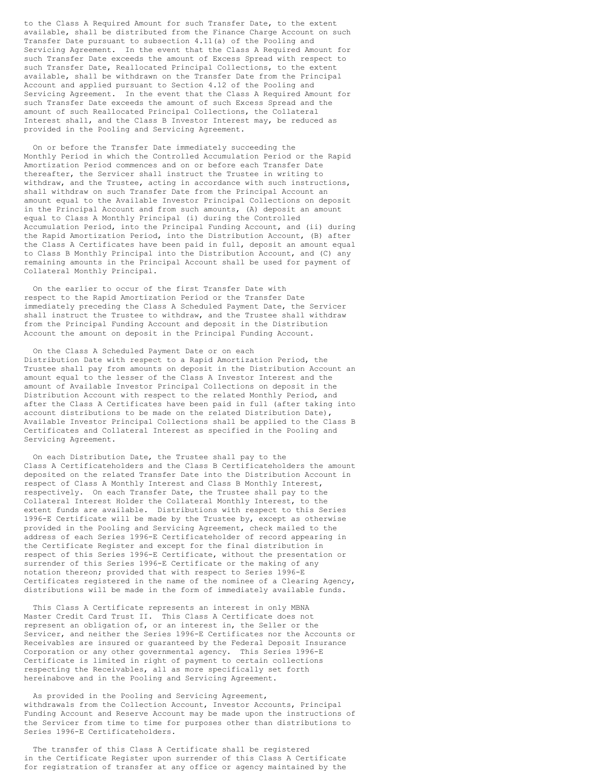to the Class A Required Amount for such Transfer Date, to the extent available, shall be distributed from the Finance Charge Account on such Transfer Date pursuant to subsection 4.11(a) of the Pooling and Servicing Agreement. In the event that the Class A Required Amount for such Transfer Date exceeds the amount of Excess Spread with respect to such Transfer Date, Reallocated Principal Collections, to the extent available, shall be withdrawn on the Transfer Date from the Principal Account and applied pursuant to Section 4.12 of the Pooling and Servicing Agreement. In the event that the Class A Required Amount for such Transfer Date exceeds the amount of such Excess Spread and the amount of such Reallocated Principal Collections, the Collateral Interest shall, and the Class B Investor Interest may, be reduced as provided in the Pooling and Servicing Agreement.

On or before the Transfer Date immediately succeeding the Monthly Period in which the Controlled Accumulation Period or the Rapid Amortization Period commences and on or before each Transfer Date thereafter, the Servicer shall instruct the Trustee in writing to withdraw, and the Trustee, acting in accordance with such instructions, shall withdraw on such Transfer Date from the Principal Account an amount equal to the Available Investor Principal Collections on deposit in the Principal Account and from such amounts, (A) deposit an amount equal to Class A Monthly Principal (i) during the Controlled Accumulation Period, into the Principal Funding Account, and (ii) during the Rapid Amortization Period, into the Distribution Account, (B) after the Class A Certificates have been paid in full, deposit an amount equal to Class B Monthly Principal into the Distribution Account, and (C) any remaining amounts in the Principal Account shall be used for payment of Collateral Monthly Principal.

On the earlier to occur of the first Transfer Date with respect to the Rapid Amortization Period or the Transfer Date immediately preceding the Class A Scheduled Payment Date, the Servicer shall instruct the Trustee to withdraw, and the Trustee shall withdraw from the Principal Funding Account and deposit in the Distribution Account the amount on deposit in the Principal Funding Account.

On the Class A Scheduled Payment Date or on each Distribution Date with respect to a Rapid Amortization Period, the Trustee shall pay from amounts on deposit in the Distribution Account an amount equal to the lesser of the Class A Investor Interest and the amount of Available Investor Principal Collections on deposit in the Distribution Account with respect to the related Monthly Period, and after the Class A Certificates have been paid in full (after taking into account distributions to be made on the related Distribution Date), Available Investor Principal Collections shall be applied to the Class B Certificates and Collateral Interest as specified in the Pooling and Servicing Agreement.

On each Distribution Date, the Trustee shall pay to the Class A Certificateholders and the Class B Certificateholders the amount deposited on the related Transfer Date into the Distribution Account in respect of Class A Monthly Interest and Class B Monthly Interest, respectively. On each Transfer Date, the Trustee shall pay to the Collateral Interest Holder the Collateral Monthly Interest, to the extent funds are available. Distributions with respect to this Series 1996-E Certificate will be made by the Trustee by, except as otherwise provided in the Pooling and Servicing Agreement, check mailed to the address of each Series 1996-E Certificateholder of record appearing in the Certificate Register and except for the final distribution in respect of this Series 1996-E Certificate, without the presentation or surrender of this Series 1996-E Certificate or the making of any notation thereon; provided that with respect to Series 1996-E Certificates registered in the name of the nominee of a Clearing Agency, distributions will be made in the form of immediately available funds.

This Class A Certificate represents an interest in only MBNA Master Credit Card Trust II. This Class A Certificate does not represent an obligation of, or an interest in, the Seller or the Servicer, and neither the Series 1996-E Certificates nor the Accounts or Receivables are insured or guaranteed by the Federal Deposit Insurance Corporation or any other governmental agency. This Series 1996-E Certificate is limited in right of payment to certain collections respecting the Receivables, all as more specifically set forth hereinabove and in the Pooling and Servicing Agreement.

As provided in the Pooling and Servicing Agreement, withdrawals from the Collection Account, Investor Accounts, Principal Funding Account and Reserve Account may be made upon the instructions of the Servicer from time to time for purposes other than distributions to Series 1996-E Certificateholders.

The transfer of this Class A Certificate shall be registered in the Certificate Register upon surrender of this Class A Certificate for registration of transfer at any office or agency maintained by the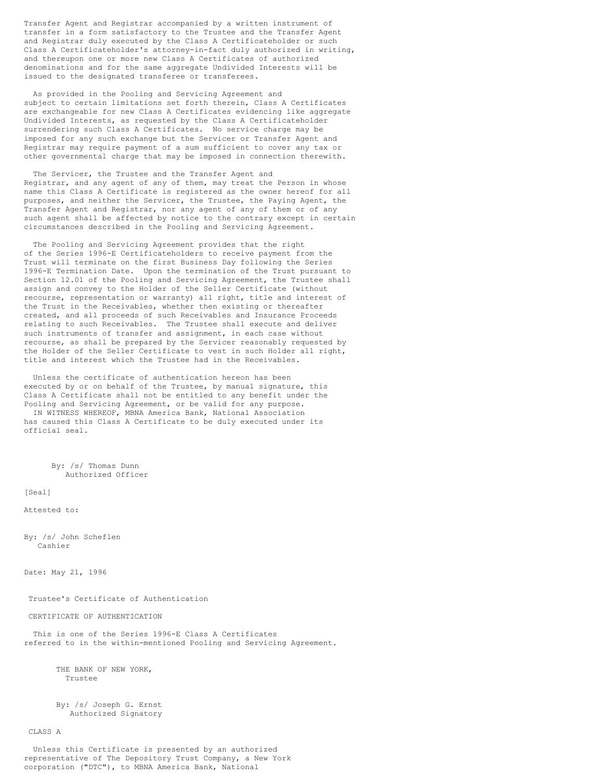Transfer Agent and Registrar accompanied by a written instrument of transfer in a form satisfactory to the Trustee and the Transfer Agent and Registrar duly executed by the Class A Certificateholder or such Class A Certificateholder's attorney-in-fact duly authorized in writing, and thereupon one or more new Class A Certificates of authorized denominations and for the same aggregate Undivided Interests will be issued to the designated transferee or transferees.

As provided in the Pooling and Servicing Agreement and subject to certain limitations set forth therein, Class A Certificates are exchangeable for new Class A Certificates evidencing like aggregate Undivided Interests, as requested by the Class A Certificateholder surrendering such Class A Certificates. No service charge may be imposed for any such exchange but the Servicer or Transfer Agent and Registrar may require payment of a sum sufficient to cover any tax or other governmental charge that may be imposed in connection therewith.

The Servicer, the Trustee and the Transfer Agent and Registrar, and any agent of any of them, may treat the Person in whose name this Class A Certificate is registered as the owner hereof for all purposes, and neither the Servicer, the Trustee, the Paying Agent, the Transfer Agent and Registrar, nor any agent of any of them or of any such agent shall be affected by notice to the contrary except in certain circumstances described in the Pooling and Servicing Agreement.

The Pooling and Servicing Agreement provides that the right of the Series 1996-E Certificateholders to receive payment from the Trust will terminate on the first Business Day following the Series 1996-E Termination Date. Upon the termination of the Trust pursuant to Section 12.01 of the Pooling and Servicing Agreement, the Trustee shall assign and convey to the Holder of the Seller Certificate (without recourse, representation or warranty) all right, title and interest of the Trust in the Receivables, whether then existing or thereafter created, and all proceeds of such Receivables and Insurance Proceeds relating to such Receivables. The Trustee shall execute and deliver such instruments of transfer and assignment, in each case without recourse, as shall be prepared by the Servicer reasonably requested by the Holder of the Seller Certificate to vest in such Holder all right, title and interest which the Trustee had in the Receivables.

Unless the certificate of authentication hereon has been executed by or on behalf of the Trustee, by manual signature, this Class A Certificate shall not be entitled to any benefit under the Pooling and Servicing Agreement, or be valid for any purpose.

IN WITNESS WHEREOF, MBNA America Bank, National Association has caused this Class A Certificate to be duly executed under its official seal.

By: /s/ Thomas Dunn Authorized Officer

[Seal]

Attested to:

By: /s/ John Scheflen Cashier

Date: May 21, 1996

Trustee's Certificate of Authentication

CERTIFICATE OF AUTHENTICATION

This is one of the Series 1996-E Class A Certificates referred to in the within-mentioned Pooling and Servicing Agreement.

> THE BANK OF NEW YORK, Trustee

By: /s/ Joseph G. Ernst Authorized Signatory

CLASS A

Unless this Certificate is presented by an authorized representative of The Depository Trust Company, a New York corporation ("DTC"), to MBNA America Bank, National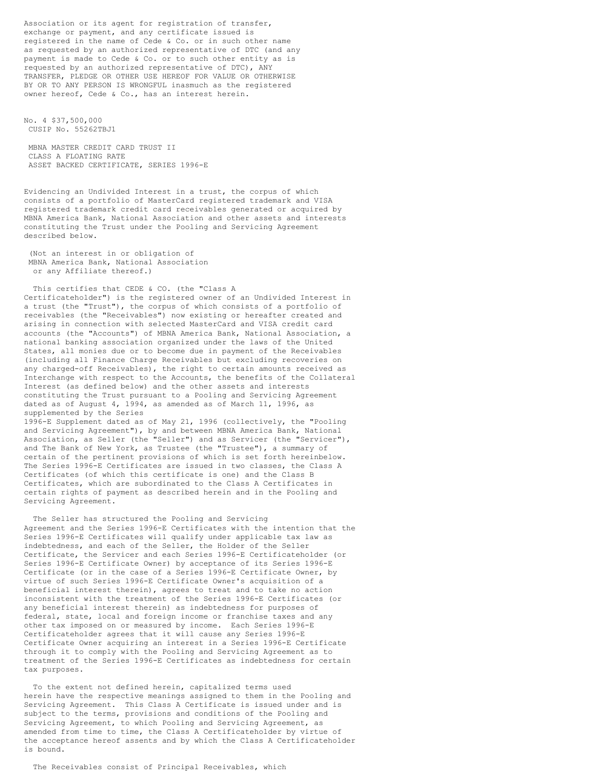Association or its agent for registration of transfer, exchange or payment, and any certificate issued is registered in the name of Cede & Co. or in such other name as requested by an authorized representative of DTC (and any payment is made to Cede & Co. or to such other entity as is requested by an authorized representative of DTC), ANY TRANSFER, PLEDGE OR OTHER USE HEREOF FOR VALUE OR OTHERWISE BY OR TO ANY PERSON IS WRONGFUL inasmuch as the registered owner hereof, Cede & Co., has an interest herein.

No. 4 \$37,500,000 CUSIP No. 55262TBJ1

MBNA MASTER CREDIT CARD TRUST II CLASS A FLOATING RATE ASSET BACKED CERTIFICATE, SERIES 1996-E

Evidencing an Undivided Interest in a trust, the corpus of which consists of a portfolio of MasterCard registered trademark and VISA registered trademark credit card receivables generated or acquired by MBNA America Bank, National Association and other assets and interests constituting the Trust under the Pooling and Servicing Agreement described below.

(Not an interest in or obligation of MBNA America Bank, National Association or any Affiliate thereof.)

This certifies that CEDE & CO. (the "Class A Certificateholder") is the registered owner of an Undivided Interest in a trust (the "Trust"), the corpus of which consists of a portfolio of receivables (the "Receivables") now existing or hereafter created and arising in connection with selected MasterCard and VISA credit card accounts (the "Accounts") of MBNA America Bank, National Association, a national banking association organized under the laws of the United States, all monies due or to become due in payment of the Receivables (including all Finance Charge Receivables but excluding recoveries on any charged-off Receivables), the right to certain amounts received as Interchange with respect to the Accounts, the benefits of the Collateral Interest (as defined below) and the other assets and interests constituting the Trust pursuant to a Pooling and Servicing Agreement dated as of August 4, 1994, as amended as of March 11, 1996, as supplemented by the Series

1996-E Supplement dated as of May 21, 1996 (collectively, the "Pooling and Servicing Agreement"), by and between MBNA America Bank, National Association, as Seller (the "Seller") and as Servicer (the "Servicer"), and The Bank of New York, as Trustee (the "Trustee"), a summary of certain of the pertinent provisions of which is set forth hereinbelow. The Series 1996-E Certificates are issued in two classes, the Class A Certificates (of which this certificate is one) and the Class B Certificates, which are subordinated to the Class A Certificates in certain rights of payment as described herein and in the Pooling and Servicing Agreement.

The Seller has structured the Pooling and Servicing Agreement and the Series 1996-E Certificates with the intention that the Series 1996-E Certificates will qualify under applicable tax law as indebtedness, and each of the Seller, the Holder of the Seller Certificate, the Servicer and each Series 1996-E Certificateholder (or Series 1996-E Certificate Owner) by acceptance of its Series 1996-E Certificate (or in the case of a Series 1996-E Certificate Owner, by virtue of such Series 1996-E Certificate Owner's acquisition of a beneficial interest therein), agrees to treat and to take no action inconsistent with the treatment of the Series 1996-E Certificates (or any beneficial interest therein) as indebtedness for purposes of federal, state, local and foreign income or franchise taxes and any other tax imposed on or measured by income. Each Series 1996-E Certificateholder agrees that it will cause any Series 1996-E Certificate Owner acquiring an interest in a Series 1996-E Certificate through it to comply with the Pooling and Servicing Agreement as to treatment of the Series 1996-E Certificates as indebtedness for certain tax purposes.

To the extent not defined herein, capitalized terms used herein have the respective meanings assigned to them in the Pooling and Servicing Agreement. This Class A Certificate is issued under and is subject to the terms, provisions and conditions of the Pooling and Servicing Agreement, to which Pooling and Servicing Agreement, as amended from time to time, the Class A Certificateholder by virtue of the acceptance hereof assents and by which the Class A Certificateholder is bound.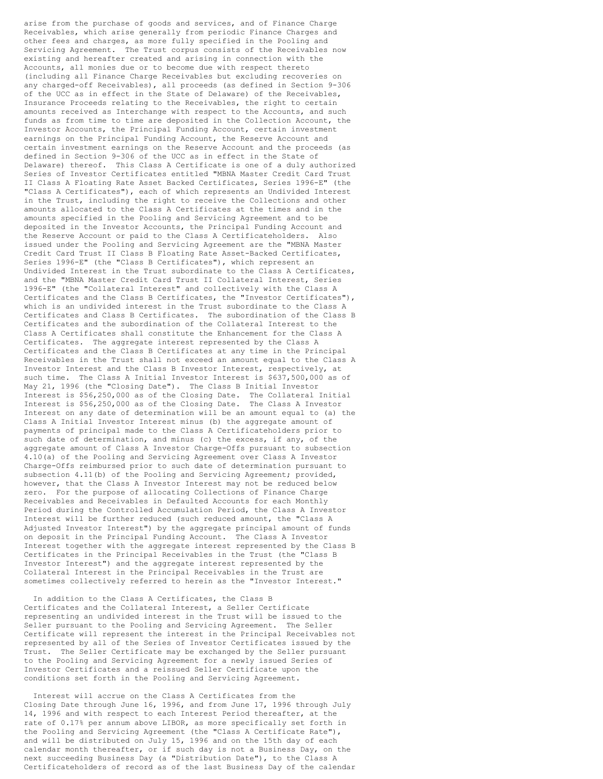arise from the purchase of goods and services, and of Finance Charge Receivables, which arise generally from periodic Finance Charges and other fees and charges, as more fully specified in the Pooling and Servicing Agreement. The Trust corpus consists of the Receivables now existing and hereafter created and arising in connection with the Accounts, all monies due or to become due with respect thereto (including all Finance Charge Receivables but excluding recoveries on any charged-off Receivables), all proceeds (as defined in Section 9-306 of the UCC as in effect in the State of Delaware) of the Receivables, Insurance Proceeds relating to the Receivables, the right to certain amounts received as Interchange with respect to the Accounts, and such funds as from time to time are deposited in the Collection Account, the Investor Accounts, the Principal Funding Account, certain investment earnings on the Principal Funding Account, the Reserve Account and certain investment earnings on the Reserve Account and the proceeds (as defined in Section 9-306 of the UCC as in effect in the State of Delaware) thereof. This Class A Certificate is one of a duly authorized Series of Investor Certificates entitled "MBNA Master Credit Card Trust II Class A Floating Rate Asset Backed Certificates, Series 1996-E" (the "Class A Certificates"), each of which represents an Undivided Interest in the Trust, including the right to receive the Collections and other amounts allocated to the Class A Certificates at the times and in the amounts specified in the Pooling and Servicing Agreement and to be deposited in the Investor Accounts, the Principal Funding Account and the Reserve Account or paid to the Class A Certificateholders. Also issued under the Pooling and Servicing Agreement are the "MBNA Master Credit Card Trust II Class B Floating Rate Asset-Backed Certificates, Series 1996-E" (the "Class B Certificates"), which represent an Undivided Interest in the Trust subordinate to the Class A Certificates, and the "MBNA Master Credit Card Trust II Collateral Interest, Series 1996-E" (the "Collateral Interest" and collectively with the Class A Certificates and the Class B Certificates, the "Investor Certificates"), which is an undivided interest in the Trust subordinate to the Class A Certificates and Class B Certificates. The subordination of the Class B Certificates and the subordination of the Collateral Interest to the Class A Certificates shall constitute the Enhancement for the Class A Certificates. The aggregate interest represented by the Class A Certificates and the Class B Certificates at any time in the Principal Receivables in the Trust shall not exceed an amount equal to the Class A Investor Interest and the Class B Investor Interest, respectively, at such time. The Class A Initial Investor Interest is \$637,500,000 as of May 21, 1996 (the "Closing Date"). The Class B Initial Investor Interest is \$56,250,000 as of the Closing Date. The Collateral Initial Interest is \$56,250,000 as of the Closing Date. The Class A Investor Interest on any date of determination will be an amount equal to (a) the Class A Initial Investor Interest minus (b) the aggregate amount of payments of principal made to the Class A Certificateholders prior to such date of determination, and minus (c) the excess, if any, of the aggregate amount of Class A Investor Charge-Offs pursuant to subsection 4.10(a) of the Pooling and Servicing Agreement over Class A Investor Charge-Offs reimbursed prior to such date of determination pursuant to subsection 4.11(b) of the Pooling and Servicing Agreement; provided, however, that the Class A Investor Interest may not be reduced below zero. For the purpose of allocating Collections of Finance Charge Receivables and Receivables in Defaulted Accounts for each Monthly Period during the Controlled Accumulation Period, the Class A Investor Interest will be further reduced (such reduced amount, the "Class A Adjusted Investor Interest") by the aggregate principal amount of funds on deposit in the Principal Funding Account. The Class A Investor Interest together with the aggregate interest represented by the Class B Certificates in the Principal Receivables in the Trust (the "Class B Investor Interest") and the aggregate interest represented by the Collateral Interest in the Principal Receivables in the Trust are sometimes collectively referred to herein as the "Investor Interest."

In addition to the Class A Certificates, the Class B Certificates and the Collateral Interest, a Seller Certificate representing an undivided interest in the Trust will be issued to the Seller pursuant to the Pooling and Servicing Agreement. The Seller Certificate will represent the interest in the Principal Receivables not represented by all of the Series of Investor Certificates issued by the Trust. The Seller Certificate may be exchanged by the Seller pursuant to the Pooling and Servicing Agreement for a newly issued Series of Investor Certificates and a reissued Seller Certificate upon the conditions set forth in the Pooling and Servicing Agreement.

Interest will accrue on the Class A Certificates from the Closing Date through June 16, 1996, and from June 17, 1996 through July 14, 1996 and with respect to each Interest Period thereafter, at the rate of 0.17% per annum above LIBOR, as more specifically set forth in the Pooling and Servicing Agreement (the "Class A Certificate Rate"), and will be distributed on July 15, 1996 and on the 15th day of each calendar month thereafter, or if such day is not a Business Day, on the next succeeding Business Day (a "Distribution Date"), to the Class A Certificateholders of record as of the last Business Day of the calendar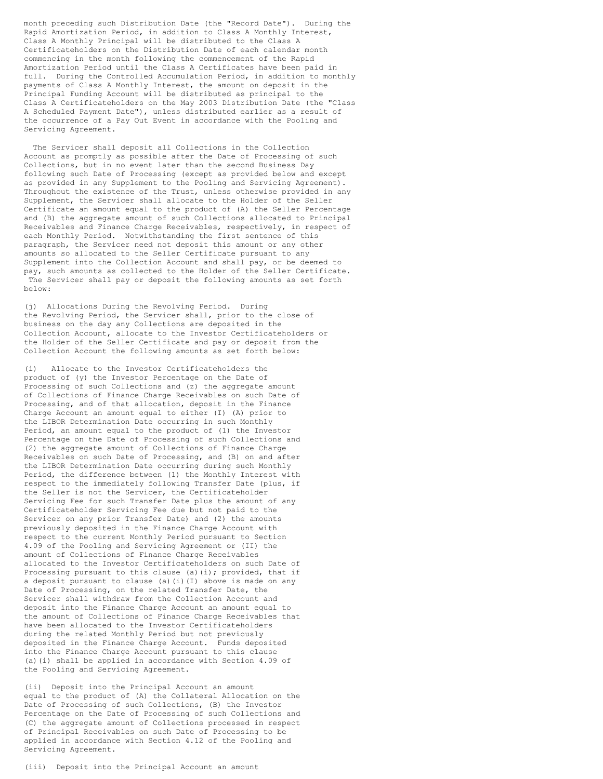month preceding such Distribution Date (the "Record Date"). During the Rapid Amortization Period, in addition to Class A Monthly Interest, Class A Monthly Principal will be distributed to the Class A Certificateholders on the Distribution Date of each calendar month commencing in the month following the commencement of the Rapid Amortization Period until the Class A Certificates have been paid in full. During the Controlled Accumulation Period, in addition to monthly payments of Class A Monthly Interest, the amount on deposit in the Principal Funding Account will be distributed as principal to the Class A Certificateholders on the May 2003 Distribution Date (the "Class A Scheduled Payment Date"), unless distributed earlier as a result of the occurrence of a Pay Out Event in accordance with the Pooling and Servicing Agreement.

The Servicer shall deposit all Collections in the Collection Account as promptly as possible after the Date of Processing of such Collections, but in no event later than the second Business Day following such Date of Processing (except as provided below and except as provided in any Supplement to the Pooling and Servicing Agreement). Throughout the existence of the Trust, unless otherwise provided in any Supplement, the Servicer shall allocate to the Holder of the Seller Certificate an amount equal to the product of (A) the Seller Percentage and (B) the aggregate amount of such Collections allocated to Principal Receivables and Finance Charge Receivables, respectively, in respect of each Monthly Period. Notwithstanding the first sentence of this paragraph, the Servicer need not deposit this amount or any other amounts so allocated to the Seller Certificate pursuant to any Supplement into the Collection Account and shall pay, or be deemed to pay, such amounts as collected to the Holder of the Seller Certificate. The Servicer shall pay or deposit the following amounts as set forth below:

(j) Allocations During the Revolving Period. During the Revolving Period, the Servicer shall, prior to the close of business on the day any Collections are deposited in the Collection Account, allocate to the Investor Certificateholders or the Holder of the Seller Certificate and pay or deposit from the Collection Account the following amounts as set forth below:

(i) Allocate to the Investor Certificateholders the product of (y) the Investor Percentage on the Date of Processing of such Collections and (z) the aggregate amount of Collections of Finance Charge Receivables on such Date of Processing, and of that allocation, deposit in the Finance Charge Account an amount equal to either (I) (A) prior to the LIBOR Determination Date occurring in such Monthly Period, an amount equal to the product of (1) the Investor Percentage on the Date of Processing of such Collections and (2) the aggregate amount of Collections of Finance Charge Receivables on such Date of Processing, and (B) on and after the LIBOR Determination Date occurring during such Monthly Period, the difference between (1) the Monthly Interest with respect to the immediately following Transfer Date (plus, if the Seller is not the Servicer, the Certificateholder Servicing Fee for such Transfer Date plus the amount of any Certificateholder Servicing Fee due but not paid to the Servicer on any prior Transfer Date) and (2) the amounts previously deposited in the Finance Charge Account with respect to the current Monthly Period pursuant to Section 4.09 of the Pooling and Servicing Agreement or (II) the amount of Collections of Finance Charge Receivables allocated to the Investor Certificateholders on such Date of Processing pursuant to this clause (a)(i); provided, that if a deposit pursuant to clause (a)(i)(I) above is made on any Date of Processing, on the related Transfer Date, the Servicer shall withdraw from the Collection Account and deposit into the Finance Charge Account an amount equal to the amount of Collections of Finance Charge Receivables that have been allocated to the Investor Certificateholders during the related Monthly Period but not previously deposited in the Finance Charge Account. Funds deposited into the Finance Charge Account pursuant to this clause (a)(i) shall be applied in accordance with Section 4.09 of the Pooling and Servicing Agreement.

(ii) Deposit into the Principal Account an amount equal to the product of (A) the Collateral Allocation on the Date of Processing of such Collections, (B) the Investor Percentage on the Date of Processing of such Collections and (C) the aggregate amount of Collections processed in respect of Principal Receivables on such Date of Processing to be applied in accordance with Section 4.12 of the Pooling and Servicing Agreement.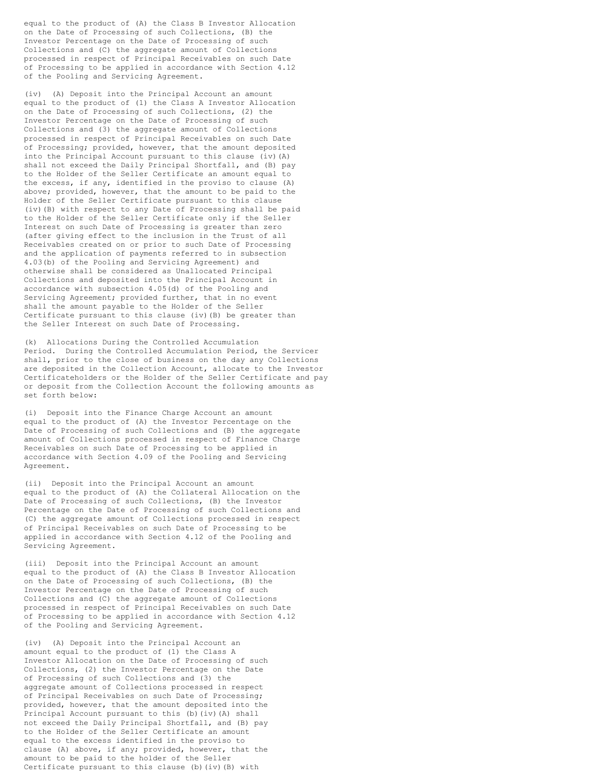equal to the product of (A) the Class B Investor Allocation on the Date of Processing of such Collections, (B) the Investor Percentage on the Date of Processing of such Collections and (C) the aggregate amount of Collections processed in respect of Principal Receivables on such Date of Processing to be applied in accordance with Section 4.12 of the Pooling and Servicing Agreement.

(iv) (A) Deposit into the Principal Account an amount equal to the product of (1) the Class A Investor Allocation on the Date of Processing of such Collections, (2) the Investor Percentage on the Date of Processing of such Collections and (3) the aggregate amount of Collections processed in respect of Principal Receivables on such Date of Processing; provided, however, that the amount deposited into the Principal Account pursuant to this clause (iv)(A) shall not exceed the Daily Principal Shortfall, and (B) pay to the Holder of the Seller Certificate an amount equal to the excess, if any, identified in the proviso to clause (A) above; provided, however, that the amount to be paid to the Holder of the Seller Certificate pursuant to this clause (iv)(B) with respect to any Date of Processing shall be paid to the Holder of the Seller Certificate only if the Seller Interest on such Date of Processing is greater than zero (after giving effect to the inclusion in the Trust of all Receivables created on or prior to such Date of Processing and the application of payments referred to in subsection 4.03(b) of the Pooling and Servicing Agreement) and otherwise shall be considered as Unallocated Principal Collections and deposited into the Principal Account in accordance with subsection 4.05(d) of the Pooling and Servicing Agreement; provided further, that in no event shall the amount payable to the Holder of the Seller Certificate pursuant to this clause (iv)(B) be greater than the Seller Interest on such Date of Processing.

(k) Allocations During the Controlled Accumulation Period. During the Controlled Accumulation Period, the Servicer shall, prior to the close of business on the day any Collections are deposited in the Collection Account, allocate to the Investor Certificateholders or the Holder of the Seller Certificate and pay or deposit from the Collection Account the following amounts as set forth below:

(i) Deposit into the Finance Charge Account an amount equal to the product of (A) the Investor Percentage on the Date of Processing of such Collections and (B) the aggregate amount of Collections processed in respect of Finance Charge Receivables on such Date of Processing to be applied in accordance with Section 4.09 of the Pooling and Servicing Agreement.

(ii) Deposit into the Principal Account an amount equal to the product of (A) the Collateral Allocation on the Date of Processing of such Collections, (B) the Investor Percentage on the Date of Processing of such Collections and (C) the aggregate amount of Collections processed in respect of Principal Receivables on such Date of Processing to be applied in accordance with Section 4.12 of the Pooling and Servicing Agreement.

(iii) Deposit into the Principal Account an amount equal to the product of (A) the Class B Investor Allocation on the Date of Processing of such Collections, (B) the Investor Percentage on the Date of Processing of such Collections and (C) the aggregate amount of Collections processed in respect of Principal Receivables on such Date of Processing to be applied in accordance with Section 4.12 of the Pooling and Servicing Agreement.

(iv) (A) Deposit into the Principal Account an amount equal to the product of (1) the Class A Investor Allocation on the Date of Processing of such Collections, (2) the Investor Percentage on the Date of Processing of such Collections and (3) the aggregate amount of Collections processed in respect of Principal Receivables on such Date of Processing; provided, however, that the amount deposited into the Principal Account pursuant to this (b)(iv)(A) shall not exceed the Daily Principal Shortfall, and (B) pay to the Holder of the Seller Certificate an amount equal to the excess identified in the proviso to clause (A) above, if any; provided, however, that the amount to be paid to the holder of the Seller Certificate pursuant to this clause (b)(iv)(B) with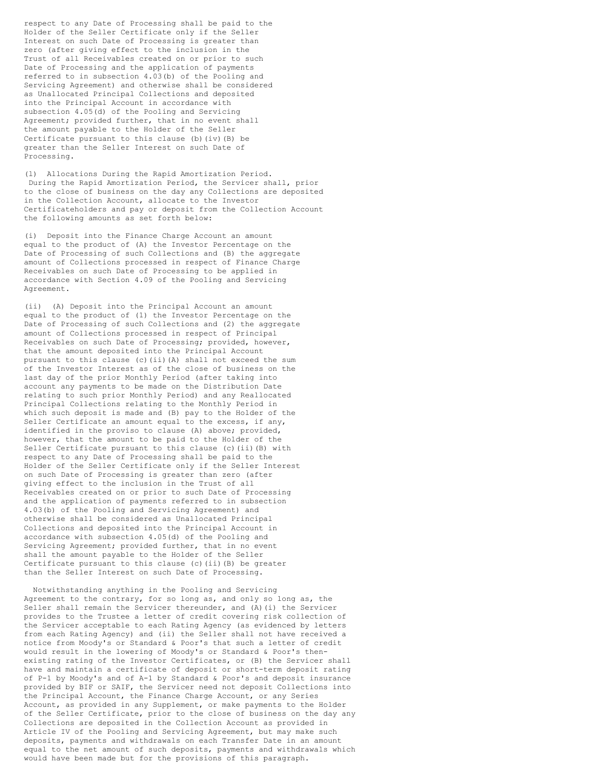respect to any Date of Processing shall be paid to the Holder of the Seller Certificate only if the Seller Interest on such Date of Processing is greater than zero (after giving effect to the inclusion in the Trust of all Receivables created on or prior to such Date of Processing and the application of payments referred to in subsection 4.03(b) of the Pooling and Servicing Agreement) and otherwise shall be considered as Unallocated Principal Collections and deposited into the Principal Account in accordance with subsection 4.05(d) of the Pooling and Servicing Agreement; provided further, that in no event shall the amount payable to the Holder of the Seller Certificate pursuant to this clause (b)(iv)(B) be greater than the Seller Interest on such Date of Processing.

(l) Allocations During the Rapid Amortization Period. During the Rapid Amortization Period, the Servicer shall, prior to the close of business on the day any Collections are deposited in the Collection Account, allocate to the Investor Certificateholders and pay or deposit from the Collection Account the following amounts as set forth below:

(i) Deposit into the Finance Charge Account an amount equal to the product of (A) the Investor Percentage on the Date of Processing of such Collections and (B) the aggregate amount of Collections processed in respect of Finance Charge Receivables on such Date of Processing to be applied in accordance with Section 4.09 of the Pooling and Servicing Agreement.

(ii) (A) Deposit into the Principal Account an amount equal to the product of (1) the Investor Percentage on the Date of Processing of such Collections and (2) the aggregate amount of Collections processed in respect of Principal Receivables on such Date of Processing; provided, however, that the amount deposited into the Principal Account pursuant to this clause (c)(ii)(A) shall not exceed the sum of the Investor Interest as of the close of business on the last day of the prior Monthly Period (after taking into account any payments to be made on the Distribution Date relating to such prior Monthly Period) and any Reallocated Principal Collections relating to the Monthly Period in which such deposit is made and (B) pay to the Holder of the Seller Certificate an amount equal to the excess, if any, identified in the proviso to clause (A) above; provided, however, that the amount to be paid to the Holder of the Seller Certificate pursuant to this clause (c)(ii)(B) with respect to any Date of Processing shall be paid to the Holder of the Seller Certificate only if the Seller Interest on such Date of Processing is greater than zero (after giving effect to the inclusion in the Trust of all Receivables created on or prior to such Date of Processing and the application of payments referred to in subsection 4.03(b) of the Pooling and Servicing Agreement) and otherwise shall be considered as Unallocated Principal Collections and deposited into the Principal Account in accordance with subsection 4.05(d) of the Pooling and Servicing Agreement; provided further, that in no event shall the amount payable to the Holder of the Seller Certificate pursuant to this clause (c)(ii)(B) be greater than the Seller Interest on such Date of Processing.

Notwithstanding anything in the Pooling and Servicing Agreement to the contrary, for so long as, and only so long as, the Seller shall remain the Servicer thereunder, and (A)(i) the Servicer provides to the Trustee a letter of credit covering risk collection of the Servicer acceptable to each Rating Agency (as evidenced by letters from each Rating Agency) and (ii) the Seller shall not have received a notice from Moody's or Standard & Poor's that such a letter of credit would result in the lowering of Moody's or Standard & Poor's thenexisting rating of the Investor Certificates, or (B) the Servicer shall have and maintain a certificate of deposit or short-term deposit rating of P-1 by Moody's and of A-1 by Standard & Poor's and deposit insurance provided by BIF or SAIF, the Servicer need not deposit Collections into the Principal Account, the Finance Charge Account, or any Series Account, as provided in any Supplement, or make payments to the Holder of the Seller Certificate, prior to the close of business on the day any Collections are deposited in the Collection Account as provided in Article IV of the Pooling and Servicing Agreement, but may make such deposits, payments and withdrawals on each Transfer Date in an amount equal to the net amount of such deposits, payments and withdrawals which would have been made but for the provisions of this paragraph.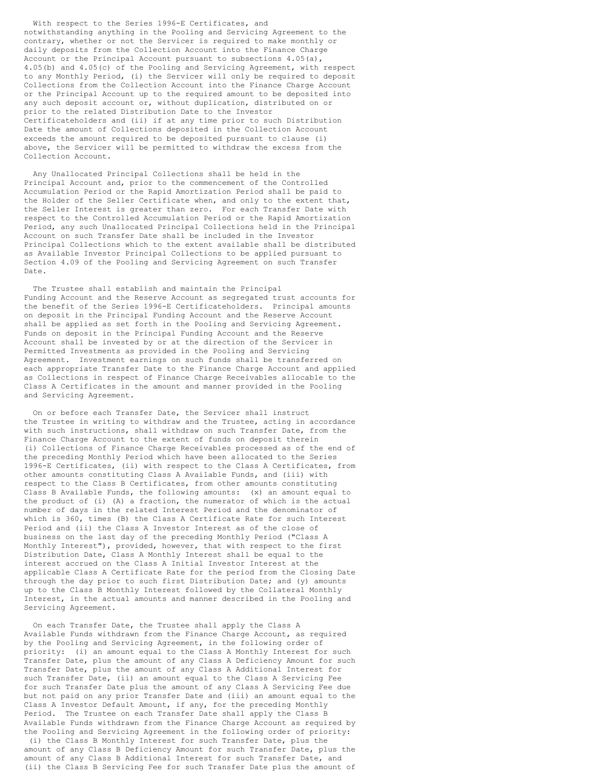With respect to the Series 1996-E Certificates, and notwithstanding anything in the Pooling and Servicing Agreement to the contrary, whether or not the Servicer is required to make monthly or daily deposits from the Collection Account into the Finance Charge Account or the Principal Account pursuant to subsections 4.05(a), 4.05(b) and 4.05(c) of the Pooling and Servicing Agreement, with respect to any Monthly Period, (i) the Servicer will only be required to deposit Collections from the Collection Account into the Finance Charge Account or the Principal Account up to the required amount to be deposited into any such deposit account or, without duplication, distributed on or prior to the related Distribution Date to the Investor Certificateholders and (ii) if at any time prior to such Distribution Date the amount of Collections deposited in the Collection Account exceeds the amount required to be deposited pursuant to clause (i) above, the Servicer will be permitted to withdraw the excess from the Collection Account.

Any Unallocated Principal Collections shall be held in the Principal Account and, prior to the commencement of the Controlled Accumulation Period or the Rapid Amortization Period shall be paid to the Holder of the Seller Certificate when, and only to the extent that, the Seller Interest is greater than zero. For each Transfer Date with respect to the Controlled Accumulation Period or the Rapid Amortization Period, any such Unallocated Principal Collections held in the Principal Account on such Transfer Date shall be included in the Investor Principal Collections which to the extent available shall be distributed as Available Investor Principal Collections to be applied pursuant to Section 4.09 of the Pooling and Servicing Agreement on such Transfer Date.

The Trustee shall establish and maintain the Principal Funding Account and the Reserve Account as segregated trust accounts for the benefit of the Series 1996-E Certificateholders. Principal amounts on deposit in the Principal Funding Account and the Reserve Account shall be applied as set forth in the Pooling and Servicing Agreement. Funds on deposit in the Principal Funding Account and the Reserve Account shall be invested by or at the direction of the Servicer in Permitted Investments as provided in the Pooling and Servicing Agreement. Investment earnings on such funds shall be transferred on each appropriate Transfer Date to the Finance Charge Account and applied as Collections in respect of Finance Charge Receivables allocable to the Class A Certificates in the amount and manner provided in the Pooling and Servicing Agreement.

On or before each Transfer Date, the Servicer shall instruct the Trustee in writing to withdraw and the Trustee, acting in accordance with such instructions, shall withdraw on such Transfer Date, from the Finance Charge Account to the extent of funds on deposit therein (i) Collections of Finance Charge Receivables processed as of the end of the preceding Monthly Period which have been allocated to the Series 1996-E Certificates, (ii) with respect to the Class A Certificates, from other amounts constituting Class A Available Funds, and (iii) with respect to the Class B Certificates, from other amounts constituting Class B Available Funds, the following amounts: (x) an amount equal to the product of (i) (A) a fraction, the numerator of which is the actual number of days in the related Interest Period and the denominator of which is 360, times (B) the Class A Certificate Rate for such Interest Period and (ii) the Class A Investor Interest as of the close of business on the last day of the preceding Monthly Period ("Class A Monthly Interest"), provided, however, that with respect to the first Distribution Date, Class A Monthly Interest shall be equal to the interest accrued on the Class A Initial Investor Interest at the applicable Class A Certificate Rate for the period from the Closing Date through the day prior to such first Distribution Date; and (y) amounts up to the Class B Monthly Interest followed by the Collateral Monthly Interest, in the actual amounts and manner described in the Pooling and Servicing Agreement.

On each Transfer Date, the Trustee shall apply the Class A Available Funds withdrawn from the Finance Charge Account, as required by the Pooling and Servicing Agreement, in the following order of priority: (i) an amount equal to the Class A Monthly Interest for such Transfer Date, plus the amount of any Class A Deficiency Amount for such Transfer Date, plus the amount of any Class A Additional Interest for such Transfer Date, (ii) an amount equal to the Class A Servicing Fee for such Transfer Date plus the amount of any Class A Servicing Fee due but not paid on any prior Transfer Date and (iii) an amount equal to the Class A Investor Default Amount, if any, for the preceding Monthly Period. The Trustee on each Transfer Date shall apply the Class B Available Funds withdrawn from the Finance Charge Account as required by the Pooling and Servicing Agreement in the following order of priority: (i) the Class B Monthly Interest for such Transfer Date, plus the amount of any Class B Deficiency Amount for such Transfer Date, plus the amount of any Class B Additional Interest for such Transfer Date, and (ii) the Class B Servicing Fee for such Transfer Date plus the amount of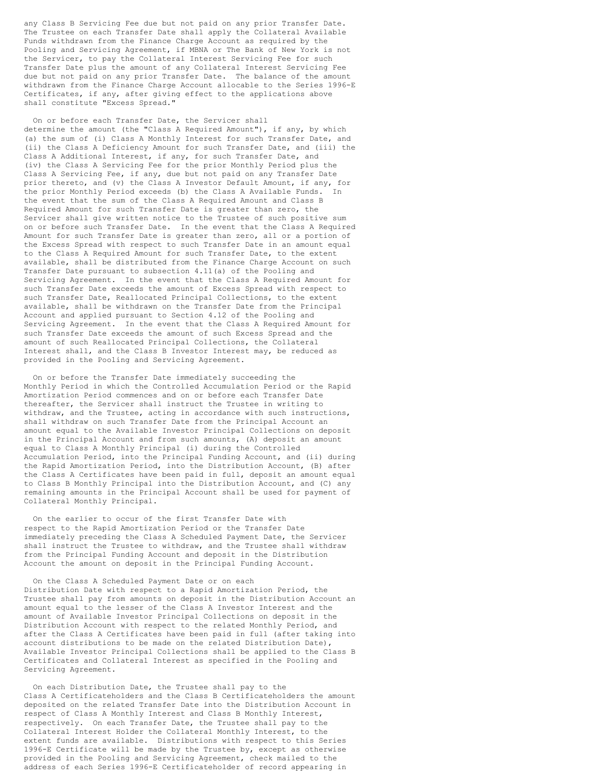any Class B Servicing Fee due but not paid on any prior Transfer Date. The Trustee on each Transfer Date shall apply the Collateral Available Funds withdrawn from the Finance Charge Account as required by the Pooling and Servicing Agreement, if MBNA or The Bank of New York is not the Servicer, to pay the Collateral Interest Servicing Fee for such Transfer Date plus the amount of any Collateral Interest Servicing Fee due but not paid on any prior Transfer Date. The balance of the amount withdrawn from the Finance Charge Account allocable to the Series 1996-E Certificates, if any, after giving effect to the applications above shall constitute "Excess Spread."

On or before each Transfer Date, the Servicer shall determine the amount (the "Class A Required Amount"), if any, by which (a) the sum of (i) Class A Monthly Interest for such Transfer Date, and (ii) the Class A Deficiency Amount for such Transfer Date, and (iii) the Class A Additional Interest, if any, for such Transfer Date, and (iv) the Class A Servicing Fee for the prior Monthly Period plus the Class A Servicing Fee, if any, due but not paid on any Transfer Date prior thereto, and (v) the Class A Investor Default Amount, if any, for the prior Monthly Period exceeds (b) the Class A Available Funds. the event that the sum of the Class A Required Amount and Class B Required Amount for such Transfer Date is greater than zero, the Servicer shall give written notice to the Trustee of such positive sum on or before such Transfer Date. In the event that the Class A Required Amount for such Transfer Date is greater than zero, all or a portion of the Excess Spread with respect to such Transfer Date in an amount equal to the Class A Required Amount for such Transfer Date, to the extent available, shall be distributed from the Finance Charge Account on such Transfer Date pursuant to subsection 4.11(a) of the Pooling and Servicing Agreement. In the event that the Class A Required Amount for such Transfer Date exceeds the amount of Excess Spread with respect to such Transfer Date, Reallocated Principal Collections, to the extent available, shall be withdrawn on the Transfer Date from the Principal Account and applied pursuant to Section 4.12 of the Pooling and Servicing Agreement. In the event that the Class A Required Amount for such Transfer Date exceeds the amount of such Excess Spread and the amount of such Reallocated Principal Collections, the Collateral Interest shall, and the Class B Investor Interest may, be reduced as provided in the Pooling and Servicing Agreement.

On or before the Transfer Date immediately succeeding the Monthly Period in which the Controlled Accumulation Period or the Rapid Amortization Period commences and on or before each Transfer Date thereafter, the Servicer shall instruct the Trustee in writing to withdraw, and the Trustee, acting in accordance with such instructions, shall withdraw on such Transfer Date from the Principal Account an amount equal to the Available Investor Principal Collections on deposit in the Principal Account and from such amounts, (A) deposit an amount equal to Class A Monthly Principal (i) during the Controlled Accumulation Period, into the Principal Funding Account, and (ii) during the Rapid Amortization Period, into the Distribution Account, (B) after the Class A Certificates have been paid in full, deposit an amount equal to Class B Monthly Principal into the Distribution Account, and (C) any remaining amounts in the Principal Account shall be used for payment of Collateral Monthly Principal.

On the earlier to occur of the first Transfer Date with respect to the Rapid Amortization Period or the Transfer Date immediately preceding the Class A Scheduled Payment Date, the Servicer shall instruct the Trustee to withdraw, and the Trustee shall withdraw from the Principal Funding Account and deposit in the Distribution Account the amount on deposit in the Principal Funding Account.

On the Class A Scheduled Payment Date or on each Distribution Date with respect to a Rapid Amortization Period, the Trustee shall pay from amounts on deposit in the Distribution Account an amount equal to the lesser of the Class A Investor Interest and the amount of Available Investor Principal Collections on deposit in the Distribution Account with respect to the related Monthly Period, and after the Class A Certificates have been paid in full (after taking into account distributions to be made on the related Distribution Date), Available Investor Principal Collections shall be applied to the Class B Certificates and Collateral Interest as specified in the Pooling and Servicing Agreement.

On each Distribution Date, the Trustee shall pay to the Class A Certificateholders and the Class B Certificateholders the amount deposited on the related Transfer Date into the Distribution Account in respect of Class A Monthly Interest and Class B Monthly Interest, respectively. On each Transfer Date, the Trustee shall pay to the Collateral Interest Holder the Collateral Monthly Interest, to the extent funds are available. Distributions with respect to this Series 1996-E Certificate will be made by the Trustee by, except as otherwise provided in the Pooling and Servicing Agreement, check mailed to the address of each Series 1996-E Certificateholder of record appearing in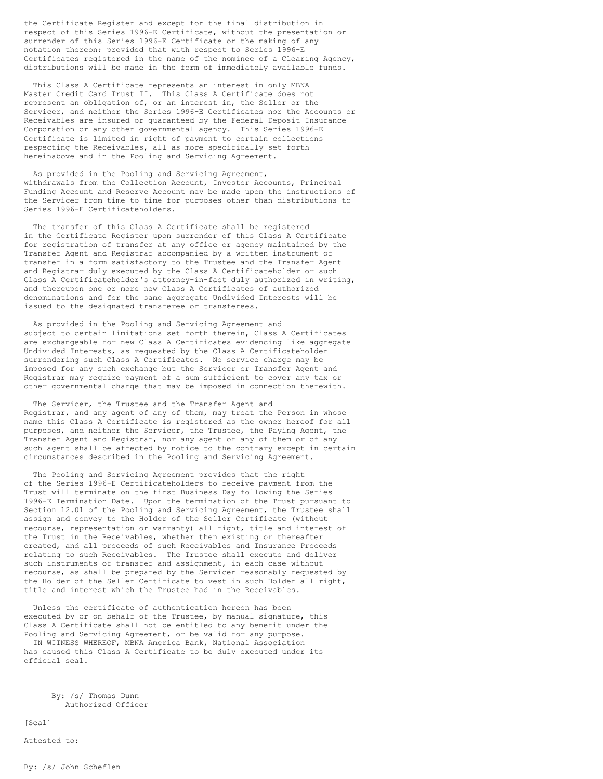the Certificate Register and except for the final distribution in respect of this Series 1996-E Certificate, without the presentation or surrender of this Series 1996-E Certificate or the making of any notation thereon; provided that with respect to Series 1996-E Certificates registered in the name of the nominee of a Clearing Agency, distributions will be made in the form of immediately available funds.

This Class A Certificate represents an interest in only MBNA Master Credit Card Trust II. This Class A Certificate does not represent an obligation of, or an interest in, the Seller or the Servicer, and neither the Series 1996-E Certificates nor the Accounts or Receivables are insured or guaranteed by the Federal Deposit Insurance Corporation or any other governmental agency. This Series 1996-E Certificate is limited in right of payment to certain collections respecting the Receivables, all as more specifically set forth hereinabove and in the Pooling and Servicing Agreement.

As provided in the Pooling and Servicing Agreement, withdrawals from the Collection Account, Investor Accounts, Principal Funding Account and Reserve Account may be made upon the instructions of the Servicer from time to time for purposes other than distributions to Series 1996-E Certificateholders.

The transfer of this Class A Certificate shall be registered in the Certificate Register upon surrender of this Class A Certificate for registration of transfer at any office or agency maintained by the Transfer Agent and Registrar accompanied by a written instrument of transfer in a form satisfactory to the Trustee and the Transfer Agent and Registrar duly executed by the Class A Certificateholder or such Class A Certificateholder's attorney-in-fact duly authorized in writing, and thereupon one or more new Class A Certificates of authorized denominations and for the same aggregate Undivided Interests will be issued to the designated transferee or transferees.

As provided in the Pooling and Servicing Agreement and subject to certain limitations set forth therein, Class A Certificates are exchangeable for new Class A Certificates evidencing like aggregate Undivided Interests, as requested by the Class A Certificateholder surrendering such Class A Certificates. No service charge may be imposed for any such exchange but the Servicer or Transfer Agent and Registrar may require payment of a sum sufficient to cover any tax or other governmental charge that may be imposed in connection therewith.

The Servicer, the Trustee and the Transfer Agent and Registrar, and any agent of any of them, may treat the Person in whose name this Class A Certificate is registered as the owner hereof for all purposes, and neither the Servicer, the Trustee, the Paying Agent, the Transfer Agent and Registrar, nor any agent of any of them or of any such agent shall be affected by notice to the contrary except in certain circumstances described in the Pooling and Servicing Agreement.

The Pooling and Servicing Agreement provides that the right of the Series 1996-E Certificateholders to receive payment from the Trust will terminate on the first Business Day following the Series 1996-E Termination Date. Upon the termination of the Trust pursuant to Section 12.01 of the Pooling and Servicing Agreement, the Trustee shall assign and convey to the Holder of the Seller Certificate (without recourse, representation or warranty) all right, title and interest of the Trust in the Receivables, whether then existing or thereafter created, and all proceeds of such Receivables and Insurance Proceeds relating to such Receivables. The Trustee shall execute and deliver such instruments of transfer and assignment, in each case without recourse, as shall be prepared by the Servicer reasonably requested by the Holder of the Seller Certificate to vest in such Holder all right, title and interest which the Trustee had in the Receivables.

Unless the certificate of authentication hereon has been executed by or on behalf of the Trustee, by manual signature, this Class A Certificate shall not be entitled to any benefit under the Pooling and Servicing Agreement, or be valid for any purpose. IN WITNESS WHEREOF, MBNA America Bank, National Association

has caused this Class A Certificate to be duly executed under its official seal.

By: /s/ Thomas Dunn Authorized Officer

[Seal]

Attested to: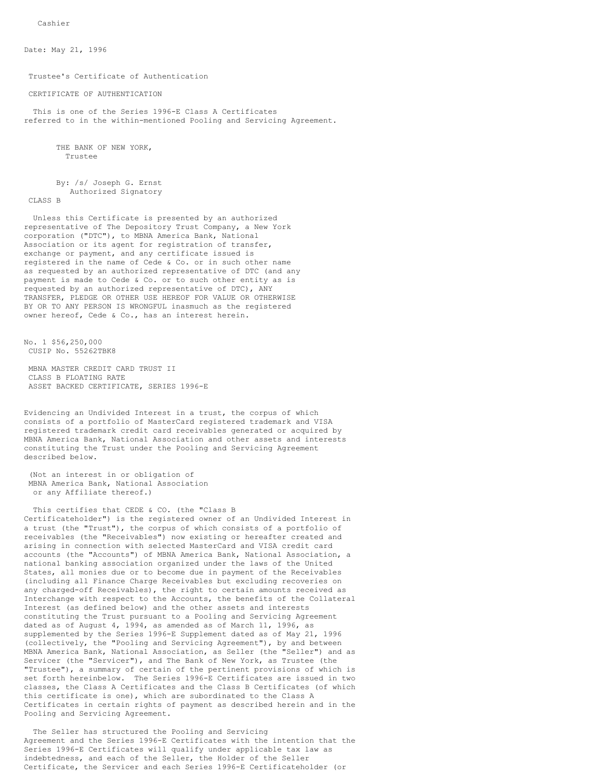Cashier

Date: May 21, 1996

```
Trustee's Certificate of Authentication
```
CERTIFICATE OF AUTHENTICATION

This is one of the Series 1996-E Class A Certificates referred to in the within-mentioned Pooling and Servicing Agreement.

THE BANK OF NEW YORK, Trustee

```
By: /s/ Joseph G. Ernst
Authorized Signatory
```
CLASS B

Unless this Certificate is presented by an authorized representative of The Depository Trust Company, a New York corporation ("DTC"), to MBNA America Bank, National Association or its agent for registration of transfer, exchange or payment, and any certificate issued is registered in the name of Cede & Co. or in such other name as requested by an authorized representative of DTC (and any payment is made to Cede & Co. or to such other entity as is requested by an authorized representative of DTC), ANY TRANSFER, PLEDGE OR OTHER USE HEREOF FOR VALUE OR OTHERWISE BY OR TO ANY PERSON IS WRONGFUL inasmuch as the registered owner hereof, Cede & Co., has an interest herein.

No. 1 \$56,250,000 CUSIP No. 55262TBK8

MBNA MASTER CREDIT CARD TRUST II CLASS B FLOATING RATE ASSET BACKED CERTIFICATE, SERIES 1996-E

Evidencing an Undivided Interest in a trust, the corpus of which consists of a portfolio of MasterCard registered trademark and VISA registered trademark credit card receivables generated or acquired by MBNA America Bank, National Association and other assets and interests constituting the Trust under the Pooling and Servicing Agreement described below.

(Not an interest in or obligation of MBNA America Bank, National Association or any Affiliate thereof.)

This certifies that CEDE & CO. (the "Class B Certificateholder") is the registered owner of an Undivided Interest in a trust (the "Trust"), the corpus of which consists of a portfolio of receivables (the "Receivables") now existing or hereafter created and arising in connection with selected MasterCard and VISA credit card accounts (the "Accounts") of MBNA America Bank, National Association, a national banking association organized under the laws of the United States, all monies due or to become due in payment of the Receivables (including all Finance Charge Receivables but excluding recoveries on any charged-off Receivables), the right to certain amounts received as Interchange with respect to the Accounts, the benefits of the Collateral Interest (as defined below) and the other assets and interests constituting the Trust pursuant to a Pooling and Servicing Agreement dated as of August 4, 1994, as amended as of March 11, 1996, as supplemented by the Series 1996-E Supplement dated as of May 21, 1996 (collectively, the "Pooling and Servicing Agreement"), by and between MBNA America Bank, National Association, as Seller (the "Seller") and as Servicer (the "Servicer"), and The Bank of New York, as Trustee (the "Trustee"), a summary of certain of the pertinent provisions of which is set forth hereinbelow. The Series 1996-E Certificates are issued in two classes, the Class A Certificates and the Class B Certificates (of which this certificate is one), which are subordinated to the Class A Certificates in certain rights of payment as described herein and in the Pooling and Servicing Agreement.

The Seller has structured the Pooling and Servicing Agreement and the Series 1996-E Certificates with the intention that the Series 1996-E Certificates will qualify under applicable tax law as indebtedness, and each of the Seller, the Holder of the Seller Certificate, the Servicer and each Series 1996-E Certificateholder (or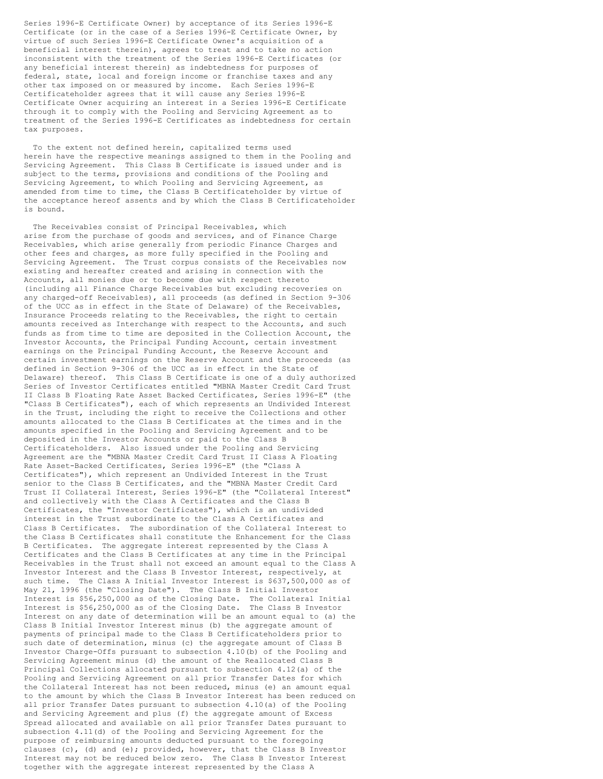Series 1996-E Certificate Owner) by acceptance of its Series 1996-E Certificate (or in the case of a Series 1996-E Certificate Owner, by virtue of such Series 1996-E Certificate Owner's acquisition of a beneficial interest therein), agrees to treat and to take no action inconsistent with the treatment of the Series 1996-E Certificates (or any beneficial interest therein) as indebtedness for purposes of federal, state, local and foreign income or franchise taxes and any other tax imposed on or measured by income. Each Series 1996-E Certificateholder agrees that it will cause any Series 1996-E Certificate Owner acquiring an interest in a Series 1996-E Certificate through it to comply with the Pooling and Servicing Agreement as to treatment of the Series 1996-E Certificates as indebtedness for certain tax purposes.

To the extent not defined herein, capitalized terms used herein have the respective meanings assigned to them in the Pooling and Servicing Agreement. This Class B Certificate is issued under and is subject to the terms, provisions and conditions of the Pooling and Servicing Agreement, to which Pooling and Servicing Agreement, as amended from time to time, the Class B Certificateholder by virtue of the acceptance hereof assents and by which the Class B Certificateholder is bound.

The Receivables consist of Principal Receivables, which arise from the purchase of goods and services, and of Finance Charge Receivables, which arise generally from periodic Finance Charges and other fees and charges, as more fully specified in the Pooling and Servicing Agreement. The Trust corpus consists of the Receivables now existing and hereafter created and arising in connection with the Accounts, all monies due or to become due with respect thereto (including all Finance Charge Receivables but excluding recoveries on any charged-off Receivables), all proceeds (as defined in Section 9-306 of the UCC as in effect in the State of Delaware) of the Receivables, Insurance Proceeds relating to the Receivables, the right to certain amounts received as Interchange with respect to the Accounts, and such funds as from time to time are deposited in the Collection Account, the Investor Accounts, the Principal Funding Account, certain investment earnings on the Principal Funding Account, the Reserve Account and certain investment earnings on the Reserve Account and the proceeds (as defined in Section 9-306 of the UCC as in effect in the State of Delaware) thereof. This Class B Certificate is one of a duly authorized Series of Investor Certificates entitled "MBNA Master Credit Card Trust II Class B Floating Rate Asset Backed Certificates, Series 1996-E" (the "Class B Certificates"), each of which represents an Undivided Interest in the Trust, including the right to receive the Collections and other amounts allocated to the Class B Certificates at the times and in the amounts specified in the Pooling and Servicing Agreement and to be deposited in the Investor Accounts or paid to the Class B Certificateholders. Also issued under the Pooling and Servicing Agreement are the "MBNA Master Credit Card Trust II Class A Floating Rate Asset-Backed Certificates, Series 1996-E" (the "Class A Certificates"), which represent an Undivided Interest in the Trust senior to the Class B Certificates, and the "MBNA Master Credit Card Trust II Collateral Interest, Series 1996-E" (the "Collateral Interest" and collectively with the Class A Certificates and the Class B Certificates, the "Investor Certificates"), which is an undivided interest in the Trust subordinate to the Class A Certificates and Class B Certificates. The subordination of the Collateral Interest to the Class B Certificates shall constitute the Enhancement for the Class B Certificates. The aggregate interest represented by the Class A Certificates and the Class B Certificates at any time in the Principal Receivables in the Trust shall not exceed an amount equal to the Class A Investor Interest and the Class B Investor Interest, respectively, at such time. The Class A Initial Investor Interest is \$637,500,000 as of May 21, 1996 (the "Closing Date"). The Class B Initial Investor Interest is \$56,250,000 as of the Closing Date. The Collateral Initial Interest is \$56,250,000 as of the Closing Date. The Class B Investor Interest on any date of determination will be an amount equal to (a) the Class B Initial Investor Interest minus (b) the aggregate amount of payments of principal made to the Class B Certificateholders prior to such date of determination, minus (c) the aggregate amount of Class B Investor Charge-Offs pursuant to subsection 4.10(b) of the Pooling and Servicing Agreement minus (d) the amount of the Reallocated Class B Principal Collections allocated pursuant to subsection 4.12(a) of the Pooling and Servicing Agreement on all prior Transfer Dates for which the Collateral Interest has not been reduced, minus (e) an amount equal to the amount by which the Class B Investor Interest has been reduced on all prior Transfer Dates pursuant to subsection 4.10(a) of the Pooling and Servicing Agreement and plus (f) the aggregate amount of Excess Spread allocated and available on all prior Transfer Dates pursuant to subsection 4.11(d) of the Pooling and Servicing Agreement for the purpose of reimbursing amounts deducted pursuant to the foregoing clauses (c), (d) and (e); provided, however, that the Class B Investor Interest may not be reduced below zero. The Class B Investor Interest together with the aggregate interest represented by the Class A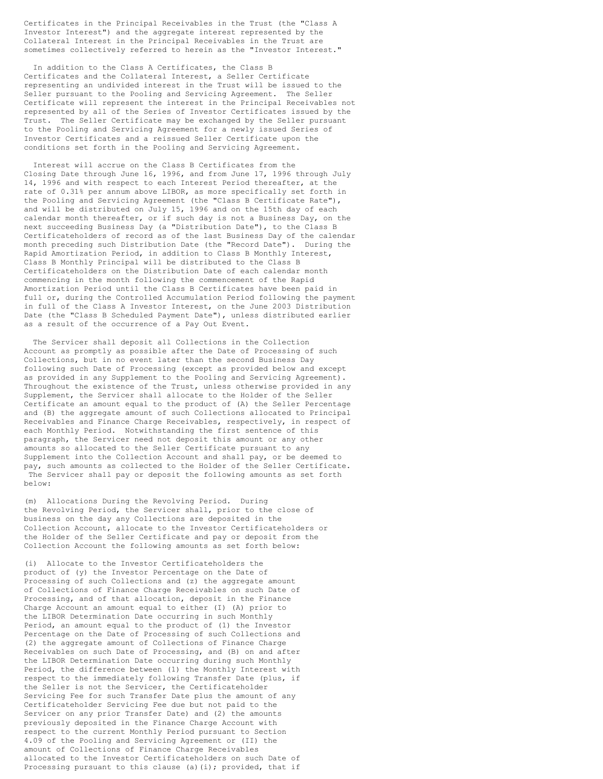Certificates in the Principal Receivables in the Trust (the "Class A Investor Interest") and the aggregate interest represented by the Collateral Interest in the Principal Receivables in the Trust are sometimes collectively referred to herein as the "Investor Interest."

In addition to the Class A Certificates, the Class B Certificates and the Collateral Interest, a Seller Certificate representing an undivided interest in the Trust will be issued to the Seller pursuant to the Pooling and Servicing Agreement. The Seller Certificate will represent the interest in the Principal Receivables not represented by all of the Series of Investor Certificates issued by the Trust. The Seller Certificate may be exchanged by the Seller pursuant to the Pooling and Servicing Agreement for a newly issued Series of Investor Certificates and a reissued Seller Certificate upon the conditions set forth in the Pooling and Servicing Agreement.

Interest will accrue on the Class B Certificates from the Closing Date through June 16, 1996, and from June 17, 1996 through July 14, 1996 and with respect to each Interest Period thereafter, at the rate of 0.31% per annum above LIBOR, as more specifically set forth in the Pooling and Servicing Agreement (the "Class B Certificate Rate"), and will be distributed on July 15, 1996 and on the 15th day of each calendar month thereafter, or if such day is not a Business Day, on the next succeeding Business Day (a "Distribution Date"), to the Class B Certificateholders of record as of the last Business Day of the calendar month preceding such Distribution Date (the "Record Date"). During the Rapid Amortization Period, in addition to Class B Monthly Interest, Class B Monthly Principal will be distributed to the Class B Certificateholders on the Distribution Date of each calendar month commencing in the month following the commencement of the Rapid Amortization Period until the Class B Certificates have been paid in full or, during the Controlled Accumulation Period following the payment in full of the Class A Investor Interest, on the June 2003 Distribution Date (the "Class B Scheduled Payment Date"), unless distributed earlier as a result of the occurrence of a Pay Out Event.

The Servicer shall deposit all Collections in the Collection Account as promptly as possible after the Date of Processing of such Collections, but in no event later than the second Business Day following such Date of Processing (except as provided below and except as provided in any Supplement to the Pooling and Servicing Agreement). Throughout the existence of the Trust, unless otherwise provided in any Supplement, the Servicer shall allocate to the Holder of the Seller Certificate an amount equal to the product of (A) the Seller Percentage and (B) the aggregate amount of such Collections allocated to Principal Receivables and Finance Charge Receivables, respectively, in respect of each Monthly Period. Notwithstanding the first sentence of this paragraph, the Servicer need not deposit this amount or any other amounts so allocated to the Seller Certificate pursuant to any Supplement into the Collection Account and shall pay, or be deemed to pay, such amounts as collected to the Holder of the Seller Certificate. The Servicer shall pay or deposit the following amounts as set forth below:

(m) Allocations During the Revolving Period. During the Revolving Period, the Servicer shall, prior to the close of business on the day any Collections are deposited in the Collection Account, allocate to the Investor Certificateholders or the Holder of the Seller Certificate and pay or deposit from the Collection Account the following amounts as set forth below:

(i) Allocate to the Investor Certificateholders the product of (y) the Investor Percentage on the Date of Processing of such Collections and (z) the aggregate amount of Collections of Finance Charge Receivables on such Date of Processing, and of that allocation, deposit in the Finance Charge Account an amount equal to either (I) (A) prior to the LIBOR Determination Date occurring in such Monthly Period, an amount equal to the product of (1) the Investor Percentage on the Date of Processing of such Collections and (2) the aggregate amount of Collections of Finance Charge Receivables on such Date of Processing, and (B) on and after the LIBOR Determination Date occurring during such Monthly Period, the difference between (1) the Monthly Interest with respect to the immediately following Transfer Date (plus, if the Seller is not the Servicer, the Certificateholder Servicing Fee for such Transfer Date plus the amount of any Certificateholder Servicing Fee due but not paid to the Servicer on any prior Transfer Date) and (2) the amounts previously deposited in the Finance Charge Account with respect to the current Monthly Period pursuant to Section 4.09 of the Pooling and Servicing Agreement or (II) the amount of Collections of Finance Charge Receivables allocated to the Investor Certificateholders on such Date of Processing pursuant to this clause (a)(i); provided, that if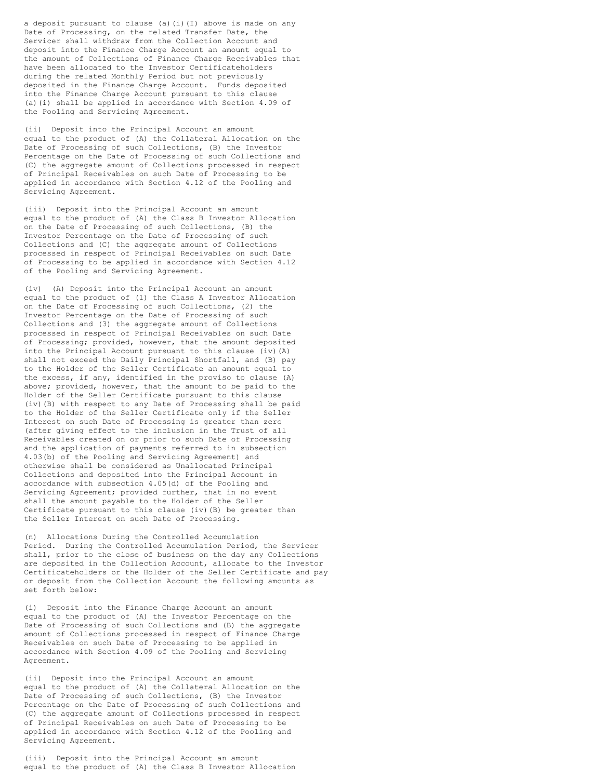a deposit pursuant to clause (a)(i)(I) above is made on any Date of Processing, on the related Transfer Date, the Servicer shall withdraw from the Collection Account and deposit into the Finance Charge Account an amount equal to the amount of Collections of Finance Charge Receivables that have been allocated to the Investor Certificateholders during the related Monthly Period but not previously deposited in the Finance Charge Account. Funds deposited into the Finance Charge Account pursuant to this clause (a)(i) shall be applied in accordance with Section 4.09 of the Pooling and Servicing Agreement.

(ii) Deposit into the Principal Account an amount equal to the product of (A) the Collateral Allocation on the Date of Processing of such Collections, (B) the Investor Percentage on the Date of Processing of such Collections and (C) the aggregate amount of Collections processed in respect of Principal Receivables on such Date of Processing to be applied in accordance with Section 4.12 of the Pooling and Servicing Agreement.

(iii) Deposit into the Principal Account an amount equal to the product of (A) the Class B Investor Allocation on the Date of Processing of such Collections, (B) the Investor Percentage on the Date of Processing of such Collections and (C) the aggregate amount of Collections processed in respect of Principal Receivables on such Date of Processing to be applied in accordance with Section 4.12 of the Pooling and Servicing Agreement.

(iv) (A) Deposit into the Principal Account an amount equal to the product of (1) the Class A Investor Allocation on the Date of Processing of such Collections, (2) the Investor Percentage on the Date of Processing of such Collections and (3) the aggregate amount of Collections processed in respect of Principal Receivables on such Date of Processing; provided, however, that the amount deposited into the Principal Account pursuant to this clause (iv)(A) shall not exceed the Daily Principal Shortfall, and (B) pay to the Holder of the Seller Certificate an amount equal to the excess, if any, identified in the proviso to clause (A) above; provided, however, that the amount to be paid to the Holder of the Seller Certificate pursuant to this clause (iv)(B) with respect to any Date of Processing shall be paid to the Holder of the Seller Certificate only if the Seller Interest on such Date of Processing is greater than zero (after giving effect to the inclusion in the Trust of all Receivables created on or prior to such Date of Processing and the application of payments referred to in subsection 4.03(b) of the Pooling and Servicing Agreement) and otherwise shall be considered as Unallocated Principal Collections and deposited into the Principal Account in accordance with subsection 4.05(d) of the Pooling and Servicing Agreement; provided further, that in no event shall the amount payable to the Holder of the Seller Certificate pursuant to this clause (iv)(B) be greater than the Seller Interest on such Date of Processing.

(n) Allocations During the Controlled Accumulation Period. During the Controlled Accumulation Period, the Servicer shall, prior to the close of business on the day any Collections are deposited in the Collection Account, allocate to the Investor Certificateholders or the Holder of the Seller Certificate and pay or deposit from the Collection Account the following amounts as set forth below:

(i) Deposit into the Finance Charge Account an amount equal to the product of (A) the Investor Percentage on the Date of Processing of such Collections and (B) the aggregate amount of Collections processed in respect of Finance Charge Receivables on such Date of Processing to be applied in accordance with Section 4.09 of the Pooling and Servicing Agreement.

(ii) Deposit into the Principal Account an amount equal to the product of (A) the Collateral Allocation on the Date of Processing of such Collections, (B) the Investor Percentage on the Date of Processing of such Collections and (C) the aggregate amount of Collections processed in respect of Principal Receivables on such Date of Processing to be applied in accordance with Section 4.12 of the Pooling and Servicing Agreement.

(iii) Deposit into the Principal Account an amount equal to the product of (A) the Class B Investor Allocation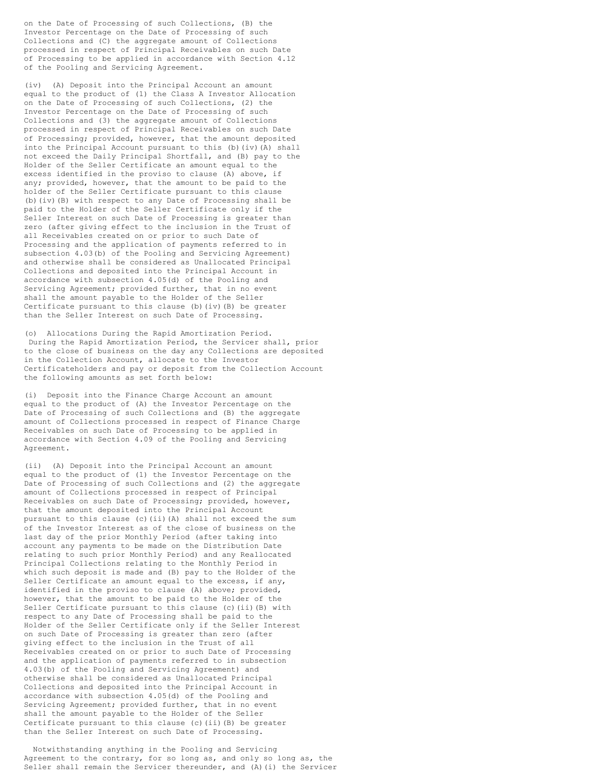on the Date of Processing of such Collections, (B) the Investor Percentage on the Date of Processing of such Collections and (C) the aggregate amount of Collections processed in respect of Principal Receivables on such Date of Processing to be applied in accordance with Section 4.12 of the Pooling and Servicing Agreement.

(iv) (A) Deposit into the Principal Account an amount equal to the product of (1) the Class A Investor Allocation on the Date of Processing of such Collections, (2) the Investor Percentage on the Date of Processing of such Collections and (3) the aggregate amount of Collections processed in respect of Principal Receivables on such Date of Processing; provided, however, that the amount deposited into the Principal Account pursuant to this (b)(iv)(A) shall not exceed the Daily Principal Shortfall, and (B) pay to the Holder of the Seller Certificate an amount equal to the excess identified in the proviso to clause (A) above, if any; provided, however, that the amount to be paid to the holder of the Seller Certificate pursuant to this clause (b)(iv)(B) with respect to any Date of Processing shall be paid to the Holder of the Seller Certificate only if the Seller Interest on such Date of Processing is greater than zero (after giving effect to the inclusion in the Trust of all Receivables created on or prior to such Date of Processing and the application of payments referred to in subsection 4.03(b) of the Pooling and Servicing Agreement) and otherwise shall be considered as Unallocated Principal Collections and deposited into the Principal Account in accordance with subsection 4.05(d) of the Pooling and Servicing Agreement; provided further, that in no event shall the amount payable to the Holder of the Seller Certificate pursuant to this clause (b)(iv)(B) be greater than the Seller Interest on such Date of Processing.

(o) Allocations During the Rapid Amortization Period. During the Rapid Amortization Period, the Servicer shall, prior to the close of business on the day any Collections are deposited in the Collection Account, allocate to the Investor Certificateholders and pay or deposit from the Collection Account the following amounts as set forth below:

(i) Deposit into the Finance Charge Account an amount equal to the product of (A) the Investor Percentage on the Date of Processing of such Collections and (B) the aggregate amount of Collections processed in respect of Finance Charge Receivables on such Date of Processing to be applied in accordance with Section 4.09 of the Pooling and Servicing Agreement.

(ii) (A) Deposit into the Principal Account an amount equal to the product of (1) the Investor Percentage on the Date of Processing of such Collections and (2) the aggregate amount of Collections processed in respect of Principal Receivables on such Date of Processing; provided, however, that the amount deposited into the Principal Account pursuant to this clause (c)(ii)(A) shall not exceed the sum of the Investor Interest as of the close of business on the last day of the prior Monthly Period (after taking into account any payments to be made on the Distribution Date relating to such prior Monthly Period) and any Reallocated Principal Collections relating to the Monthly Period in which such deposit is made and (B) pay to the Holder of the Seller Certificate an amount equal to the excess, if any, identified in the proviso to clause (A) above; provided, however, that the amount to be paid to the Holder of the Seller Certificate pursuant to this clause (c)(ii)(B) with respect to any Date of Processing shall be paid to the Holder of the Seller Certificate only if the Seller Interest on such Date of Processing is greater than zero (after giving effect to the inclusion in the Trust of all Receivables created on or prior to such Date of Processing and the application of payments referred to in subsection 4.03(b) of the Pooling and Servicing Agreement) and otherwise shall be considered as Unallocated Principal Collections and deposited into the Principal Account in accordance with subsection 4.05(d) of the Pooling and Servicing Agreement; provided further, that in no event shall the amount payable to the Holder of the Seller Certificate pursuant to this clause (c)(ii)(B) be greater than the Seller Interest on such Date of Processing.

Notwithstanding anything in the Pooling and Servicing Agreement to the contrary, for so long as, and only so long as, the Seller shall remain the Servicer thereunder, and (A)(i) the Servicer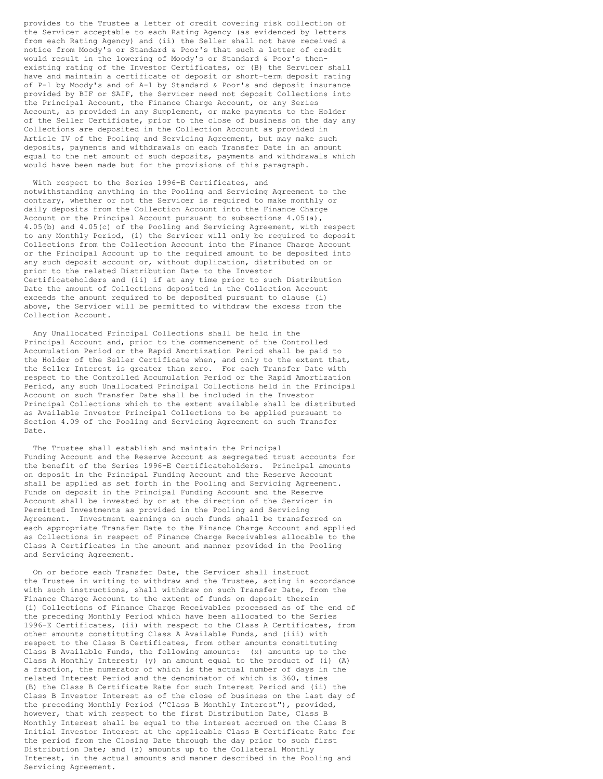provides to the Trustee a letter of credit covering risk collection of the Servicer acceptable to each Rating Agency (as evidenced by letters from each Rating Agency) and (ii) the Seller shall not have received a notice from Moody's or Standard & Poor's that such a letter of credit would result in the lowering of Moody's or Standard & Poor's thenexisting rating of the Investor Certificates, or (B) the Servicer shall have and maintain a certificate of deposit or short-term deposit rating of P-1 by Moody's and of A-1 by Standard & Poor's and deposit insurance provided by BIF or SAIF, the Servicer need not deposit Collections into the Principal Account, the Finance Charge Account, or any Series Account, as provided in any Supplement, or make payments to the Holder of the Seller Certificate, prior to the close of business on the day any Collections are deposited in the Collection Account as provided in Article IV of the Pooling and Servicing Agreement, but may make such deposits, payments and withdrawals on each Transfer Date in an amount equal to the net amount of such deposits, payments and withdrawals which would have been made but for the provisions of this paragraph.

With respect to the Series 1996-E Certificates, and notwithstanding anything in the Pooling and Servicing Agreement to the contrary, whether or not the Servicer is required to make monthly or daily deposits from the Collection Account into the Finance Charge Account or the Principal Account pursuant to subsections  $4.05(a)$ , 4.05(b) and 4.05(c) of the Pooling and Servicing Agreement, with respect to any Monthly Period, (i) the Servicer will only be required to deposit Collections from the Collection Account into the Finance Charge Account or the Principal Account up to the required amount to be deposited into any such deposit account or, without duplication, distributed on or prior to the related Distribution Date to the Investor Certificateholders and (ii) if at any time prior to such Distribution Date the amount of Collections deposited in the Collection Account exceeds the amount required to be deposited pursuant to clause (i) above, the Servicer will be permitted to withdraw the excess from the Collection Account.

Any Unallocated Principal Collections shall be held in the Principal Account and, prior to the commencement of the Controlled Accumulation Period or the Rapid Amortization Period shall be paid to the Holder of the Seller Certificate when, and only to the extent that, the Seller Interest is greater than zero. For each Transfer Date with respect to the Controlled Accumulation Period or the Rapid Amortization Period, any such Unallocated Principal Collections held in the Principal Account on such Transfer Date shall be included in the Investor Principal Collections which to the extent available shall be distributed as Available Investor Principal Collections to be applied pursuant to Section 4.09 of the Pooling and Servicing Agreement on such Transfer Date.

The Trustee shall establish and maintain the Principal Funding Account and the Reserve Account as segregated trust accounts for the benefit of the Series 1996-E Certificateholders. Principal amounts on deposit in the Principal Funding Account and the Reserve Account shall be applied as set forth in the Pooling and Servicing Agreement. Funds on deposit in the Principal Funding Account and the Reserve Account shall be invested by or at the direction of the Servicer in Permitted Investments as provided in the Pooling and Servicing Agreement. Investment earnings on such funds shall be transferred on each appropriate Transfer Date to the Finance Charge Account and applied as Collections in respect of Finance Charge Receivables allocable to the Class A Certificates in the amount and manner provided in the Pooling and Servicing Agreement.

On or before each Transfer Date, the Servicer shall instruct the Trustee in writing to withdraw and the Trustee, acting in accordance with such instructions, shall withdraw on such Transfer Date, from the Finance Charge Account to the extent of funds on deposit therein (i) Collections of Finance Charge Receivables processed as of the end of the preceding Monthly Period which have been allocated to the Series 1996-E Certificates, (ii) with respect to the Class A Certificates, from other amounts constituting Class A Available Funds, and (iii) with respect to the Class B Certificates, from other amounts constituting Class B Available Funds, the following amounts:  $(x)$  amounts up to the Class A Monthly Interest; (y) an amount equal to the product of (i) (A) a fraction, the numerator of which is the actual number of days in the related Interest Period and the denominator of which is 360, times (B) the Class B Certificate Rate for such Interest Period and (ii) the Class B Investor Interest as of the close of business on the last day of the preceding Monthly Period ("Class B Monthly Interest"), provided, however, that with respect to the first Distribution Date, Class B Monthly Interest shall be equal to the interest accrued on the Class B Initial Investor Interest at the applicable Class B Certificate Rate for the period from the Closing Date through the day prior to such first Distribution Date; and (z) amounts up to the Collateral Monthly Interest, in the actual amounts and manner described in the Pooling and Servicing Agreement.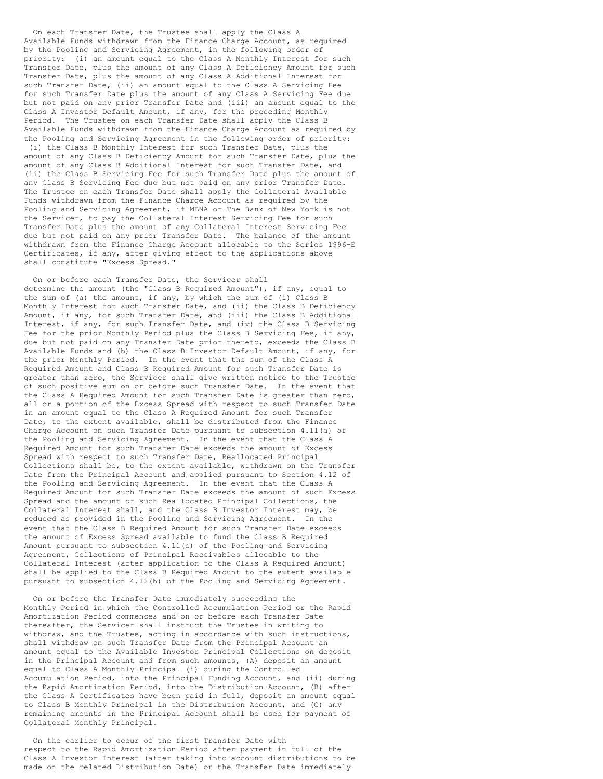On each Transfer Date, the Trustee shall apply the Class A Available Funds withdrawn from the Finance Charge Account, as required by the Pooling and Servicing Agreement, in the following order of priority: (i) an amount equal to the Class A Monthly Interest for such Transfer Date, plus the amount of any Class A Deficiency Amount for such Transfer Date, plus the amount of any Class A Additional Interest for such Transfer Date, (ii) an amount equal to the Class A Servicing Fee for such Transfer Date plus the amount of any Class A Servicing Fee due but not paid on any prior Transfer Date and (iii) an amount equal to the Class A Investor Default Amount, if any, for the preceding Monthly Period. The Trustee on each Transfer Date shall apply the Class B Available Funds withdrawn from the Finance Charge Account as required by the Pooling and Servicing Agreement in the following order of priority: (i) the Class B Monthly Interest for such Transfer Date, plus the amount of any Class B Deficiency Amount for such Transfer Date, plus the amount of any Class B Additional Interest for such Transfer Date, and (ii) the Class B Servicing Fee for such Transfer Date plus the amount of any Class B Servicing Fee due but not paid on any prior Transfer Date. The Trustee on each Transfer Date shall apply the Collateral Available Funds withdrawn from the Finance Charge Account as required by the Pooling and Servicing Agreement, if MBNA or The Bank of New York is not the Servicer, to pay the Collateral Interest Servicing Fee for such Transfer Date plus the amount of any Collateral Interest Servicing Fee due but not paid on any prior Transfer Date. The balance of the amount withdrawn from the Finance Charge Account allocable to the Series 1996-E Certificates, if any, after giving effect to the applications above shall constitute "Excess Spread."

On or before each Transfer Date, the Servicer shall determine the amount (the "Class B Required Amount"), if any, equal to the sum of (a) the amount, if any, by which the sum of (i) Class B Monthly Interest for such Transfer Date, and (ii) the Class B Deficiency Amount, if any, for such Transfer Date, and (iii) the Class B Additional Interest, if any, for such Transfer Date, and (iv) the Class B Servicing Fee for the prior Monthly Period plus the Class B Servicing Fee, if any, due but not paid on any Transfer Date prior thereto, exceeds the Class B Available Funds and (b) the Class B Investor Default Amount, if any, for the prior Monthly Period. In the event that the sum of the Class A Required Amount and Class B Required Amount for such Transfer Date is greater than zero, the Servicer shall give written notice to the Trustee of such positive sum on or before such Transfer Date. In the event that the Class A Required Amount for such Transfer Date is greater than zero, all or a portion of the Excess Spread with respect to such Transfer Date in an amount equal to the Class A Required Amount for such Transfer Date, to the extent available, shall be distributed from the Finance Charge Account on such Transfer Date pursuant to subsection 4.11(a) of the Pooling and Servicing Agreement. In the event that the Class A Required Amount for such Transfer Date exceeds the amount of Excess Spread with respect to such Transfer Date, Reallocated Principal Collections shall be, to the extent available, withdrawn on the Transfer Date from the Principal Account and applied pursuant to Section 4.12 of the Pooling and Servicing Agreement. In the event that the Class A Required Amount for such Transfer Date exceeds the amount of such Excess Spread and the amount of such Reallocated Principal Collections, the Collateral Interest shall, and the Class B Investor Interest may, be reduced as provided in the Pooling and Servicing Agreement. In the event that the Class B Required Amount for such Transfer Date exceeds the amount of Excess Spread available to fund the Class B Required Amount pursuant to subsection  $4.11(c)$  of the Pooling and Servicing Agreement, Collections of Principal Receivables allocable to the Collateral Interest (after application to the Class A Required Amount) shall be applied to the Class B Required Amount to the extent available pursuant to subsection 4.12(b) of the Pooling and Servicing Agreement.

On or before the Transfer Date immediately succeeding the Monthly Period in which the Controlled Accumulation Period or the Rapid Amortization Period commences and on or before each Transfer Date thereafter, the Servicer shall instruct the Trustee in writing to withdraw, and the Trustee, acting in accordance with such instructions, shall withdraw on such Transfer Date from the Principal Account an amount equal to the Available Investor Principal Collections on deposit in the Principal Account and from such amounts, (A) deposit an amount equal to Class A Monthly Principal (i) during the Controlled Accumulation Period, into the Principal Funding Account, and (ii) during the Rapid Amortization Period, into the Distribution Account, (B) after the Class A Certificates have been paid in full, deposit an amount equal to Class B Monthly Principal in the Distribution Account, and (C) any remaining amounts in the Principal Account shall be used for payment of Collateral Monthly Principal.

On the earlier to occur of the first Transfer Date with respect to the Rapid Amortization Period after payment in full of the Class A Investor Interest (after taking into account distributions to be made on the related Distribution Date) or the Transfer Date immediately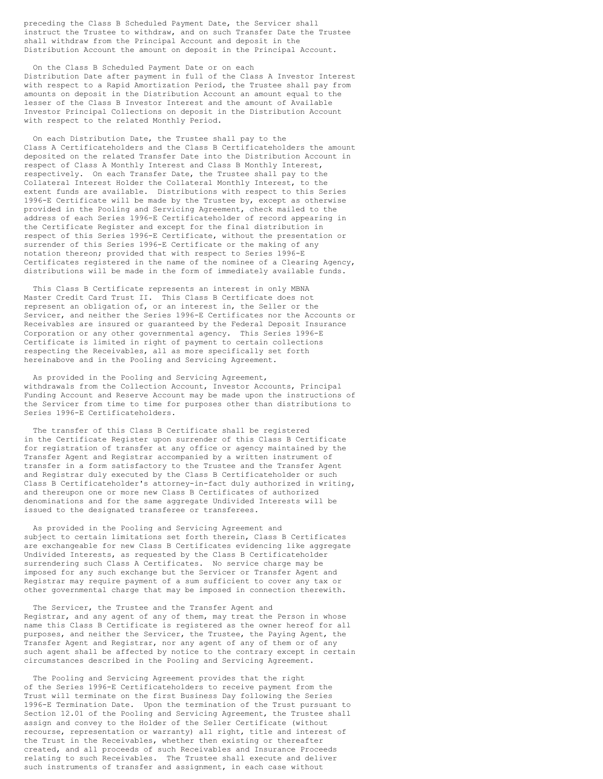preceding the Class B Scheduled Payment Date, the Servicer shall instruct the Trustee to withdraw, and on such Transfer Date the Trustee shall withdraw from the Principal Account and deposit in the Distribution Account the amount on deposit in the Principal Account.

On the Class B Scheduled Payment Date or on each Distribution Date after payment in full of the Class A Investor Interest with respect to a Rapid Amortization Period, the Trustee shall pay from amounts on deposit in the Distribution Account an amount equal to the lesser of the Class B Investor Interest and the amount of Available Investor Principal Collections on deposit in the Distribution Account with respect to the related Monthly Period.

On each Distribution Date, the Trustee shall pay to the Class A Certificateholders and the Class B Certificateholders the amount deposited on the related Transfer Date into the Distribution Account in respect of Class A Monthly Interest and Class B Monthly Interest, respectively. On each Transfer Date, the Trustee shall pay to the Collateral Interest Holder the Collateral Monthly Interest, to the extent funds are available. Distributions with respect to this Series 1996-E Certificate will be made by the Trustee by, except as otherwise provided in the Pooling and Servicing Agreement, check mailed to the address of each Series 1996-E Certificateholder of record appearing in the Certificate Register and except for the final distribution in respect of this Series 1996-E Certificate, without the presentation or surrender of this Series 1996-E Certificate or the making of any notation thereon; provided that with respect to Series 1996-E Certificates registered in the name of the nominee of a Clearing Agency, distributions will be made in the form of immediately available funds.

This Class B Certificate represents an interest in only MBNA Master Credit Card Trust II. This Class B Certificate does not represent an obligation of, or an interest in, the Seller or the Servicer, and neither the Series 1996-E Certificates nor the Accounts or Receivables are insured or guaranteed by the Federal Deposit Insurance Corporation or any other governmental agency. This Series 1996-E Certificate is limited in right of payment to certain collections respecting the Receivables, all as more specifically set forth hereinabove and in the Pooling and Servicing Agreement.

As provided in the Pooling and Servicing Agreement, withdrawals from the Collection Account, Investor Accounts, Principal Funding Account and Reserve Account may be made upon the instructions of the Servicer from time to time for purposes other than distributions to Series 1996-E Certificateholders.

The transfer of this Class B Certificate shall be registered in the Certificate Register upon surrender of this Class B Certificate for registration of transfer at any office or agency maintained by the Transfer Agent and Registrar accompanied by a written instrument of transfer in a form satisfactory to the Trustee and the Transfer Agent and Registrar duly executed by the Class B Certificateholder or such Class B Certificateholder's attorney-in-fact duly authorized in writing, and thereupon one or more new Class B Certificates of authorized denominations and for the same aggregate Undivided Interests will be issued to the designated transferee or transferees.

As provided in the Pooling and Servicing Agreement and subject to certain limitations set forth therein, Class B Certificates are exchangeable for new Class B Certificates evidencing like aggregate Undivided Interests, as requested by the Class B Certificateholder surrendering such Class A Certificates. No service charge may be imposed for any such exchange but the Servicer or Transfer Agent and Registrar may require payment of a sum sufficient to cover any tax or other governmental charge that may be imposed in connection therewith.

The Servicer, the Trustee and the Transfer Agent and Registrar, and any agent of any of them, may treat the Person in whose name this Class B Certificate is registered as the owner hereof for all purposes, and neither the Servicer, the Trustee, the Paying Agent, the Transfer Agent and Registrar, nor any agent of any of them or of any such agent shall be affected by notice to the contrary except in certain circumstances described in the Pooling and Servicing Agreement.

The Pooling and Servicing Agreement provides that the right of the Series 1996-E Certificateholders to receive payment from the Trust will terminate on the first Business Day following the Series 1996-E Termination Date. Upon the termination of the Trust pursuant to Section 12.01 of the Pooling and Servicing Agreement, the Trustee shall assign and convey to the Holder of the Seller Certificate (without recourse, representation or warranty) all right, title and interest of the Trust in the Receivables, whether then existing or thereafter created, and all proceeds of such Receivables and Insurance Proceeds relating to such Receivables. The Trustee shall execute and deliver such instruments of transfer and assignment, in each case without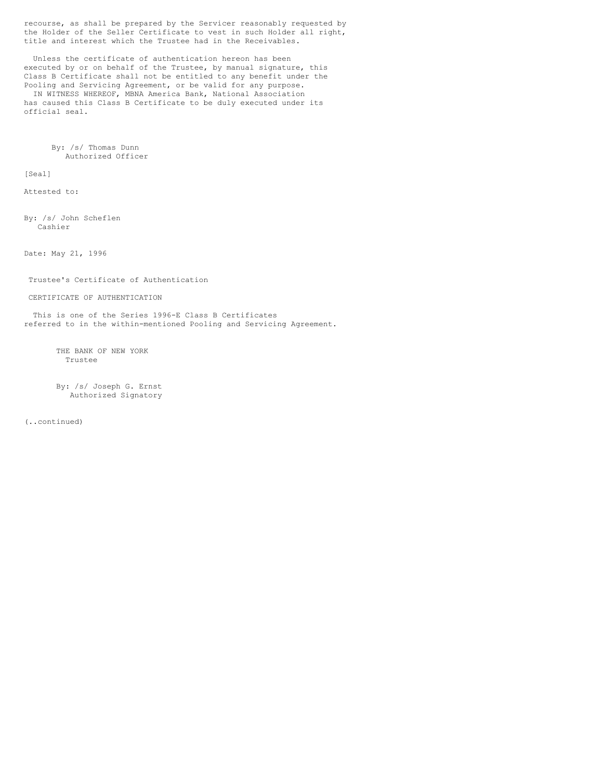recourse, as shall be prepared by the Servicer reasonably requested by the Holder of the Seller Certificate to vest in such Holder all right, title and interest which the Trustee had in the Receivables.

Unless the certificate of authentication hereon has been executed by or on behalf of the Trustee, by manual signature, this Class B Certificate shall not be entitled to any benefit under the Pooling and Servicing Agreement, or be valid for any purpose. IN WITNESS WHEREOF, MBNA America Bank, National Association has caused this Class B Certificate to be duly executed under its official seal.

By: /s/ Thomas Dunn Authorized Officer

[Seal]

Attested to:

By: /s/ John Scheflen Cashier

Date: May 21, 1996

Trustee's Certificate of Authentication

CERTIFICATE OF AUTHENTICATION

This is one of the Series 1996-E Class B Certificates referred to in the within-mentioned Pooling and Servicing Agreement.

THE BANK OF NEW YORK Trustee

By: /s/ Joseph G. Ernst Authorized Signatory

(..continued)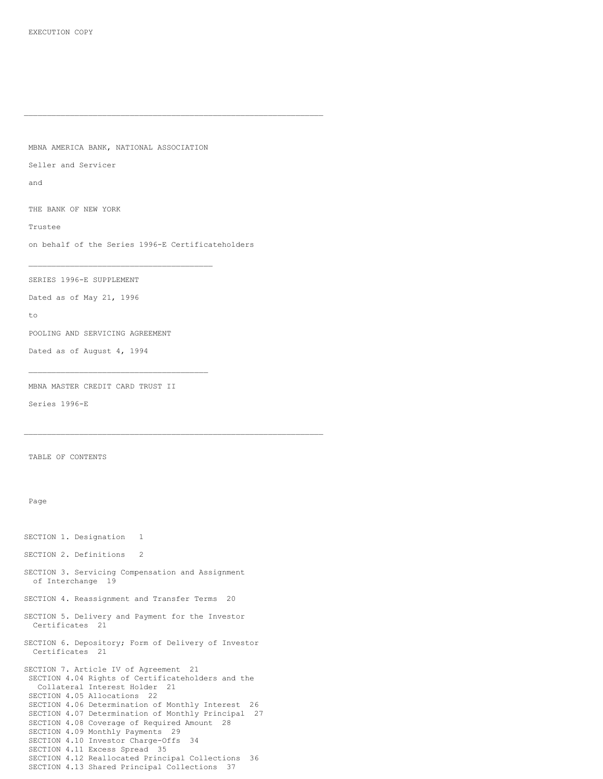MBNA AMERICA BANK, NATIONAL ASSOCIATION

Seller and Servicer

and

THE BANK OF NEW YORK

Trustee

on behalf of the Series 1996-E Certificateholders

\_\_\_\_\_\_\_\_\_\_\_\_\_\_\_\_\_\_\_\_\_\_\_\_\_\_\_\_\_\_\_\_\_\_\_\_\_\_\_\_

 $\mathcal{L}_\text{max}$  and  $\mathcal{L}_\text{max}$  and  $\mathcal{L}_\text{max}$  and  $\mathcal{L}_\text{max}$  and  $\mathcal{L}_\text{max}$  and  $\mathcal{L}_\text{max}$ 

 $\mathcal{L}_\text{max}$  and  $\mathcal{L}_\text{max}$  and  $\mathcal{L}_\text{max}$  and  $\mathcal{L}_\text{max}$  and  $\mathcal{L}_\text{max}$  and  $\mathcal{L}_\text{max}$ 

SERIES 1996-E SUPPLEMENT

Dated as of May 21, 1996

to

POOLING AND SERVICING AGREEMENT

Dated as of August 4, 1994

MBNA MASTER CREDIT CARD TRUST II

\_\_\_\_\_\_\_\_\_\_\_\_\_\_\_\_\_\_\_\_\_\_\_\_\_\_\_\_\_\_\_\_\_\_\_\_\_\_\_

Series 1996-E

TABLE OF CONTENTS

SECTION 1. Designation 1

Page

SECTION 2. Definitions 2 SECTION 3. Servicing Compensation and Assignment of Interchange 19 SECTION 4. Reassignment and Transfer Terms 20 SECTION 5. Delivery and Payment for the Investor Certificates 21 SECTION 6. Depository; Form of Delivery of Investor Certificates 21 SECTION 7. Article IV of Agreement 21 SECTION 4.04 Rights of Certificateholders and the Collateral Interest Holder 21 SECTION 4.05 Allocations 22 SECTION 4.06 Determination of Monthly Interest 26 SECTION 4.07 Determination of Monthly Principal 27 SECTION 4.08 Coverage of Required Amount 28 SECTION 4.09 Monthly Payments 29 SECTION 4.10 Investor Charge-Offs 34 SECTION 4.11 Excess Spread 35 SECTION 4.12 Reallocated Principal Collections 36 SECTION 4.13 Shared Principal Collections 37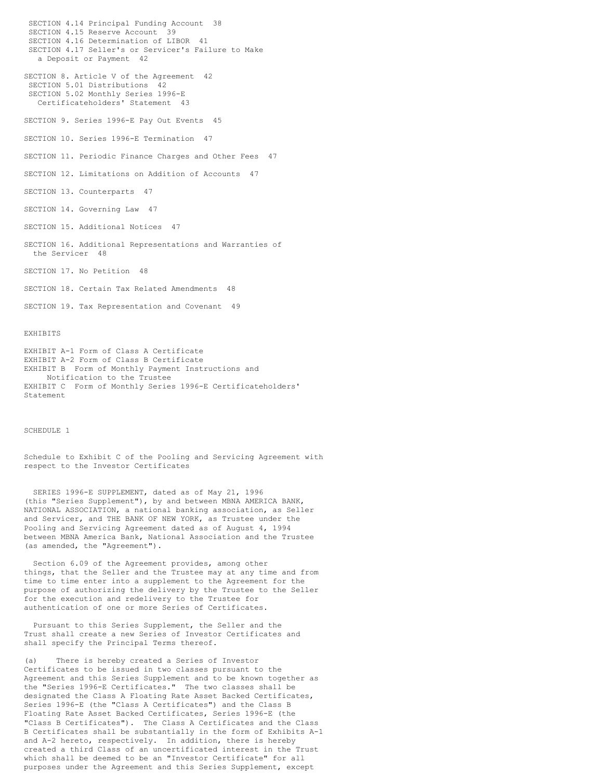SECTION 4.14 Principal Funding Account 38 SECTION 4.15 Reserve Account 39 SECTION 4.16 Determination of LIBOR 41 SECTION 4.17 Seller's or Servicer's Failure to Make a Deposit or Payment 42 SECTION 8. Article V of the Agreement 42 SECTION 5.01 Distributions 42 SECTION 5.02 Monthly Series 1996-E Certificateholders' Statement 43 SECTION 9. Series 1996-E Pay Out Events 45 SECTION 10. Series 1996-E Termination 47 SECTION 11. Periodic Finance Charges and Other Fees 47 SECTION 12. Limitations on Addition of Accounts 47 SECTION 13. Counterparts 47 SECTION 14. Governing Law 47 SECTION 15. Additional Notices 47 SECTION 16. Additional Representations and Warranties of the Servicer 48 SECTION 17. No Petition 48 SECTION 18. Certain Tax Related Amendments 48 SECTION 19. Tax Representation and Covenant 49 **EXHIBITS** EXHIBIT A-1 Form of Class A Certificate EXHIBIT A-2 Form of Class B Certificate EXHIBIT B Form of Monthly Payment Instructions and

Notification to the Trustee EXHIBIT C Form of Monthly Series 1996-E Certificateholders' Statement

SCHEDULE 1

Schedule to Exhibit C of the Pooling and Servicing Agreement with respect to the Investor Certificates

SERIES 1996-E SUPPLEMENT, dated as of May 21, 1996 (this "Series Supplement"), by and between MBNA AMERICA BANK, NATIONAL ASSOCIATION, a national banking association, as Seller and Servicer, and THE BANK OF NEW YORK, as Trustee under the Pooling and Servicing Agreement dated as of August 4, 1994 between MBNA America Bank, National Association and the Trustee (as amended, the "Agreement").

Section 6.09 of the Agreement provides, among other things, that the Seller and the Trustee may at any time and from time to time enter into a supplement to the Agreement for the purpose of authorizing the delivery by the Trustee to the Seller for the execution and redelivery to the Trustee for authentication of one or more Series of Certificates.

Pursuant to this Series Supplement, the Seller and the Trust shall create a new Series of Investor Certificates and shall specify the Principal Terms thereof.

(a) There is hereby created a Series of Investor Certificates to be issued in two classes pursuant to the Agreement and this Series Supplement and to be known together as the "Series 1996-E Certificates." The two classes shall be designated the Class A Floating Rate Asset Backed Certificates, Series 1996-E (the "Class A Certificates") and the Class B Floating Rate Asset Backed Certificates, Series 1996-E (the "Class B Certificates"). The Class A Certificates and the Class B Certificates shall be substantially in the form of Exhibits A-1 and A-2 hereto, respectively. In addition, there is hereby created a third Class of an uncertificated interest in the Trust which shall be deemed to be an "Investor Certificate" for all purposes under the Agreement and this Series Supplement, except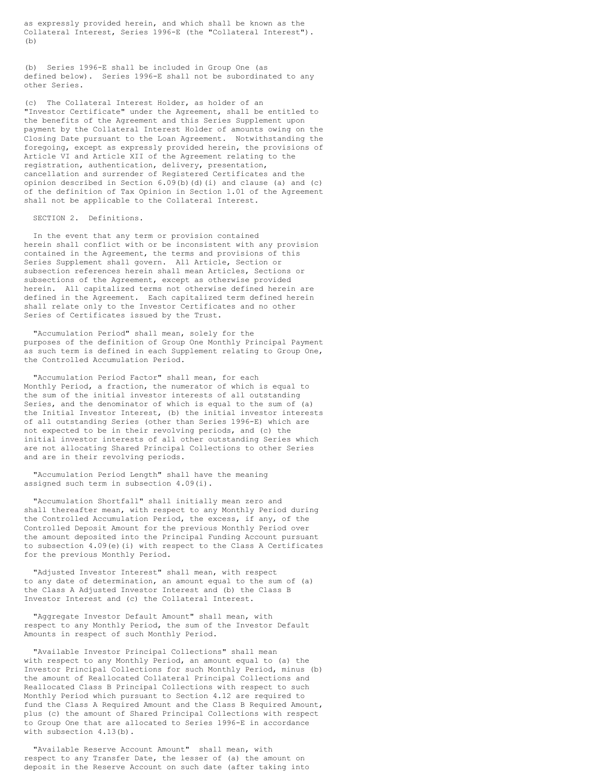as expressly provided herein, and which shall be known as the Collateral Interest, Series 1996-E (the "Collateral Interest").  $(h)$ 

(b) Series 1996-E shall be included in Group One (as defined below). Series 1996-E shall not be subordinated to any other Series.

(c) The Collateral Interest Holder, as holder of an "Investor Certificate" under the Agreement, shall be entitled to the benefits of the Agreement and this Series Supplement upon payment by the Collateral Interest Holder of amounts owing on the Closing Date pursuant to the Loan Agreement. Notwithstanding the foregoing, except as expressly provided herein, the provisions of Article VI and Article XII of the Agreement relating to the registration, authentication, delivery, presentation, cancellation and surrender of Registered Certificates and the opinion described in Section 6.09(b)(d)(i) and clause (a) and (c) of the definition of Tax Opinion in Section 1.01 of the Agreement shall not be applicable to the Collateral Interest.

SECTION 2. Definitions.

In the event that any term or provision contained herein shall conflict with or be inconsistent with any provision contained in the Agreement, the terms and provisions of this Series Supplement shall govern. All Article, Section or subsection references herein shall mean Articles, Sections or subsections of the Agreement, except as otherwise provided herein. All capitalized terms not otherwise defined herein are defined in the Agreement. Each capitalized term defined herein shall relate only to the Investor Certificates and no other Series of Certificates issued by the Trust.

"Accumulation Period" shall mean, solely for the purposes of the definition of Group One Monthly Principal Payment as such term is defined in each Supplement relating to Group One, the Controlled Accumulation Period.

"Accumulation Period Factor" shall mean, for each Monthly Period, a fraction, the numerator of which is equal to the sum of the initial investor interests of all outstanding Series, and the denominator of which is equal to the sum of (a) the Initial Investor Interest, (b) the initial investor interests of all outstanding Series (other than Series 1996-E) which are not expected to be in their revolving periods, and (c) the initial investor interests of all other outstanding Series which are not allocating Shared Principal Collections to other Series and are in their revolving periods.

"Accumulation Period Length" shall have the meaning assigned such term in subsection 4.09(i).

"Accumulation Shortfall" shall initially mean zero and shall thereafter mean, with respect to any Monthly Period during the Controlled Accumulation Period, the excess, if any, of the Controlled Deposit Amount for the previous Monthly Period over the amount deposited into the Principal Funding Account pursuant to subsection  $4.09(e)$  (i) with respect to the Class A Certificates for the previous Monthly Period.

"Adjusted Investor Interest" shall mean, with respect to any date of determination, an amount equal to the sum of (a) the Class A Adjusted Investor Interest and (b) the Class B Investor Interest and (c) the Collateral Interest.

"Aggregate Investor Default Amount" shall mean, with respect to any Monthly Period, the sum of the Investor Default Amounts in respect of such Monthly Period.

"Available Investor Principal Collections" shall mean with respect to any Monthly Period, an amount equal to (a) the Investor Principal Collections for such Monthly Period, minus (b) the amount of Reallocated Collateral Principal Collections and Reallocated Class B Principal Collections with respect to such Monthly Period which pursuant to Section 4.12 are required to fund the Class A Required Amount and the Class B Required Amount, plus (c) the amount of Shared Principal Collections with respect to Group One that are allocated to Series 1996-E in accordance with subsection 4.13(b).

"Available Reserve Account Amount" shall mean, with respect to any Transfer Date, the lesser of (a) the amount on deposit in the Reserve Account on such date (after taking into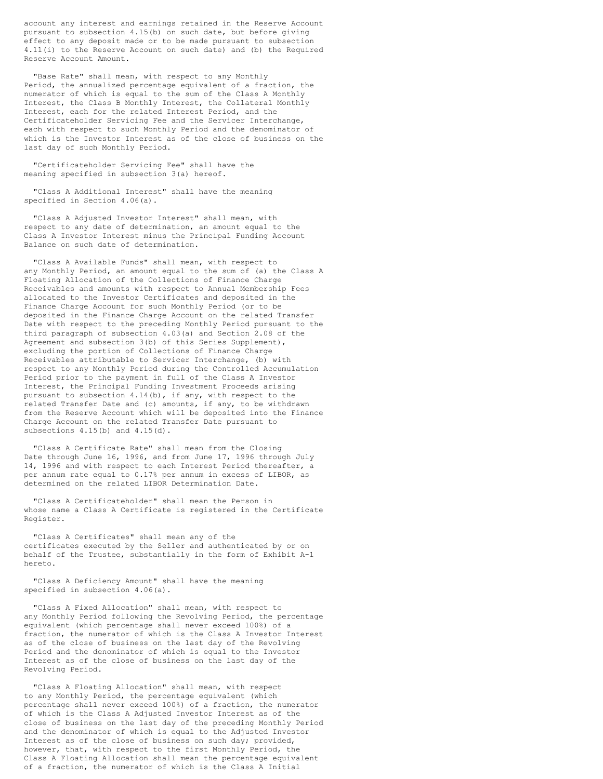account any interest and earnings retained in the Reserve Account pursuant to subsection 4.15(b) on such date, but before giving effect to any deposit made or to be made pursuant to subsection 4.11(i) to the Reserve Account on such date) and (b) the Required Reserve Account Amount.

"Base Rate" shall mean, with respect to any Monthly Period, the annualized percentage equivalent of a fraction, the numerator of which is equal to the sum of the Class A Monthly Interest, the Class B Monthly Interest, the Collateral Monthly Interest, each for the related Interest Period, and the Certificateholder Servicing Fee and the Servicer Interchange, each with respect to such Monthly Period and the denominator of which is the Investor Interest as of the close of business on the last day of such Monthly Period.

"Certificateholder Servicing Fee" shall have the meaning specified in subsection 3(a) hereof.

"Class A Additional Interest" shall have the meaning specified in Section 4.06(a).

"Class A Adjusted Investor Interest" shall mean, with respect to any date of determination, an amount equal to the Class A Investor Interest minus the Principal Funding Account Balance on such date of determination.

"Class A Available Funds" shall mean, with respect to any Monthly Period, an amount equal to the sum of (a) the Class A Floating Allocation of the Collections of Finance Charge Receivables and amounts with respect to Annual Membership Fees allocated to the Investor Certificates and deposited in the Finance Charge Account for such Monthly Period (or to be deposited in the Finance Charge Account on the related Transfer Date with respect to the preceding Monthly Period pursuant to the third paragraph of subsection 4.03(a) and Section 2.08 of the Agreement and subsection 3(b) of this Series Supplement), excluding the portion of Collections of Finance Charge Receivables attributable to Servicer Interchange, (b) with respect to any Monthly Period during the Controlled Accumulation Period prior to the payment in full of the Class A Investor Interest, the Principal Funding Investment Proceeds arising pursuant to subsection 4.14(b), if any, with respect to the related Transfer Date and (c) amounts, if any, to be withdrawn from the Reserve Account which will be deposited into the Finance Charge Account on the related Transfer Date pursuant to subsections 4.15(b) and 4.15(d).

"Class A Certificate Rate" shall mean from the Closing Date through June 16, 1996, and from June 17, 1996 through July 14, 1996 and with respect to each Interest Period thereafter, a per annum rate equal to 0.17% per annum in excess of LIBOR, as determined on the related LIBOR Determination Date.

"Class A Certificateholder" shall mean the Person in whose name a Class A Certificate is registered in the Certificate Register.

"Class A Certificates" shall mean any of the certificates executed by the Seller and authenticated by or on behalf of the Trustee, substantially in the form of Exhibit A-1 hereto.

"Class A Deficiency Amount" shall have the meaning specified in subsection 4.06(a).

"Class A Fixed Allocation" shall mean, with respect to any Monthly Period following the Revolving Period, the percentage equivalent (which percentage shall never exceed 100%) of a fraction, the numerator of which is the Class A Investor Interest as of the close of business on the last day of the Revolving Period and the denominator of which is equal to the Investor Interest as of the close of business on the last day of the Revolving Period.

"Class A Floating Allocation" shall mean, with respect to any Monthly Period, the percentage equivalent (which percentage shall never exceed 100%) of a fraction, the numerator of which is the Class A Adjusted Investor Interest as of the close of business on the last day of the preceding Monthly Period and the denominator of which is equal to the Adjusted Investor Interest as of the close of business on such day; provided, however, that, with respect to the first Monthly Period, the Class A Floating Allocation shall mean the percentage equivalent of a fraction, the numerator of which is the Class A Initial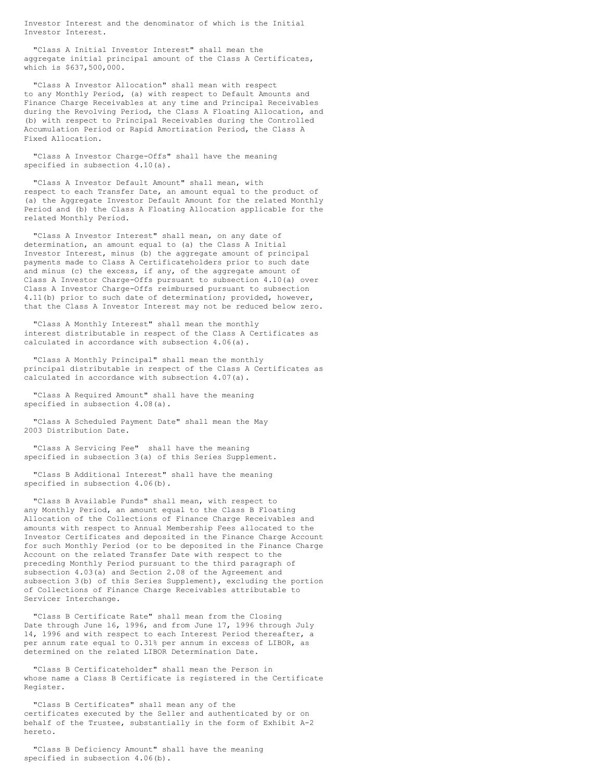Investor Interest and the denominator of which is the Initial Investor Interest.

"Class A Initial Investor Interest" shall mean the aggregate initial principal amount of the Class A Certificates, which is \$637,500,000.

"Class A Investor Allocation" shall mean with respect to any Monthly Period, (a) with respect to Default Amounts and Finance Charge Receivables at any time and Principal Receivables during the Revolving Period, the Class A Floating Allocation, and (b) with respect to Principal Receivables during the Controlled Accumulation Period or Rapid Amortization Period, the Class A Fixed Allocation.

"Class A Investor Charge-Offs" shall have the meaning specified in subsection 4.10(a).

"Class A Investor Default Amount" shall mean, with respect to each Transfer Date, an amount equal to the product of (a) the Aggregate Investor Default Amount for the related Monthly Period and (b) the Class A Floating Allocation applicable for the related Monthly Period.

"Class A Investor Interest" shall mean, on any date of determination, an amount equal to (a) the Class A Initial Investor Interest, minus (b) the aggregate amount of principal payments made to Class A Certificateholders prior to such date and minus (c) the excess, if any, of the aggregate amount of Class A Investor Charge-Offs pursuant to subsection 4.10(a) over Class A Investor Charge-Offs reimbursed pursuant to subsection 4.11(b) prior to such date of determination; provided, however, that the Class A Investor Interest may not be reduced below zero.

"Class A Monthly Interest" shall mean the monthly interest distributable in respect of the Class A Certificates as calculated in accordance with subsection 4.06(a).

"Class A Monthly Principal" shall mean the monthly principal distributable in respect of the Class A Certificates as calculated in accordance with subsection 4.07(a).

"Class A Required Amount" shall have the meaning specified in subsection 4.08(a).

"Class A Scheduled Payment Date" shall mean the May 2003 Distribution Date.

"Class A Servicing Fee" shall have the meaning specified in subsection 3(a) of this Series Supplement.

"Class B Additional Interest" shall have the meaning specified in subsection 4.06(b).

"Class B Available Funds" shall mean, with respect to any Monthly Period, an amount equal to the Class B Floating Allocation of the Collections of Finance Charge Receivables and amounts with respect to Annual Membership Fees allocated to the Investor Certificates and deposited in the Finance Charge Account for such Monthly Period (or to be deposited in the Finance Charge Account on the related Transfer Date with respect to the preceding Monthly Period pursuant to the third paragraph of subsection 4.03(a) and Section 2.08 of the Agreement and subsection 3(b) of this Series Supplement), excluding the portion of Collections of Finance Charge Receivables attributable to Servicer Interchange.

"Class B Certificate Rate" shall mean from the Closing Date through June 16, 1996, and from June 17, 1996 through July 14, 1996 and with respect to each Interest Period thereafter, a per annum rate equal to 0.31% per annum in excess of LIBOR, as determined on the related LIBOR Determination Date.

"Class B Certificateholder" shall mean the Person in whose name a Class B Certificate is registered in the Certificate Register.

"Class B Certificates" shall mean any of the certificates executed by the Seller and authenticated by or on behalf of the Trustee, substantially in the form of Exhibit A-2 hereto.

"Class B Deficiency Amount" shall have the meaning specified in subsection 4.06(b).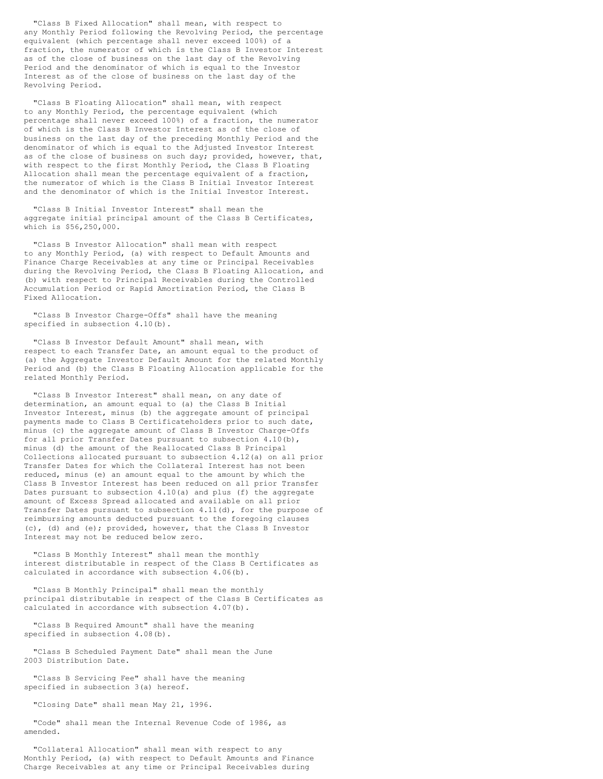"Class B Fixed Allocation" shall mean, with respect to any Monthly Period following the Revolving Period, the percentage equivalent (which percentage shall never exceed 100%) of a fraction, the numerator of which is the Class B Investor Interest as of the close of business on the last day of the Revolving Period and the denominator of which is equal to the Investor Interest as of the close of business on the last day of the Revolving Period.

"Class B Floating Allocation" shall mean, with respect to any Monthly Period, the percentage equivalent (which percentage shall never exceed 100%) of a fraction, the numerator of which is the Class B Investor Interest as of the close of business on the last day of the preceding Monthly Period and the denominator of which is equal to the Adjusted Investor Interest as of the close of business on such day; provided, however, that, with respect to the first Monthly Period, the Class B Floating Allocation shall mean the percentage equivalent of a fraction, the numerator of which is the Class B Initial Investor Interest and the denominator of which is the Initial Investor Interest.

"Class B Initial Investor Interest" shall mean the aggregate initial principal amount of the Class B Certificates, which is \$56,250,000.

"Class B Investor Allocation" shall mean with respect to any Monthly Period, (a) with respect to Default Amounts and Finance Charge Receivables at any time or Principal Receivables during the Revolving Period, the Class B Floating Allocation, and (b) with respect to Principal Receivables during the Controlled Accumulation Period or Rapid Amortization Period, the Class B Fixed Allocation.

"Class B Investor Charge-Offs" shall have the meaning specified in subsection 4.10(b).

"Class B Investor Default Amount" shall mean, with respect to each Transfer Date, an amount equal to the product of (a) the Aggregate Investor Default Amount for the related Monthly Period and (b) the Class B Floating Allocation applicable for the related Monthly Period.

"Class B Investor Interest" shall mean, on any date of determination, an amount equal to (a) the Class B Initial Investor Interest, minus (b) the aggregate amount of principal payments made to Class B Certificateholders prior to such date, minus (c) the aggregate amount of Class B Investor Charge-Offs for all prior Transfer Dates pursuant to subsection 4.10(b), minus (d) the amount of the Reallocated Class B Principal Collections allocated pursuant to subsection 4.12(a) on all prior Transfer Dates for which the Collateral Interest has not been reduced, minus (e) an amount equal to the amount by which the Class B Investor Interest has been reduced on all prior Transfer Dates pursuant to subsection 4.10(a) and plus (f) the aggregate amount of Excess Spread allocated and available on all prior Transfer Dates pursuant to subsection 4.11(d), for the purpose of reimbursing amounts deducted pursuant to the foregoing clauses (c), (d) and (e); provided, however, that the Class B Investor Interest may not be reduced below zero.

"Class B Monthly Interest" shall mean the monthly interest distributable in respect of the Class B Certificates as calculated in accordance with subsection 4.06(b).

"Class B Monthly Principal" shall mean the monthly principal distributable in respect of the Class B Certificates as calculated in accordance with subsection 4.07(b).

"Class B Required Amount" shall have the meaning specified in subsection 4.08(b).

"Class B Scheduled Payment Date" shall mean the June 2003 Distribution Date.

"Class B Servicing Fee" shall have the meaning specified in subsection 3(a) hereof.

"Closing Date" shall mean May 21, 1996.

"Code" shall mean the Internal Revenue Code of 1986, as amended.

"Collateral Allocation" shall mean with respect to any Monthly Period, (a) with respect to Default Amounts and Finance Charge Receivables at any time or Principal Receivables during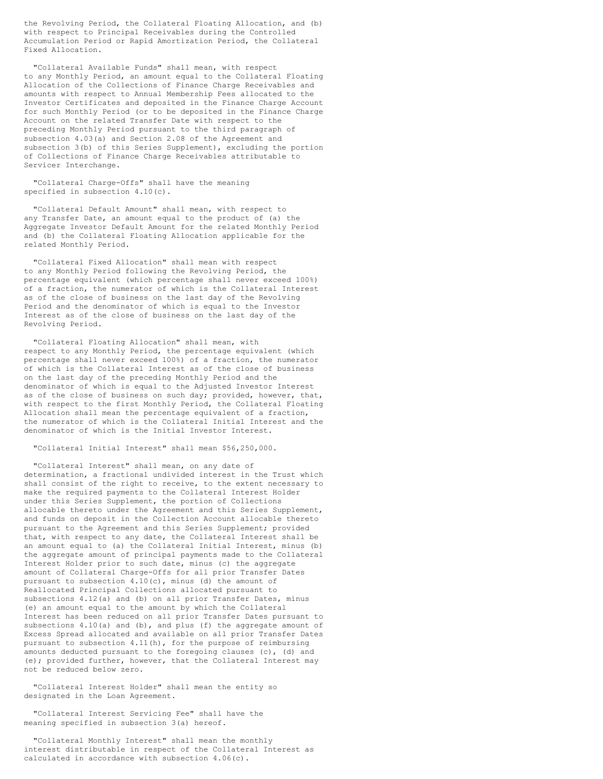the Revolving Period, the Collateral Floating Allocation, and (b) with respect to Principal Receivables during the Controlled Accumulation Period or Rapid Amortization Period, the Collateral Fixed Allocation.

"Collateral Available Funds" shall mean, with respect to any Monthly Period, an amount equal to the Collateral Floating Allocation of the Collections of Finance Charge Receivables and amounts with respect to Annual Membership Fees allocated to the Investor Certificates and deposited in the Finance Charge Account for such Monthly Period (or to be deposited in the Finance Charge Account on the related Transfer Date with respect to the preceding Monthly Period pursuant to the third paragraph of subsection 4.03(a) and Section 2.08 of the Agreement and subsection 3(b) of this Series Supplement), excluding the portion of Collections of Finance Charge Receivables attributable to Servicer Interchange.

"Collateral Charge-Offs" shall have the meaning specified in subsection 4.10(c).

"Collateral Default Amount" shall mean, with respect to any Transfer Date, an amount equal to the product of (a) the Aggregate Investor Default Amount for the related Monthly Period and (b) the Collateral Floating Allocation applicable for the related Monthly Period.

"Collateral Fixed Allocation" shall mean with respect to any Monthly Period following the Revolving Period, the percentage equivalent (which percentage shall never exceed 100%) of a fraction, the numerator of which is the Collateral Interest as of the close of business on the last day of the Revolving Period and the denominator of which is equal to the Investor Interest as of the close of business on the last day of the Revolving Period.

"Collateral Floating Allocation" shall mean, with respect to any Monthly Period, the percentage equivalent (which percentage shall never exceed 100%) of a fraction, the numerator of which is the Collateral Interest as of the close of business on the last day of the preceding Monthly Period and the denominator of which is equal to the Adjusted Investor Interest as of the close of business on such day; provided, however, that, with respect to the first Monthly Period, the Collateral Floating Allocation shall mean the percentage equivalent of a fraction, the numerator of which is the Collateral Initial Interest and the denominator of which is the Initial Investor Interest.

"Collateral Initial Interest" shall mean \$56,250,000.

"Collateral Interest" shall mean, on any date of determination, a fractional undivided interest in the Trust which shall consist of the right to receive, to the extent necessary to make the required payments to the Collateral Interest Holder under this Series Supplement, the portion of Collections allocable thereto under the Agreement and this Series Supplement, and funds on deposit in the Collection Account allocable thereto pursuant to the Agreement and this Series Supplement; provided that, with respect to any date, the Collateral Interest shall be an amount equal to (a) the Collateral Initial Interest, minus (b) the aggregate amount of principal payments made to the Collateral Interest Holder prior to such date, minus (c) the aggregate amount of Collateral Charge-Offs for all prior Transfer Dates pursuant to subsection 4.10(c), minus (d) the amount of Reallocated Principal Collections allocated pursuant to subsections 4.12(a) and (b) on all prior Transfer Dates, minus (e) an amount equal to the amount by which the Collateral Interest has been reduced on all prior Transfer Dates pursuant to subsections  $4.10(a)$  and (b), and plus (f) the aggregate amount of Excess Spread allocated and available on all prior Transfer Dates pursuant to subsection 4.11(h), for the purpose of reimbursing amounts deducted pursuant to the foregoing clauses  $(c)$ ,  $(d)$  and (e); provided further, however, that the Collateral Interest may not be reduced below zero.

"Collateral Interest Holder" shall mean the entity so designated in the Loan Agreement.

"Collateral Interest Servicing Fee" shall have the meaning specified in subsection 3(a) hereof.

"Collateral Monthly Interest" shall mean the monthly interest distributable in respect of the Collateral Interest as calculated in accordance with subsection 4.06(c).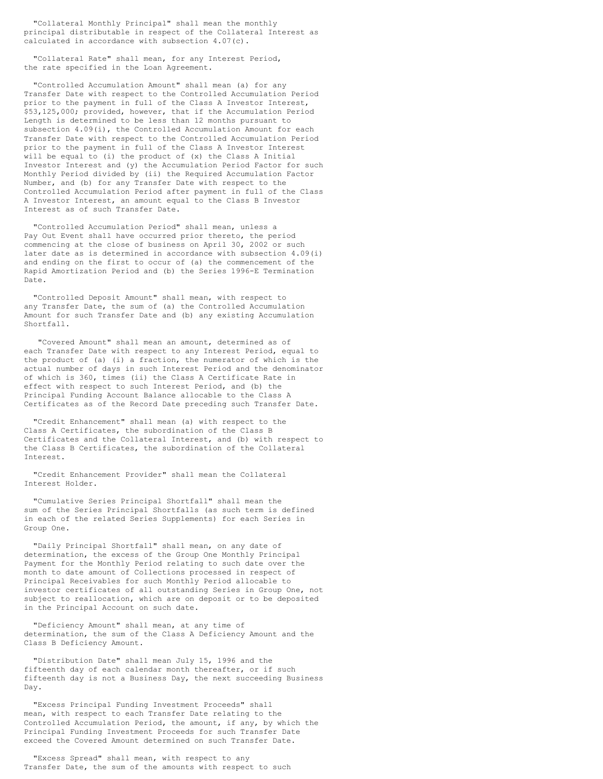"Collateral Monthly Principal" shall mean the monthly principal distributable in respect of the Collateral Interest as calculated in accordance with subsection 4.07(c).

"Collateral Rate" shall mean, for any Interest Period, the rate specified in the Loan Agreement.

"Controlled Accumulation Amount" shall mean (a) for any Transfer Date with respect to the Controlled Accumulation Period prior to the payment in full of the Class A Investor Interest, \$53,125,000; provided, however, that if the Accumulation Period Length is determined to be less than 12 months pursuant to subsection 4.09(i), the Controlled Accumulation Amount for each Transfer Date with respect to the Controlled Accumulation Period prior to the payment in full of the Class A Investor Interest will be equal to (i) the product of (x) the Class A Initial Investor Interest and (y) the Accumulation Period Factor for such Monthly Period divided by (ii) the Required Accumulation Factor Number, and (b) for any Transfer Date with respect to the Controlled Accumulation Period after payment in full of the Class A Investor Interest, an amount equal to the Class B Investor Interest as of such Transfer Date.

"Controlled Accumulation Period" shall mean, unless a Pay Out Event shall have occurred prior thereto, the period commencing at the close of business on April 30, 2002 or such later date as is determined in accordance with subsection 4.09(i) and ending on the first to occur of (a) the commencement of the Rapid Amortization Period and (b) the Series 1996-E Termination Date.

"Controlled Deposit Amount" shall mean, with respect to any Transfer Date, the sum of (a) the Controlled Accumulation Amount for such Transfer Date and (b) any existing Accumulation Shortfall.

"Covered Amount" shall mean an amount, determined as of each Transfer Date with respect to any Interest Period, equal to the product of (a) (i) a fraction, the numerator of which is the actual number of days in such Interest Period and the denominator of which is 360, times (ii) the Class A Certificate Rate in effect with respect to such Interest Period, and (b) the Principal Funding Account Balance allocable to the Class A Certificates as of the Record Date preceding such Transfer Date.

"Credit Enhancement" shall mean (a) with respect to the Class A Certificates, the subordination of the Class B Certificates and the Collateral Interest, and (b) with respect to the Class B Certificates, the subordination of the Collateral Interest.

"Credit Enhancement Provider" shall mean the Collateral Interest Holder.

"Cumulative Series Principal Shortfall" shall mean the sum of the Series Principal Shortfalls (as such term is defined in each of the related Series Supplements) for each Series in Group One.

"Daily Principal Shortfall" shall mean, on any date of determination, the excess of the Group One Monthly Principal Payment for the Monthly Period relating to such date over the month to date amount of Collections processed in respect of Principal Receivables for such Monthly Period allocable to investor certificates of all outstanding Series in Group One, not subject to reallocation, which are on deposit or to be deposited in the Principal Account on such date.

"Deficiency Amount" shall mean, at any time of determination, the sum of the Class A Deficiency Amount and the Class B Deficiency Amount.

"Distribution Date" shall mean July 15, 1996 and the fifteenth day of each calendar month thereafter, or if such fifteenth day is not a Business Day, the next succeeding Business Day.

"Excess Principal Funding Investment Proceeds" shall mean, with respect to each Transfer Date relating to the Controlled Accumulation Period, the amount, if any, by which the Principal Funding Investment Proceeds for such Transfer Date exceed the Covered Amount determined on such Transfer Date.

"Excess Spread" shall mean, with respect to any Transfer Date, the sum of the amounts with respect to such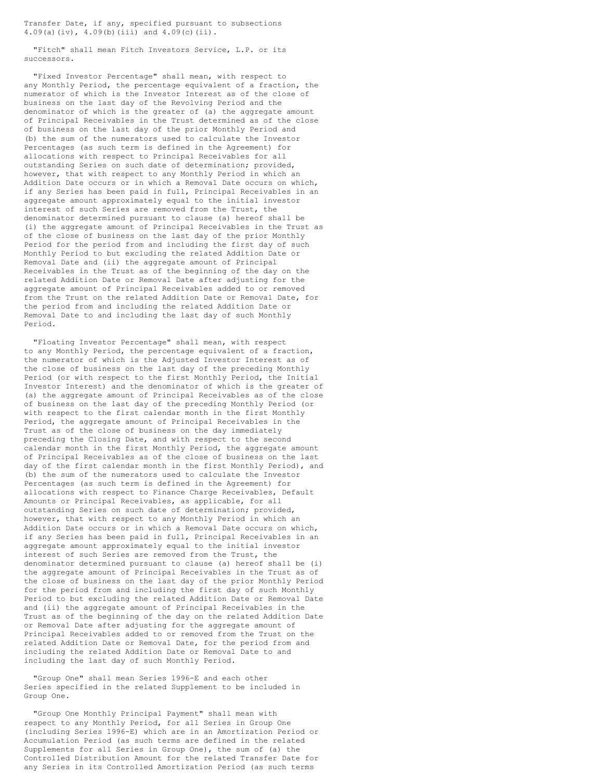Transfer Date, if any, specified pursuant to subsections 4.09(a)(iv), 4.09(b)(iii) and 4.09(c)(ii).

"Fitch" shall mean Fitch Investors Service, L.P. or its successors.

"Fixed Investor Percentage" shall mean, with respect to any Monthly Period, the percentage equivalent of a fraction, the numerator of which is the Investor Interest as of the close of business on the last day of the Revolving Period and the denominator of which is the greater of (a) the aggregate amount of Principal Receivables in the Trust determined as of the close of business on the last day of the prior Monthly Period and (b) the sum of the numerators used to calculate the Investor Percentages (as such term is defined in the Agreement) for allocations with respect to Principal Receivables for all outstanding Series on such date of determination; provided, however, that with respect to any Monthly Period in which an Addition Date occurs or in which a Removal Date occurs on which, if any Series has been paid in full, Principal Receivables in an aggregate amount approximately equal to the initial investor interest of such Series are removed from the Trust, the denominator determined pursuant to clause (a) hereof shall be (i) the aggregate amount of Principal Receivables in the Trust as of the close of business on the last day of the prior Monthly Period for the period from and including the first day of such Monthly Period to but excluding the related Addition Date or Removal Date and (ii) the aggregate amount of Principal Receivables in the Trust as of the beginning of the day on the related Addition Date or Removal Date after adjusting for the aggregate amount of Principal Receivables added to or removed from the Trust on the related Addition Date or Removal Date, for the period from and including the related Addition Date or Removal Date to and including the last day of such Monthly Period.

"Floating Investor Percentage" shall mean, with respect to any Monthly Period, the percentage equivalent of a fraction, the numerator of which is the Adjusted Investor Interest as of the close of business on the last day of the preceding Monthly Period (or with respect to the first Monthly Period, the Initial Investor Interest) and the denominator of which is the greater of (a) the aggregate amount of Principal Receivables as of the close of business on the last day of the preceding Monthly Period (or with respect to the first calendar month in the first Monthly Period, the aggregate amount of Principal Receivables in the Trust as of the close of business on the day immediately preceding the Closing Date, and with respect to the second calendar month in the first Monthly Period, the aggregate amount of Principal Receivables as of the close of business on the last day of the first calendar month in the first Monthly Period), and (b) the sum of the numerators used to calculate the Investor Percentages (as such term is defined in the Agreement) for allocations with respect to Finance Charge Receivables, Default Amounts or Principal Receivables, as applicable, for all outstanding Series on such date of determination; provided, however, that with respect to any Monthly Period in which an Addition Date occurs or in which a Removal Date occurs on which, if any Series has been paid in full, Principal Receivables in an aggregate amount approximately equal to the initial investor interest of such Series are removed from the Trust, the denominator determined pursuant to clause (a) hereof shall be (i) the aggregate amount of Principal Receivables in the Trust as of the close of business on the last day of the prior Monthly Period for the period from and including the first day of such Monthly Period to but excluding the related Addition Date or Removal Date and (ii) the aggregate amount of Principal Receivables in the Trust as of the beginning of the day on the related Addition Date or Removal Date after adjusting for the aggregate amount of Principal Receivables added to or removed from the Trust on the related Addition Date or Removal Date, for the period from and including the related Addition Date or Removal Date to and including the last day of such Monthly Period.

"Group One" shall mean Series 1996-E and each other Series specified in the related Supplement to be included in Group One.

"Group One Monthly Principal Payment" shall mean with respect to any Monthly Period, for all Series in Group One (including Series 1996-E) which are in an Amortization Period or Accumulation Period (as such terms are defined in the related Supplements for all Series in Group One), the sum of (a) the Controlled Distribution Amount for the related Transfer Date for any Series in its Controlled Amortization Period (as such terms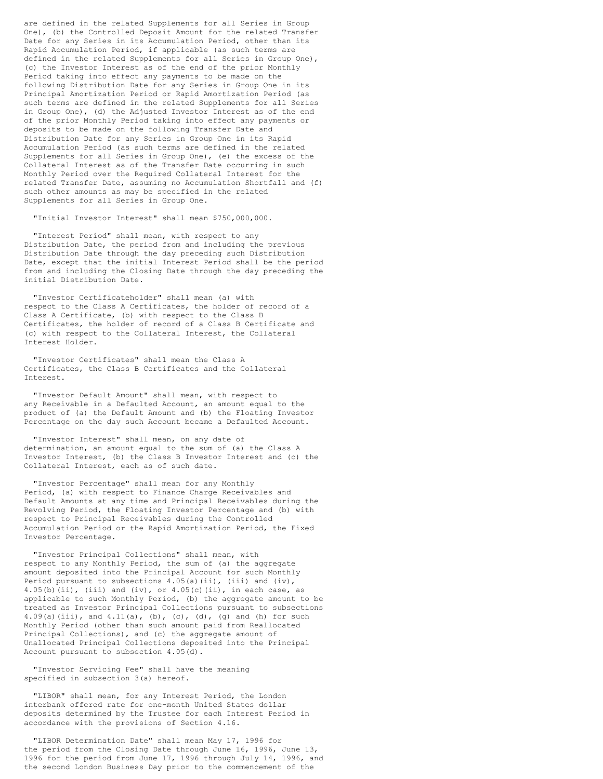are defined in the related Supplements for all Series in Group One), (b) the Controlled Deposit Amount for the related Transfer Date for any Series in its Accumulation Period, other than its Rapid Accumulation Period, if applicable (as such terms are defined in the related Supplements for all Series in Group One), (c) the Investor Interest as of the end of the prior Monthly Period taking into effect any payments to be made on the following Distribution Date for any Series in Group One in its Principal Amortization Period or Rapid Amortization Period (as such terms are defined in the related Supplements for all Series in Group One), (d) the Adjusted Investor Interest as of the end of the prior Monthly Period taking into effect any payments or deposits to be made on the following Transfer Date and Distribution Date for any Series in Group One in its Rapid Accumulation Period (as such terms are defined in the related Supplements for all Series in Group One), (e) the excess of the Collateral Interest as of the Transfer Date occurring in such Monthly Period over the Required Collateral Interest for the related Transfer Date, assuming no Accumulation Shortfall and (f) such other amounts as may be specified in the related Supplements for all Series in Group One.

"Initial Investor Interest" shall mean \$750,000,000.

"Interest Period" shall mean, with respect to any Distribution Date, the period from and including the previous Distribution Date through the day preceding such Distribution Date, except that the initial Interest Period shall be the period from and including the Closing Date through the day preceding the initial Distribution Date.

"Investor Certificateholder" shall mean (a) with respect to the Class A Certificates, the holder of record of a Class A Certificate, (b) with respect to the Class B Certificates, the holder of record of a Class B Certificate and (c) with respect to the Collateral Interest, the Collateral Interest Holder.

"Investor Certificates" shall mean the Class A Certificates, the Class B Certificates and the Collateral Interest.

"Investor Default Amount" shall mean, with respect to any Receivable in a Defaulted Account, an amount equal to the product of (a) the Default Amount and (b) the Floating Investor Percentage on the day such Account became a Defaulted Account.

"Investor Interest" shall mean, on any date of determination, an amount equal to the sum of (a) the Class A Investor Interest, (b) the Class B Investor Interest and (c) the Collateral Interest, each as of such date.

"Investor Percentage" shall mean for any Monthly Period, (a) with respect to Finance Charge Receivables and Default Amounts at any time and Principal Receivables during the Revolving Period, the Floating Investor Percentage and (b) with respect to Principal Receivables during the Controlled Accumulation Period or the Rapid Amortization Period, the Fixed Investor Percentage.

"Investor Principal Collections" shall mean, with respect to any Monthly Period, the sum of (a) the aggregate amount deposited into the Principal Account for such Monthly Period pursuant to subsections 4.05(a)(ii), (iii) and (iv), 4.05(b)(ii), (iii) and (iv), or  $4.05(c)$ (ii), in each case, as applicable to such Monthly Period, (b) the aggregate amount to be treated as Investor Principal Collections pursuant to subsections 4.09(a)(iii), and 4.11(a), (b), (c), (d), (g) and (h) for such Monthly Period (other than such amount paid from Reallocated Principal Collections), and (c) the aggregate amount of Unallocated Principal Collections deposited into the Principal Account pursuant to subsection 4.05(d).

"Investor Servicing Fee" shall have the meaning specified in subsection 3(a) hereof.

"LIBOR" shall mean, for any Interest Period, the London interbank offered rate for one-month United States dollar deposits determined by the Trustee for each Interest Period in accordance with the provisions of Section 4.16.

"LIBOR Determination Date" shall mean May 17, 1996 for the period from the Closing Date through June 16, 1996, June 13, 1996 for the period from June 17, 1996 through July 14, 1996, and the second London Business Day prior to the commencement of the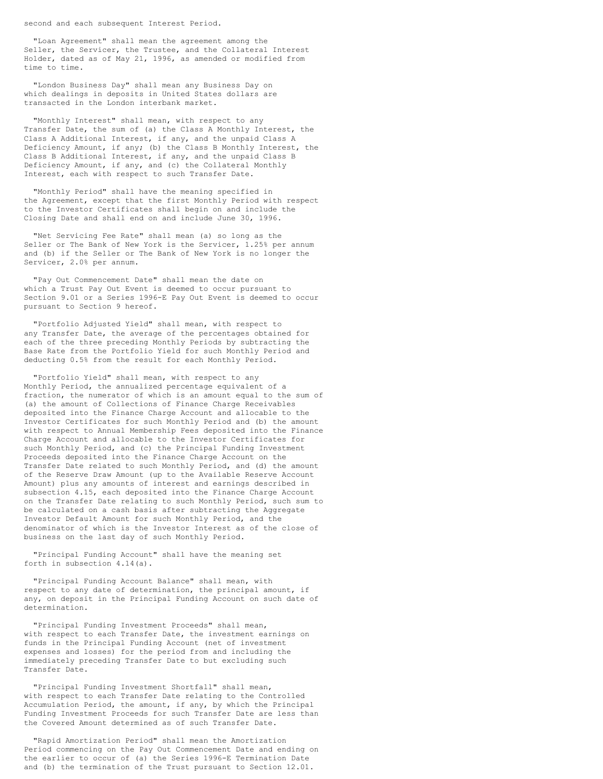second and each subsequent Interest Period.

"Loan Agreement" shall mean the agreement among the Seller, the Servicer, the Trustee, and the Collateral Interest Holder, dated as of May 21, 1996, as amended or modified from time to time.

"London Business Day" shall mean any Business Day on which dealings in deposits in United States dollars are transacted in the London interbank market.

"Monthly Interest" shall mean, with respect to any Transfer Date, the sum of (a) the Class A Monthly Interest, the Class A Additional Interest, if any, and the unpaid Class A Deficiency Amount, if any; (b) the Class B Monthly Interest, the Class B Additional Interest, if any, and the unpaid Class B Deficiency Amount, if any, and (c) the Collateral Monthly Interest, each with respect to such Transfer Date.

"Monthly Period" shall have the meaning specified in the Agreement, except that the first Monthly Period with respect to the Investor Certificates shall begin on and include the Closing Date and shall end on and include June 30, 1996.

"Net Servicing Fee Rate" shall mean (a) so long as the Seller or The Bank of New York is the Servicer, 1.25% per annum and (b) if the Seller or The Bank of New York is no longer the Servicer, 2.0% per annum.

"Pay Out Commencement Date" shall mean the date on which a Trust Pay Out Event is deemed to occur pursuant to Section 9.01 or a Series 1996-E Pay Out Event is deemed to occur pursuant to Section 9 hereof.

"Portfolio Adjusted Yield" shall mean, with respect to any Transfer Date, the average of the percentages obtained for each of the three preceding Monthly Periods by subtracting the Base Rate from the Portfolio Yield for such Monthly Period and deducting 0.5% from the result for each Monthly Period.

"Portfolio Yield" shall mean, with respect to any Monthly Period, the annualized percentage equivalent of a fraction, the numerator of which is an amount equal to the sum of (a) the amount of Collections of Finance Charge Receivables deposited into the Finance Charge Account and allocable to the Investor Certificates for such Monthly Period and (b) the amount with respect to Annual Membership Fees deposited into the Finance Charge Account and allocable to the Investor Certificates for such Monthly Period, and (c) the Principal Funding Investment Proceeds deposited into the Finance Charge Account on the Transfer Date related to such Monthly Period, and (d) the amount of the Reserve Draw Amount (up to the Available Reserve Account Amount) plus any amounts of interest and earnings described in subsection 4.15, each deposited into the Finance Charge Account on the Transfer Date relating to such Monthly Period, such sum to be calculated on a cash basis after subtracting the Aggregate Investor Default Amount for such Monthly Period, and the denominator of which is the Investor Interest as of the close of business on the last day of such Monthly Period.

"Principal Funding Account" shall have the meaning set forth in subsection 4.14(a).

"Principal Funding Account Balance" shall mean, with respect to any date of determination, the principal amount, if any, on deposit in the Principal Funding Account on such date of determination.

"Principal Funding Investment Proceeds" shall mean, with respect to each Transfer Date, the investment earnings on funds in the Principal Funding Account (net of investment expenses and losses) for the period from and including the immediately preceding Transfer Date to but excluding such Transfer Date.

"Principal Funding Investment Shortfall" shall mean, with respect to each Transfer Date relating to the Controlled Accumulation Period, the amount, if any, by which the Principal Funding Investment Proceeds for such Transfer Date are less than the Covered Amount determined as of such Transfer Date.

"Rapid Amortization Period" shall mean the Amortization Period commencing on the Pay Out Commencement Date and ending on the earlier to occur of (a) the Series 1996-E Termination Date and (b) the termination of the Trust pursuant to Section 12.01.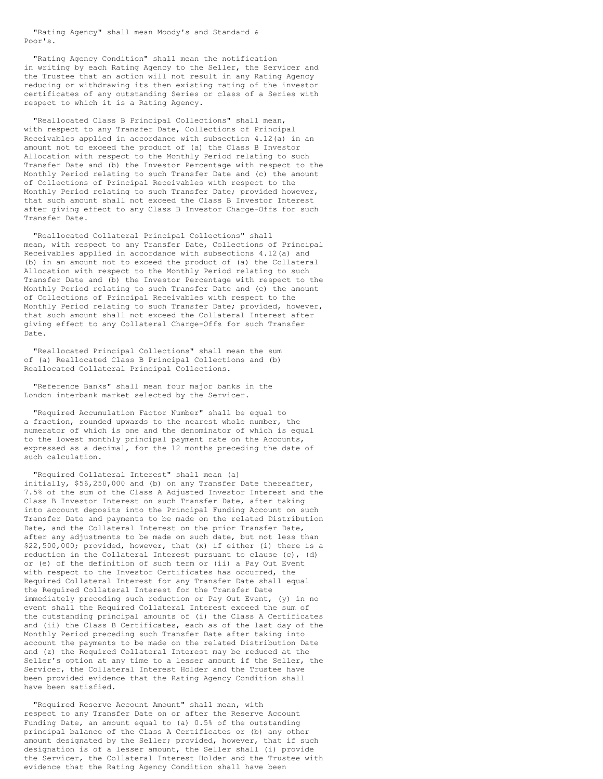"Rating Agency" shall mean Moody's and Standard & Poor's.

"Rating Agency Condition" shall mean the notification in writing by each Rating Agency to the Seller, the Servicer and the Trustee that an action will not result in any Rating Agency reducing or withdrawing its then existing rating of the investor certificates of any outstanding Series or class of a Series with respect to which it is a Rating Agency.

"Reallocated Class B Principal Collections" shall mean, with respect to any Transfer Date, Collections of Principal Receivables applied in accordance with subsection 4.12(a) in an amount not to exceed the product of (a) the Class B Investor Allocation with respect to the Monthly Period relating to such Transfer Date and (b) the Investor Percentage with respect to the Monthly Period relating to such Transfer Date and (c) the amount of Collections of Principal Receivables with respect to the Monthly Period relating to such Transfer Date; provided however, that such amount shall not exceed the Class B Investor Interest after giving effect to any Class B Investor Charge-Offs for such Transfer Date.

"Reallocated Collateral Principal Collections" shall mean, with respect to any Transfer Date, Collections of Principal Receivables applied in accordance with subsections 4.12(a) and (b) in an amount not to exceed the product of (a) the Collateral Allocation with respect to the Monthly Period relating to such Transfer Date and (b) the Investor Percentage with respect to the Monthly Period relating to such Transfer Date and (c) the amount of Collections of Principal Receivables with respect to the Monthly Period relating to such Transfer Date; provided, however, that such amount shall not exceed the Collateral Interest after giving effect to any Collateral Charge-Offs for such Transfer Date.

"Reallocated Principal Collections" shall mean the sum of (a) Reallocated Class B Principal Collections and (b) Reallocated Collateral Principal Collections.

"Reference Banks" shall mean four major banks in the London interbank market selected by the Servicer.

"Required Accumulation Factor Number" shall be equal to a fraction, rounded upwards to the nearest whole number, the numerator of which is one and the denominator of which is equal to the lowest monthly principal payment rate on the Accounts, expressed as a decimal, for the 12 months preceding the date of such calculation.

"Required Collateral Interest" shall mean (a) initially, \$56,250,000 and (b) on any Transfer Date thereafter, 7.5% of the sum of the Class A Adjusted Investor Interest and the Class B Investor Interest on such Transfer Date, after taking into account deposits into the Principal Funding Account on such Transfer Date and payments to be made on the related Distribution Date, and the Collateral Interest on the prior Transfer Date, after any adjustments to be made on such date, but not less than \$22,500,000; provided, however, that (x) if either (i) there is a reduction in the Collateral Interest pursuant to clause (c), (d) or (e) of the definition of such term or (ii) a Pay Out Event with respect to the Investor Certificates has occurred, the Required Collateral Interest for any Transfer Date shall equal the Required Collateral Interest for the Transfer Date immediately preceding such reduction or Pay Out Event, (y) in no event shall the Required Collateral Interest exceed the sum of the outstanding principal amounts of (i) the Class A Certificates and (ii) the Class B Certificates, each as of the last day of the Monthly Period preceding such Transfer Date after taking into account the payments to be made on the related Distribution Date and (z) the Required Collateral Interest may be reduced at the Seller's option at any time to a lesser amount if the Seller, the Servicer, the Collateral Interest Holder and the Trustee have been provided evidence that the Rating Agency Condition shall have been satisfied.

"Required Reserve Account Amount" shall mean, with respect to any Transfer Date on or after the Reserve Account Funding Date, an amount equal to (a) 0.5% of the outstanding principal balance of the Class A Certificates or (b) any other amount designated by the Seller; provided, however, that if such designation is of a lesser amount, the Seller shall (i) provide the Servicer, the Collateral Interest Holder and the Trustee with evidence that the Rating Agency Condition shall have been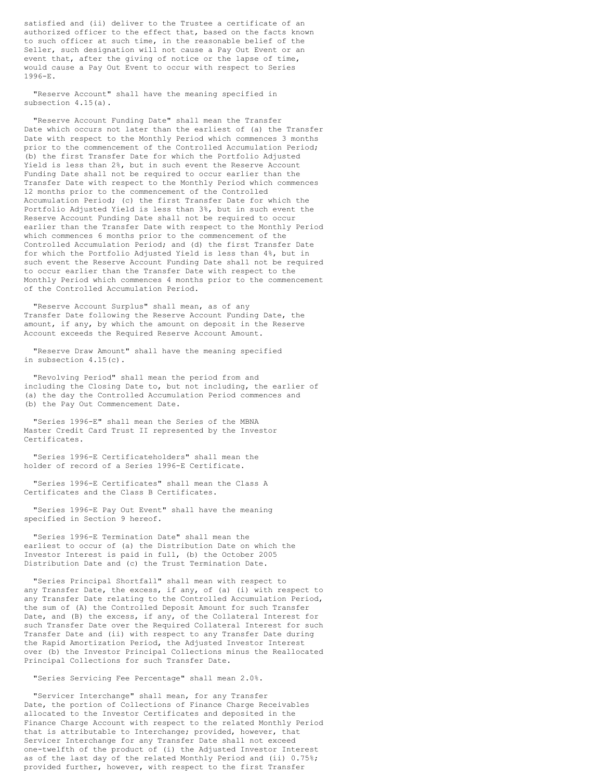satisfied and (ii) deliver to the Trustee a certificate of an authorized officer to the effect that, based on the facts known to such officer at such time, in the reasonable belief of the Seller, such designation will not cause a Pay Out Event or an event that, after the giving of notice or the lapse of time, would cause a Pay Out Event to occur with respect to Series 1996-E.

"Reserve Account" shall have the meaning specified in subsection 4.15(a).

"Reserve Account Funding Date" shall mean the Transfer Date which occurs not later than the earliest of (a) the Transfer Date with respect to the Monthly Period which commences 3 months prior to the commencement of the Controlled Accumulation Period; (b) the first Transfer Date for which the Portfolio Adjusted Yield is less than 2%, but in such event the Reserve Account Funding Date shall not be required to occur earlier than the Transfer Date with respect to the Monthly Period which commences 12 months prior to the commencement of the Controlled Accumulation Period; (c) the first Transfer Date for which the Portfolio Adjusted Yield is less than 3%, but in such event the Reserve Account Funding Date shall not be required to occur earlier than the Transfer Date with respect to the Monthly Period which commences 6 months prior to the commencement of the Controlled Accumulation Period; and (d) the first Transfer Date for which the Portfolio Adjusted Yield is less than 4%, but in such event the Reserve Account Funding Date shall not be required to occur earlier than the Transfer Date with respect to the Monthly Period which commences 4 months prior to the commencement of the Controlled Accumulation Period.

"Reserve Account Surplus" shall mean, as of any Transfer Date following the Reserve Account Funding Date, the amount, if any, by which the amount on deposit in the Reserve Account exceeds the Required Reserve Account Amount.

"Reserve Draw Amount" shall have the meaning specified in subsection 4.15(c).

"Revolving Period" shall mean the period from and including the Closing Date to, but not including, the earlier of (a) the day the Controlled Accumulation Period commences and (b) the Pay Out Commencement Date.

"Series 1996-E" shall mean the Series of the MBNA Master Credit Card Trust II represented by the Investor Certificates.

"Series 1996-E Certificateholders" shall mean the holder of record of a Series 1996-E Certificate.

"Series 1996-E Certificates" shall mean the Class A Certificates and the Class B Certificates.

"Series 1996-E Pay Out Event" shall have the meaning specified in Section 9 hereof.

"Series 1996-E Termination Date" shall mean the earliest to occur of (a) the Distribution Date on which the Investor Interest is paid in full, (b) the October 2005 Distribution Date and (c) the Trust Termination Date.

"Series Principal Shortfall" shall mean with respect to any Transfer Date, the excess, if any, of (a) (i) with respect to any Transfer Date relating to the Controlled Accumulation Period, the sum of (A) the Controlled Deposit Amount for such Transfer Date, and (B) the excess, if any, of the Collateral Interest for such Transfer Date over the Required Collateral Interest for such Transfer Date and (ii) with respect to any Transfer Date during the Rapid Amortization Period, the Adjusted Investor Interest over (b) the Investor Principal Collections minus the Reallocated Principal Collections for such Transfer Date.

"Series Servicing Fee Percentage" shall mean 2.0%.

"Servicer Interchange" shall mean, for any Transfer Date, the portion of Collections of Finance Charge Receivables allocated to the Investor Certificates and deposited in the Finance Charge Account with respect to the related Monthly Period that is attributable to Interchange; provided, however, that Servicer Interchange for any Transfer Date shall not exceed one-twelfth of the product of (i) the Adjusted Investor Interest as of the last day of the related Monthly Period and (ii) 0.75%; provided further, however, with respect to the first Transfer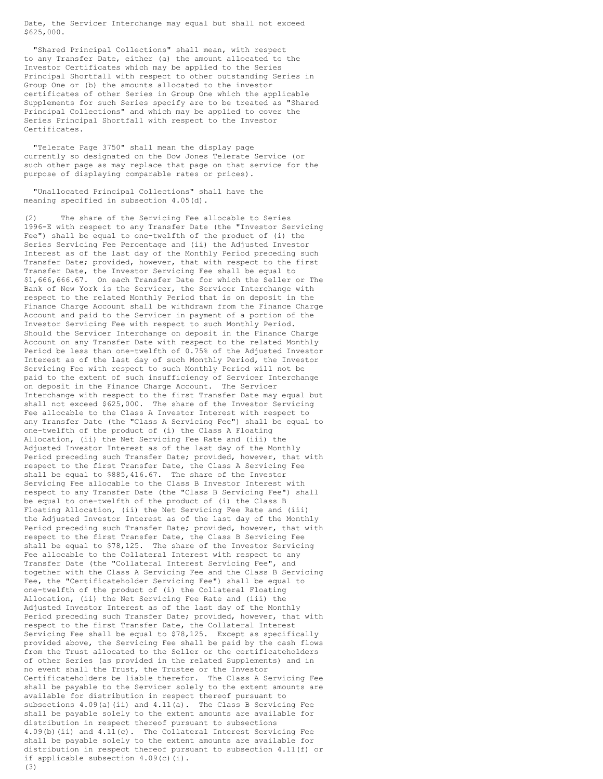Date, the Servicer Interchange may equal but shall not exceed \$625,000.

"Shared Principal Collections" shall mean, with respect to any Transfer Date, either (a) the amount allocated to the Investor Certificates which may be applied to the Series Principal Shortfall with respect to other outstanding Series in Group One or (b) the amounts allocated to the investor certificates of other Series in Group One which the applicable Supplements for such Series specify are to be treated as "Shared Principal Collections" and which may be applied to cover the Series Principal Shortfall with respect to the Investor Certificates.

"Telerate Page 3750" shall mean the display page currently so designated on the Dow Jones Telerate Service (or such other page as may replace that page on that service for the purpose of displaying comparable rates or prices).

"Unallocated Principal Collections" shall have the meaning specified in subsection 4.05(d).

(2) The share of the Servicing Fee allocable to Series 1996-E with respect to any Transfer Date (the "Investor Servicing Fee") shall be equal to one-twelfth of the product of (i) the Series Servicing Fee Percentage and (ii) the Adjusted Investor Interest as of the last day of the Monthly Period preceding such Transfer Date; provided, however, that with respect to the first Transfer Date, the Investor Servicing Fee shall be equal to \$1,666,666.67. On each Transfer Date for which the Seller or The Bank of New York is the Servicer, the Servicer Interchange with respect to the related Monthly Period that is on deposit in the Finance Charge Account shall be withdrawn from the Finance Charge Account and paid to the Servicer in payment of a portion of the Investor Servicing Fee with respect to such Monthly Period. Should the Servicer Interchange on deposit in the Finance Charge Account on any Transfer Date with respect to the related Monthly Period be less than one-twelfth of 0.75% of the Adjusted Investor Interest as of the last day of such Monthly Period, the Investor Servicing Fee with respect to such Monthly Period will not be paid to the extent of such insufficiency of Servicer Interchange on deposit in the Finance Charge Account. The Servicer Interchange with respect to the first Transfer Date may equal but shall not exceed \$625,000. The share of the Investor Servicing Fee allocable to the Class A Investor Interest with respect to any Transfer Date (the "Class A Servicing Fee") shall be equal to one-twelfth of the product of (i) the Class A Floating Allocation, (ii) the Net Servicing Fee Rate and (iii) the Adjusted Investor Interest as of the last day of the Monthly Period preceding such Transfer Date; provided, however, that with respect to the first Transfer Date, the Class A Servicing Fee shall be equal to \$885,416.67. The share of the Investor Servicing Fee allocable to the Class B Investor Interest with respect to any Transfer Date (the "Class B Servicing Fee") shall be equal to one-twelfth of the product of (i) the Class B Floating Allocation, (ii) the Net Servicing Fee Rate and (iii) the Adjusted Investor Interest as of the last day of the Monthly Period preceding such Transfer Date; provided, however, that with respect to the first Transfer Date, the Class B Servicing Fee shall be equal to \$78,125. The share of the Investor Servicing Fee allocable to the Collateral Interest with respect to any Transfer Date (the "Collateral Interest Servicing Fee", and together with the Class A Servicing Fee and the Class B Servicing Fee, the "Certificateholder Servicing Fee") shall be equal to one-twelfth of the product of (i) the Collateral Floating Allocation, (ii) the Net Servicing Fee Rate and (iii) the Adjusted Investor Interest as of the last day of the Monthly Period preceding such Transfer Date; provided, however, that with respect to the first Transfer Date, the Collateral Interest Servicing Fee shall be equal to \$78,125. Except as specifically provided above, the Servicing Fee shall be paid by the cash flows from the Trust allocated to the Seller or the certificateholders of other Series (as provided in the related Supplements) and in no event shall the Trust, the Trustee or the Investor Certificateholders be liable therefor. The Class A Servicing Fee shall be payable to the Servicer solely to the extent amounts are available for distribution in respect thereof pursuant to subsections  $4.09(a)(ii)$  and  $4.11(a)$ . The Class B Servicing Fee shall be payable solely to the extent amounts are available for distribution in respect thereof pursuant to subsections 4.09(b)(ii) and 4.11(c). The Collateral Interest Servicing Fee shall be payable solely to the extent amounts are available for distribution in respect thereof pursuant to subsection 4.11(f) or if applicable subsection 4.09(c)(i). (3)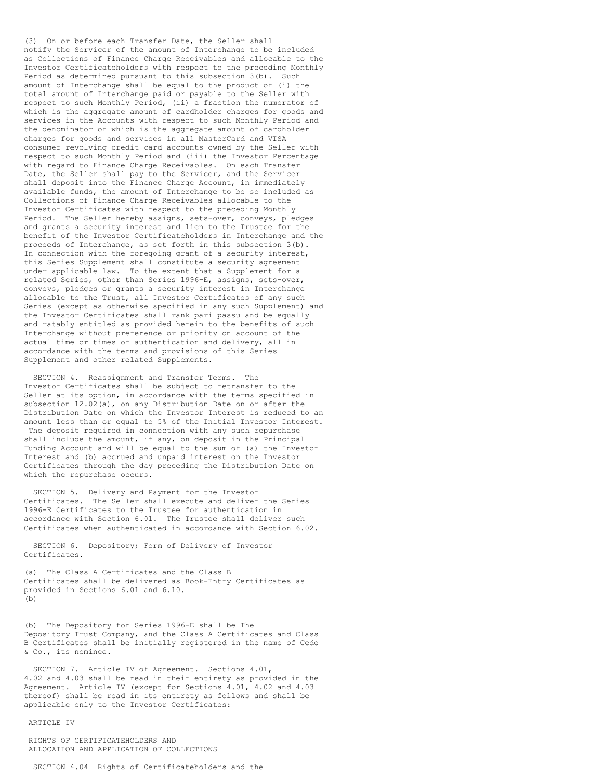(3) On or before each Transfer Date, the Seller shall notify the Servicer of the amount of Interchange to be included as Collections of Finance Charge Receivables and allocable to the Investor Certificateholders with respect to the preceding Monthly Period as determined pursuant to this subsection 3(b). Such amount of Interchange shall be equal to the product of (i) the total amount of Interchange paid or payable to the Seller with respect to such Monthly Period, (ii) a fraction the numerator of which is the aggregate amount of cardholder charges for goods and services in the Accounts with respect to such Monthly Period and the denominator of which is the aggregate amount of cardholder charges for goods and services in all MasterCard and VISA consumer revolving credit card accounts owned by the Seller with respect to such Monthly Period and (iii) the Investor Percentage with regard to Finance Charge Receivables. On each Transfer Date, the Seller shall pay to the Servicer, and the Servicer shall deposit into the Finance Charge Account, in immediately available funds, the amount of Interchange to be so included as Collections of Finance Charge Receivables allocable to the Investor Certificates with respect to the preceding Monthly Period. The Seller hereby assigns, sets-over, conveys, pledges and grants a security interest and lien to the Trustee for the benefit of the Investor Certificateholders in Interchange and the proceeds of Interchange, as set forth in this subsection 3(b). In connection with the foregoing grant of a security interest, this Series Supplement shall constitute a security agreement under applicable law. To the extent that a Supplement for a related Series, other than Series 1996-E, assigns, sets-over, conveys, pledges or grants a security interest in Interchange allocable to the Trust, all Investor Certificates of any such Series (except as otherwise specified in any such Supplement) and the Investor Certificates shall rank pari passu and be equally and ratably entitled as provided herein to the benefits of such Interchange without preference or priority on account of the actual time or times of authentication and delivery, all in accordance with the terms and provisions of this Series Supplement and other related Supplements.

SECTION 4. Reassignment and Transfer Terms. The Investor Certificates shall be subject to retransfer to the Seller at its option, in accordance with the terms specified in subsection 12.02(a), on any Distribution Date on or after the Distribution Date on which the Investor Interest is reduced to an amount less than or equal to 5% of the Initial Investor Interest. The deposit required in connection with any such repurchase shall include the amount, if any, on deposit in the Principal Funding Account and will be equal to the sum of (a) the Investor Interest and (b) accrued and unpaid interest on the Investor Certificates through the day preceding the Distribution Date on which the repurchase occurs.

SECTION 5. Delivery and Payment for the Investor Certificates. The Seller shall execute and deliver the Series 1996-E Certificates to the Trustee for authentication in accordance with Section 6.01. The Trustee shall deliver such Certificates when authenticated in accordance with Section 6.02.

SECTION 6. Depository; Form of Delivery of Investor Certificates.

(a) The Class A Certificates and the Class B Certificates shall be delivered as Book-Entry Certificates as provided in Sections 6.01 and 6.10.  $(b)$ 

(b) The Depository for Series 1996-E shall be The Depository Trust Company, and the Class A Certificates and Class B Certificates shall be initially registered in the name of Cede & Co., its nominee.

SECTION 7. Article IV of Agreement. Sections 4.01, 4.02 and 4.03 shall be read in their entirety as provided in the Agreement. Article IV (except for Sections 4.01, 4.02 and 4.03 thereof) shall be read in its entirety as follows and shall be applicable only to the Investor Certificates:

ARTICLE IV

RIGHTS OF CERTIFICATEHOLDERS AND ALLOCATION AND APPLICATION OF COLLECTIONS

SECTION 4.04 Rights of Certificateholders and the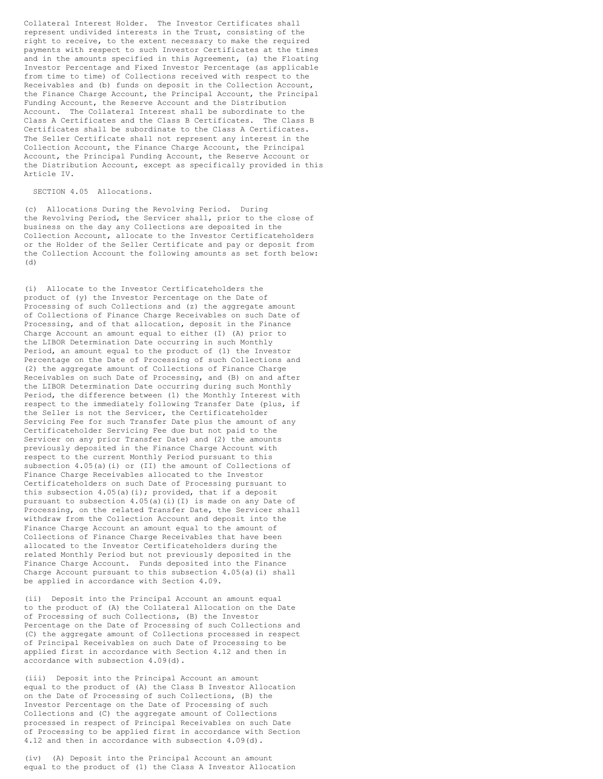Collateral Interest Holder. The Investor Certificates shall represent undivided interests in the Trust, consisting of the right to receive, to the extent necessary to make the required payments with respect to such Investor Certificates at the times and in the amounts specified in this Agreement, (a) the Floating Investor Percentage and Fixed Investor Percentage (as applicable from time to time) of Collections received with respect to the Receivables and (b) funds on deposit in the Collection Account, the Finance Charge Account, the Principal Account, the Principal Funding Account, the Reserve Account and the Distribution Account. The Collateral Interest shall be subordinate to the Class A Certificates and the Class B Certificates. The Class B Certificates shall be subordinate to the Class A Certificates. The Seller Certificate shall not represent any interest in the Collection Account, the Finance Charge Account, the Principal Account, the Principal Funding Account, the Reserve Account or the Distribution Account, except as specifically provided in this Article IV.

# SECTION 4.05 Allocations.

(c) Allocations During the Revolving Period. During the Revolving Period, the Servicer shall, prior to the close of business on the day any Collections are deposited in the Collection Account, allocate to the Investor Certificateholders or the Holder of the Seller Certificate and pay or deposit from the Collection Account the following amounts as set forth below: (d)

(i) Allocate to the Investor Certificateholders the product of (y) the Investor Percentage on the Date of Processing of such Collections and (z) the aggregate amount of Collections of Finance Charge Receivables on such Date of Processing, and of that allocation, deposit in the Finance Charge Account an amount equal to either (I) (A) prior to the LIBOR Determination Date occurring in such Monthly Period, an amount equal to the product of (1) the Investor Percentage on the Date of Processing of such Collections and (2) the aggregate amount of Collections of Finance Charge Receivables on such Date of Processing, and (B) on and after the LIBOR Determination Date occurring during such Monthly Period, the difference between (1) the Monthly Interest with respect to the immediately following Transfer Date (plus, if the Seller is not the Servicer, the Certificateholder Servicing Fee for such Transfer Date plus the amount of any Certificateholder Servicing Fee due but not paid to the Servicer on any prior Transfer Date) and (2) the amounts previously deposited in the Finance Charge Account with respect to the current Monthly Period pursuant to this subsection 4.05(a)(i) or (II) the amount of Collections of Finance Charge Receivables allocated to the Investor Certificateholders on such Date of Processing pursuant to this subsection  $4.05(a)(i)$ ; provided, that if a deposit pursuant to subsection 4.05(a)(i)(I) is made on any Date of Processing, on the related Transfer Date, the Servicer shall withdraw from the Collection Account and deposit into the Finance Charge Account an amount equal to the amount of Collections of Finance Charge Receivables that have been allocated to the Investor Certificateholders during the related Monthly Period but not previously deposited in the Finance Charge Account. Funds deposited into the Finance Charge Account pursuant to this subsection 4.05(a)(i) shall be applied in accordance with Section 4.09.

(ii) Deposit into the Principal Account an amount equal to the product of (A) the Collateral Allocation on the Date of Processing of such Collections, (B) the Investor Percentage on the Date of Processing of such Collections and (C) the aggregate amount of Collections processed in respect of Principal Receivables on such Date of Processing to be applied first in accordance with Section 4.12 and then in accordance with subsection 4.09(d).

(iii) Deposit into the Principal Account an amount equal to the product of (A) the Class B Investor Allocation on the Date of Processing of such Collections, (B) the Investor Percentage on the Date of Processing of such Collections and (C) the aggregate amount of Collections processed in respect of Principal Receivables on such Date of Processing to be applied first in accordance with Section 4.12 and then in accordance with subsection 4.09(d).

(iv) (A) Deposit into the Principal Account an amount equal to the product of (1) the Class A Investor Allocation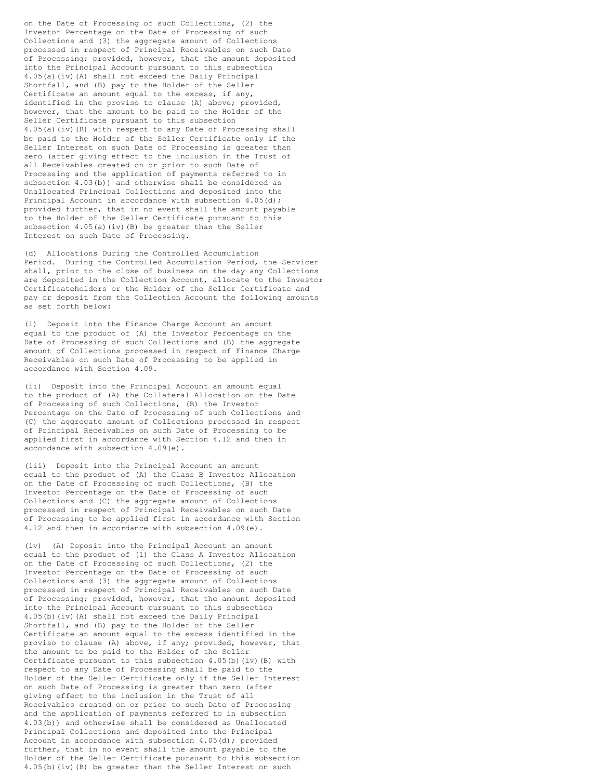on the Date of Processing of such Collections, (2) the Investor Percentage on the Date of Processing of such Collections and (3) the aggregate amount of Collections processed in respect of Principal Receivables on such Date of Processing; provided, however, that the amount deposited into the Principal Account pursuant to this subsection 4.05(a)(iv)(A) shall not exceed the Daily Principal Shortfall, and (B) pay to the Holder of the Seller Certificate an amount equal to the excess, if any, identified in the proviso to clause (A) above; provided, however, that the amount to be paid to the Holder of the Seller Certificate pursuant to this subsection 4.05(a)(iv)(B) with respect to any Date of Processing shall be paid to the Holder of the Seller Certificate only if the Seller Interest on such Date of Processing is greater than zero (after giving effect to the inclusion in the Trust of all Receivables created on or prior to such Date of Processing and the application of payments referred to in subsection 4.03(b)) and otherwise shall be considered as Unallocated Principal Collections and deposited into the Principal Account in accordance with subsection 4.05(d); provided further, that in no event shall the amount payable to the Holder of the Seller Certificate pursuant to this subsection 4.05(a)(iv)(B) be greater than the Seller Interest on such Date of Processing.

(d) Allocations During the Controlled Accumulation Period. During the Controlled Accumulation Period, the Servicer shall, prior to the close of business on the day any Collections are deposited in the Collection Account, allocate to the Investor Certificateholders or the Holder of the Seller Certificate and pay or deposit from the Collection Account the following amounts as set forth below:

(i) Deposit into the Finance Charge Account an amount equal to the product of (A) the Investor Percentage on the Date of Processing of such Collections and (B) the aggregate amount of Collections processed in respect of Finance Charge Receivables on such Date of Processing to be applied in accordance with Section 4.09.

(ii) Deposit into the Principal Account an amount equal to the product of (A) the Collateral Allocation on the Date of Processing of such Collections, (B) the Investor Percentage on the Date of Processing of such Collections and (C) the aggregate amount of Collections processed in respect of Principal Receivables on such Date of Processing to be applied first in accordance with Section 4.12 and then in accordance with subsection 4.09(e).

(iii) Deposit into the Principal Account an amount equal to the product of (A) the Class B Investor Allocation on the Date of Processing of such Collections, (B) the Investor Percentage on the Date of Processing of such Collections and (C) the aggregate amount of Collections processed in respect of Principal Receivables on such Date of Processing to be applied first in accordance with Section 4.12 and then in accordance with subsection 4.09(e).

(iv) (A) Deposit into the Principal Account an amount equal to the product of (1) the Class A Investor Allocation on the Date of Processing of such Collections, (2) the Investor Percentage on the Date of Processing of such Collections and (3) the aggregate amount of Collections processed in respect of Principal Receivables on such Date of Processing; provided, however, that the amount deposited into the Principal Account pursuant to this subsection 4.05(b)(iv)(A) shall not exceed the Daily Principal Shortfall, and (B) pay to the Holder of the Seller Certificate an amount equal to the excess identified in the proviso to clause (A) above, if any; provided, however, that the amount to be paid to the Holder of the Seller Certificate pursuant to this subsection 4.05(b)(iv)(B) with respect to any Date of Processing shall be paid to the Holder of the Seller Certificate only if the Seller Interest on such Date of Processing is greater than zero (after giving effect to the inclusion in the Trust of all Receivables created on or prior to such Date of Processing and the application of payments referred to in subsection 4.03(b)) and otherwise shall be considered as Unallocated Principal Collections and deposited into the Principal Account in accordance with subsection  $4.05(d)$ ; provided further, that in no event shall the amount payable to the Holder of the Seller Certificate pursuant to this subsection 4.05(b)(iv)(B) be greater than the Seller Interest on such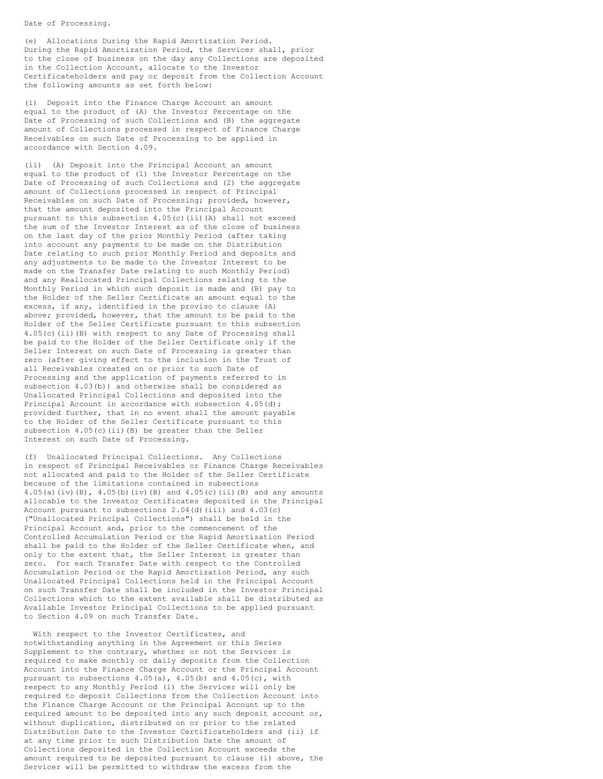Date of Processing.

(e) Allocations During the Rapid Amortization Period. During the Rapid Amortization Period, the Servicer shall, prior to the close of business on the day any Collections are deposited in the Collection Account, allocate to the Investor Certificateholders and pay or deposit from the Collection Account the following amounts as set forth below:

(i) Deposit into the Finance Charge Account an amount equal to the product of (A) the Investor Percentage on the Date of Processing of such Collections and (B) the aggregate amount of Collections processed in respect of Finance Charge Receivables on such Date of Processing to be applied in accordance with Section 4.09.

(ii) (A) Deposit into the Principal Account an amount equal to the product of (1) the Investor Percentage on the Date of Processing of such Collections and (2) the aggregate amount of Collections processed in respect of Principal Receivables on such Date of Processing; provided, however, that the amount deposited into the Principal Account pursuant to this subsection 4.05(c)(ii)(A) shall not exceed the sum of the Investor Interest as of the close of business on the last day of the prior Monthly Period (after taking into account any payments to be made on the Distribution Date relating to such prior Monthly Period and deposits and any adjustments to be made to the Investor Interest to be made on the Transfer Date relating to such Monthly Period) and any Reallocated Principal Collections relating to the Monthly Period in which such deposit is made and (B) pay to the Holder of the Seller Certificate an amount equal to the excess, if any, identified in the proviso to clause (A) above; provided, however, that the amount to be paid to the Holder of the Seller Certificate pursuant to this subsection 4.05(c)(ii)(B) with respect to any Date of Processing shall be paid to the Holder of the Seller Certificate only if the Seller Interest on such Date of Processing is greater than zero (after giving effect to the inclusion in the Trust of all Receivables created on or prior to such Date of Processing and the application of payments referred to in subsection 4.03(b)) and otherwise shall be considered as Unallocated Principal Collections and deposited into the Principal Account in accordance with subsection 4.05(d); provided further, that in no event shall the amount payable to the Holder of the Seller Certificate pursuant to this subsection  $4.05(c)$  (ii)(B) be greater than the Seller Interest on such Date of Processing.

(f) Unallocated Principal Collections. Any Collections in respect of Principal Receivables or Finance Charge Receivables not allocated and paid to the Holder of the Seller Certificate because of the limitations contained in subsections 4.05(a)(iv)(B), 4.05(b)(iv)(B) and 4.05(c)(ii)(B) and any amounts allocable to the Investor Certificates deposited in the Principal Account pursuant to subsections  $2.04$  (d)(iii) and  $4.03$  (c) ("Unallocated Principal Collections") shall be held in the Principal Account and, prior to the commencement of the Controlled Accumulation Period or the Rapid Amortization Period shall be paid to the Holder of the Seller Certificate when, and only to the extent that, the Seller Interest is greater than zero. For each Transfer Date with respect to the Controlled Accumulation Period or the Rapid Amortization Period, any such Unallocated Principal Collections held in the Principal Account on such Transfer Date shall be included in the Investor Principal Collections which to the extent available shall be distributed as Available Investor Principal Collections to be applied pursuant to Section 4.09 on such Transfer Date.

With respect to the Investor Certificates, and notwithstanding anything in the Agreement or this Series Supplement to the contrary, whether or not the Servicer is required to make monthly or daily deposits from the Collection Account into the Finance Charge Account or the Principal Account pursuant to subsections 4.05(a), 4.05(b) and 4.05(c), with respect to any Monthly Period (i) the Servicer will only be required to deposit Collections from the Collection Account into the Finance Charge Account or the Principal Account up to the required amount to be deposited into any such deposit account or, without duplication, distributed on or prior to the related Distribution Date to the Investor Certificateholders and (ii) if at any time prior to such Distribution Date the amount of Collections deposited in the Collection Account exceeds the amount required to be deposited pursuant to clause (i) above, the Servicer will be permitted to withdraw the excess from the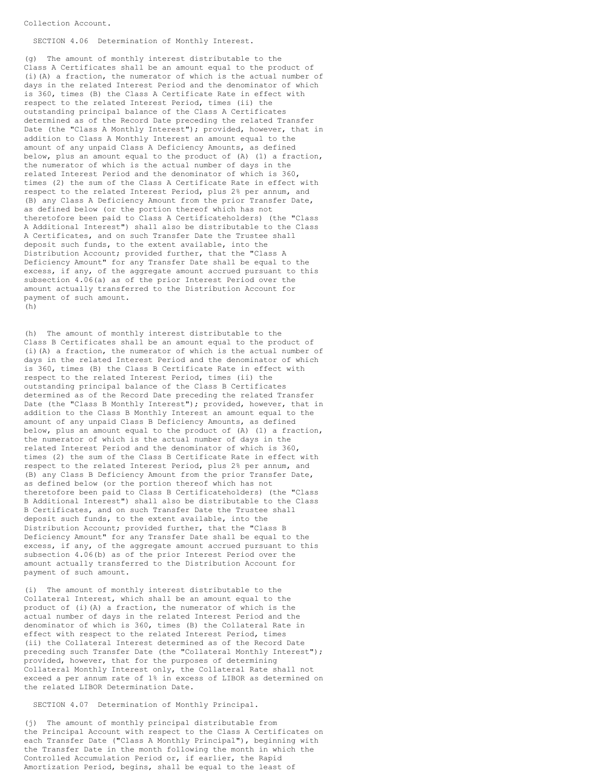#### Collection Account.

#### SECTION 4.06 Determination of Monthly Interest.

(g) The amount of monthly interest distributable to the Class A Certificates shall be an amount equal to the product of (i)(A) a fraction, the numerator of which is the actual number of days in the related Interest Period and the denominator of which is 360, times (B) the Class A Certificate Rate in effect with respect to the related Interest Period, times (ii) the outstanding principal balance of the Class A Certificates determined as of the Record Date preceding the related Transfer Date (the "Class A Monthly Interest"); provided, however, that in addition to Class A Monthly Interest an amount equal to the amount of any unpaid Class A Deficiency Amounts, as defined below, plus an amount equal to the product of (A) (1) a fraction, the numerator of which is the actual number of days in the related Interest Period and the denominator of which is 360, times (2) the sum of the Class A Certificate Rate in effect with respect to the related Interest Period, plus 2% per annum, and (B) any Class A Deficiency Amount from the prior Transfer Date, as defined below (or the portion thereof which has not theretofore been paid to Class A Certificateholders) (the "Class A Additional Interest") shall also be distributable to the Class A Certificates, and on such Transfer Date the Trustee shall deposit such funds, to the extent available, into the Distribution Account; provided further, that the "Class A Deficiency Amount" for any Transfer Date shall be equal to the excess, if any, of the aggregate amount accrued pursuant to this subsection 4.06(a) as of the prior Interest Period over the amount actually transferred to the Distribution Account for payment of such amount.  $(h)$ 

(h) The amount of monthly interest distributable to the Class B Certificates shall be an amount equal to the product of (i)(A) a fraction, the numerator of which is the actual number of days in the related Interest Period and the denominator of which is 360, times (B) the Class B Certificate Rate in effect with respect to the related Interest Period, times (ii) the outstanding principal balance of the Class B Certificates determined as of the Record Date preceding the related Transfer Date (the "Class B Monthly Interest"); provided, however, that in addition to the Class B Monthly Interest an amount equal to the amount of any unpaid Class B Deficiency Amounts, as defined below, plus an amount equal to the product of (A) (1) a fraction, the numerator of which is the actual number of days in the related Interest Period and the denominator of which is 360, times (2) the sum of the Class B Certificate Rate in effect with respect to the related Interest Period, plus 2% per annum, and (B) any Class B Deficiency Amount from the prior Transfer Date, as defined below (or the portion thereof which has not theretofore been paid to Class B Certificateholders) (the "Class B Additional Interest") shall also be distributable to the Class B Certificates, and on such Transfer Date the Trustee shall deposit such funds, to the extent available, into the Distribution Account; provided further, that the "Class B Deficiency Amount" for any Transfer Date shall be equal to the excess, if any, of the aggregate amount accrued pursuant to this subsection 4.06(b) as of the prior Interest Period over the amount actually transferred to the Distribution Account for payment of such amount.

(i) The amount of monthly interest distributable to the Collateral Interest, which shall be an amount equal to the product of (i)(A) a fraction, the numerator of which is the actual number of days in the related Interest Period and the denominator of which is 360, times (B) the Collateral Rate in effect with respect to the related Interest Period, times (ii) the Collateral Interest determined as of the Record Date preceding such Transfer Date (the "Collateral Monthly Interest"); provided, however, that for the purposes of determining Collateral Monthly Interest only, the Collateral Rate shall not exceed a per annum rate of 1% in excess of LIBOR as determined on the related LIBOR Determination Date.

### SECTION 4.07 Determination of Monthly Principal.

(j) The amount of monthly principal distributable from the Principal Account with respect to the Class A Certificates on each Transfer Date ("Class A Monthly Principal"), beginning with the Transfer Date in the month following the month in which the Controlled Accumulation Period or, if earlier, the Rapid Amortization Period, begins, shall be equal to the least of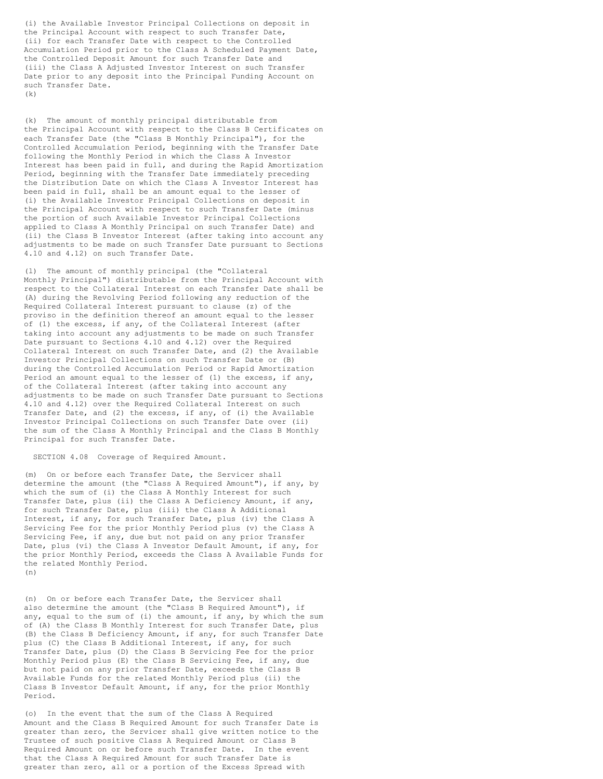(i) the Available Investor Principal Collections on deposit in the Principal Account with respect to such Transfer Date, (ii) for each Transfer Date with respect to the Controlled Accumulation Period prior to the Class A Scheduled Payment Date, the Controlled Deposit Amount for such Transfer Date and (iii) the Class A Adjusted Investor Interest on such Transfer Date prior to any deposit into the Principal Funding Account on such Transfer Date.  $(k)$ 

(k) The amount of monthly principal distributable from the Principal Account with respect to the Class B Certificates on each Transfer Date (the "Class B Monthly Principal"), for the Controlled Accumulation Period, beginning with the Transfer Date following the Monthly Period in which the Class A Investor Interest has been paid in full, and during the Rapid Amortization Period, beginning with the Transfer Date immediately preceding the Distribution Date on which the Class A Investor Interest has been paid in full, shall be an amount equal to the lesser of (i) the Available Investor Principal Collections on deposit in the Principal Account with respect to such Transfer Date (minus the portion of such Available Investor Principal Collections applied to Class A Monthly Principal on such Transfer Date) and (ii) the Class B Investor Interest (after taking into account any adjustments to be made on such Transfer Date pursuant to Sections 4.10 and 4.12) on such Transfer Date.

(l) The amount of monthly principal (the "Collateral Monthly Principal") distributable from the Principal Account with respect to the Collateral Interest on each Transfer Date shall be (A) during the Revolving Period following any reduction of the Required Collateral Interest pursuant to clause (z) of the proviso in the definition thereof an amount equal to the lesser of (1) the excess, if any, of the Collateral Interest (after taking into account any adjustments to be made on such Transfer Date pursuant to Sections 4.10 and 4.12) over the Required Collateral Interest on such Transfer Date, and (2) the Available Investor Principal Collections on such Transfer Date or (B) during the Controlled Accumulation Period or Rapid Amortization Period an amount equal to the lesser of (1) the excess, if any, of the Collateral Interest (after taking into account any adjustments to be made on such Transfer Date pursuant to Sections 4.10 and 4.12) over the Required Collateral Interest on such Transfer Date, and (2) the excess, if any, of (i) the Available Investor Principal Collections on such Transfer Date over (ii) the sum of the Class A Monthly Principal and the Class B Monthly Principal for such Transfer Date.

SECTION 4.08 Coverage of Required Amount.

(m) On or before each Transfer Date, the Servicer shall determine the amount (the "Class A Required Amount"), if any, by which the sum of (i) the Class A Monthly Interest for such Transfer Date, plus (ii) the Class A Deficiency Amount, if any, for such Transfer Date, plus (iii) the Class A Additional Interest, if any, for such Transfer Date, plus (iv) the Class A Servicing Fee for the prior Monthly Period plus (v) the Class A Servicing Fee, if any, due but not paid on any prior Transfer Date, plus (vi) the Class A Investor Default Amount, if any, for the prior Monthly Period, exceeds the Class A Available Funds for the related Monthly Period.

 $(n)$ 

(n) On or before each Transfer Date, the Servicer shall also determine the amount (the "Class B Required Amount"), if any, equal to the sum of (i) the amount, if any, by which the sum of (A) the Class B Monthly Interest for such Transfer Date, plus (B) the Class B Deficiency Amount, if any, for such Transfer Date plus (C) the Class B Additional Interest, if any, for such Transfer Date, plus (D) the Class B Servicing Fee for the prior Monthly Period plus (E) the Class B Servicing Fee, if any, due but not paid on any prior Transfer Date, exceeds the Class B Available Funds for the related Monthly Period plus (ii) the Class B Investor Default Amount, if any, for the prior Monthly Period.

(o) In the event that the sum of the Class A Required Amount and the Class B Required Amount for such Transfer Date is greater than zero, the Servicer shall give written notice to the Trustee of such positive Class A Required Amount or Class B Required Amount on or before such Transfer Date. In the event that the Class A Required Amount for such Transfer Date is greater than zero, all or a portion of the Excess Spread with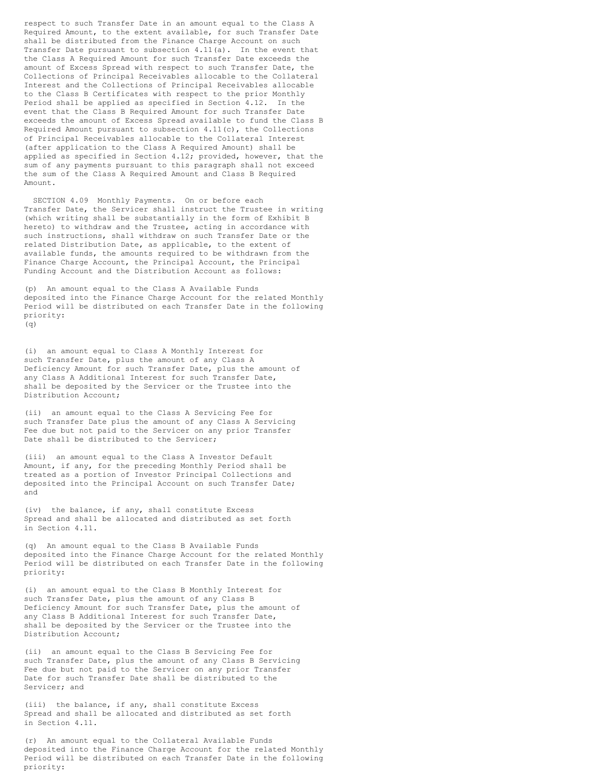respect to such Transfer Date in an amount equal to the Class A Required Amount, to the extent available, for such Transfer Date shall be distributed from the Finance Charge Account on such Transfer Date pursuant to subsection 4.11(a). In the event that the Class A Required Amount for such Transfer Date exceeds the amount of Excess Spread with respect to such Transfer Date, the Collections of Principal Receivables allocable to the Collateral Interest and the Collections of Principal Receivables allocable to the Class B Certificates with respect to the prior Monthly Period shall be applied as specified in Section 4.12. In the event that the Class B Required Amount for such Transfer Date exceeds the amount of Excess Spread available to fund the Class B Required Amount pursuant to subsection 4.11(c), the Collections of Principal Receivables allocable to the Collateral Interest (after application to the Class A Required Amount) shall be applied as specified in Section 4.12; provided, however, that the sum of any payments pursuant to this paragraph shall not exceed the sum of the Class A Required Amount and Class B Required Amount.

SECTION 4.09 Monthly Payments. On or before each Transfer Date, the Servicer shall instruct the Trustee in writing (which writing shall be substantially in the form of Exhibit B hereto) to withdraw and the Trustee, acting in accordance with such instructions, shall withdraw on such Transfer Date or the related Distribution Date, as applicable, to the extent of available funds, the amounts required to be withdrawn from the Finance Charge Account, the Principal Account, the Principal Funding Account and the Distribution Account as follows:

(p) An amount equal to the Class A Available Funds deposited into the Finance Charge Account for the related Monthly Period will be distributed on each Transfer Date in the following priority: (q)

(i) an amount equal to Class A Monthly Interest for such Transfer Date, plus the amount of any Class A Deficiency Amount for such Transfer Date, plus the amount of any Class A Additional Interest for such Transfer Date, shall be deposited by the Servicer or the Trustee into the Distribution Account;

(ii) an amount equal to the Class A Servicing Fee for such Transfer Date plus the amount of any Class A Servicing Fee due but not paid to the Servicer on any prior Transfer Date shall be distributed to the Servicer;

(iii) an amount equal to the Class A Investor Default Amount, if any, for the preceding Monthly Period shall be treated as a portion of Investor Principal Collections and deposited into the Principal Account on such Transfer Date; and

(iv) the balance, if any, shall constitute Excess Spread and shall be allocated and distributed as set forth in Section 4.11.

(q) An amount equal to the Class B Available Funds deposited into the Finance Charge Account for the related Monthly Period will be distributed on each Transfer Date in the following priority:

(i) an amount equal to the Class B Monthly Interest for such Transfer Date, plus the amount of any Class B Deficiency Amount for such Transfer Date, plus the amount of any Class B Additional Interest for such Transfer Date, shall be deposited by the Servicer or the Trustee into the Distribution Account;

(ii) an amount equal to the Class B Servicing Fee for such Transfer Date, plus the amount of any Class B Servicing Fee due but not paid to the Servicer on any prior Transfer Date for such Transfer Date shall be distributed to the Servicer; and

(iii) the balance, if any, shall constitute Excess Spread and shall be allocated and distributed as set forth in Section 4.11.

(r) An amount equal to the Collateral Available Funds deposited into the Finance Charge Account for the related Monthly Period will be distributed on each Transfer Date in the following priority: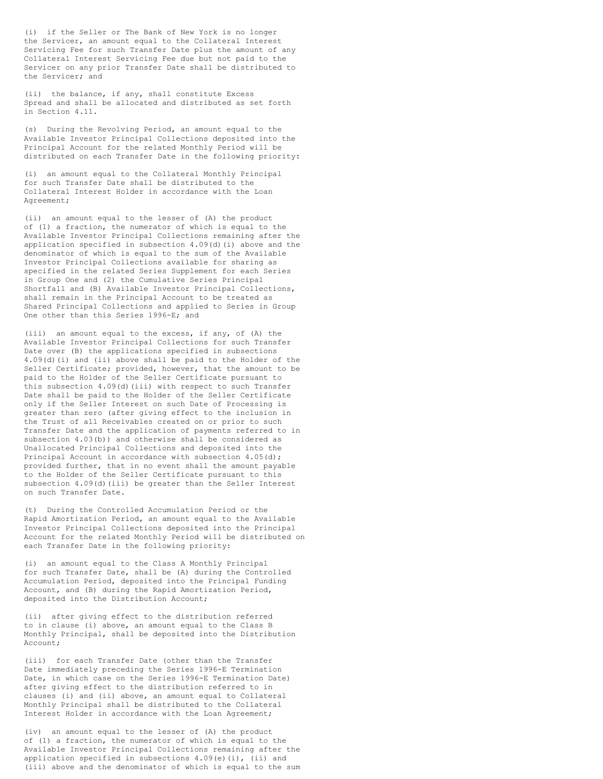(i) if the Seller or The Bank of New York is no longer the Servicer, an amount equal to the Collateral Interest Servicing Fee for such Transfer Date plus the amount of any Collateral Interest Servicing Fee due but not paid to the Servicer on any prior Transfer Date shall be distributed to the Servicer; and

(ii) the balance, if any, shall constitute Excess Spread and shall be allocated and distributed as set forth in Section 4.11.

(s) During the Revolving Period, an amount equal to the Available Investor Principal Collections deposited into the Principal Account for the related Monthly Period will be distributed on each Transfer Date in the following priority:

(i) an amount equal to the Collateral Monthly Principal for such Transfer Date shall be distributed to the Collateral Interest Holder in accordance with the Loan Agreement;

(ii) an amount equal to the lesser of (A) the product of (1) a fraction, the numerator of which is equal to the Available Investor Principal Collections remaining after the application specified in subsection 4.09(d)(i) above and the denominator of which is equal to the sum of the Available Investor Principal Collections available for sharing as specified in the related Series Supplement for each Series in Group One and (2) the Cumulative Series Principal Shortfall and (B) Available Investor Principal Collections, shall remain in the Principal Account to be treated as Shared Principal Collections and applied to Series in Group One other than this Series 1996-E; and

(iii) an amount equal to the excess, if any, of (A) the Available Investor Principal Collections for such Transfer Date over (B) the applications specified in subsections 4.09(d)(i) and (ii) above shall be paid to the Holder of the Seller Certificate; provided, however, that the amount to be paid to the Holder of the Seller Certificate pursuant to this subsection  $4.09(d)$  (iii) with respect to such Transfer Date shall be paid to the Holder of the Seller Certificate only if the Seller Interest on such Date of Processing is greater than zero (after giving effect to the inclusion in the Trust of all Receivables created on or prior to such Transfer Date and the application of payments referred to in subsection 4.03(b)) and otherwise shall be considered as Unallocated Principal Collections and deposited into the Principal Account in accordance with subsection 4.05(d); provided further, that in no event shall the amount payable to the Holder of the Seller Certificate pursuant to this subsection 4.09(d)(iii) be greater than the Seller Interest on such Transfer Date.

(t) During the Controlled Accumulation Period or the Rapid Amortization Period, an amount equal to the Available Investor Principal Collections deposited into the Principal Account for the related Monthly Period will be distributed on each Transfer Date in the following priority:

(i) an amount equal to the Class A Monthly Principal for such Transfer Date, shall be (A) during the Controlled Accumulation Period, deposited into the Principal Funding Account, and (B) during the Rapid Amortization Period, deposited into the Distribution Account;

(ii) after giving effect to the distribution referred to in clause (i) above, an amount equal to the Class B Monthly Principal, shall be deposited into the Distribution Account;

(iii) for each Transfer Date (other than the Transfer Date immediately preceding the Series 1996-E Termination Date, in which case on the Series 1996-E Termination Date) after giving effect to the distribution referred to in clauses (i) and (ii) above, an amount equal to Collateral Monthly Principal shall be distributed to the Collateral Interest Holder in accordance with the Loan Agreement;

(iv) an amount equal to the lesser of (A) the product of (1) a fraction, the numerator of which is equal to the Available Investor Principal Collections remaining after the application specified in subsections 4.09(e)(i), (ii) and (iii) above and the denominator of which is equal to the sum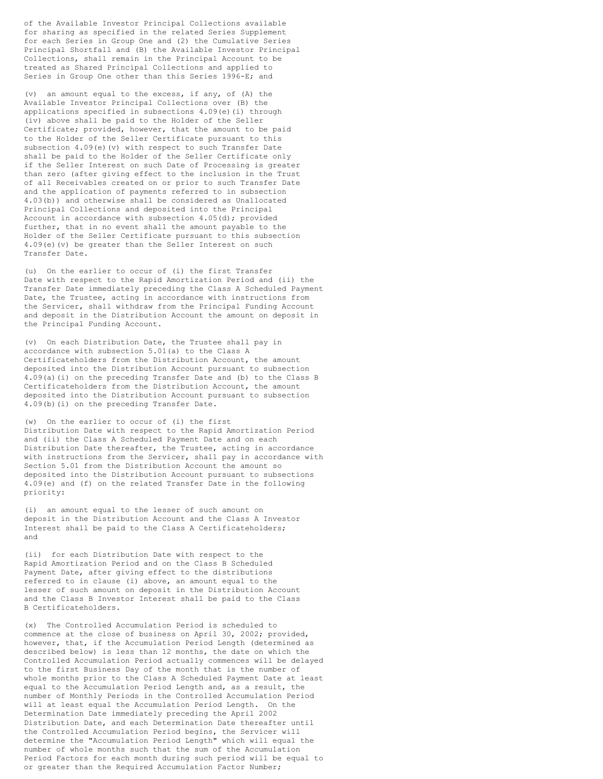of the Available Investor Principal Collections available for sharing as specified in the related Series Supplement for each Series in Group One and (2) the Cumulative Series Principal Shortfall and (B) the Available Investor Principal Collections, shall remain in the Principal Account to be treated as Shared Principal Collections and applied to Series in Group One other than this Series 1996-E; and

(v) an amount equal to the excess, if any, of (A) the Available Investor Principal Collections over (B) the applications specified in subsections 4.09(e)(i) through (iv) above shall be paid to the Holder of the Seller Certificate; provided, however, that the amount to be paid to the Holder of the Seller Certificate pursuant to this subsection 4.09(e)(v) with respect to such Transfer Date shall be paid to the Holder of the Seller Certificate only if the Seller Interest on such Date of Processing is greater than zero (after giving effect to the inclusion in the Trust of all Receivables created on or prior to such Transfer Date and the application of payments referred to in subsection 4.03(b)) and otherwise shall be considered as Unallocated Principal Collections and deposited into the Principal Account in accordance with subsection 4.05(d); provided further, that in no event shall the amount payable to the Holder of the Seller Certificate pursuant to this subsection 4.09(e)(v) be greater than the Seller Interest on such Transfer Date.

(u) On the earlier to occur of (i) the first Transfer Date with respect to the Rapid Amortization Period and (ii) the Transfer Date immediately preceding the Class A Scheduled Payment Date, the Trustee, acting in accordance with instructions from the Servicer, shall withdraw from the Principal Funding Account and deposit in the Distribution Account the amount on deposit in the Principal Funding Account.

(v) On each Distribution Date, the Trustee shall pay in accordance with subsection 5.01(a) to the Class A Certificateholders from the Distribution Account, the amount deposited into the Distribution Account pursuant to subsection 4.09(a)(i) on the preceding Transfer Date and (b) to the Class B Certificateholders from the Distribution Account, the amount deposited into the Distribution Account pursuant to subsection 4.09(b)(i) on the preceding Transfer Date.

(w) On the earlier to occur of (i) the first Distribution Date with respect to the Rapid Amortization Period and (ii) the Class A Scheduled Payment Date and on each Distribution Date thereafter, the Trustee, acting in accordance with instructions from the Servicer, shall pay in accordance with Section 5.01 from the Distribution Account the amount so deposited into the Distribution Account pursuant to subsections 4.09(e) and (f) on the related Transfer Date in the following priority:

(i) an amount equal to the lesser of such amount on deposit in the Distribution Account and the Class A Investor Interest shall be paid to the Class A Certificateholders; and

(ii) for each Distribution Date with respect to the Rapid Amortization Period and on the Class B Scheduled Payment Date, after giving effect to the distributions referred to in clause (i) above, an amount equal to the lesser of such amount on deposit in the Distribution Account and the Class B Investor Interest shall be paid to the Class B Certificateholders.

(x) The Controlled Accumulation Period is scheduled to commence at the close of business on April 30, 2002; provided, however, that, if the Accumulation Period Length (determined as described below) is less than 12 months, the date on which the Controlled Accumulation Period actually commences will be delayed to the first Business Day of the month that is the number of whole months prior to the Class A Scheduled Payment Date at least equal to the Accumulation Period Length and, as a result, the number of Monthly Periods in the Controlled Accumulation Period will at least equal the Accumulation Period Length. On the Determination Date immediately preceding the April 2002 Distribution Date, and each Determination Date thereafter until the Controlled Accumulation Period begins, the Servicer will determine the "Accumulation Period Length" which will equal the number of whole months such that the sum of the Accumulation Period Factors for each month during such period will be equal to or greater than the Required Accumulation Factor Number;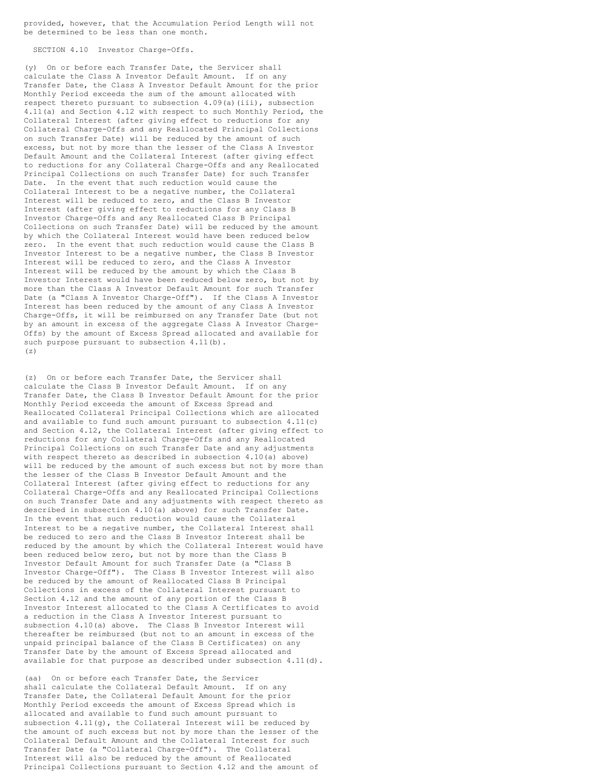provided, however, that the Accumulation Period Length will not be determined to be less than one month.

SECTION 4.10 Investor Charge-Offs.

(y) On or before each Transfer Date, the Servicer shall calculate the Class A Investor Default Amount. If on any Transfer Date, the Class A Investor Default Amount for the prior Monthly Period exceeds the sum of the amount allocated with respect thereto pursuant to subsection 4.09(a)(iii), subsection 4.11(a) and Section 4.12 with respect to such Monthly Period, the Collateral Interest (after giving effect to reductions for any Collateral Charge-Offs and any Reallocated Principal Collections on such Transfer Date) will be reduced by the amount of such excess, but not by more than the lesser of the Class A Investor Default Amount and the Collateral Interest (after giving effect to reductions for any Collateral Charge-Offs and any Reallocated Principal Collections on such Transfer Date) for such Transfer Date. In the event that such reduction would cause the Collateral Interest to be a negative number, the Collateral Interest will be reduced to zero, and the Class B Investor Interest (after giving effect to reductions for any Class B Investor Charge-Offs and any Reallocated Class B Principal Collections on such Transfer Date) will be reduced by the amount by which the Collateral Interest would have been reduced below zero. In the event that such reduction would cause the Class B Investor Interest to be a negative number, the Class B Investor Interest will be reduced to zero, and the Class A Investor Interest will be reduced by the amount by which the Class B Investor Interest would have been reduced below zero, but not by more than the Class A Investor Default Amount for such Transfer Date (a "Class A Investor Charge-Off"). If the Class A Investor Interest has been reduced by the amount of any Class A Investor Charge-Offs, it will be reimbursed on any Transfer Date (but not by an amount in excess of the aggregate Class A Investor Charge-Offs) by the amount of Excess Spread allocated and available for such purpose pursuant to subsection 4.11(b).  $(z)$ 

(z) On or before each Transfer Date, the Servicer shall calculate the Class B Investor Default Amount. If on any Transfer Date, the Class B Investor Default Amount for the prior Monthly Period exceeds the amount of Excess Spread and Reallocated Collateral Principal Collections which are allocated and available to fund such amount pursuant to subsection 4.11(c) and Section 4.12, the Collateral Interest (after giving effect to reductions for any Collateral Charge-Offs and any Reallocated Principal Collections on such Transfer Date and any adjustments with respect thereto as described in subsection 4.10(a) above) will be reduced by the amount of such excess but not by more than the lesser of the Class B Investor Default Amount and the Collateral Interest (after giving effect to reductions for any Collateral Charge-Offs and any Reallocated Principal Collections on such Transfer Date and any adjustments with respect thereto as described in subsection 4.10(a) above) for such Transfer Date. In the event that such reduction would cause the Collateral Interest to be a negative number, the Collateral Interest shall be reduced to zero and the Class B Investor Interest shall be reduced by the amount by which the Collateral Interest would have been reduced below zero, but not by more than the Class B Investor Default Amount for such Transfer Date (a "Class B Investor Charge-Off"). The Class B Investor Interest will also be reduced by the amount of Reallocated Class B Principal Collections in excess of the Collateral Interest pursuant to Section 4.12 and the amount of any portion of the Class B Investor Interest allocated to the Class A Certificates to avoid a reduction in the Class A Investor Interest pursuant to subsection 4.10(a) above. The Class B Investor Interest will thereafter be reimbursed (but not to an amount in excess of the unpaid principal balance of the Class B Certificates) on any Transfer Date by the amount of Excess Spread allocated and available for that purpose as described under subsection 4.11(d).

(aa) On or before each Transfer Date, the Servicer shall calculate the Collateral Default Amount. If on any Transfer Date, the Collateral Default Amount for the prior Monthly Period exceeds the amount of Excess Spread which is allocated and available to fund such amount pursuant to subsection 4.11(g), the Collateral Interest will be reduced by the amount of such excess but not by more than the lesser of the Collateral Default Amount and the Collateral Interest for such Transfer Date (a "Collateral Charge-Off"). The Collateral Interest will also be reduced by the amount of Reallocated Principal Collections pursuant to Section 4.12 and the amount of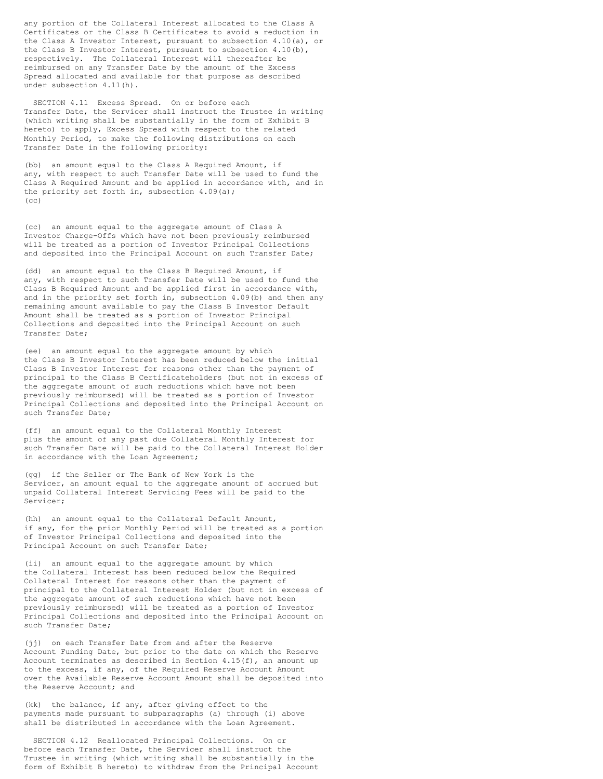any portion of the Collateral Interest allocated to the Class A Certificates or the Class B Certificates to avoid a reduction in the Class A Investor Interest, pursuant to subsection 4.10(a), or the Class B Investor Interest, pursuant to subsection 4.10(b), respectively. The Collateral Interest will thereafter be reimbursed on any Transfer Date by the amount of the Excess Spread allocated and available for that purpose as described under subsection 4.11(h).

SECTION 4.11 Excess Spread. On or before each Transfer Date, the Servicer shall instruct the Trustee in writing (which writing shall be substantially in the form of Exhibit B hereto) to apply, Excess Spread with respect to the related Monthly Period, to make the following distributions on each Transfer Date in the following priority:

(bb) an amount equal to the Class A Required Amount, if any, with respect to such Transfer Date will be used to fund the Class A Required Amount and be applied in accordance with, and in the priority set forth in, subsection 4.09(a);  $(cc)$ 

(cc) an amount equal to the aggregate amount of Class A Investor Charge-Offs which have not been previously reimbursed will be treated as a portion of Investor Principal Collections and deposited into the Principal Account on such Transfer Date;

(dd) an amount equal to the Class B Required Amount, if any, with respect to such Transfer Date will be used to fund the Class B Required Amount and be applied first in accordance with, and in the priority set forth in, subsection 4.09(b) and then any remaining amount available to pay the Class B Investor Default Amount shall be treated as a portion of Investor Principal Collections and deposited into the Principal Account on such Transfer Date;

(ee) an amount equal to the aggregate amount by which the Class B Investor Interest has been reduced below the initial Class B Investor Interest for reasons other than the payment of principal to the Class B Certificateholders (but not in excess of the aggregate amount of such reductions which have not been previously reimbursed) will be treated as a portion of Investor Principal Collections and deposited into the Principal Account on such Transfer Date;

(ff) an amount equal to the Collateral Monthly Interest plus the amount of any past due Collateral Monthly Interest for such Transfer Date will be paid to the Collateral Interest Holder in accordance with the Loan Agreement;

(gg) if the Seller or The Bank of New York is the Servicer, an amount equal to the aggregate amount of accrued but unpaid Collateral Interest Servicing Fees will be paid to the Servicer;

(hh) an amount equal to the Collateral Default Amount, if any, for the prior Monthly Period will be treated as a portion of Investor Principal Collections and deposited into the Principal Account on such Transfer Date;

(ii) an amount equal to the aggregate amount by which the Collateral Interest has been reduced below the Required Collateral Interest for reasons other than the payment of principal to the Collateral Interest Holder (but not in excess of the aggregate amount of such reductions which have not been previously reimbursed) will be treated as a portion of Investor Principal Collections and deposited into the Principal Account on such Transfer Date;

(jj) on each Transfer Date from and after the Reserve Account Funding Date, but prior to the date on which the Reserve Account terminates as described in Section  $4.15(f)$ , an amount up to the excess, if any, of the Required Reserve Account Amount over the Available Reserve Account Amount shall be deposited into the Reserve Account; and

(kk) the balance, if any, after giving effect to the payments made pursuant to subparagraphs (a) through (i) above shall be distributed in accordance with the Loan Agreement.

SECTION 4.12 Reallocated Principal Collections. On or before each Transfer Date, the Servicer shall instruct the Trustee in writing (which writing shall be substantially in the form of Exhibit B hereto) to withdraw from the Principal Account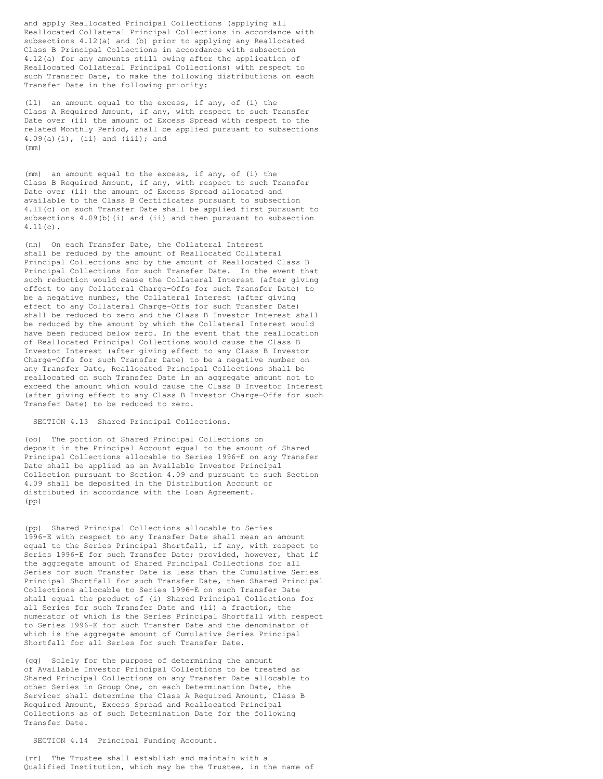and apply Reallocated Principal Collections (applying all Reallocated Collateral Principal Collections in accordance with subsections 4.12(a) and (b) prior to applying any Reallocated Class B Principal Collections in accordance with subsection 4.12(a) for any amounts still owing after the application of Reallocated Collateral Principal Collections) with respect to such Transfer Date, to make the following distributions on each Transfer Date in the following priority:

(ll) an amount equal to the excess, if any, of (i) the Class A Required Amount, if any, with respect to such Transfer Date over (ii) the amount of Excess Spread with respect to the related Monthly Period, shall be applied pursuant to subsections  $4.09(a)(i)$ , (ii) and (iii); and (mm)

(mm) an amount equal to the excess, if any, of (i) the Class B Required Amount, if any, with respect to such Transfer Date over (ii) the amount of Excess Spread allocated and available to the Class B Certificates pursuant to subsection 4.11(c) on such Transfer Date shall be applied first pursuant to subsections 4.09(b)(i) and (ii) and then pursuant to subsection 4.11(c).

(nn) On each Transfer Date, the Collateral Interest shall be reduced by the amount of Reallocated Collateral Principal Collections and by the amount of Reallocated Class B Principal Collections for such Transfer Date. In the event that such reduction would cause the Collateral Interest (after giving effect to any Collateral Charge-Offs for such Transfer Date) to be a negative number, the Collateral Interest (after giving effect to any Collateral Charge-Offs for such Transfer Date) shall be reduced to zero and the Class B Investor Interest shall be reduced by the amount by which the Collateral Interest would have been reduced below zero. In the event that the reallocation of Reallocated Principal Collections would cause the Class B Investor Interest (after giving effect to any Class B Investor Charge-Offs for such Transfer Date) to be a negative number on any Transfer Date, Reallocated Principal Collections shall be reallocated on such Transfer Date in an aggregate amount not to exceed the amount which would cause the Class B Investor Interest (after giving effect to any Class B Investor Charge-Offs for such Transfer Date) to be reduced to zero.

SECTION 4.13 Shared Principal Collections.

(oo) The portion of Shared Principal Collections on deposit in the Principal Account equal to the amount of Shared Principal Collections allocable to Series 1996-E on any Transfer Date shall be applied as an Available Investor Principal Collection pursuant to Section 4.09 and pursuant to such Section 4.09 shall be deposited in the Distribution Account or distributed in accordance with the Loan Agreement. (pp)

(pp) Shared Principal Collections allocable to Series 1996-E with respect to any Transfer Date shall mean an amount equal to the Series Principal Shortfall, if any, with respect to Series 1996-E for such Transfer Date; provided, however, that if the aggregate amount of Shared Principal Collections for all Series for such Transfer Date is less than the Cumulative Series Principal Shortfall for such Transfer Date, then Shared Principal Collections allocable to Series 1996-E on such Transfer Date shall equal the product of (i) Shared Principal Collections for all Series for such Transfer Date and (ii) a fraction, the numerator of which is the Series Principal Shortfall with respect to Series 1996-E for such Transfer Date and the denominator of which is the aggregate amount of Cumulative Series Principal Shortfall for all Series for such Transfer Date.

(qq) Solely for the purpose of determining the amount of Available Investor Principal Collections to be treated as Shared Principal Collections on any Transfer Date allocable to other Series in Group One, on each Determination Date, the Servicer shall determine the Class A Required Amount, Class B Required Amount, Excess Spread and Reallocated Principal Collections as of such Determination Date for the following Transfer Date.

SECTION 4.14 Principal Funding Account.

(rr) The Trustee shall establish and maintain with a Qualified Institution, which may be the Trustee, in the name of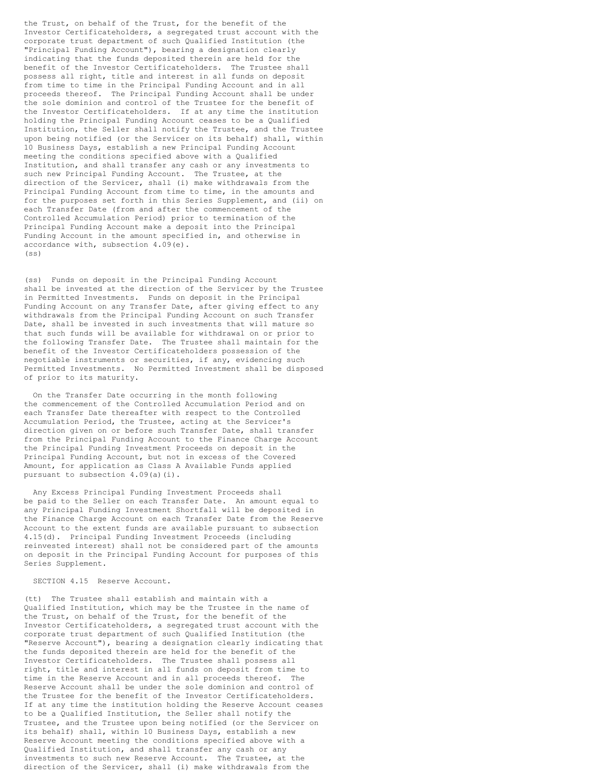the Trust, on behalf of the Trust, for the benefit of the Investor Certificateholders, a segregated trust account with the corporate trust department of such Qualified Institution (the "Principal Funding Account"), bearing a designation clearly indicating that the funds deposited therein are held for the benefit of the Investor Certificateholders. The Trustee shall possess all right, title and interest in all funds on deposit from time to time in the Principal Funding Account and in all proceeds thereof. The Principal Funding Account shall be under the sole dominion and control of the Trustee for the benefit of the Investor Certificateholders. If at any time the institution holding the Principal Funding Account ceases to be a Qualified Institution, the Seller shall notify the Trustee, and the Trustee upon being notified (or the Servicer on its behalf) shall, within 10 Business Days, establish a new Principal Funding Account meeting the conditions specified above with a Qualified Institution, and shall transfer any cash or any investments to such new Principal Funding Account. The Trustee, at the direction of the Servicer, shall (i) make withdrawals from the Principal Funding Account from time to time, in the amounts and for the purposes set forth in this Series Supplement, and (ii) on each Transfer Date (from and after the commencement of the Controlled Accumulation Period) prior to termination of the Principal Funding Account make a deposit into the Principal Funding Account in the amount specified in, and otherwise in accordance with, subsection 4.09(e).  $(s<sub>s</sub>)$ 

(ss) Funds on deposit in the Principal Funding Account shall be invested at the direction of the Servicer by the Trustee in Permitted Investments. Funds on deposit in the Principal Funding Account on any Transfer Date, after giving effect to any withdrawals from the Principal Funding Account on such Transfer Date, shall be invested in such investments that will mature so that such funds will be available for withdrawal on or prior to the following Transfer Date. The Trustee shall maintain for the benefit of the Investor Certificateholders possession of the negotiable instruments or securities, if any, evidencing such Permitted Investments. No Permitted Investment shall be disposed of prior to its maturity.

On the Transfer Date occurring in the month following the commencement of the Controlled Accumulation Period and on each Transfer Date thereafter with respect to the Controlled Accumulation Period, the Trustee, acting at the Servicer's direction given on or before such Transfer Date, shall transfer from the Principal Funding Account to the Finance Charge Account the Principal Funding Investment Proceeds on deposit in the Principal Funding Account, but not in excess of the Covered Amount, for application as Class A Available Funds applied pursuant to subsection 4.09(a)(i).

Any Excess Principal Funding Investment Proceeds shall be paid to the Seller on each Transfer Date. An amount equal to any Principal Funding Investment Shortfall will be deposited in the Finance Charge Account on each Transfer Date from the Reserve Account to the extent funds are available pursuant to subsection 4.15(d). Principal Funding Investment Proceeds (including reinvested interest) shall not be considered part of the amounts on deposit in the Principal Funding Account for purposes of this Series Supplement.

## SECTION 4.15 Reserve Account.

(tt) The Trustee shall establish and maintain with a Qualified Institution, which may be the Trustee in the name of the Trust, on behalf of the Trust, for the benefit of the Investor Certificateholders, a segregated trust account with the corporate trust department of such Qualified Institution (the "Reserve Account"), bearing a designation clearly indicating that the funds deposited therein are held for the benefit of the Investor Certificateholders. The Trustee shall possess all right, title and interest in all funds on deposit from time to time in the Reserve Account and in all proceeds thereof. The Reserve Account shall be under the sole dominion and control of the Trustee for the benefit of the Investor Certificateholders. If at any time the institution holding the Reserve Account ceases to be a Qualified Institution, the Seller shall notify the Trustee, and the Trustee upon being notified (or the Servicer on its behalf) shall, within 10 Business Days, establish a new Reserve Account meeting the conditions specified above with a Qualified Institution, and shall transfer any cash or any investments to such new Reserve Account. The Trustee, at the direction of the Servicer, shall (i) make withdrawals from the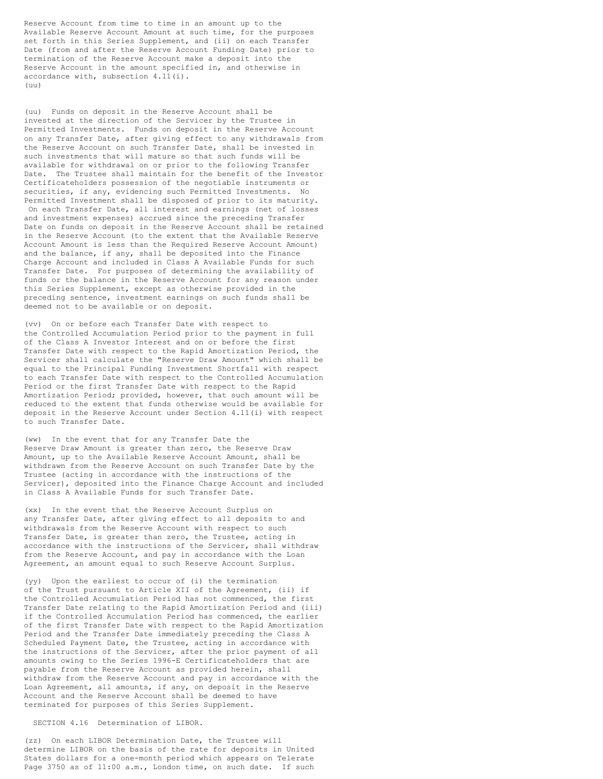Reserve Account from time to time in an amount up to the Available Reserve Account Amount at such time, for the purposes set forth in this Series Supplement, and (ii) on each Transfer Date (from and after the Reserve Account Funding Date) prior to termination of the Reserve Account make a deposit into the Reserve Account in the amount specified in, and otherwise in accordance with, subsection 4.11(i).  $(1111)$ 

(uu) Funds on deposit in the Reserve Account shall be invested at the direction of the Servicer by the Trustee in Permitted Investments. Funds on deposit in the Reserve Account on any Transfer Date, after giving effect to any withdrawals from the Reserve Account on such Transfer Date, shall be invested in such investments that will mature so that such funds will be available for withdrawal on or prior to the following Transfer Date. The Trustee shall maintain for the benefit of the Investor Certificateholders possession of the negotiable instruments or securities, if any, evidencing such Permitted Investments. No Permitted Investment shall be disposed of prior to its maturity. On each Transfer Date, all interest and earnings (net of losses and investment expenses) accrued since the preceding Transfer Date on funds on deposit in the Reserve Account shall be retained in the Reserve Account (to the extent that the Available Reserve Account Amount is less than the Required Reserve Account Amount) and the balance, if any, shall be deposited into the Finance Charge Account and included in Class A Available Funds for such Transfer Date. For purposes of determining the availability of funds or the balance in the Reserve Account for any reason under this Series Supplement, except as otherwise provided in the preceding sentence, investment earnings on such funds shall be deemed not to be available or on deposit.

(vv) On or before each Transfer Date with respect to the Controlled Accumulation Period prior to the payment in full of the Class A Investor Interest and on or before the first Transfer Date with respect to the Rapid Amortization Period, the Servicer shall calculate the "Reserve Draw Amount" which shall be equal to the Principal Funding Investment Shortfall with respect to each Transfer Date with respect to the Controlled Accumulation Period or the first Transfer Date with respect to the Rapid Amortization Period; provided, however, that such amount will be reduced to the extent that funds otherwise would be available for deposit in the Reserve Account under Section 4.11(i) with respect to such Transfer Date.

(ww) In the event that for any Transfer Date the Reserve Draw Amount is greater than zero, the Reserve Draw Amount, up to the Available Reserve Account Amount, shall be withdrawn from the Reserve Account on such Transfer Date by the Trustee (acting in accordance with the instructions of the Servicer), deposited into the Finance Charge Account and included in Class A Available Funds for such Transfer Date.

(xx) In the event that the Reserve Account Surplus on any Transfer Date, after giving effect to all deposits to and withdrawals from the Reserve Account with respect to such Transfer Date, is greater than zero, the Trustee, acting in accordance with the instructions of the Servicer, shall withdraw from the Reserve Account, and pay in accordance with the Loan Agreement, an amount equal to such Reserve Account Surplus.

(yy) Upon the earliest to occur of (i) the termination of the Trust pursuant to Article XII of the Agreement, (ii) if the Controlled Accumulation Period has not commenced, the first Transfer Date relating to the Rapid Amortization Period and (iii) if the Controlled Accumulation Period has commenced, the earlier of the first Transfer Date with respect to the Rapid Amortization Period and the Transfer Date immediately preceding the Class A Scheduled Payment Date, the Trustee, acting in accordance with the instructions of the Servicer, after the prior payment of all amounts owing to the Series 1996-E Certificateholders that are payable from the Reserve Account as provided herein, shall withdraw from the Reserve Account and pay in accordance with the Loan Agreement, all amounts, if any, on deposit in the Reserve Account and the Reserve Account shall be deemed to have terminated for purposes of this Series Supplement.

SECTION 4.16 Determination of LIBOR.

(zz) On each LIBOR Determination Date, the Trustee will determine LIBOR on the basis of the rate for deposits in United States dollars for a one-month period which appears on Telerate Page 3750 as of 11:00 a.m., London time, on such date. If such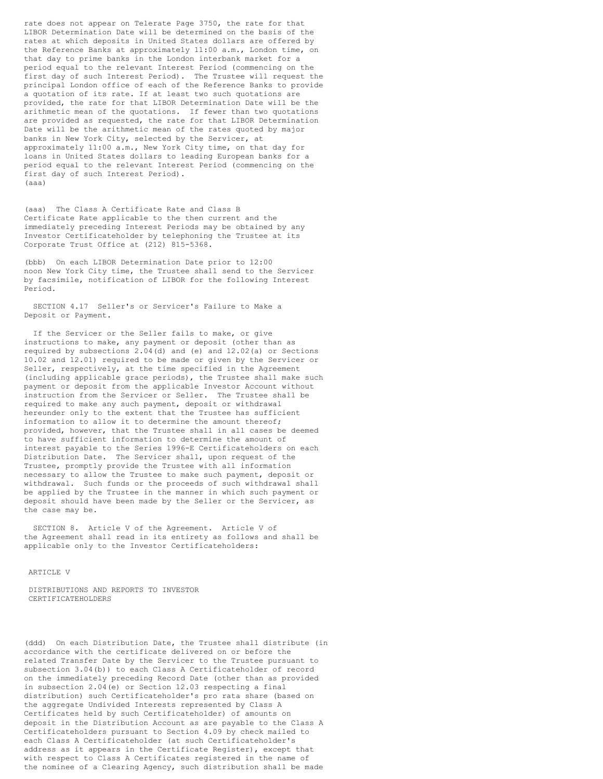rate does not appear on Telerate Page 3750, the rate for that LIBOR Determination Date will be determined on the basis of the rates at which deposits in United States dollars are offered by the Reference Banks at approximately 11:00 a.m., London time, on that day to prime banks in the London interbank market for a period equal to the relevant Interest Period (commencing on the first day of such Interest Period). The Trustee will request the principal London office of each of the Reference Banks to provide a quotation of its rate. If at least two such quotations are provided, the rate for that LIBOR Determination Date will be the arithmetic mean of the quotations. If fewer than two quotations are provided as requested, the rate for that LIBOR Determination Date will be the arithmetic mean of the rates quoted by major banks in New York City, selected by the Servicer, at approximately 11:00 a.m., New York City time, on that day for loans in United States dollars to leading European banks for a period equal to the relevant Interest Period (commencing on the first day of such Interest Period). (aaa)

(aaa) The Class A Certificate Rate and Class B Certificate Rate applicable to the then current and the immediately preceding Interest Periods may be obtained by any Investor Certificateholder by telephoning the Trustee at its Corporate Trust Office at (212) 815-5368.

(bbb) On each LIBOR Determination Date prior to 12:00 noon New York City time, the Trustee shall send to the Servicer by facsimile, notification of LIBOR for the following Interest Period.

SECTION 4.17 Seller's or Servicer's Failure to Make a Deposit or Payment.

If the Servicer or the Seller fails to make, or give instructions to make, any payment or deposit (other than as required by subsections 2.04(d) and (e) and 12.02(a) or Sections 10.02 and 12.01) required to be made or given by the Servicer or Seller, respectively, at the time specified in the Agreement (including applicable grace periods), the Trustee shall make such payment or deposit from the applicable Investor Account without instruction from the Servicer or Seller. The Trustee shall be required to make any such payment, deposit or withdrawal hereunder only to the extent that the Trustee has sufficient information to allow it to determine the amount thereof; provided, however, that the Trustee shall in all cases be deemed to have sufficient information to determine the amount of interest payable to the Series 1996-E Certificateholders on each Distribution Date. The Servicer shall, upon request of the Trustee, promptly provide the Trustee with all information necessary to allow the Trustee to make such payment, deposit or withdrawal. Such funds or the proceeds of such withdrawal shall be applied by the Trustee in the manner in which such payment or deposit should have been made by the Seller or the Servicer, as the case may be.

SECTION 8. Article V of the Agreement. Article V of the Agreement shall read in its entirety as follows and shall be applicable only to the Investor Certificateholders:

## ARTICLE V

DISTRIBUTIONS AND REPORTS TO INVESTOR CERTIFICATEHOLDERS

(ddd) On each Distribution Date, the Trustee shall distribute (in accordance with the certificate delivered on or before the related Transfer Date by the Servicer to the Trustee pursuant to subsection 3.04(b)) to each Class A Certificateholder of record on the immediately preceding Record Date (other than as provided in subsection 2.04(e) or Section 12.03 respecting a final distribution) such Certificateholder's pro rata share (based on the aggregate Undivided Interests represented by Class A Certificates held by such Certificateholder) of amounts on deposit in the Distribution Account as are payable to the Class A Certificateholders pursuant to Section 4.09 by check mailed to each Class A Certificateholder (at such Certificateholder's address as it appears in the Certificate Register), except that with respect to Class A Certificates registered in the name of the nominee of a Clearing Agency, such distribution shall be made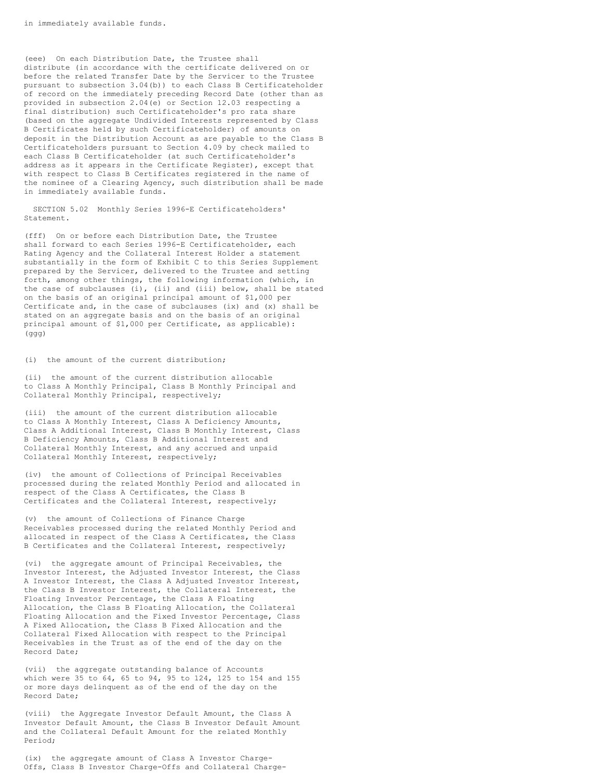(eee) On each Distribution Date, the Trustee shall distribute (in accordance with the certificate delivered on or before the related Transfer Date by the Servicer to the Trustee pursuant to subsection 3.04(b)) to each Class B Certificateholder of record on the immediately preceding Record Date (other than as provided in subsection 2.04(e) or Section 12.03 respecting a final distribution) such Certificateholder's pro rata share (based on the aggregate Undivided Interests represented by Class B Certificates held by such Certificateholder) of amounts on deposit in the Distribution Account as are payable to the Class B Certificateholders pursuant to Section 4.09 by check mailed to each Class B Certificateholder (at such Certificateholder's address as it appears in the Certificate Register), except that with respect to Class B Certificates registered in the name of the nominee of a Clearing Agency, such distribution shall be made in immediately available funds.

SECTION 5.02 Monthly Series 1996-E Certificateholders' Statement.

(fff) On or before each Distribution Date, the Trustee shall forward to each Series 1996-E Certificateholder, each Rating Agency and the Collateral Interest Holder a statement substantially in the form of Exhibit C to this Series Supplement prepared by the Servicer, delivered to the Trustee and setting forth, among other things, the following information (which, in the case of subclauses (i), (ii) and (iii) below, shall be stated on the basis of an original principal amount of \$1,000 per Certificate and, in the case of subclauses (ix) and  $(x)$  shall be stated on an aggregate basis and on the basis of an original principal amount of \$1,000 per Certificate, as applicable):  $(\text{q}q)$ 

(i) the amount of the current distribution;

(ii) the amount of the current distribution allocable to Class A Monthly Principal, Class B Monthly Principal and Collateral Monthly Principal, respectively;

(iii) the amount of the current distribution allocable to Class A Monthly Interest, Class A Deficiency Amounts, Class A Additional Interest, Class B Monthly Interest, Class B Deficiency Amounts, Class B Additional Interest and Collateral Monthly Interest, and any accrued and unpaid Collateral Monthly Interest, respectively;

(iv) the amount of Collections of Principal Receivables processed during the related Monthly Period and allocated in respect of the Class A Certificates, the Class B Certificates and the Collateral Interest, respectively;

the amount of Collections of Finance Charge Receivables processed during the related Monthly Period and allocated in respect of the Class A Certificates, the Class B Certificates and the Collateral Interest, respectively;

(vi) the aggregate amount of Principal Receivables, the Investor Interest, the Adjusted Investor Interest, the Class A Investor Interest, the Class A Adjusted Investor Interest, the Class B Investor Interest, the Collateral Interest, the Floating Investor Percentage, the Class A Floating Allocation, the Class B Floating Allocation, the Collateral Floating Allocation and the Fixed Investor Percentage, Class A Fixed Allocation, the Class B Fixed Allocation and the Collateral Fixed Allocation with respect to the Principal Receivables in the Trust as of the end of the day on the Record Date;

(vii) the aggregate outstanding balance of Accounts which were 35 to 64, 65 to 94, 95 to 124, 125 to 154 and 155 or more days delinquent as of the end of the day on the Record Date;

(viii) the Aggregate Investor Default Amount, the Class A Investor Default Amount, the Class B Investor Default Amount and the Collateral Default Amount for the related Monthly Period;

(ix) the aggregate amount of Class A Investor Charge-Offs, Class B Investor Charge-Offs and Collateral Charge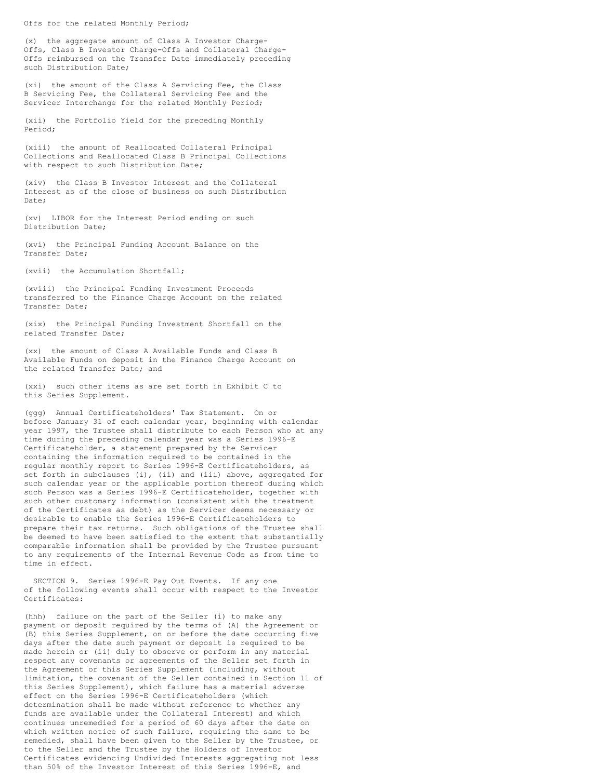Offs for the related Monthly Period;

(x) the aggregate amount of Class A Investor Charge-Offs, Class B Investor Charge-Offs and Collateral Charge-Offs reimbursed on the Transfer Date immediately preceding such Distribution Date;

(xi) the amount of the Class A Servicing Fee, the Class B Servicing Fee, the Collateral Servicing Fee and the Servicer Interchange for the related Monthly Period;

(xii) the Portfolio Yield for the preceding Monthly Period;

(xiii) the amount of Reallocated Collateral Principal Collections and Reallocated Class B Principal Collections with respect to such Distribution Date;

(xiv) the Class B Investor Interest and the Collateral Interest as of the close of business on such Distribution Date;

(xv) LIBOR for the Interest Period ending on such Distribution Date;

(xvi) the Principal Funding Account Balance on the Transfer Date;

(xvii) the Accumulation Shortfall;

(xviii) the Principal Funding Investment Proceeds transferred to the Finance Charge Account on the related Transfer Date;

(xix) the Principal Funding Investment Shortfall on the related Transfer Date;

(xx) the amount of Class A Available Funds and Class B Available Funds on deposit in the Finance Charge Account on the related Transfer Date; and

(xxi) such other items as are set forth in Exhibit C to this Series Supplement.

(ggg) Annual Certificateholders' Tax Statement. On or before January 31 of each calendar year, beginning with calendar year 1997, the Trustee shall distribute to each Person who at any time during the preceding calendar year was a Series 1996-E Certificateholder, a statement prepared by the Servicer containing the information required to be contained in the regular monthly report to Series 1996-E Certificateholders, as set forth in subclauses (i), (ii) and (iii) above, aggregated for such calendar year or the applicable portion thereof during which such Person was a Series 1996-E Certificateholder, together with such other customary information (consistent with the treatment of the Certificates as debt) as the Servicer deems necessary or desirable to enable the Series 1996-E Certificateholders to prepare their tax returns. Such obligations of the Trustee shall be deemed to have been satisfied to the extent that substantially comparable information shall be provided by the Trustee pursuant to any requirements of the Internal Revenue Code as from time to time in effect.

SECTION 9. Series 1996-E Pay Out Events. If any one of the following events shall occur with respect to the Investor Certificates:

(hhh) failure on the part of the Seller (i) to make any payment or deposit required by the terms of (A) the Agreement or (B) this Series Supplement, on or before the date occurring five days after the date such payment or deposit is required to be made herein or (ii) duly to observe or perform in any material respect any covenants or agreements of the Seller set forth in the Agreement or this Series Supplement (including, without limitation, the covenant of the Seller contained in Section 11 of this Series Supplement), which failure has a material adverse effect on the Series 1996-E Certificateholders (which determination shall be made without reference to whether any funds are available under the Collateral Interest) and which continues unremedied for a period of 60 days after the date on which written notice of such failure, requiring the same to be remedied, shall have been given to the Seller by the Trustee, or to the Seller and the Trustee by the Holders of Investor Certificates evidencing Undivided Interests aggregating not less than 50% of the Investor Interest of this Series 1996-E, and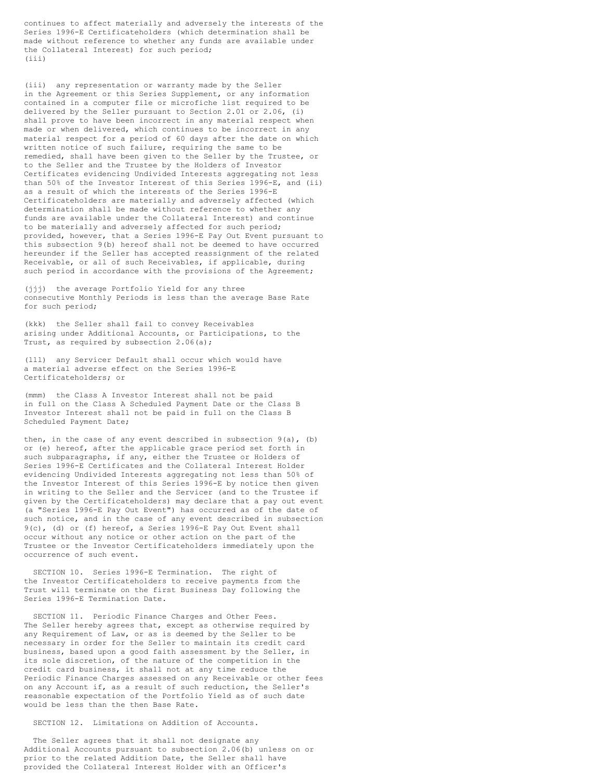continues to affect materially and adversely the interests of the Series 1996-E Certificateholders (which determination shall be made without reference to whether any funds are available under the Collateral Interest) for such period;  $(i \nmid i)$ 

(iii) any representation or warranty made by the Seller in the Agreement or this Series Supplement, or any information contained in a computer file or microfiche list required to be delivered by the Seller pursuant to Section 2.01 or 2.06, (i) shall prove to have been incorrect in any material respect when made or when delivered, which continues to be incorrect in any material respect for a period of 60 days after the date on which written notice of such failure, requiring the same to be remedied, shall have been given to the Seller by the Trustee, or to the Seller and the Trustee by the Holders of Investor Certificates evidencing Undivided Interests aggregating not less than 50% of the Investor Interest of this Series 1996-E, and (ii) as a result of which the interests of the Series 1996-E Certificateholders are materially and adversely affected (which determination shall be made without reference to whether any funds are available under the Collateral Interest) and continue to be materially and adversely affected for such period; provided, however, that a Series 1996-E Pay Out Event pursuant to this subsection 9(b) hereof shall not be deemed to have occurred hereunder if the Seller has accepted reassignment of the related Receivable, or all of such Receivables, if applicable, during such period in accordance with the provisions of the Agreement;

(jjj) the average Portfolio Yield for any three consecutive Monthly Periods is less than the average Base Rate for such period;

(kkk) the Seller shall fail to convey Receivables arising under Additional Accounts, or Participations, to the Trust, as required by subsection 2.06(a);

(lll) any Servicer Default shall occur which would have a material adverse effect on the Series 1996-E Certificateholders; or

(mmm) the Class A Investor Interest shall not be paid in full on the Class A Scheduled Payment Date or the Class B Investor Interest shall not be paid in full on the Class B Scheduled Payment Date;

then, in the case of any event described in subsection  $9(a)$ , (b) or (e) hereof, after the applicable grace period set forth in such subparagraphs, if any, either the Trustee or Holders of Series 1996-E Certificates and the Collateral Interest Holder evidencing Undivided Interests aggregating not less than 50% of the Investor Interest of this Series 1996-E by notice then given in writing to the Seller and the Servicer (and to the Trustee if given by the Certificateholders) may declare that a pay out event (a "Series 1996-E Pay Out Event") has occurred as of the date of such notice, and in the case of any event described in subsection 9(c), (d) or (f) hereof, a Series 1996-E Pay Out Event shall occur without any notice or other action on the part of the Trustee or the Investor Certificateholders immediately upon the occurrence of such event.

SECTION 10. Series 1996-E Termination. The right of the Investor Certificateholders to receive payments from the Trust will terminate on the first Business Day following the Series 1996-E Termination Date.

SECTION 11. Periodic Finance Charges and Other Fees. The Seller hereby agrees that, except as otherwise required by any Requirement of Law, or as is deemed by the Seller to be necessary in order for the Seller to maintain its credit card business, based upon a good faith assessment by the Seller, in its sole discretion, of the nature of the competition in the credit card business, it shall not at any time reduce the Periodic Finance Charges assessed on any Receivable or other fees on any Account if, as a result of such reduction, the Seller's reasonable expectation of the Portfolio Yield as of such date would be less than the then Base Rate.

SECTION 12. Limitations on Addition of Accounts.

The Seller agrees that it shall not designate any Additional Accounts pursuant to subsection 2.06(b) unless on or prior to the related Addition Date, the Seller shall have provided the Collateral Interest Holder with an Officer's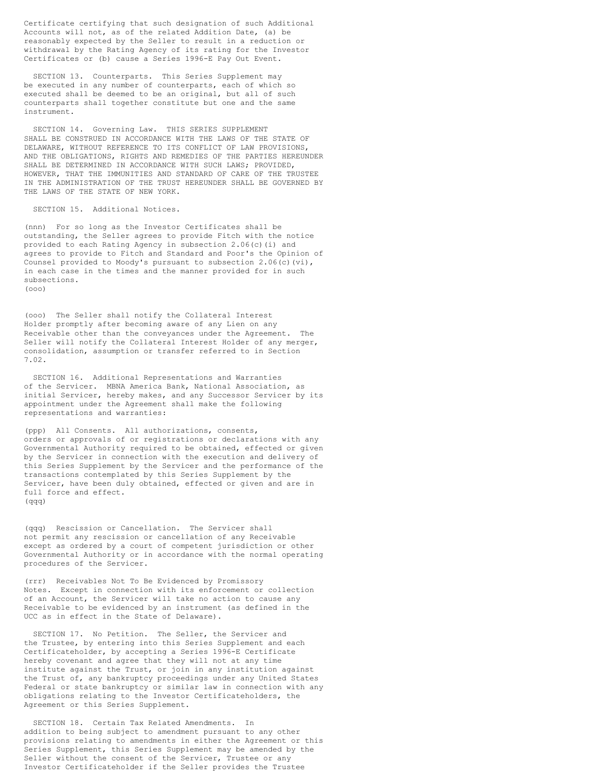Certificate certifying that such designation of such Additional Accounts will not, as of the related Addition Date, (a) be reasonably expected by the Seller to result in a reduction or withdrawal by the Rating Agency of its rating for the Investor Certificates or (b) cause a Series 1996-E Pay Out Event.

SECTION 13. Counterparts. This Series Supplement may be executed in any number of counterparts, each of which so executed shall be deemed to be an original, but all of such counterparts shall together constitute but one and the same instrument.

SECTION 14. Governing Law. THIS SERIES SUPPLEMENT SHALL BE CONSTRUED IN ACCORDANCE WITH THE LAWS OF THE STATE OF DELAWARE, WITHOUT REFERENCE TO ITS CONFLICT OF LAW PROVISIONS, AND THE OBLIGATIONS, RIGHTS AND REMEDIES OF THE PARTIES HEREUNDER SHALL BE DETERMINED IN ACCORDANCE WITH SUCH LAWS; PROVIDED, HOWEVER, THAT THE IMMUNITIES AND STANDARD OF CARE OF THE TRUSTEE IN THE ADMINISTRATION OF THE TRUST HEREUNDER SHALL BE GOVERNED BY THE LAWS OF THE STATE OF NEW YORK.

#### SECTION 15. Additional Notices.

(nnn) For so long as the Investor Certificates shall be outstanding, the Seller agrees to provide Fitch with the notice provided to each Rating Agency in subsection 2.06(c)(i) and agrees to provide to Fitch and Standard and Poor's the Opinion of Counsel provided to Moody's pursuant to subsection  $2.06(c)(vi)$ , in each case in the times and the manner provided for in such subsections. (ooo)

(ooo) The Seller shall notify the Collateral Interest Holder promptly after becoming aware of any Lien on any Receivable other than the conveyances under the Agreement. The Seller will notify the Collateral Interest Holder of any merger, consolidation, assumption or transfer referred to in Section 7.02.

SECTION 16. Additional Representations and Warranties of the Servicer. MBNA America Bank, National Association, as initial Servicer, hereby makes, and any Successor Servicer by its appointment under the Agreement shall make the following representations and warranties:

(ppp) All Consents. All authorizations, consents, orders or approvals of or registrations or declarations with any Governmental Authority required to be obtained, effected or given by the Servicer in connection with the execution and delivery of this Series Supplement by the Servicer and the performance of the transactions contemplated by this Series Supplement by the Servicer, have been duly obtained, effected or given and are in full force and effect. (qqq)

(qqq) Rescission or Cancellation. The Servicer shall not permit any rescission or cancellation of any Receivable except as ordered by a court of competent jurisdiction or other Governmental Authority or in accordance with the normal operating procedures of the Servicer.

(rrr) Receivables Not To Be Evidenced by Promissory Notes. Except in connection with its enforcement or collection of an Account, the Servicer will take no action to cause any Receivable to be evidenced by an instrument (as defined in the UCC as in effect in the State of Delaware).

SECTION 17. No Petition. The Seller, the Servicer and the Trustee, by entering into this Series Supplement and each Certificateholder, by accepting a Series 1996-E Certificate hereby covenant and agree that they will not at any time institute against the Trust, or join in any institution against the Trust of, any bankruptcy proceedings under any United States Federal or state bankruptcy or similar law in connection with any obligations relating to the Investor Certificateholders, the Agreement or this Series Supplement.

SECTION 18. Certain Tax Related Amendments. In addition to being subject to amendment pursuant to any other provisions relating to amendments in either the Agreement or this Series Supplement, this Series Supplement may be amended by the Seller without the consent of the Servicer, Trustee or any Investor Certificateholder if the Seller provides the Trustee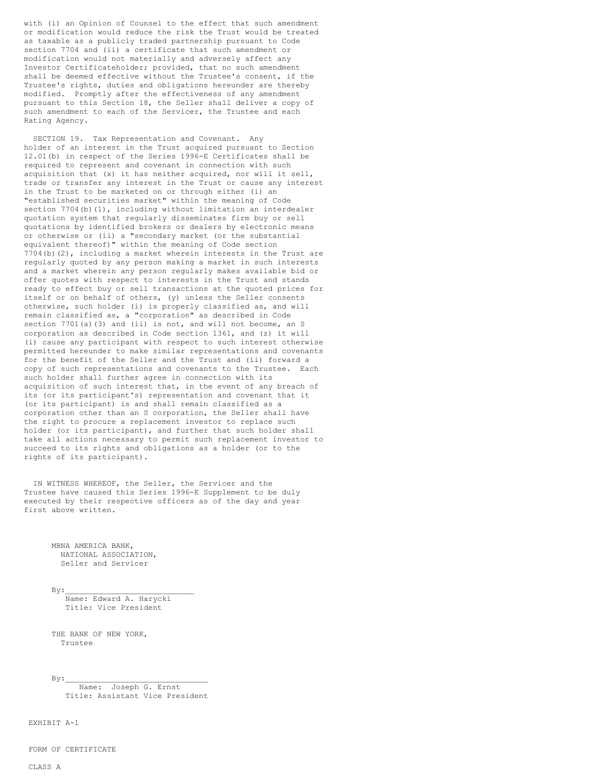with (i) an Opinion of Counsel to the effect that such amendment or modification would reduce the risk the Trust would be treated as taxable as a publicly traded partnership pursuant to Code section 7704 and (ii) a certificate that such amendment or modification would not materially and adversely affect any Investor Certificateholder; provided, that no such amendment shall be deemed effective without the Trustee's consent, if the Trustee's rights, duties and obligations hereunder are thereby modified. Promptly after the effectiveness of any amendment pursuant to this Section 18, the Seller shall deliver a copy of such amendment to each of the Servicer, the Trustee and each Rating Agency.

SECTION 19. Tax Representation and Covenant. Any holder of an interest in the Trust acquired pursuant to Section 12.01(b) in respect of the Series 1996-E Certificates shall be required to represent and covenant in connection with such acquisition that (x) it has neither acquired, nor will it sell, trade or transfer any interest in the Trust or cause any interest in the Trust to be marketed on or through either (i) an "established securities market" within the meaning of Code section 7704(b)(1), including without limitation an interdealer quotation system that regularly disseminates firm buy or sell quotations by identified brokers or dealers by electronic means or otherwise or (ii) a "secondary market (or the substantial equivalent thereof)" within the meaning of Code section 7704(b)(2), including a market wherein interests in the Trust are regularly quoted by any person making a market in such interests and a market wherein any person regularly makes available bid or offer quotes with respect to interests in the Trust and stands ready to effect buy or sell transactions at the quoted prices for itself or on behalf of others, (y) unless the Seller consents otherwise, such holder (i) is properly classified as, and will remain classified as, a "corporation" as described in Code section 7701(a)(3) and (ii) is not, and will not become, an S corporation as described in Code section 1361, and (z) it will (i) cause any participant with respect to such interest otherwise permitted hereunder to make similar representations and covenants for the benefit of the Seller and the Trust and (ii) forward a copy of such representations and covenants to the Trustee. Each such holder shall further agree in connection with its acquisition of such interest that, in the event of any breach of its (or its participant's) representation and covenant that it (or its participant) is and shall remain classified as a corporation other than an S corporation, the Seller shall have the right to procure a replacement investor to replace such holder (or its participant), and further that such holder shall take all actions necessary to permit such replacement investor to succeed to its rights and obligations as a holder (or to the rights of its participant).

IN WITNESS WHEREOF, the Seller, the Servicer and the Trustee have caused this Series 1996-E Supplement to be duly executed by their respective officers as of the day and year first above written.

MBNA AMERICA BANK, NATIONAL ASSOCIATION, Seller and Servicer

 $By:$ Name: Edward A. Harycki Title: Vice President

THE BANK OF NEW YORK, Trustee

 $By:$ 

Name: Joseph G. Ernst Title: Assistant Vice President

EXHIBIT A-1

FORM OF CERTIFICATE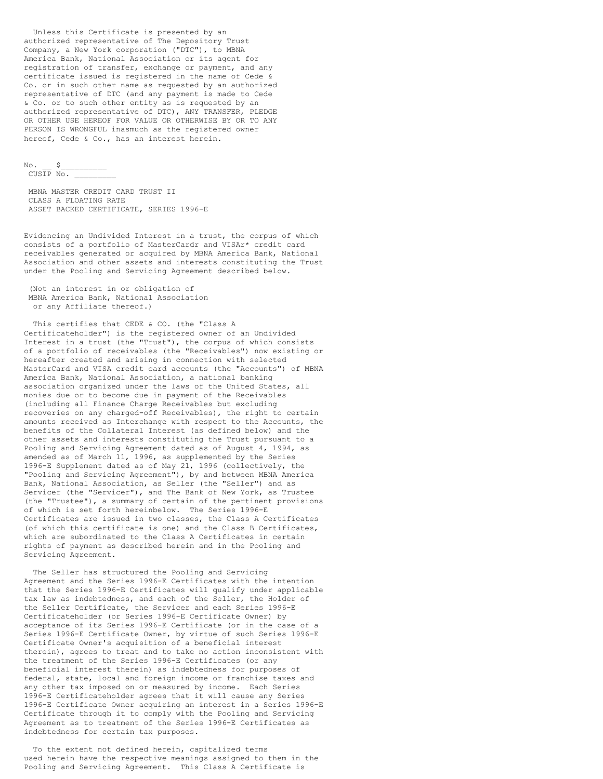Unless this Certificate is presented by an authorized representative of The Depository Trust Company, a New York corporation ("DTC"), to MBNA America Bank, National Association or its agent for registration of transfer, exchange or payment, and any certificate issued is registered in the name of Cede & Co. or in such other name as requested by an authorized representative of DTC (and any payment is made to Cede & Co. or to such other entity as is requested by an authorized representative of DTC), ANY TRANSFER, PLEDGE OR OTHER USE HEREOF FOR VALUE OR OTHERWISE BY OR TO ANY PERSON IS WRONGFUL inasmuch as the registered owner hereof, Cede & Co., has an interest herein.

 $No.$   $S$  $CUS\overline{IP}$  No.

MBNA MASTER CREDIT CARD TRUST II CLASS A FLOATING RATE ASSET BACKED CERTIFICATE, SERIES 1996-E

Evidencing an Undivided Interest in a trust, the corpus of which consists of a portfolio of MasterCardr and VISAr\* credit card receivables generated or acquired by MBNA America Bank, National Association and other assets and interests constituting the Trust under the Pooling and Servicing Agreement described below.

(Not an interest in or obligation of MBNA America Bank, National Association or any Affiliate thereof.)

This certifies that CEDE & CO. (the "Class A Certificateholder") is the registered owner of an Undivided Interest in a trust (the "Trust"), the corpus of which consists of a portfolio of receivables (the "Receivables") now existing or hereafter created and arising in connection with selected MasterCard and VISA credit card accounts (the "Accounts") of MBNA America Bank, National Association, a national banking association organized under the laws of the United States, all monies due or to become due in payment of the Receivables (including all Finance Charge Receivables but excluding recoveries on any charged-off Receivables), the right to certain amounts received as Interchange with respect to the Accounts, the benefits of the Collateral Interest (as defined below) and the other assets and interests constituting the Trust pursuant to a Pooling and Servicing Agreement dated as of August 4, 1994, as amended as of March 11, 1996, as supplemented by the Series 1996-E Supplement dated as of May 21, 1996 (collectively, the "Pooling and Servicing Agreement"), by and between MBNA America Bank, National Association, as Seller (the "Seller") and as Servicer (the "Servicer"), and The Bank of New York, as Trustee (the "Trustee"), a summary of certain of the pertinent provisions of which is set forth hereinbelow. The Series 1996-E Certificates are issued in two classes, the Class A Certificates (of which this certificate is one) and the Class B Certificates, which are subordinated to the Class A Certificates in certain rights of payment as described herein and in the Pooling and Servicing Agreement.

The Seller has structured the Pooling and Servicing Agreement and the Series 1996-E Certificates with the intention that the Series 1996-E Certificates will qualify under applicable tax law as indebtedness, and each of the Seller, the Holder of the Seller Certificate, the Servicer and each Series 1996-E Certificateholder (or Series 1996-E Certificate Owner) by acceptance of its Series 1996-E Certificate (or in the case of a Series 1996-E Certificate Owner, by virtue of such Series 1996-E Certificate Owner's acquisition of a beneficial interest therein), agrees to treat and to take no action inconsistent with the treatment of the Series 1996-E Certificates (or any beneficial interest therein) as indebtedness for purposes of federal, state, local and foreign income or franchise taxes and any other tax imposed on or measured by income. Each Series 1996-E Certificateholder agrees that it will cause any Series 1996-E Certificate Owner acquiring an interest in a Series 1996-E Certificate through it to comply with the Pooling and Servicing Agreement as to treatment of the Series 1996-E Certificates as indebtedness for certain tax purposes.

To the extent not defined herein, capitalized terms used herein have the respective meanings assigned to them in the Pooling and Servicing Agreement. This Class A Certificate is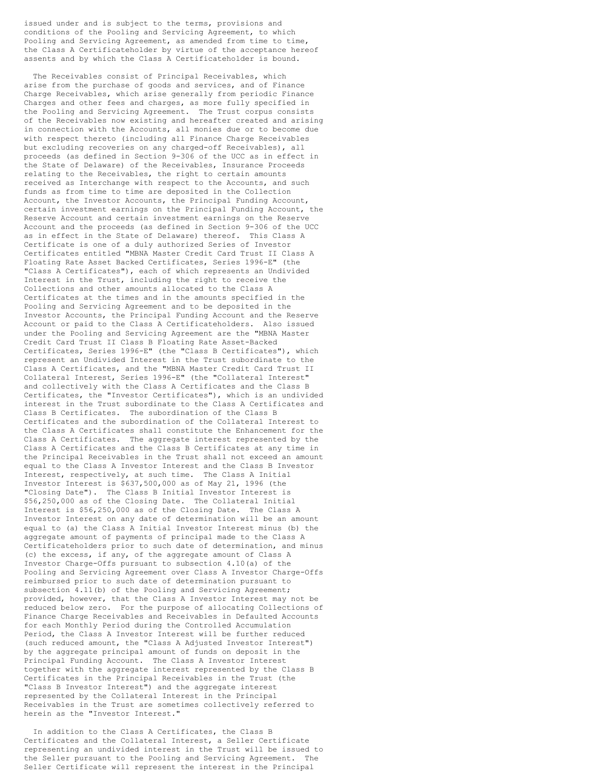issued under and is subject to the terms, provisions and conditions of the Pooling and Servicing Agreement, to which Pooling and Servicing Agreement, as amended from time to time, the Class A Certificateholder by virtue of the acceptance hereof assents and by which the Class A Certificateholder is bound.

The Receivables consist of Principal Receivables, which arise from the purchase of goods and services, and of Finance Charge Receivables, which arise generally from periodic Finance Charges and other fees and charges, as more fully specified in the Pooling and Servicing Agreement. The Trust corpus consists of the Receivables now existing and hereafter created and arising in connection with the Accounts, all monies due or to become due with respect thereto (including all Finance Charge Receivables but excluding recoveries on any charged-off Receivables), all proceeds (as defined in Section 9-306 of the UCC as in effect in the State of Delaware) of the Receivables, Insurance Proceeds relating to the Receivables, the right to certain amounts received as Interchange with respect to the Accounts, and such funds as from time to time are deposited in the Collection Account, the Investor Accounts, the Principal Funding Account, certain investment earnings on the Principal Funding Account, the Reserve Account and certain investment earnings on the Reserve Account and the proceeds (as defined in Section 9-306 of the UCC as in effect in the State of Delaware) thereof. This Class A Certificate is one of a duly authorized Series of Investor Certificates entitled "MBNA Master Credit Card Trust II Class A Floating Rate Asset Backed Certificates, Series 1996-E" (the "Class A Certificates"), each of which represents an Undivided Interest in the Trust, including the right to receive the Collections and other amounts allocated to the Class A Certificates at the times and in the amounts specified in the Pooling and Servicing Agreement and to be deposited in the Investor Accounts, the Principal Funding Account and the Reserve Account or paid to the Class A Certificateholders. Also issued under the Pooling and Servicing Agreement are the "MBNA Master Credit Card Trust II Class B Floating Rate Asset-Backed Certificates, Series 1996-E" (the "Class B Certificates"), which represent an Undivided Interest in the Trust subordinate to the Class A Certificates, and the "MBNA Master Credit Card Trust II Collateral Interest, Series 1996-E" (the "Collateral Interest" and collectively with the Class A Certificates and the Class B Certificates, the "Investor Certificates"), which is an undivided interest in the Trust subordinate to the Class A Certificates and Class B Certificates. The subordination of the Class B Certificates and the subordination of the Collateral Interest to the Class A Certificates shall constitute the Enhancement for the Class A Certificates. The aggregate interest represented by the Class A Certificates and the Class B Certificates at any time in the Principal Receivables in the Trust shall not exceed an amount equal to the Class A Investor Interest and the Class B Investor Interest, respectively, at such time. The Class A Initial Investor Interest is \$637,500,000 as of May 21, 1996 (the "Closing Date"). The Class B Initial Investor Interest is \$56,250,000 as of the Closing Date. The Collateral Initial Interest is \$56,250,000 as of the Closing Date. The Class A Investor Interest on any date of determination will be an amount equal to (a) the Class A Initial Investor Interest minus (b) the aggregate amount of payments of principal made to the Class A Certificateholders prior to such date of determination, and minus (c) the excess, if any, of the aggregate amount of Class A Investor Charge-Offs pursuant to subsection 4.10(a) of the Pooling and Servicing Agreement over Class A Investor Charge-Offs reimbursed prior to such date of determination pursuant to subsection 4.11(b) of the Pooling and Servicing Agreement; provided, however, that the Class A Investor Interest may not be reduced below zero. For the purpose of allocating Collections of Finance Charge Receivables and Receivables in Defaulted Accounts for each Monthly Period during the Controlled Accumulation Period, the Class A Investor Interest will be further reduced (such reduced amount, the "Class A Adjusted Investor Interest") by the aggregate principal amount of funds on deposit in the Principal Funding Account. The Class A Investor Interest together with the aggregate interest represented by the Class B Certificates in the Principal Receivables in the Trust (the "Class B Investor Interest") and the aggregate interest represented by the Collateral Interest in the Principal Receivables in the Trust are sometimes collectively referred to herein as the "Investor Interest."

In addition to the Class A Certificates, the Class B Certificates and the Collateral Interest, a Seller Certificate representing an undivided interest in the Trust will be issued to the Seller pursuant to the Pooling and Servicing Agreement. The Seller Certificate will represent the interest in the Principal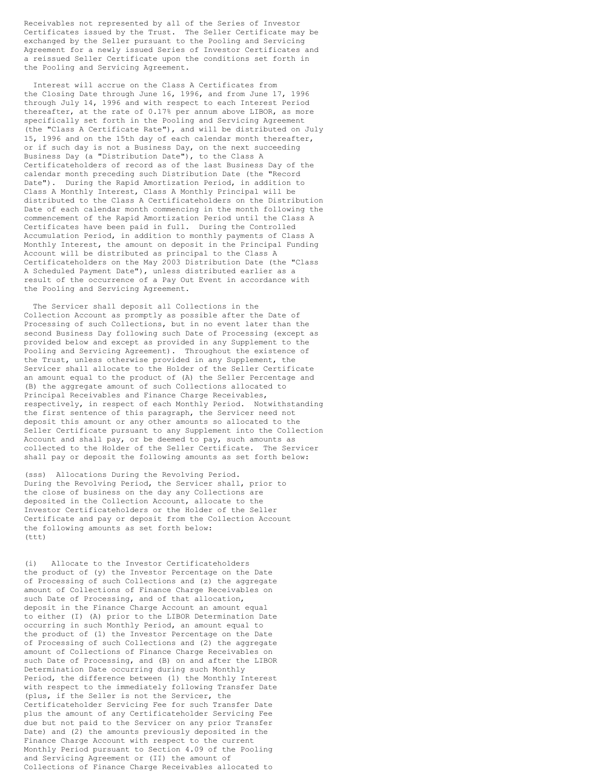Receivables not represented by all of the Series of Investor Certificates issued by the Trust. The Seller Certificate may be exchanged by the Seller pursuant to the Pooling and Servicing Agreement for a newly issued Series of Investor Certificates and a reissued Seller Certificate upon the conditions set forth in the Pooling and Servicing Agreement.

Interest will accrue on the Class A Certificates from the Closing Date through June 16, 1996, and from June 17, 1996 through July 14, 1996 and with respect to each Interest Period thereafter, at the rate of 0.17% per annum above LIBOR, as more specifically set forth in the Pooling and Servicing Agreement (the "Class A Certificate Rate"), and will be distributed on July 15, 1996 and on the 15th day of each calendar month thereafter, or if such day is not a Business Day, on the next succeeding Business Day (a "Distribution Date"), to the Class A Certificateholders of record as of the last Business Day of the calendar month preceding such Distribution Date (the "Record Date"). During the Rapid Amortization Period, in addition to Class A Monthly Interest, Class A Monthly Principal will be distributed to the Class A Certificateholders on the Distribution Date of each calendar month commencing in the month following the commencement of the Rapid Amortization Period until the Class A Certificates have been paid in full. During the Controlled Accumulation Period, in addition to monthly payments of Class A Monthly Interest, the amount on deposit in the Principal Funding Account will be distributed as principal to the Class A Certificateholders on the May 2003 Distribution Date (the "Class A Scheduled Payment Date"), unless distributed earlier as a result of the occurrence of a Pay Out Event in accordance with the Pooling and Servicing Agreement.

The Servicer shall deposit all Collections in the Collection Account as promptly as possible after the Date of Processing of such Collections, but in no event later than the second Business Day following such Date of Processing (except as provided below and except as provided in any Supplement to the Pooling and Servicing Agreement). Throughout the existence of the Trust, unless otherwise provided in any Supplement, the Servicer shall allocate to the Holder of the Seller Certificate an amount equal to the product of (A) the Seller Percentage and (B) the aggregate amount of such Collections allocated to Principal Receivables and Finance Charge Receivables, respectively, in respect of each Monthly Period. Notwithstanding the first sentence of this paragraph, the Servicer need not deposit this amount or any other amounts so allocated to the Seller Certificate pursuant to any Supplement into the Collection Account and shall pay, or be deemed to pay, such amounts as collected to the Holder of the Seller Certificate. The Servicer shall pay or deposit the following amounts as set forth below:

(sss) Allocations During the Revolving Period. During the Revolving Period, the Servicer shall, prior to the close of business on the day any Collections are deposited in the Collection Account, allocate to the Investor Certificateholders or the Holder of the Seller Certificate and pay or deposit from the Collection Account the following amounts as set forth below: (ttt)

(i) Allocate to the Investor Certificateholders the product of (y) the Investor Percentage on the Date of Processing of such Collections and (z) the aggregate amount of Collections of Finance Charge Receivables on such Date of Processing, and of that allocation, deposit in the Finance Charge Account an amount equal to either (I) (A) prior to the LIBOR Determination Date occurring in such Monthly Period, an amount equal to the product of (1) the Investor Percentage on the Date of Processing of such Collections and (2) the aggregate amount of Collections of Finance Charge Receivables on such Date of Processing, and (B) on and after the LIBOR Determination Date occurring during such Monthly Period, the difference between (1) the Monthly Interest with respect to the immediately following Transfer Date (plus, if the Seller is not the Servicer, the Certificateholder Servicing Fee for such Transfer Date plus the amount of any Certificateholder Servicing Fee due but not paid to the Servicer on any prior Transfer Date) and (2) the amounts previously deposited in the Finance Charge Account with respect to the current Monthly Period pursuant to Section 4.09 of the Pooling and Servicing Agreement or (II) the amount of Collections of Finance Charge Receivables allocated to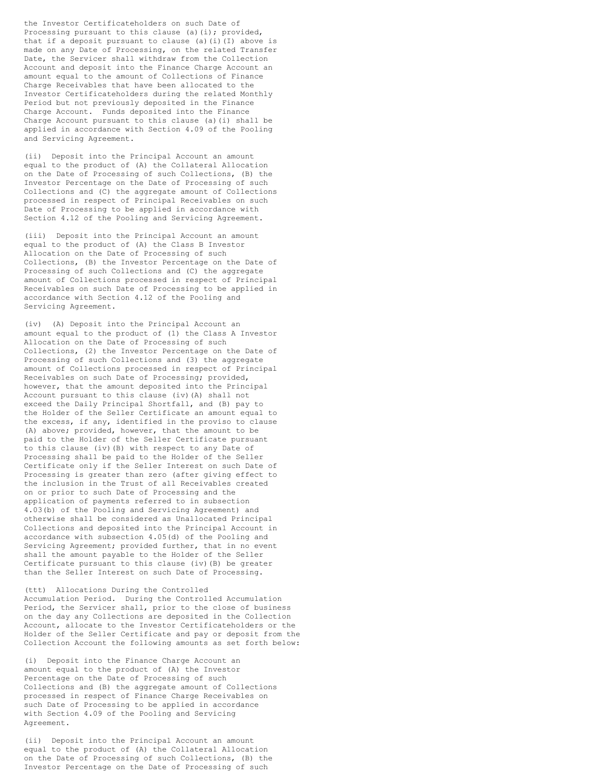the Investor Certificateholders on such Date of Processing pursuant to this clause (a)(i); provided, that if a deposit pursuant to clause (a)(i)(I) above is made on any Date of Processing, on the related Transfer Date, the Servicer shall withdraw from the Collection Account and deposit into the Finance Charge Account an amount equal to the amount of Collections of Finance Charge Receivables that have been allocated to the Investor Certificateholders during the related Monthly Period but not previously deposited in the Finance Charge Account. Funds deposited into the Finance Charge Account pursuant to this clause (a)(i) shall be applied in accordance with Section 4.09 of the Pooling and Servicing Agreement.

(ii) Deposit into the Principal Account an amount equal to the product of (A) the Collateral Allocation on the Date of Processing of such Collections, (B) the Investor Percentage on the Date of Processing of such Collections and (C) the aggregate amount of Collections processed in respect of Principal Receivables on such Date of Processing to be applied in accordance with Section 4.12 of the Pooling and Servicing Agreement.

(iii) Deposit into the Principal Account an amount equal to the product of (A) the Class B Investor Allocation on the Date of Processing of such Collections, (B) the Investor Percentage on the Date of Processing of such Collections and (C) the aggregate amount of Collections processed in respect of Principal Receivables on such Date of Processing to be applied in accordance with Section 4.12 of the Pooling and Servicing Agreement.

(iv) (A) Deposit into the Principal Account an amount equal to the product of (1) the Class A Investor Allocation on the Date of Processing of such Collections, (2) the Investor Percentage on the Date of Processing of such Collections and (3) the aggregate amount of Collections processed in respect of Principal Receivables on such Date of Processing; provided, however, that the amount deposited into the Principal Account pursuant to this clause (iv)(A) shall not exceed the Daily Principal Shortfall, and (B) pay to the Holder of the Seller Certificate an amount equal to the excess, if any, identified in the proviso to clause (A) above; provided, however, that the amount to be paid to the Holder of the Seller Certificate pursuant to this clause (iv)(B) with respect to any Date of Processing shall be paid to the Holder of the Seller Certificate only if the Seller Interest on such Date of Processing is greater than zero (after giving effect to the inclusion in the Trust of all Receivables created on or prior to such Date of Processing and the application of payments referred to in subsection 4.03(b) of the Pooling and Servicing Agreement) and otherwise shall be considered as Unallocated Principal Collections and deposited into the Principal Account in accordance with subsection 4.05(d) of the Pooling and Servicing Agreement; provided further, that in no event shall the amount payable to the Holder of the Seller Certificate pursuant to this clause (iv)(B) be greater than the Seller Interest on such Date of Processing.

# (ttt) Allocations During the Controlled

Accumulation Period. During the Controlled Accumulation Period, the Servicer shall, prior to the close of business on the day any Collections are deposited in the Collection Account, allocate to the Investor Certificateholders or the Holder of the Seller Certificate and pay or deposit from the Collection Account the following amounts as set forth below:

(i) Deposit into the Finance Charge Account an amount equal to the product of (A) the Investor Percentage on the Date of Processing of such Collections and (B) the aggregate amount of Collections processed in respect of Finance Charge Receivables on such Date of Processing to be applied in accordance with Section 4.09 of the Pooling and Servicing Agreement.

(ii) Deposit into the Principal Account an amount equal to the product of (A) the Collateral Allocation on the Date of Processing of such Collections, (B) the Investor Percentage on the Date of Processing of such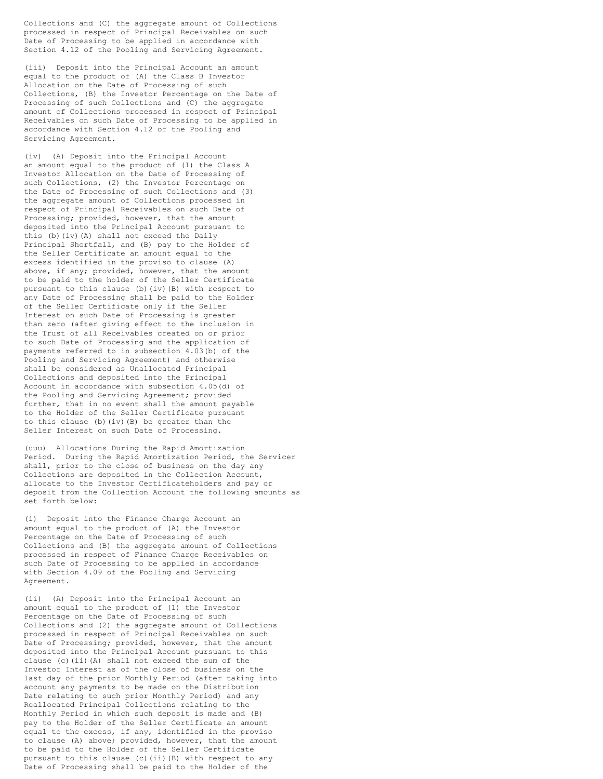Collections and (C) the aggregate amount of Collections processed in respect of Principal Receivables on such Date of Processing to be applied in accordance with Section 4.12 of the Pooling and Servicing Agreement.

(iii) Deposit into the Principal Account an amount equal to the product of (A) the Class B Investor Allocation on the Date of Processing of such Collections, (B) the Investor Percentage on the Date of Processing of such Collections and (C) the aggregate amount of Collections processed in respect of Principal Receivables on such Date of Processing to be applied in accordance with Section 4.12 of the Pooling and Servicing Agreement.

(iv) (A) Deposit into the Principal Account an amount equal to the product of (1) the Class A Investor Allocation on the Date of Processing of such Collections, (2) the Investor Percentage on the Date of Processing of such Collections and (3) the aggregate amount of Collections processed in respect of Principal Receivables on such Date of Processing; provided, however, that the amount deposited into the Principal Account pursuant to this (b)(iv)(A) shall not exceed the Daily Principal Shortfall, and (B) pay to the Holder of the Seller Certificate an amount equal to the excess identified in the proviso to clause (A) above, if any; provided, however, that the amount to be paid to the holder of the Seller Certificate pursuant to this clause (b)(iv)(B) with respect to any Date of Processing shall be paid to the Holder of the Seller Certificate only if the Seller Interest on such Date of Processing is greater than zero (after giving effect to the inclusion in the Trust of all Receivables created on or prior to such Date of Processing and the application of payments referred to in subsection 4.03(b) of the Pooling and Servicing Agreement) and otherwise shall be considered as Unallocated Principal Collections and deposited into the Principal Account in accordance with subsection 4.05(d) of the Pooling and Servicing Agreement; provided further, that in no event shall the amount payable to the Holder of the Seller Certificate pursuant to this clause (b)(iv)(B) be greater than the Seller Interest on such Date of Processing.

(uuu) Allocations During the Rapid Amortization Period. During the Rapid Amortization Period, the Servicer shall, prior to the close of business on the day any Collections are deposited in the Collection Account, allocate to the Investor Certificateholders and pay or deposit from the Collection Account the following amounts as set forth below:

(i) Deposit into the Finance Charge Account an amount equal to the product of (A) the Investor Percentage on the Date of Processing of such Collections and (B) the aggregate amount of Collections processed in respect of Finance Charge Receivables on such Date of Processing to be applied in accordance with Section 4.09 of the Pooling and Servicing Agreement.

(ii) (A) Deposit into the Principal Account an amount equal to the product of (1) the Investor Percentage on the Date of Processing of such Collections and (2) the aggregate amount of Collections processed in respect of Principal Receivables on such Date of Processing; provided, however, that the amount deposited into the Principal Account pursuant to this clause (c)(ii)(A) shall not exceed the sum of the Investor Interest as of the close of business on the last day of the prior Monthly Period (after taking into account any payments to be made on the Distribution Date relating to such prior Monthly Period) and any Reallocated Principal Collections relating to the Monthly Period in which such deposit is made and (B) pay to the Holder of the Seller Certificate an amount equal to the excess, if any, identified in the proviso to clause (A) above; provided, however, that the amount to be paid to the Holder of the Seller Certificate pursuant to this clause (c)(ii)(B) with respect to any Date of Processing shall be paid to the Holder of the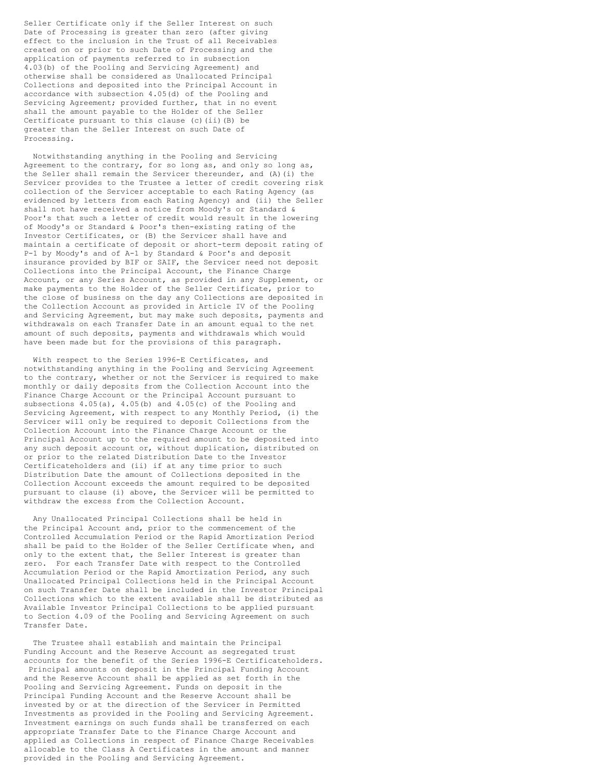Seller Certificate only if the Seller Interest on such Date of Processing is greater than zero (after giving effect to the inclusion in the Trust of all Receivables created on or prior to such Date of Processing and the application of payments referred to in subsection 4.03(b) of the Pooling and Servicing Agreement) and otherwise shall be considered as Unallocated Principal Collections and deposited into the Principal Account in accordance with subsection 4.05(d) of the Pooling and Servicing Agreement; provided further, that in no event shall the amount payable to the Holder of the Seller Certificate pursuant to this clause (c)(ii)(B) be greater than the Seller Interest on such Date of Processing.

Notwithstanding anything in the Pooling and Servicing Agreement to the contrary, for so long as, and only so long as, the Seller shall remain the Servicer thereunder, and (A)(i) the Servicer provides to the Trustee a letter of credit covering risk collection of the Servicer acceptable to each Rating Agency (as evidenced by letters from each Rating Agency) and (ii) the Seller shall not have received a notice from Moody's or Standard & Poor's that such a letter of credit would result in the lowering of Moody's or Standard & Poor's then-existing rating of the Investor Certificates, or (B) the Servicer shall have and maintain a certificate of deposit or short-term deposit rating of P-1 by Moody's and of A-1 by Standard & Poor's and deposit insurance provided by BIF or SAIF, the Servicer need not deposit Collections into the Principal Account, the Finance Charge Account, or any Series Account, as provided in any Supplement, or make payments to the Holder of the Seller Certificate, prior to the close of business on the day any Collections are deposited in the Collection Account as provided in Article IV of the Pooling and Servicing Agreement, but may make such deposits, payments and withdrawals on each Transfer Date in an amount equal to the net amount of such deposits, payments and withdrawals which would have been made but for the provisions of this paragraph.

With respect to the Series 1996-E Certificates, and notwithstanding anything in the Pooling and Servicing Agreement to the contrary, whether or not the Servicer is required to make monthly or daily deposits from the Collection Account into the Finance Charge Account or the Principal Account pursuant to subsections 4.05(a), 4.05(b) and 4.05(c) of the Pooling and Servicing Agreement, with respect to any Monthly Period, (i) the Servicer will only be required to deposit Collections from the Collection Account into the Finance Charge Account or the Principal Account up to the required amount to be deposited into any such deposit account or, without duplication, distributed on or prior to the related Distribution Date to the Investor Certificateholders and (ii) if at any time prior to such Distribution Date the amount of Collections deposited in the Collection Account exceeds the amount required to be deposited pursuant to clause (i) above, the Servicer will be permitted to withdraw the excess from the Collection Account.

Any Unallocated Principal Collections shall be held in the Principal Account and, prior to the commencement of the Controlled Accumulation Period or the Rapid Amortization Period shall be paid to the Holder of the Seller Certificate when, and only to the extent that, the Seller Interest is greater than zero. For each Transfer Date with respect to the Controlled Accumulation Period or the Rapid Amortization Period, any such Unallocated Principal Collections held in the Principal Account on such Transfer Date shall be included in the Investor Principal Collections which to the extent available shall be distributed as Available Investor Principal Collections to be applied pursuant to Section 4.09 of the Pooling and Servicing Agreement on such Transfer Date.

The Trustee shall establish and maintain the Principal Funding Account and the Reserve Account as segregated trust accounts for the benefit of the Series 1996-E Certificateholders. Principal amounts on deposit in the Principal Funding Account and the Reserve Account shall be applied as set forth in the Pooling and Servicing Agreement. Funds on deposit in the Principal Funding Account and the Reserve Account shall be invested by or at the direction of the Servicer in Permitted Investments as provided in the Pooling and Servicing Agreement. Investment earnings on such funds shall be transferred on each appropriate Transfer Date to the Finance Charge Account and applied as Collections in respect of Finance Charge Receivables allocable to the Class A Certificates in the amount and manner provided in the Pooling and Servicing Agreement.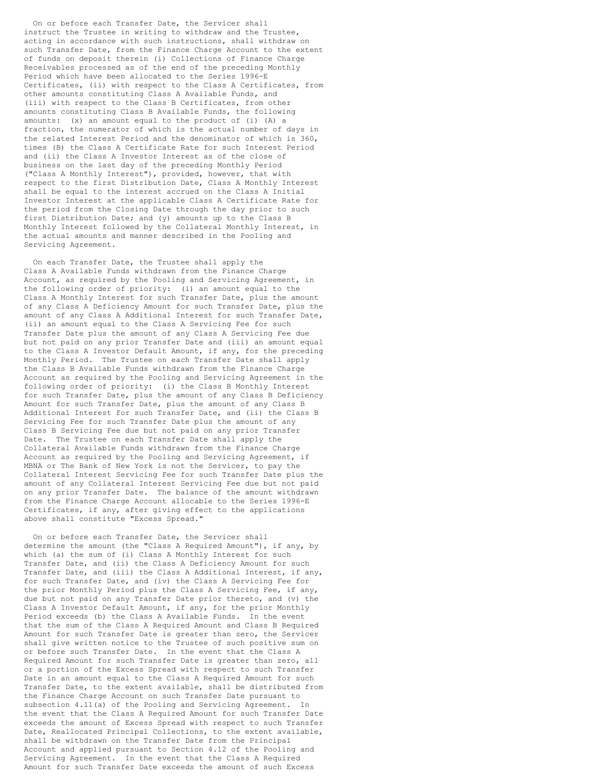On or before each Transfer Date, the Servicer shall instruct the Trustee in writing to withdraw and the Trustee, acting in accordance with such instructions, shall withdraw on such Transfer Date, from the Finance Charge Account to the extent of funds on deposit therein (i) Collections of Finance Charge Receivables processed as of the end of the preceding Monthly Period which have been allocated to the Series 1996-E Certificates, (ii) with respect to the Class A Certificates, from other amounts constituting Class A Available Funds, and (iii) with respect to the Class B Certificates, from other amounts constituting Class B Available Funds, the following amounts: (x) an amount equal to the product of (i) (A) a fraction, the numerator of which is the actual number of days in the related Interest Period and the denominator of which is 360, times (B) the Class A Certificate Rate for such Interest Period and (ii) the Class A Investor Interest as of the close of business on the last day of the preceding Monthly Period ("Class A Monthly Interest"), provided, however, that with respect to the first Distribution Date, Class A Monthly Interest shall be equal to the interest accrued on the Class A Initial Investor Interest at the applicable Class A Certificate Rate for the period from the Closing Date through the day prior to such first Distribution Date; and (y) amounts up to the Class B Monthly Interest followed by the Collateral Monthly Interest, in the actual amounts and manner described in the Pooling and Servicing Agreement.

On each Transfer Date, the Trustee shall apply the Class A Available Funds withdrawn from the Finance Charge Account, as required by the Pooling and Servicing Agreement, in the following order of priority: (i) an amount equal to the Class A Monthly Interest for such Transfer Date, plus the amount of any Class A Deficiency Amount for such Transfer Date, plus the amount of any Class A Additional Interest for such Transfer Date, (ii) an amount equal to the Class A Servicing Fee for such Transfer Date plus the amount of any Class A Servicing Fee due but not paid on any prior Transfer Date and (iii) an amount equal to the Class A Investor Default Amount, if any, for the preceding Monthly Period. The Trustee on each Transfer Date shall apply the Class B Available Funds withdrawn from the Finance Charge Account as required by the Pooling and Servicing Agreement in the following order of priority: (i) the Class B Monthly Interest for such Transfer Date, plus the amount of any Class B Deficiency Amount for such Transfer Date, plus the amount of any Class B Additional Interest for such Transfer Date, and (ii) the Class B Servicing Fee for such Transfer Date plus the amount of any Class B Servicing Fee due but not paid on any prior Transfer Date. The Trustee on each Transfer Date shall apply the Collateral Available Funds withdrawn from the Finance Charge Account as required by the Pooling and Servicing Agreement, if MBNA or The Bank of New York is not the Servicer, to pay the Collateral Interest Servicing Fee for such Transfer Date plus the amount of any Collateral Interest Servicing Fee due but not paid on any prior Transfer Date. The balance of the amount withdrawn from the Finance Charge Account allocable to the Series 1996-E Certificates, if any, after giving effect to the applications above shall constitute "Excess Spread."

On or before each Transfer Date, the Servicer shall determine the amount (the "Class A Required Amount"), if any, by which (a) the sum of (i) Class A Monthly Interest for such Transfer Date, and (ii) the Class A Deficiency Amount for such Transfer Date, and (iii) the Class A Additional Interest, if any, for such Transfer Date, and (iv) the Class A Servicing Fee for the prior Monthly Period plus the Class A Servicing Fee, if any, due but not paid on any Transfer Date prior thereto, and (v) the Class A Investor Default Amount, if any, for the prior Monthly Period exceeds (b) the Class A Available Funds. In the event that the sum of the Class A Required Amount and Class B Required Amount for such Transfer Date is greater than zero, the Servicer shall give written notice to the Trustee of such positive sum on or before such Transfer Date. In the event that the Class A Required Amount for such Transfer Date is greater than zero, all or a portion of the Excess Spread with respect to such Transfer Date in an amount equal to the Class A Required Amount for such Transfer Date, to the extent available, shall be distributed from the Finance Charge Account on such Transfer Date pursuant to subsection 4.11(a) of the Pooling and Servicing Agreement. In the event that the Class A Required Amount for such Transfer Date exceeds the amount of Excess Spread with respect to such Transfer Date, Reallocated Principal Collections, to the extent available, shall be withdrawn on the Transfer Date from the Principal Account and applied pursuant to Section 4.12 of the Pooling and Servicing Agreement. In the event that the Class A Required Amount for such Transfer Date exceeds the amount of such Excess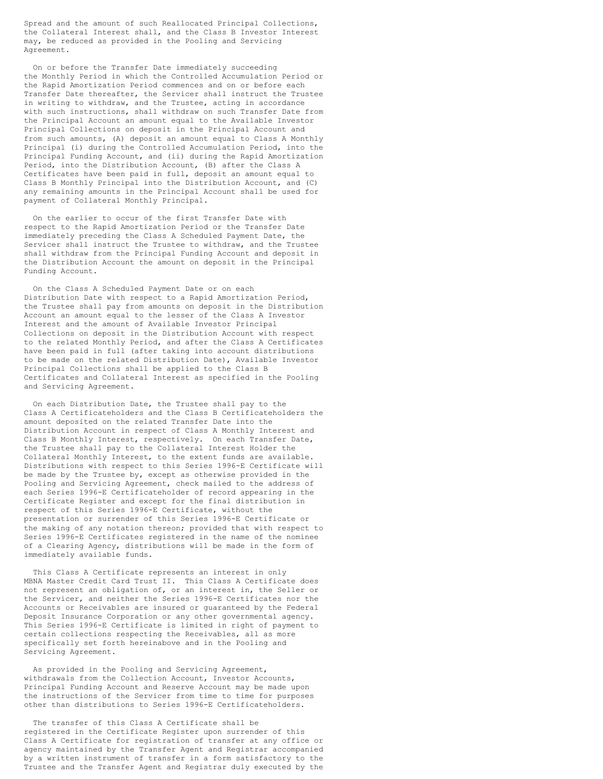Spread and the amount of such Reallocated Principal Collections, the Collateral Interest shall, and the Class B Investor Interest may, be reduced as provided in the Pooling and Servicing Agreement.

On or before the Transfer Date immediately succeeding the Monthly Period in which the Controlled Accumulation Period or the Rapid Amortization Period commences and on or before each Transfer Date thereafter, the Servicer shall instruct the Trustee in writing to withdraw, and the Trustee, acting in accordance with such instructions, shall withdraw on such Transfer Date from the Principal Account an amount equal to the Available Investor Principal Collections on deposit in the Principal Account and from such amounts, (A) deposit an amount equal to Class A Monthly Principal (i) during the Controlled Accumulation Period, into the Principal Funding Account, and (ii) during the Rapid Amortization Period, into the Distribution Account, (B) after the Class A Certificates have been paid in full, deposit an amount equal to Class B Monthly Principal into the Distribution Account, and (C) any remaining amounts in the Principal Account shall be used for payment of Collateral Monthly Principal.

On the earlier to occur of the first Transfer Date with respect to the Rapid Amortization Period or the Transfer Date immediately preceding the Class A Scheduled Payment Date, the Servicer shall instruct the Trustee to withdraw, and the Trustee shall withdraw from the Principal Funding Account and deposit in the Distribution Account the amount on deposit in the Principal Funding Account.

On the Class A Scheduled Payment Date or on each Distribution Date with respect to a Rapid Amortization Period, the Trustee shall pay from amounts on deposit in the Distribution Account an amount equal to the lesser of the Class A Investor Interest and the amount of Available Investor Principal Collections on deposit in the Distribution Account with respect to the related Monthly Period, and after the Class A Certificates have been paid in full (after taking into account distributions to be made on the related Distribution Date), Available Investor Principal Collections shall be applied to the Class B Certificates and Collateral Interest as specified in the Pooling and Servicing Agreement.

On each Distribution Date, the Trustee shall pay to the Class A Certificateholders and the Class B Certificateholders the amount deposited on the related Transfer Date into the Distribution Account in respect of Class A Monthly Interest and Class B Monthly Interest, respectively. On each Transfer Date, the Trustee shall pay to the Collateral Interest Holder the Collateral Monthly Interest, to the extent funds are available. Distributions with respect to this Series 1996-E Certificate will be made by the Trustee by, except as otherwise provided in the Pooling and Servicing Agreement, check mailed to the address of each Series 1996-E Certificateholder of record appearing in the Certificate Register and except for the final distribution in respect of this Series 1996-E Certificate, without the presentation or surrender of this Series 1996-E Certificate or the making of any notation thereon; provided that with respect to Series 1996-E Certificates registered in the name of the nominee of a Clearing Agency, distributions will be made in the form of immediately available funds.

This Class A Certificate represents an interest in only MBNA Master Credit Card Trust II. This Class A Certificate does not represent an obligation of, or an interest in, the Seller or the Servicer, and neither the Series 1996-E Certificates nor the Accounts or Receivables are insured or guaranteed by the Federal Deposit Insurance Corporation or any other governmental agency. This Series 1996-E Certificate is limited in right of payment to certain collections respecting the Receivables, all as more specifically set forth hereinabove and in the Pooling and Servicing Agreement.

As provided in the Pooling and Servicing Agreement, withdrawals from the Collection Account, Investor Accounts, Principal Funding Account and Reserve Account may be made upon the instructions of the Servicer from time to time for purposes other than distributions to Series 1996-E Certificateholders.

The transfer of this Class A Certificate shall be registered in the Certificate Register upon surrender of this Class A Certificate for registration of transfer at any office or agency maintained by the Transfer Agent and Registrar accompanied by a written instrument of transfer in a form satisfactory to the Trustee and the Transfer Agent and Registrar duly executed by the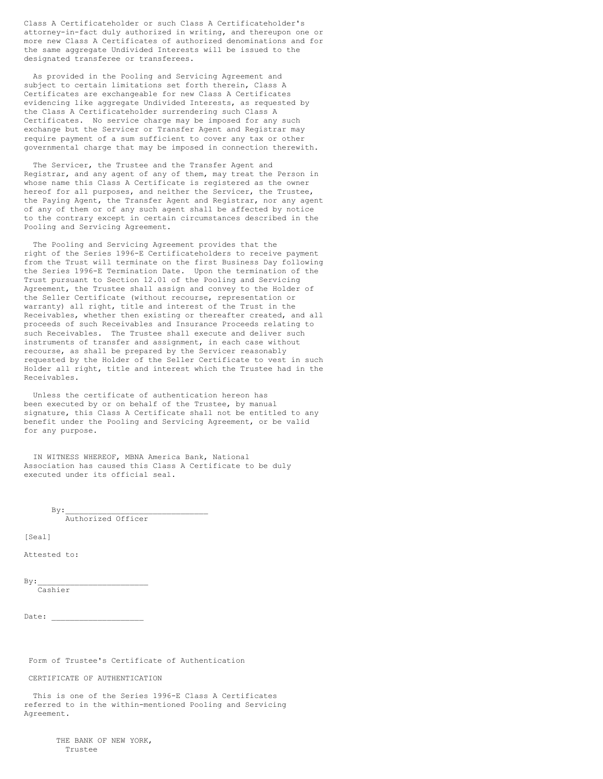Class A Certificateholder or such Class A Certificateholder's attorney-in-fact duly authorized in writing, and thereupon one or more new Class A Certificates of authorized denominations and for the same aggregate Undivided Interests will be issued to the designated transferee or transferees.

As provided in the Pooling and Servicing Agreement and subject to certain limitations set forth therein, Class A Certificates are exchangeable for new Class A Certificates evidencing like aggregate Undivided Interests, as requested by the Class A Certificateholder surrendering such Class A Certificates. No service charge may be imposed for any such exchange but the Servicer or Transfer Agent and Registrar may require payment of a sum sufficient to cover any tax or other governmental charge that may be imposed in connection therewith.

The Servicer, the Trustee and the Transfer Agent and Registrar, and any agent of any of them, may treat the Person in whose name this Class A Certificate is registered as the owner hereof for all purposes, and neither the Servicer, the Trustee, the Paying Agent, the Transfer Agent and Registrar, nor any agent of any of them or of any such agent shall be affected by notice to the contrary except in certain circumstances described in the Pooling and Servicing Agreement.

The Pooling and Servicing Agreement provides that the right of the Series 1996-E Certificateholders to receive payment from the Trust will terminate on the first Business Day following the Series 1996-E Termination Date. Upon the termination of the Trust pursuant to Section 12.01 of the Pooling and Servicing Agreement, the Trustee shall assign and convey to the Holder of the Seller Certificate (without recourse, representation or warranty) all right, title and interest of the Trust in the Receivables, whether then existing or thereafter created, and all proceeds of such Receivables and Insurance Proceeds relating to such Receivables. The Trustee shall execute and deliver such instruments of transfer and assignment, in each case without recourse, as shall be prepared by the Servicer reasonably requested by the Holder of the Seller Certificate to vest in such Holder all right, title and interest which the Trustee had in the Receivables.

Unless the certificate of authentication hereon has been executed by or on behalf of the Trustee, by manual signature, this Class A Certificate shall not be entitled to any benefit under the Pooling and Servicing Agreement, or be valid for any purpose.

IN WITNESS WHEREOF, MBNA America Bank, National Association has caused this Class A Certificate to be duly executed under its official seal.

> $By:$ Authorized Officer

[Seal]

Attested to:

 $By:$ 

Cashier

Date: \_\_\_\_\_\_\_\_\_\_\_\_\_\_\_\_\_\_\_\_

Form of Trustee's Certificate of Authentication

CERTIFICATE OF AUTHENTICATION

This is one of the Series 1996-E Class A Certificates referred to in the within-mentioned Pooling and Servicing Agreement.

> THE BANK OF NEW YORK, Trustee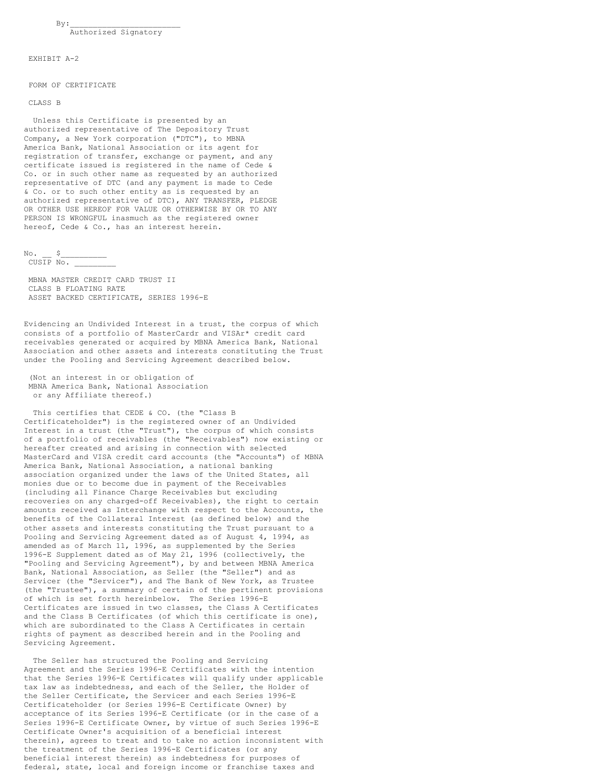$By:$ Authorized Signatory

EXHIBIT A-2

FORM OF CERTIFICATE

CLASS B

Unless this Certificate is presented by an authorized representative of The Depository Trust Company, a New York corporation ("DTC"), to MBNA America Bank, National Association or its agent for registration of transfer, exchange or payment, and any certificate issued is registered in the name of Cede & Co. or in such other name as requested by an authorized representative of DTC (and any payment is made to Cede & Co. or to such other entity as is requested by an authorized representative of DTC), ANY TRANSFER, PLEDGE OR OTHER USE HEREOF FOR VALUE OR OTHERWISE BY OR TO ANY PERSON IS WRONGFUL inasmuch as the registered owner hereof, Cede & Co., has an interest herein.

 $No.$   $$$  $CUSIP$  No.

MBNA MASTER CREDIT CARD TRUST II CLASS B FLOATING RATE ASSET BACKED CERTIFICATE, SERIES 1996-E

Evidencing an Undivided Interest in a trust, the corpus of which consists of a portfolio of MasterCardr and VISAr\* credit card receivables generated or acquired by MBNA America Bank, National Association and other assets and interests constituting the Trust under the Pooling and Servicing Agreement described below.

(Not an interest in or obligation of MBNA America Bank, National Association or any Affiliate thereof.)

This certifies that CEDE & CO. (the "Class B Certificateholder") is the registered owner of an Undivided Interest in a trust (the "Trust"), the corpus of which consists of a portfolio of receivables (the "Receivables") now existing or hereafter created and arising in connection with selected MasterCard and VISA credit card accounts (the "Accounts") of MBNA America Bank, National Association, a national banking association organized under the laws of the United States, all monies due or to become due in payment of the Receivables (including all Finance Charge Receivables but excluding recoveries on any charged-off Receivables), the right to certain amounts received as Interchange with respect to the Accounts, the benefits of the Collateral Interest (as defined below) and the other assets and interests constituting the Trust pursuant to a Pooling and Servicing Agreement dated as of August 4, 1994, as amended as of March 11, 1996, as supplemented by the Series 1996-E Supplement dated as of May 21, 1996 (collectively, the "Pooling and Servicing Agreement"), by and between MBNA America Bank, National Association, as Seller (the "Seller") and as Servicer (the "Servicer"), and The Bank of New York, as Trustee (the "Trustee"), a summary of certain of the pertinent provisions of which is set forth hereinbelow. The Series 1996-E Certificates are issued in two classes, the Class A Certificates and the Class B Certificates (of which this certificate is one), which are subordinated to the Class A Certificates in certain rights of payment as described herein and in the Pooling and Servicing Agreement.

The Seller has structured the Pooling and Servicing Agreement and the Series 1996-E Certificates with the intention that the Series 1996-E Certificates will qualify under applicable tax law as indebtedness, and each of the Seller, the Holder of the Seller Certificate, the Servicer and each Series 1996-E Certificateholder (or Series 1996-E Certificate Owner) by acceptance of its Series 1996-E Certificate (or in the case of a Series 1996-E Certificate Owner, by virtue of such Series 1996-E Certificate Owner's acquisition of a beneficial interest therein), agrees to treat and to take no action inconsistent with the treatment of the Series 1996-E Certificates (or any beneficial interest therein) as indebtedness for purposes of federal, state, local and foreign income or franchise taxes and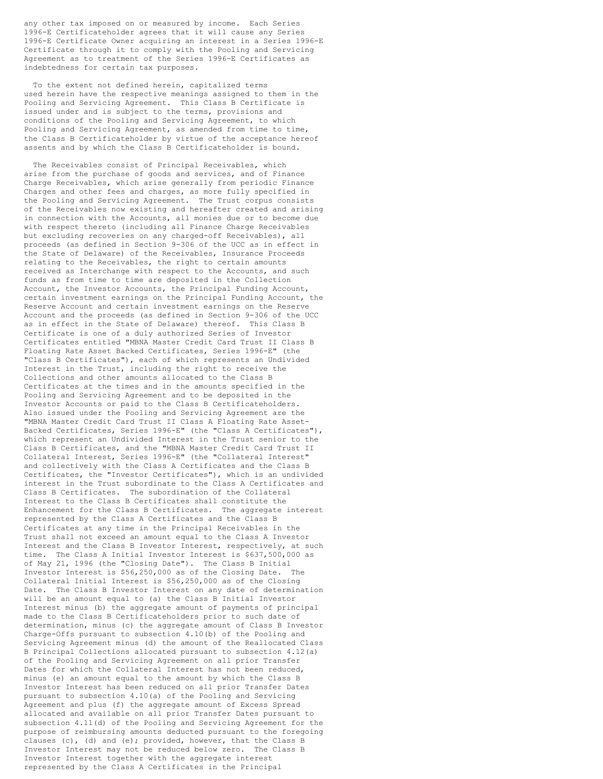any other tax imposed on or measured by income. Each Series 1996-E Certificateholder agrees that it will cause any Series 1996-E Certificate Owner acquiring an interest in a Series 1996-E Certificate through it to comply with the Pooling and Servicing Agreement as to treatment of the Series 1996-E Certificates as indebtedness for certain tax purposes.

To the extent not defined herein, capitalized terms used herein have the respective meanings assigned to them in the Pooling and Servicing Agreement. This Class B Certificate is issued under and is subject to the terms, provisions and conditions of the Pooling and Servicing Agreement, to which Pooling and Servicing Agreement, as amended from time to time, the Class B Certificateholder by virtue of the acceptance hereof assents and by which the Class B Certificateholder is bound.

The Receivables consist of Principal Receivables, which arise from the purchase of goods and services, and of Finance Charge Receivables, which arise generally from periodic Finance Charges and other fees and charges, as more fully specified in the Pooling and Servicing Agreement. The Trust corpus consists of the Receivables now existing and hereafter created and arising in connection with the Accounts, all monies due or to become due with respect thereto (including all Finance Charge Receivables but excluding recoveries on any charged-off Receivables), all proceeds (as defined in Section 9-306 of the UCC as in effect in the State of Delaware) of the Receivables, Insurance Proceeds relating to the Receivables, the right to certain amounts received as Interchange with respect to the Accounts, and such funds as from time to time are deposited in the Collection Account, the Investor Accounts, the Principal Funding Account, certain investment earnings on the Principal Funding Account, the Reserve Account and certain investment earnings on the Reserve Account and the proceeds (as defined in Section 9-306 of the UCC as in effect in the State of Delaware) thereof. This Class B Certificate is one of a duly authorized Series of Investor Certificates entitled "MBNA Master Credit Card Trust II Class B Floating Rate Asset Backed Certificates, Series 1996-E" (the "Class B Certificates"), each of which represents an Undivided Interest in the Trust, including the right to receive the Collections and other amounts allocated to the Class B Certificates at the times and in the amounts specified in the Pooling and Servicing Agreement and to be deposited in the Investor Accounts or paid to the Class B Certificateholders. Also issued under the Pooling and Servicing Agreement are the "MBNA Master Credit Card Trust II Class A Floating Rate Asset-Backed Certificates, Series 1996-E" (the "Class A Certificates"), which represent an Undivided Interest in the Trust senior to the Class B Certificates, and the "MBNA Master Credit Card Trust II Collateral Interest, Series 1996-E" (the "Collateral Interest" and collectively with the Class A Certificates and the Class B Certificates, the "Investor Certificates"), which is an undivided interest in the Trust subordinate to the Class A Certificates and Class B Certificates. The subordination of the Collateral Interest to the Class B Certificates shall constitute the Enhancement for the Class B Certificates. The aggregate interest represented by the Class A Certificates and the Class B Certificates at any time in the Principal Receivables in the Trust shall not exceed an amount equal to the Class A Investor Interest and the Class B Investor Interest, respectively, at such time. The Class A Initial Investor Interest is \$637,500,000 as of May 21, 1996 (the "Closing Date"). The Class B Initial Investor Interest is \$56,250,000 as of the Closing Date. The Collateral Initial Interest is \$56,250,000 as of the Closing Date. The Class B Investor Interest on any date of determination will be an amount equal to (a) the Class B Initial Investor Interest minus (b) the aggregate amount of payments of principal made to the Class B Certificateholders prior to such date of determination, minus (c) the aggregate amount of Class B Investor Charge-Offs pursuant to subsection 4.10(b) of the Pooling and Servicing Agreement minus (d) the amount of the Reallocated Class B Principal Collections allocated pursuant to subsection 4.12(a) of the Pooling and Servicing Agreement on all prior Transfer Dates for which the Collateral Interest has not been reduced, minus (e) an amount equal to the amount by which the Class B Investor Interest has been reduced on all prior Transfer Dates pursuant to subsection 4.10(a) of the Pooling and Servicing Agreement and plus (f) the aggregate amount of Excess Spread allocated and available on all prior Transfer Dates pursuant to subsection 4.11(d) of the Pooling and Servicing Agreement for the purpose of reimbursing amounts deducted pursuant to the foregoing clauses (c), (d) and (e); provided, however, that the Class B Investor Interest may not be reduced below zero. The Class B Investor Interest together with the aggregate interest represented by the Class A Certificates in the Principal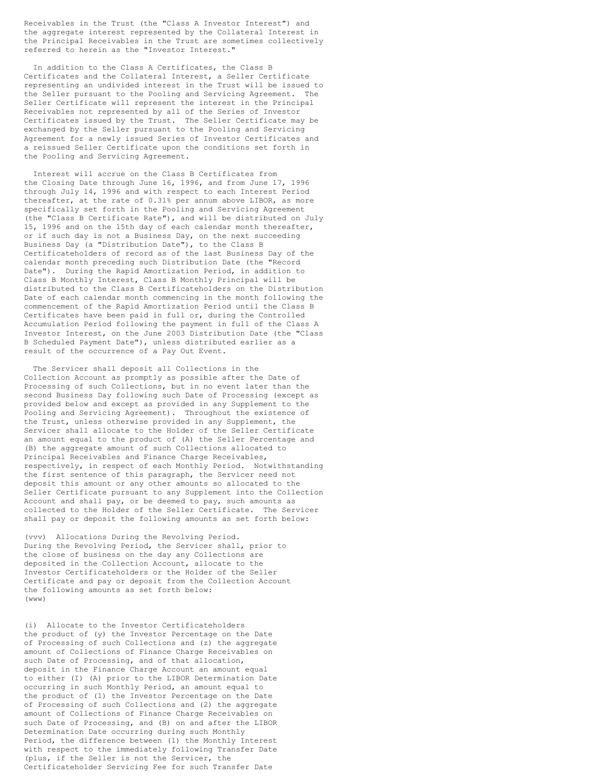Receivables in the Trust (the "Class A Investor Interest") and the aggregate interest represented by the Collateral Interest in the Principal Receivables in the Trust are sometimes collectively referred to herein as the "Investor Interest."

In addition to the Class A Certificates, the Class B Certificates and the Collateral Interest, a Seller Certificate representing an undivided interest in the Trust will be issued to the Seller pursuant to the Pooling and Servicing Agreement. The Seller Certificate will represent the interest in the Principal Receivables not represented by all of the Series of Investor Certificates issued by the Trust. The Seller Certificate may be exchanged by the Seller pursuant to the Pooling and Servicing Agreement for a newly issued Series of Investor Certificates and a reissued Seller Certificate upon the conditions set forth in the Pooling and Servicing Agreement.

Interest will accrue on the Class B Certificates from the Closing Date through June 16, 1996, and from June 17, 1996 through July 14, 1996 and with respect to each Interest Period thereafter, at the rate of 0.31% per annum above LIBOR, as more specifically set forth in the Pooling and Servicing Agreement (the "Class B Certificate Rate"), and will be distributed on July 15, 1996 and on the 15th day of each calendar month thereafter, or if such day is not a Business Day, on the next succeeding Business Day (a "Distribution Date"), to the Class B Certificateholders of record as of the last Business Day of the calendar month preceding such Distribution Date (the "Record Date"). During the Rapid Amortization Period, in addition to Class B Monthly Interest, Class B Monthly Principal will be distributed to the Class B Certificateholders on the Distribution Date of each calendar month commencing in the month following the commencement of the Rapid Amortization Period until the Class B Certificates have been paid in full or, during the Controlled Accumulation Period following the payment in full of the Class A Investor Interest, on the June 2003 Distribution Date (the "Class B Scheduled Payment Date"), unless distributed earlier as a result of the occurrence of a Pay Out Event.

The Servicer shall deposit all Collections in the Collection Account as promptly as possible after the Date of Processing of such Collections, but in no event later than the second Business Day following such Date of Processing (except as provided below and except as provided in any Supplement to the Pooling and Servicing Agreement). Throughout the existence of the Trust, unless otherwise provided in any Supplement, the Servicer shall allocate to the Holder of the Seller Certificate an amount equal to the product of (A) the Seller Percentage and (B) the aggregate amount of such Collections allocated to Principal Receivables and Finance Charge Receivables, respectively, in respect of each Monthly Period. Notwithstanding the first sentence of this paragraph, the Servicer need not deposit this amount or any other amounts so allocated to the Seller Certificate pursuant to any Supplement into the Collection Account and shall pay, or be deemed to pay, such amounts as collected to the Holder of the Seller Certificate. The Servicer shall pay or deposit the following amounts as set forth below:

(vvv) Allocations During the Revolving Period. During the Revolving Period, the Servicer shall, prior to the close of business on the day any Collections are deposited in the Collection Account, allocate to the Investor Certificateholders or the Holder of the Seller Certificate and pay or deposit from the Collection Account the following amounts as set forth below: (www)

(i) Allocate to the Investor Certificateholders the product of (y) the Investor Percentage on the Date of Processing of such Collections and (z) the aggregate amount of Collections of Finance Charge Receivables on such Date of Processing, and of that allocation, deposit in the Finance Charge Account an amount equal to either (I) (A) prior to the LIBOR Determination Date occurring in such Monthly Period, an amount equal to the product of (1) the Investor Percentage on the Date of Processing of such Collections and (2) the aggregate amount of Collections of Finance Charge Receivables on such Date of Processing, and (B) on and after the LIBOR Determination Date occurring during such Monthly Period, the difference between (1) the Monthly Interest with respect to the immediately following Transfer Date (plus, if the Seller is not the Servicer, the Certificateholder Servicing Fee for such Transfer Date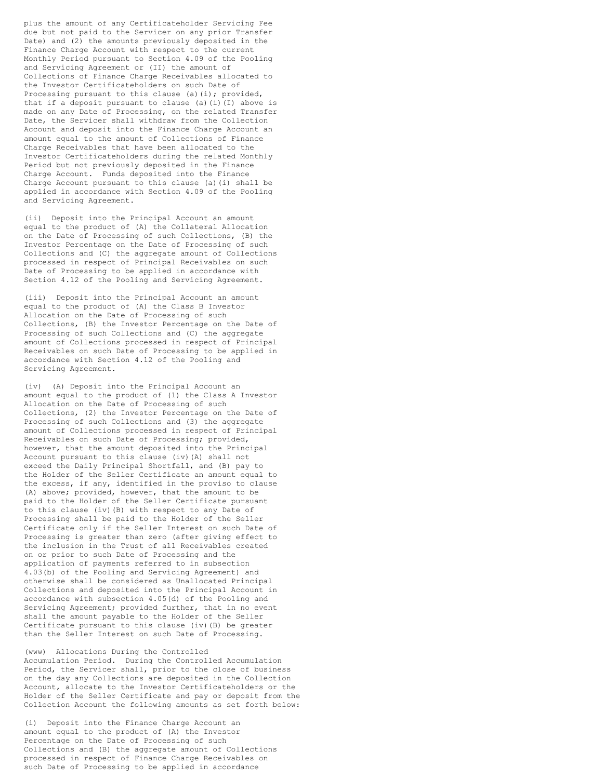plus the amount of any Certificateholder Servicing Fee due but not paid to the Servicer on any prior Transfer Date) and (2) the amounts previously deposited in the Finance Charge Account with respect to the current Monthly Period pursuant to Section 4.09 of the Pooling and Servicing Agreement or (II) the amount of Collections of Finance Charge Receivables allocated to the Investor Certificateholders on such Date of Processing pursuant to this clause (a)(i); provided, that if a deposit pursuant to clause (a)(i)(I) above is made on any Date of Processing, on the related Transfer Date, the Servicer shall withdraw from the Collection Account and deposit into the Finance Charge Account an amount equal to the amount of Collections of Finance Charge Receivables that have been allocated to the Investor Certificateholders during the related Monthly Period but not previously deposited in the Finance Charge Account. Funds deposited into the Finance Charge Account pursuant to this clause (a)(i) shall be applied in accordance with Section 4.09 of the Pooling and Servicing Agreement.

(ii) Deposit into the Principal Account an amount equal to the product of (A) the Collateral Allocation on the Date of Processing of such Collections, (B) the Investor Percentage on the Date of Processing of such Collections and (C) the aggregate amount of Collections processed in respect of Principal Receivables on such Date of Processing to be applied in accordance with Section 4.12 of the Pooling and Servicing Agreement.

(iii) Deposit into the Principal Account an amount equal to the product of (A) the Class B Investor Allocation on the Date of Processing of such Collections, (B) the Investor Percentage on the Date of Processing of such Collections and (C) the aggregate amount of Collections processed in respect of Principal Receivables on such Date of Processing to be applied in accordance with Section 4.12 of the Pooling and Servicing Agreement.

(iv) (A) Deposit into the Principal Account an amount equal to the product of (1) the Class A Investor Allocation on the Date of Processing of such Collections, (2) the Investor Percentage on the Date of Processing of such Collections and (3) the aggregate amount of Collections processed in respect of Principal Receivables on such Date of Processing; provided, however, that the amount deposited into the Principal Account pursuant to this clause (iv)(A) shall not exceed the Daily Principal Shortfall, and (B) pay to the Holder of the Seller Certificate an amount equal to the excess, if any, identified in the proviso to clause (A) above; provided, however, that the amount to be paid to the Holder of the Seller Certificate pursuant to this clause (iv)(B) with respect to any Date of Processing shall be paid to the Holder of the Seller Certificate only if the Seller Interest on such Date of Processing is greater than zero (after giving effect to the inclusion in the Trust of all Receivables created on or prior to such Date of Processing and the application of payments referred to in subsection 4.03(b) of the Pooling and Servicing Agreement) and otherwise shall be considered as Unallocated Principal Collections and deposited into the Principal Account in accordance with subsection 4.05(d) of the Pooling and Servicing Agreement; provided further, that in no event shall the amount payable to the Holder of the Seller Certificate pursuant to this clause (iv)(B) be greater than the Seller Interest on such Date of Processing.

### (www) Allocations During the Controlled

Accumulation Period. During the Controlled Accumulation Period, the Servicer shall, prior to the close of business on the day any Collections are deposited in the Collection Account, allocate to the Investor Certificateholders or the Holder of the Seller Certificate and pay or deposit from the Collection Account the following amounts as set forth below:

(i) Deposit into the Finance Charge Account an amount equal to the product of (A) the Investor Percentage on the Date of Processing of such Collections and (B) the aggregate amount of Collections processed in respect of Finance Charge Receivables on such Date of Processing to be applied in accordance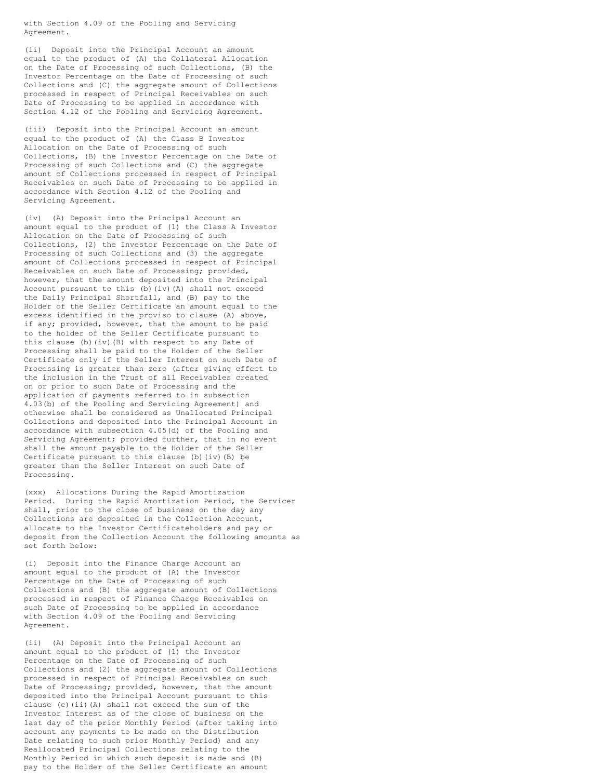with Section 4.09 of the Pooling and Servicing Agreement.

(ii) Deposit into the Principal Account an amount equal to the product of (A) the Collateral Allocation on the Date of Processing of such Collections, (B) the Investor Percentage on the Date of Processing of such Collections and (C) the aggregate amount of Collections processed in respect of Principal Receivables on such Date of Processing to be applied in accordance with Section 4.12 of the Pooling and Servicing Agreement.

(iii) Deposit into the Principal Account an amount equal to the product of (A) the Class B Investor Allocation on the Date of Processing of such Collections, (B) the Investor Percentage on the Date of Processing of such Collections and (C) the aggregate amount of Collections processed in respect of Principal Receivables on such Date of Processing to be applied in accordance with Section 4.12 of the Pooling and Servicing Agreement.

(iv) (A) Deposit into the Principal Account an amount equal to the product of (1) the Class A Investor Allocation on the Date of Processing of such Collections, (2) the Investor Percentage on the Date of Processing of such Collections and (3) the aggregate amount of Collections processed in respect of Principal Receivables on such Date of Processing; provided, however, that the amount deposited into the Principal Account pursuant to this (b)(iv)(A) shall not exceed the Daily Principal Shortfall, and (B) pay to the Holder of the Seller Certificate an amount equal to the excess identified in the proviso to clause (A) above, if any; provided, however, that the amount to be paid to the holder of the Seller Certificate pursuant to this clause (b)(iv)(B) with respect to any Date of Processing shall be paid to the Holder of the Seller Certificate only if the Seller Interest on such Date of Processing is greater than zero (after giving effect to the inclusion in the Trust of all Receivables created on or prior to such Date of Processing and the application of payments referred to in subsection 4.03(b) of the Pooling and Servicing Agreement) and otherwise shall be considered as Unallocated Principal Collections and deposited into the Principal Account in accordance with subsection 4.05(d) of the Pooling and Servicing Agreement; provided further, that in no event shall the amount payable to the Holder of the Seller Certificate pursuant to this clause (b)(iv)(B) be greater than the Seller Interest on such Date of Processing.

(xxx) Allocations During the Rapid Amortization Period. During the Rapid Amortization Period, the Servicer shall, prior to the close of business on the day any Collections are deposited in the Collection Account, allocate to the Investor Certificateholders and pay or deposit from the Collection Account the following amounts as set forth below:

(i) Deposit into the Finance Charge Account an amount equal to the product of (A) the Investor Percentage on the Date of Processing of such Collections and (B) the aggregate amount of Collections processed in respect of Finance Charge Receivables on such Date of Processing to be applied in accordance with Section 4.09 of the Pooling and Servicing Agreement.

(ii) (A) Deposit into the Principal Account an amount equal to the product of (1) the Investor Percentage on the Date of Processing of such Collections and (2) the aggregate amount of Collections processed in respect of Principal Receivables on such Date of Processing; provided, however, that the amount deposited into the Principal Account pursuant to this clause (c)(ii)(A) shall not exceed the sum of the Investor Interest as of the close of business on the last day of the prior Monthly Period (after taking into account any payments to be made on the Distribution Date relating to such prior Monthly Period) and any Reallocated Principal Collections relating to the Monthly Period in which such deposit is made and (B) pay to the Holder of the Seller Certificate an amount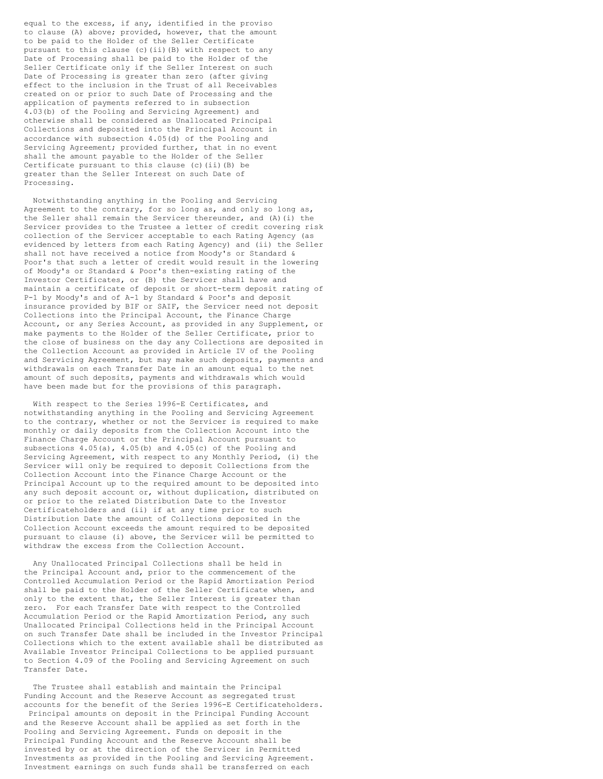equal to the excess, if any, identified in the proviso to clause (A) above; provided, however, that the amount to be paid to the Holder of the Seller Certificate pursuant to this clause (c)(ii)(B) with respect to any Date of Processing shall be paid to the Holder of the Seller Certificate only if the Seller Interest on such Date of Processing is greater than zero (after giving effect to the inclusion in the Trust of all Receivables created on or prior to such Date of Processing and the application of payments referred to in subsection 4.03(b) of the Pooling and Servicing Agreement) and otherwise shall be considered as Unallocated Principal Collections and deposited into the Principal Account in accordance with subsection 4.05(d) of the Pooling and Servicing Agreement; provided further, that in no event shall the amount payable to the Holder of the Seller Certificate pursuant to this clause (c)(ii)(B) be greater than the Seller Interest on such Date of Processing.

Notwithstanding anything in the Pooling and Servicing Agreement to the contrary, for so long as, and only so long as, the Seller shall remain the Servicer thereunder, and (A)(i) the Servicer provides to the Trustee a letter of credit covering risk collection of the Servicer acceptable to each Rating Agency (as evidenced by letters from each Rating Agency) and (ii) the Seller shall not have received a notice from Moody's or Standard & Poor's that such a letter of credit would result in the lowering of Moody's or Standard & Poor's then-existing rating of the Investor Certificates, or (B) the Servicer shall have and maintain a certificate of deposit or short-term deposit rating of P-1 by Moody's and of A-1 by Standard & Poor's and deposit insurance provided by BIF or SAIF, the Servicer need not deposit Collections into the Principal Account, the Finance Charge Account, or any Series Account, as provided in any Supplement, or make payments to the Holder of the Seller Certificate, prior to the close of business on the day any Collections are deposited in the Collection Account as provided in Article IV of the Pooling and Servicing Agreement, but may make such deposits, payments and withdrawals on each Transfer Date in an amount equal to the net amount of such deposits, payments and withdrawals which would have been made but for the provisions of this paragraph.

With respect to the Series 1996-E Certificates, and notwithstanding anything in the Pooling and Servicing Agreement to the contrary, whether or not the Servicer is required to make monthly or daily deposits from the Collection Account into the Finance Charge Account or the Principal Account pursuant to subsections 4.05(a), 4.05(b) and 4.05(c) of the Pooling and Servicing Agreement, with respect to any Monthly Period, (i) the Servicer will only be required to deposit Collections from the Collection Account into the Finance Charge Account or the Principal Account up to the required amount to be deposited into any such deposit account or, without duplication, distributed on or prior to the related Distribution Date to the Investor Certificateholders and (ii) if at any time prior to such Distribution Date the amount of Collections deposited in the Collection Account exceeds the amount required to be deposited pursuant to clause (i) above, the Servicer will be permitted to withdraw the excess from the Collection Account.

Any Unallocated Principal Collections shall be held in the Principal Account and, prior to the commencement of the Controlled Accumulation Period or the Rapid Amortization Period shall be paid to the Holder of the Seller Certificate when, and only to the extent that, the Seller Interest is greater than zero. For each Transfer Date with respect to the Controlled Accumulation Period or the Rapid Amortization Period, any such Unallocated Principal Collections held in the Principal Account on such Transfer Date shall be included in the Investor Principal Collections which to the extent available shall be distributed as Available Investor Principal Collections to be applied pursuant to Section 4.09 of the Pooling and Servicing Agreement on such Transfer Date.

The Trustee shall establish and maintain the Principal Funding Account and the Reserve Account as segregated trust accounts for the benefit of the Series 1996-E Certificateholders. Principal amounts on deposit in the Principal Funding Account and the Reserve Account shall be applied as set forth in the Pooling and Servicing Agreement. Funds on deposit in the Principal Funding Account and the Reserve Account shall be invested by or at the direction of the Servicer in Permitted Investments as provided in the Pooling and Servicing Agreement. Investment earnings on such funds shall be transferred on each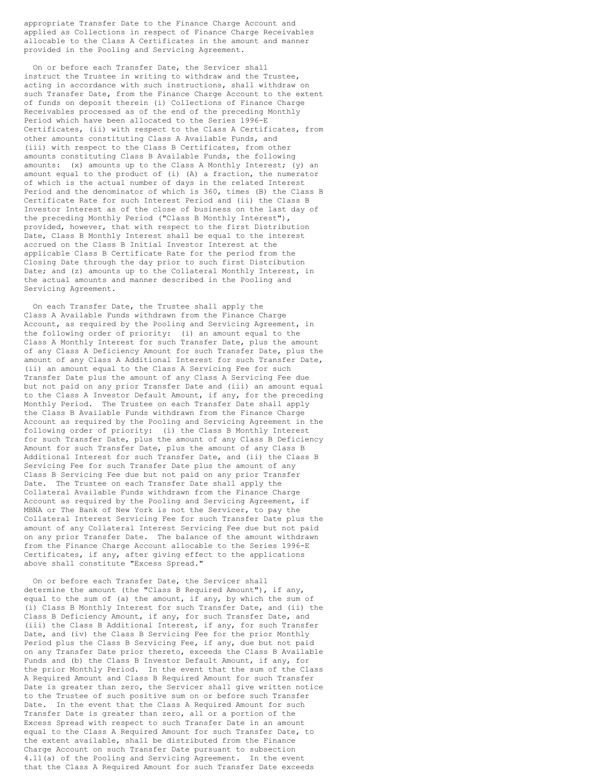appropriate Transfer Date to the Finance Charge Account and applied as Collections in respect of Finance Charge Receivables allocable to the Class A Certificates in the amount and manner provided in the Pooling and Servicing Agreement.

On or before each Transfer Date, the Servicer shall instruct the Trustee in writing to withdraw and the Trustee, acting in accordance with such instructions, shall withdraw on such Transfer Date, from the Finance Charge Account to the extent of funds on deposit therein (i) Collections of Finance Charge Receivables processed as of the end of the preceding Monthly Period which have been allocated to the Series 1996-E Certificates, (ii) with respect to the Class A Certificates, from other amounts constituting Class A Available Funds, and (iii) with respect to the Class B Certificates, from other amounts constituting Class B Available Funds, the following amounts: (x) amounts up to the Class A Monthly Interest; (y) an amount equal to the product of (i) (A) a fraction, the numerator of which is the actual number of days in the related Interest Period and the denominator of which is 360, times (B) the Class B Certificate Rate for such Interest Period and (ii) the Class B Investor Interest as of the close of business on the last day of the preceding Monthly Period ("Class B Monthly Interest"), provided, however, that with respect to the first Distribution Date, Class B Monthly Interest shall be equal to the interest accrued on the Class B Initial Investor Interest at the applicable Class B Certificate Rate for the period from the Closing Date through the day prior to such first Distribution Date; and (z) amounts up to the Collateral Monthly Interest, in the actual amounts and manner described in the Pooling and Servicing Agreement.

On each Transfer Date, the Trustee shall apply the Class A Available Funds withdrawn from the Finance Charge Account, as required by the Pooling and Servicing Agreement, in the following order of priority: (i) an amount equal to the Class A Monthly Interest for such Transfer Date, plus the amount of any Class A Deficiency Amount for such Transfer Date, plus the amount of any Class A Additional Interest for such Transfer Date, (ii) an amount equal to the Class A Servicing Fee for such Transfer Date plus the amount of any Class A Servicing Fee due but not paid on any prior Transfer Date and (iii) an amount equal to the Class A Investor Default Amount, if any, for the preceding Monthly Period. The Trustee on each Transfer Date shall apply the Class B Available Funds withdrawn from the Finance Charge Account as required by the Pooling and Servicing Agreement in the following order of priority: (i) the Class B Monthly Interest for such Transfer Date, plus the amount of any Class B Deficiency Amount for such Transfer Date, plus the amount of any Class B Additional Interest for such Transfer Date, and (ii) the Class B Servicing Fee for such Transfer Date plus the amount of any Class B Servicing Fee due but not paid on any prior Transfer Date. The Trustee on each Transfer Date shall apply the Collateral Available Funds withdrawn from the Finance Charge Account as required by the Pooling and Servicing Agreement, if MBNA or The Bank of New York is not the Servicer, to pay the Collateral Interest Servicing Fee for such Transfer Date plus the amount of any Collateral Interest Servicing Fee due but not paid on any prior Transfer Date. The balance of the amount withdrawn from the Finance Charge Account allocable to the Series 1996-E Certificates, if any, after giving effect to the applications above shall constitute "Excess Spread."

On or before each Transfer Date, the Servicer shall determine the amount (the "Class B Required Amount"), if any, equal to the sum of (a) the amount, if any, by which the sum of (i) Class B Monthly Interest for such Transfer Date, and (ii) the Class B Deficiency Amount, if any, for such Transfer Date, and (iii) the Class B Additional Interest, if any, for such Transfer Date, and (iv) the Class B Servicing Fee for the prior Monthly Period plus the Class B Servicing Fee, if any, due but not paid on any Transfer Date prior thereto, exceeds the Class B Available Funds and (b) the Class B Investor Default Amount, if any, for the prior Monthly Period. In the event that the sum of the Class A Required Amount and Class B Required Amount for such Transfer Date is greater than zero, the Servicer shall give written notice to the Trustee of such positive sum on or before such Transfer Date. In the event that the Class A Required Amount for such Transfer Date is greater than zero, all or a portion of the Excess Spread with respect to such Transfer Date in an amount equal to the Class A Required Amount for such Transfer Date, to the extent available, shall be distributed from the Finance Charge Account on such Transfer Date pursuant to subsection 4.11(a) of the Pooling and Servicing Agreement. In the event that the Class A Required Amount for such Transfer Date exceeds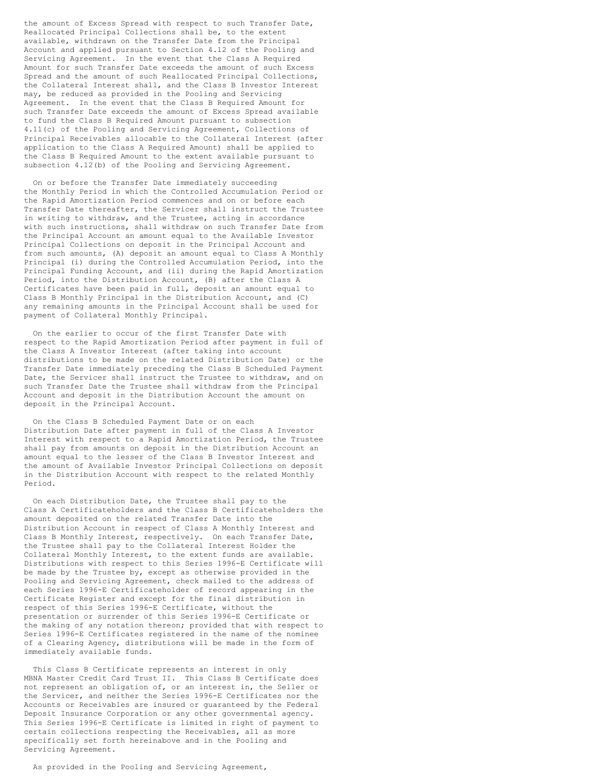the amount of Excess Spread with respect to such Transfer Date, Reallocated Principal Collections shall be, to the extent available, withdrawn on the Transfer Date from the Principal Account and applied pursuant to Section 4.12 of the Pooling and Servicing Agreement. In the event that the Class A Required Amount for such Transfer Date exceeds the amount of such Excess Spread and the amount of such Reallocated Principal Collections, the Collateral Interest shall, and the Class B Investor Interest may, be reduced as provided in the Pooling and Servicing Agreement. In the event that the Class B Required Amount for such Transfer Date exceeds the amount of Excess Spread available to fund the Class B Required Amount pursuant to subsection 4.11(c) of the Pooling and Servicing Agreement, Collections of Principal Receivables allocable to the Collateral Interest (after application to the Class A Required Amount) shall be applied to the Class B Required Amount to the extent available pursuant to subsection 4.12(b) of the Pooling and Servicing Agreement.

On or before the Transfer Date immediately succeeding the Monthly Period in which the Controlled Accumulation Period or the Rapid Amortization Period commences and on or before each Transfer Date thereafter, the Servicer shall instruct the Trustee in writing to withdraw, and the Trustee, acting in accordance with such instructions, shall withdraw on such Transfer Date from the Principal Account an amount equal to the Available Investor Principal Collections on deposit in the Principal Account and from such amounts, (A) deposit an amount equal to Class A Monthly Principal (i) during the Controlled Accumulation Period, into the Principal Funding Account, and (ii) during the Rapid Amortization Period, into the Distribution Account, (B) after the Class A Certificates have been paid in full, deposit an amount equal to Class B Monthly Principal in the Distribution Account, and (C) any remaining amounts in the Principal Account shall be used for payment of Collateral Monthly Principal.

On the earlier to occur of the first Transfer Date with respect to the Rapid Amortization Period after payment in full of the Class A Investor Interest (after taking into account distributions to be made on the related Distribution Date) or the Transfer Date immediately preceding the Class B Scheduled Payment Date, the Servicer shall instruct the Trustee to withdraw, and on such Transfer Date the Trustee shall withdraw from the Principal Account and deposit in the Distribution Account the amount on deposit in the Principal Account.

On the Class B Scheduled Payment Date or on each Distribution Date after payment in full of the Class A Investor Interest with respect to a Rapid Amortization Period, the Trustee shall pay from amounts on deposit in the Distribution Account an amount equal to the lesser of the Class B Investor Interest and the amount of Available Investor Principal Collections on deposit in the Distribution Account with respect to the related Monthly Period.

On each Distribution Date, the Trustee shall pay to the Class A Certificateholders and the Class B Certificateholders the amount deposited on the related Transfer Date into the Distribution Account in respect of Class A Monthly Interest and Class B Monthly Interest, respectively. On each Transfer Date, the Trustee shall pay to the Collateral Interest Holder the Collateral Monthly Interest, to the extent funds are available. Distributions with respect to this Series 1996-E Certificate will be made by the Trustee by, except as otherwise provided in the Pooling and Servicing Agreement, check mailed to the address of each Series 1996-E Certificateholder of record appearing in the Certificate Register and except for the final distribution in respect of this Series 1996-E Certificate, without the presentation or surrender of this Series 1996-E Certificate or the making of any notation thereon; provided that with respect to Series 1996-E Certificates registered in the name of the nominee of a Clearing Agency, distributions will be made in the form of immediately available funds.

This Class B Certificate represents an interest in only MBNA Master Credit Card Trust II. This Class B Certificate does not represent an obligation of, or an interest in, the Seller or the Servicer, and neither the Series 1996-E Certificates nor the Accounts or Receivables are insured or guaranteed by the Federal Deposit Insurance Corporation or any other governmental agency. This Series 1996-E Certificate is limited in right of payment to certain collections respecting the Receivables, all as more specifically set forth hereinabove and in the Pooling and Servicing Agreement.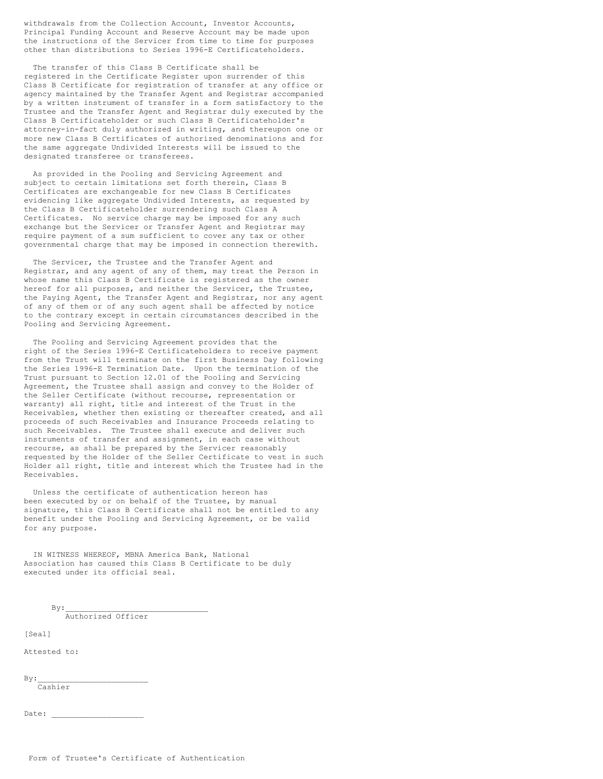withdrawals from the Collection Account, Investor Accounts, Principal Funding Account and Reserve Account may be made upon the instructions of the Servicer from time to time for purposes other than distributions to Series 1996-E Certificateholders.

The transfer of this Class B Certificate shall be registered in the Certificate Register upon surrender of this Class B Certificate for registration of transfer at any office or agency maintained by the Transfer Agent and Registrar accompanied by a written instrument of transfer in a form satisfactory to the Trustee and the Transfer Agent and Registrar duly executed by the Class B Certificateholder or such Class B Certificateholder's attorney-in-fact duly authorized in writing, and thereupon one or more new Class B Certificates of authorized denominations and for the same aggregate Undivided Interests will be issued to the designated transferee or transferees.

As provided in the Pooling and Servicing Agreement and subject to certain limitations set forth therein, Class B Certificates are exchangeable for new Class B Certificates evidencing like aggregate Undivided Interests, as requested by the Class B Certificateholder surrendering such Class A Certificates. No service charge may be imposed for any such exchange but the Servicer or Transfer Agent and Registrar may require payment of a sum sufficient to cover any tax or other governmental charge that may be imposed in connection therewith.

The Servicer, the Trustee and the Transfer Agent and Registrar, and any agent of any of them, may treat the Person in whose name this Class B Certificate is registered as the owner hereof for all purposes, and neither the Servicer, the Trustee, the Paying Agent, the Transfer Agent and Registrar, nor any agent of any of them or of any such agent shall be affected by notice to the contrary except in certain circumstances described in the Pooling and Servicing Agreement.

The Pooling and Servicing Agreement provides that the right of the Series 1996-E Certificateholders to receive payment from the Trust will terminate on the first Business Day following the Series 1996-E Termination Date. Upon the termination of the Trust pursuant to Section 12.01 of the Pooling and Servicing Agreement, the Trustee shall assign and convey to the Holder of the Seller Certificate (without recourse, representation or warranty) all right, title and interest of the Trust in the Receivables, whether then existing or thereafter created, and all proceeds of such Receivables and Insurance Proceeds relating to such Receivables. The Trustee shall execute and deliver such instruments of transfer and assignment, in each case without recourse, as shall be prepared by the Servicer reasonably requested by the Holder of the Seller Certificate to vest in such Holder all right, title and interest which the Trustee had in the Receivables.

Unless the certificate of authentication hereon has been executed by or on behalf of the Trustee, by manual signature, this Class B Certificate shall not be entitled to any benefit under the Pooling and Servicing Agreement, or be valid for any purpose.

IN WITNESS WHEREOF, MBNA America Bank, National Association has caused this Class B Certificate to be duly executed under its official seal.

> $By:$ Authorized Officer

[Seal]

Attested to:

 $By:$ 

Cashier

Date: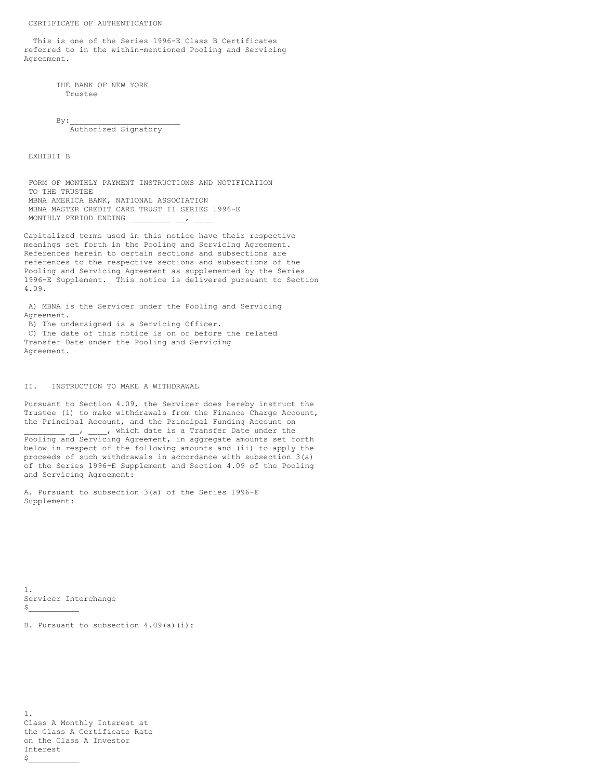#### CERTIFICATE OF AUTHENTICATION

This is one of the Series 1996-E Class B Certificates referred to in the within-mentioned Pooling and Servicing Agreement.

> THE BANK OF NEW YORK Trustee

 $By:$ Authorized Signatory

EXHIBIT B

FORM OF MONTHLY PAYMENT INSTRUCTIONS AND NOTIFICATION TO THE TRUSTEE MBNA AMERICA BANK, NATIONAL ASSOCIATION MBNA MASTER CREDIT CARD TRUST II SERIES 1996-E MONTHLY PERIOD ENDING \_\_\_\_\_\_\_\_\_ \_\_, \_

Capitalized terms used in this notice have their respective meanings set forth in the Pooling and Servicing Agreement. References herein to certain sections and subsections are references to the respective sections and subsections of the Pooling and Servicing Agreement as supplemented by the Series 1996-E Supplement. This notice is delivered pursuant to Section 4.09.

A) MBNA is the Servicer under the Pooling and Servicing Agreement.

B) The undersigned is a Servicing Officer. C) The date of this notice is on or before the related Transfer Date under the Pooling and Servicing Agreement.

II. INSTRUCTION TO MAKE A WITHDRAWAL

Pursuant to Section 4.09, the Servicer does hereby instruct the Trustee (i) to make withdrawals from the Finance Charge Account, the Principal Account, and the Principal Funding Account on \_\_\_\_\_\_\_\_\_ \_\_, \_\_\_\_, which date is a Transfer Date under the Pooling and Servicing Agreement, in aggregate amounts set forth below in respect of the following amounts and (ii) to apply the proceeds of such withdrawals in accordance with subsection 3(a) of the Series 1996-E Supplement and Section 4.09 of the Pooling and Servicing Agreement:

A. Pursuant to subsection 3(a) of the Series 1996-E Supplement:

1. Servicer Interchange  $\$_-$ 

B. Pursuant to subsection 4.09(a)(i):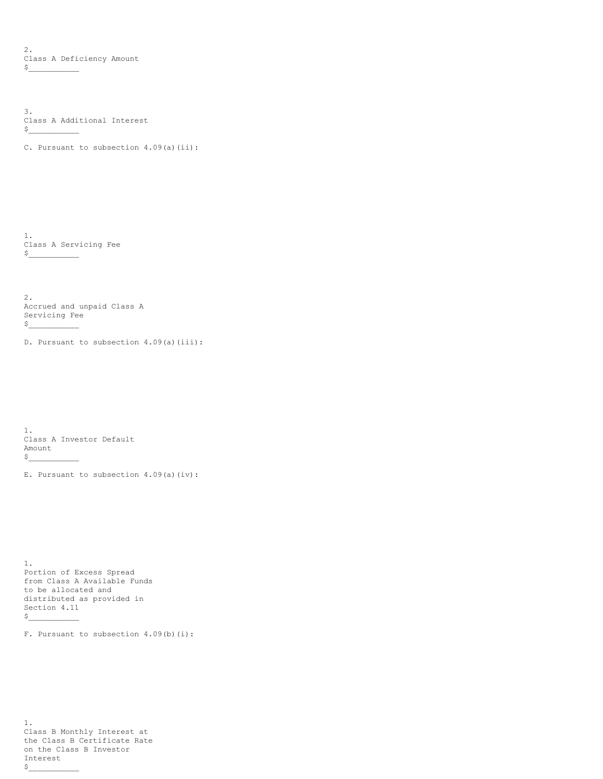2. Class A Deficiency Amount  $\frac{1}{2}$ 

3. Class A Additional Interest  $\begin{picture}(20,10) \put(0,0){\line(1,0){10}} \put(15,0){\line(1,0){10}} \put(15,0){\line(1,0){10}} \put(15,0){\line(1,0){10}} \put(15,0){\line(1,0){10}} \put(15,0){\line(1,0){10}} \put(15,0){\line(1,0){10}} \put(15,0){\line(1,0){10}} \put(15,0){\line(1,0){10}} \put(15,0){\line(1,0){10}} \put(15,0){\line(1,0){10}} \put(15,0){\line(1$ 

C. Pursuant to subsection  $4.09(a)(ii)$ :

1. Class A Servicing Fee  $\frac{1}{2}$ 

2. Accrued and unpaid Class A Servicing Fee  $S_{\_\_\_\_\_\_\_}$ 

D. Pursuant to subsection 4.09(a)(iii):

1. Class A Investor Default Amount  $\mathsf{s}\_$ 

E. Pursuant to subsection 4.09(a)(iv):

1. Portion of Excess Spread from Class A Available Funds to be allocated and distributed as provided in Section 4.11  $\mathsf{s}_-$ 

F. Pursuant to subsection 4.09(b)(i):

1. Class B Monthly Interest at the Class B Certificate Rate on the Class B Investor Interest  $S_{\perp}$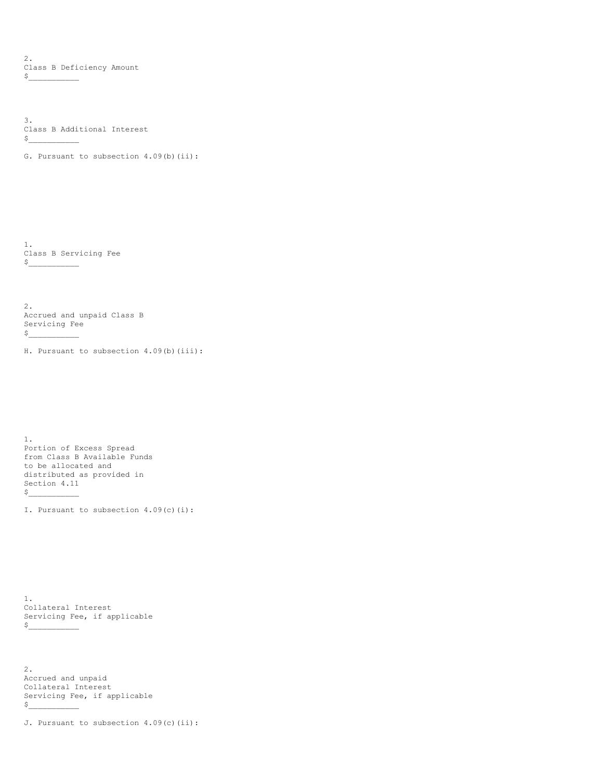2. Class B Deficiency Amount  $\frac{1}{2}$ 

3. Class B Additional Interest  $\frac{1}{2}$ 

G. Pursuant to subsection 4.09(b)(ii):

1. Class B Servicing Fee  $\begin{picture}(20,10) \put(0,0){\line(1,0){10}} \put(15,0){\line(1,0){10}} \put(15,0){\line(1,0){10}} \put(15,0){\line(1,0){10}} \put(15,0){\line(1,0){10}} \put(15,0){\line(1,0){10}} \put(15,0){\line(1,0){10}} \put(15,0){\line(1,0){10}} \put(15,0){\line(1,0){10}} \put(15,0){\line(1,0){10}} \put(15,0){\line(1,0){10}} \put(15,0){\line(1$ 

2. Accrued and unpaid Class B Servicing Fee  $S_{\perp}$ 

H. Pursuant to subsection 4.09(b)(iii):

1. Portion of Excess Spread from Class B Available Funds to be allocated and distributed as provided in Section 4.11  $S_{\perp}$ 

I. Pursuant to subsection 4.09(c)(i):

1. Collateral Interest Servicing Fee, if applicable  $S_{\perp}$ 

2. Accrued and unpaid Collateral Interest Servicing Fee, if applicable  $S_{\perp}$ 

J. Pursuant to subsection 4.09(c)(ii):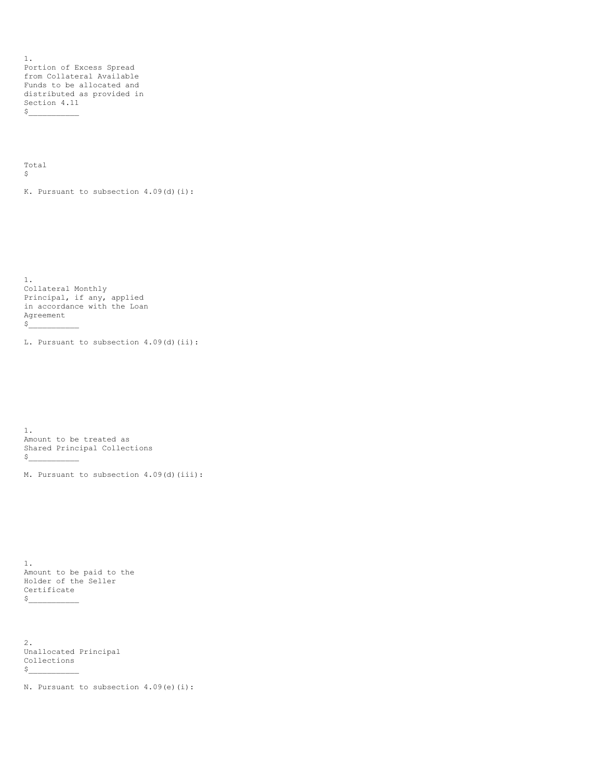1. Portion of Excess Spread from Collateral Available Funds to be allocated and distributed as provided in Section 4.11  $\ddot{\varsigma}$ 

Total  $\boldsymbol{\mathsf{S}}$ 

K. Pursuant to subsection  $4.09$ (d)(i):

1. Collateral Monthly Principal, if any, applied in accordance with the Loan Agreement  $\ddot{\varsigma}$ 

L. Pursuant to subsection 4.09(d)(ii):

1. Amount to be treated as Shared Principal Collections  $\mathrm{s}_{\_\_\_\_\_}$ 

M. Pursuant to subsection 4.09(d)(iii):

1. Amount to be paid to the Holder of the Seller Certificate  $S_{\perp}$ 

2. Unallocated Principal Collections  $S_{\perp}$ 

N. Pursuant to subsection 4.09(e)(i):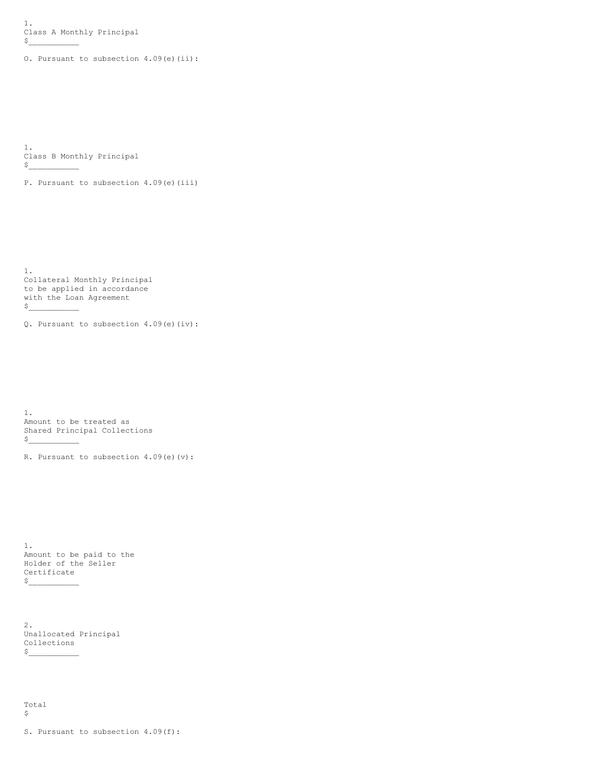1. Class A Monthly Principal  $S_{\perp}$ 

O. Pursuant to subsection 4.09(e)(ii):

1. Class B Monthly Principal  $S_{\perp}$ 

P. Pursuant to subsection 4.09(e)(iii)

1. Collateral Monthly Principal to be applied in accordance with the Loan Agreement  $S_{\perp}$ 

Q. Pursuant to subsection 4.09(e)(iv):

1. Amount to be treated as Shared Principal Collections  $\frac{1}{2}$ 

R. Pursuant to subsection  $4.09(e)(v)$ :

1. Amount to be paid to the Holder of the Seller Certificate  $S_{\perp}$ 

2. Unallocated Principal Collections  $S_{\_\_\_\_\_\_}$ 

Total  $\boldsymbol{\mathsf{S}}$ 

S. Pursuant to subsection 4.09(f):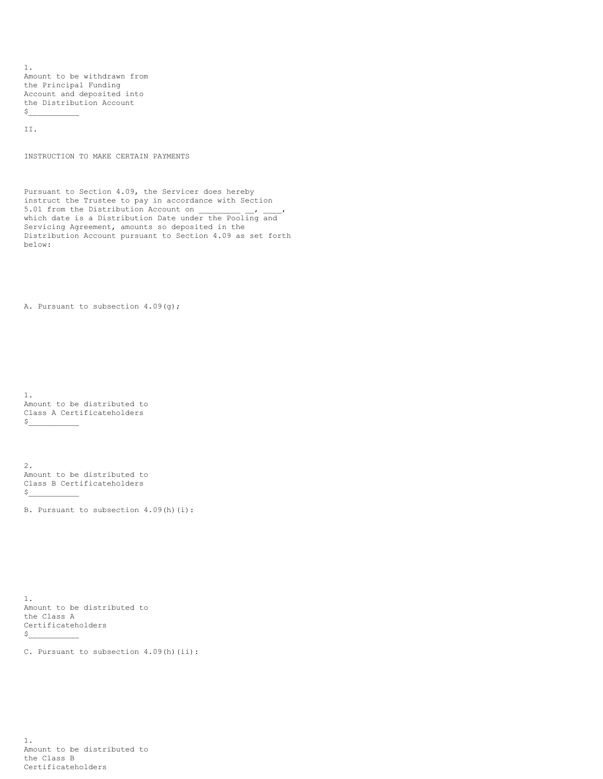1. Amount to be withdrawn from the Principal Funding Account and deposited into the Distribution Account  $\ddot{\varsigma}$ 

II.

INSTRUCTION TO MAKE CERTAIN PAYMENTS

Pursuant to Section 4.09, the Servicer does hereby instruct the Trustee to pay in accordance with Section 5.01 from the Distribution Account on \_\_\_\_\_ which date is a Distribution Date under the Pooling and Servicing Agreement, amounts so deposited in the Distribution Account pursuant to Section 4.09 as set forth below:

A. Pursuant to subsection 4.09(g);

1. Amount to be distributed to Class A Certificateholders  $S_{\perp}$ 

2. Amount to be distributed to Class B Certificateholders  $S_{\perp}$ 

B. Pursuant to subsection 4.09(h)(i):

1. Amount to be distributed to the Class A Certificateholders  $$$ 

C. Pursuant to subsection 4.09(h)(ii):

1. Amount to be distributed to the Class B Certificateholders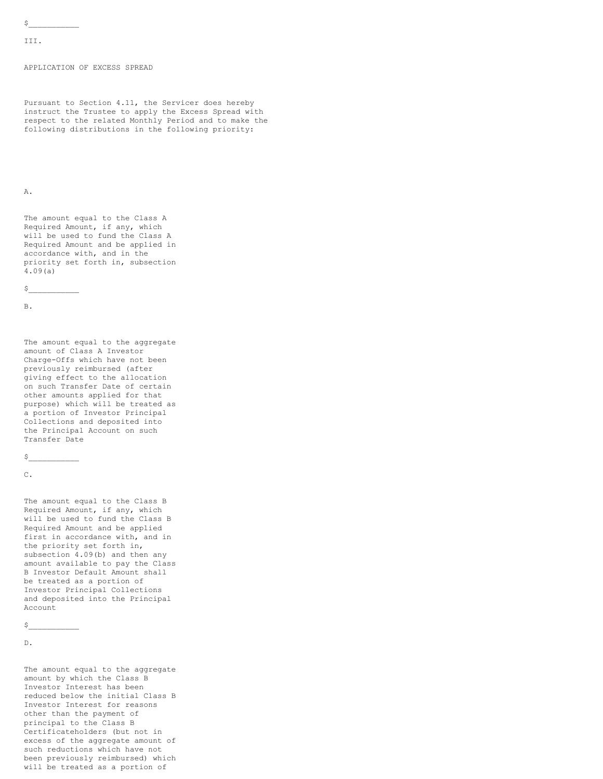III.

### APPLICATION OF EXCESS SPREAD

Pursuant to Section 4.11, the Servicer does hereby instruct the Trustee to apply the Excess Spread with respect to the related Monthly Period and to make the following distributions in the following priority:

A.

The amount equal to the Class A Required Amount, if any, which will be used to fund the Class A Required Amount and be applied in accordance with, and in the priority set forth in, subsection 4.09(a)

 $\ddot{\varsigma}$ 

B.

The amount equal to the aggregate amount of Class A Investor Charge-Offs which have not been previously reimbursed (after giving effect to the allocation on such Transfer Date of certain other amounts applied for that purpose) which will be treated as a portion of Investor Principal Collections and deposited into the Principal Account on such Transfer Date

```
$\mathsf{s}_-
```
C.

The amount equal to the Class B Required Amount, if any, which will be used to fund the Class B Required Amount and be applied first in accordance with, and in the priority set forth in, subsection 4.09(b) and then any amount available to pay the Class B Investor Default Amount shall be treated as a portion of Investor Principal Collections and deposited into the Principal Account

 $\mathsf{S}$ 

D.

The amount equal to the aggregate amount by which the Class B Investor Interest has been reduced below the initial Class B Investor Interest for reasons other than the payment of principal to the Class B Certificateholders (but not in excess of the aggregate amount of such reductions which have not been previously reimbursed) which will be treated as a portion of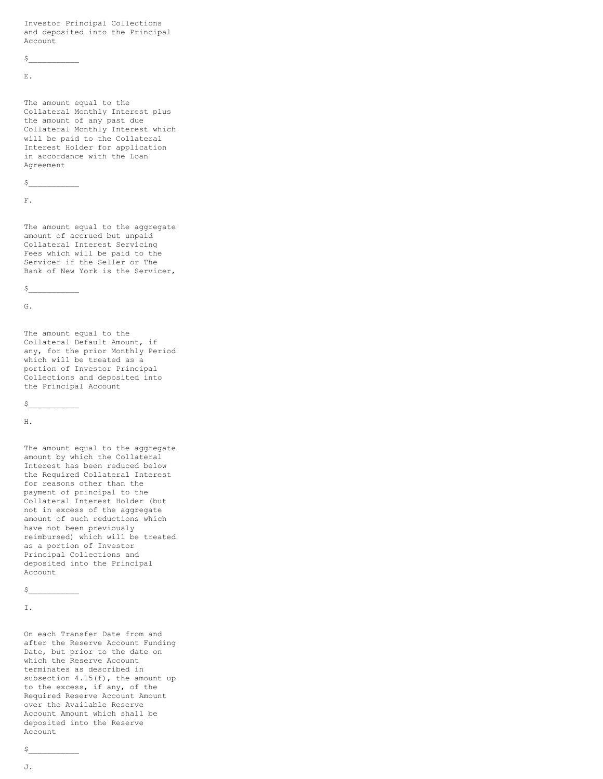Investor Principal Collections and deposited into the Principal Account

 $\ddot{\varsigma}$ 

E.

The amount equal to the Collateral Monthly Interest plus the amount of any past due Collateral Monthly Interest which will be paid to the Collateral Interest Holder for application in accordance with the Loan Agreement

 $\mathrm{s}_{\_}$ 

F.

The amount equal to the aggregate amount of accrued but unpaid Collateral Interest Servicing Fees which will be paid to the Servicer if the Seller or The Bank of New York is the Servicer,

 $\zeta$ 

G.

The amount equal to the Collateral Default Amount, if any, for the prior Monthly Period which will be treated as a portion of Investor Principal Collections and deposited into the Principal Account

 $S_{\perp}$ 

H.

The amount equal to the aggregate amount by which the Collateral Interest has been reduced below the Required Collateral Interest for reasons other than the payment of principal to the Collateral Interest Holder (but not in excess of the aggregate amount of such reductions which have not been previously reimbursed) which will be treated as a portion of Investor Principal Collections and deposited into the Principal Account

 $S_\perp$ 

I.

On each Transfer Date from and after the Reserve Account Funding Date, but prior to the date on which the Reserve Account terminates as described in subsection  $4.15(f)$ , the amount up to the excess, if any, of the Required Reserve Account Amount over the Available Reserve Account Amount which shall be deposited into the Reserve Account

 $$\mathsf{S}$$ J.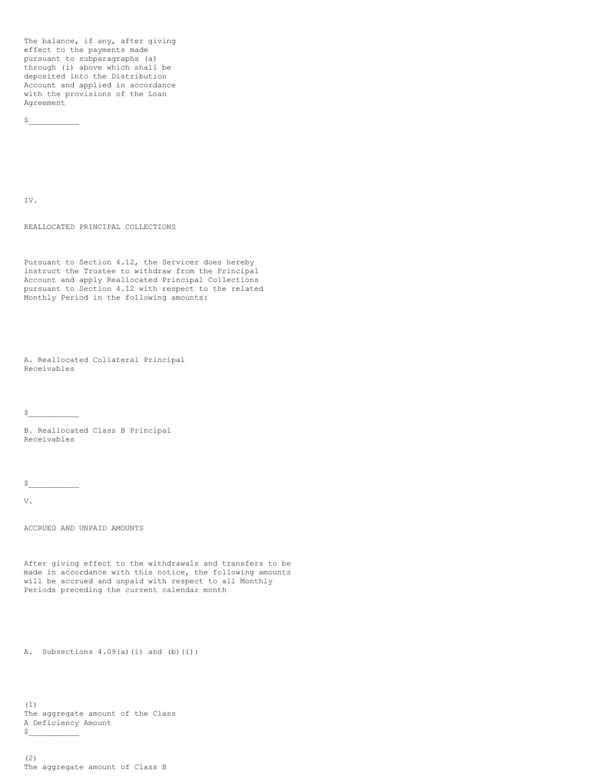The balance, if any, after giving effect to the payments made pursuant to subparagraphs (a) through (i) above which shall be deposited into the Distribution Account and applied in accordance with the provisions of the Loan Agreement

 $\$$ 

IV.

REALLOCATED PRINCIPAL COLLECTIONS

Pursuant to Section 4.12, the Servicer does hereby instruct the Trustee to withdraw from the Principal Account and apply Reallocated Principal Collections pursuant to Section 4.12 with respect to the related Monthly Period in the following amounts:

A. Reallocated Collateral Principal Receivables

 $\zeta$ 

B. Reallocated Class B Principal Receivables

 $\$$ 

V.

ACCRUED AND UNPAID AMOUNTS

After giving effect to the withdrawals and transfers to be made in accordance with this notice, the following amounts will be accrued and unpaid with respect to all Monthly Periods preceding the current calendar month

A. Subsections  $4.09(a)(i)$  and  $(b)(i)$ :

(1) The aggregate amount of the Class A Deficiency Amount  $\ddot{\varsigma}$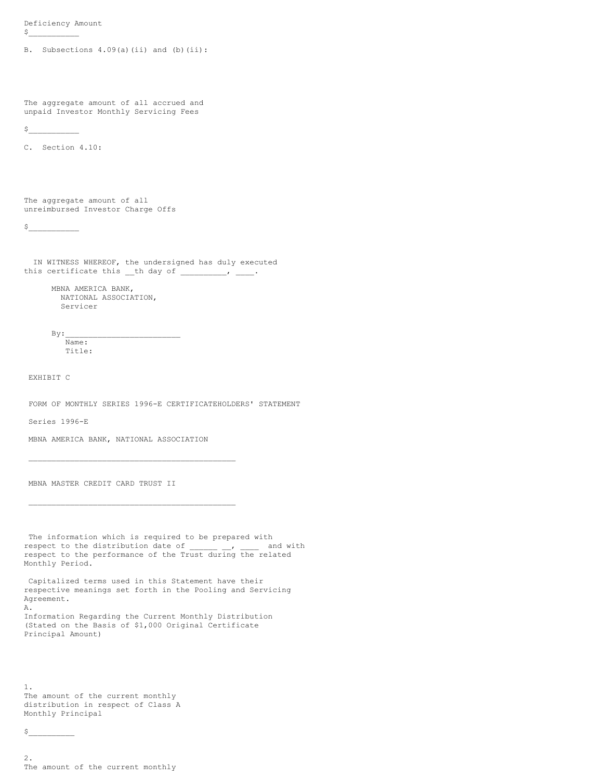Deficiency Amount  $S_{\perp}$ B. Subsections  $4.09(a)(ii)$  and (b)(ii): The aggregate amount of all accrued and unpaid Investor Monthly Servicing Fees  $\$$ C. Section 4.10: The aggregate amount of all unreimbursed Investor Charge Offs  $\$$ IN WITNESS WHEREOF, the undersigned has duly executed this certificate this \_\_th day of \_\_\_\_\_\_\_\_\_, \_\_\_\_. MBNA AMERICA BANK, NATIONAL ASSOCIATION, Servicer  $By:$ Name: Title: EXHIBIT C FORM OF MONTHLY SERIES 1996-E CERTIFICATEHOLDERS' STATEMENT Series 1996-E MBNA AMERICA BANK, NATIONAL ASSOCIATION \_\_\_\_\_\_\_\_\_\_\_\_\_\_\_\_\_\_\_\_\_\_\_\_\_\_\_\_\_\_\_\_\_\_\_\_\_\_\_\_\_\_\_\_\_ MBNA MASTER CREDIT CARD TRUST II \_\_\_\_\_\_\_\_\_\_\_\_\_\_\_\_\_\_\_\_\_\_\_\_\_\_\_\_\_\_\_\_\_\_\_\_\_\_\_\_\_\_\_\_\_ The information which is required to be prepared with respect to the distribution date of \_\_\_\_\_\_\_\_, \_\_\_\_\_ and with respect to the performance of the Trust during the related Monthly Period. Capitalized terms used in this Statement have their respective meanings set forth in the Pooling and Servicing Agreement. A. Information Regarding the Current Monthly Distribution (Stated on the Basis of \$1,000 Original Certificate Principal Amount) 1. The amount of the current monthly distribution in respect of Class A

 $S_{\perp}$ 

Monthly Principal

2. The amount of the current monthly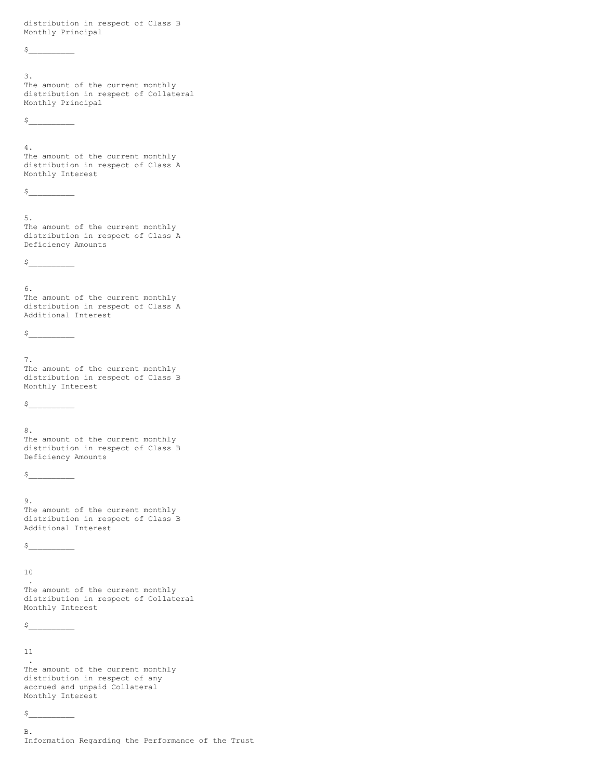distribution in respect of Class B Monthly Principal

 $\ddot{\varsigma}$ 

3. The amount of the current monthly distribution in respect of Collateral Monthly Principal

 $\mathsf{S}$ 

4.

The amount of the current monthly distribution in respect of Class A Monthly Interest

 $\frac{1}{2}$ 

5. The amount of the current monthly distribution in respect of Class A Deficiency Amounts

 $\frac{1}{2}$ 

6.

The amount of the current monthly distribution in respect of Class A Additional Interest

 $\frac{1}{2}$ 

7. The amount of the current monthly distribution in respect of Class B Monthly Interest

 $S_{\perp}$ 

8. The amount of the current monthly distribution in respect of Class B Deficiency Amounts

 $\ddot{\varsigma}$ 

9.

The amount of the current monthly distribution in respect of Class B Additional Interest

 $$\mathsf{S}_{\_\!\_}$ 

10

. The amount of the current monthly distribution in respect of Collateral Monthly Interest

 $\frac{1}{2}$ 

11

. The amount of the current monthly distribution in respect of any accrued and unpaid Collateral Monthly Interest

 $\ddot{\varsigma}$ 

B.

Information Regarding the Performance of the Trust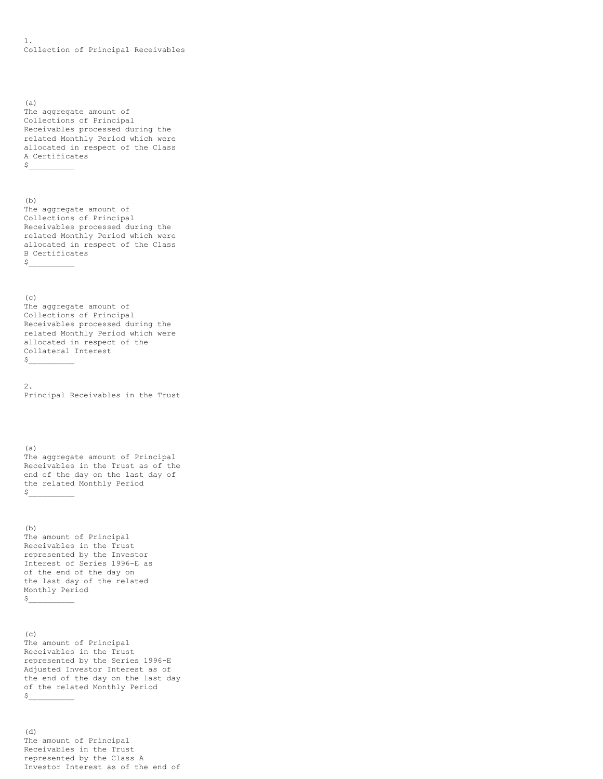1. Collection of Principal Receivables

(a) The aggregate amount of Collections of Principal Receivables processed during the related Monthly Period which were allocated in respect of the Class A Certificates  $\zeta_-$ (b) The aggregate amount of Collections of Principal Receivables processed during the related Monthly Period which were allocated in respect of the Class B Certificates  $\varsigma$ (c) The aggregate amount of Collections of Principal Receivables processed during the related Monthly Period which were allocated in respect of the Collateral Interest  $\zeta_-$ 2. Principal Receivables in the Trust (a) The aggregate amount of Principal Receivables in the Trust as of the end of the day on the last day of the related Monthly Period  $S_{\perp}$  $(b)$ The amount of Principal Receivables in the Trust represented by the Investor Interest of Series 1996-E as of the end of the day on the last day of the related Monthly Period  $\ddot{\varsigma}$  $(c)$ The amount of Principal Receivables in the Trust represented by the Series 1996-E Adjusted Investor Interest as of the end of the day on the last day of the related Monthly Period  $S_{\perp}$ (d)

The amount of Principal Receivables in the Trust represented by the Class A Investor Interest as of the end of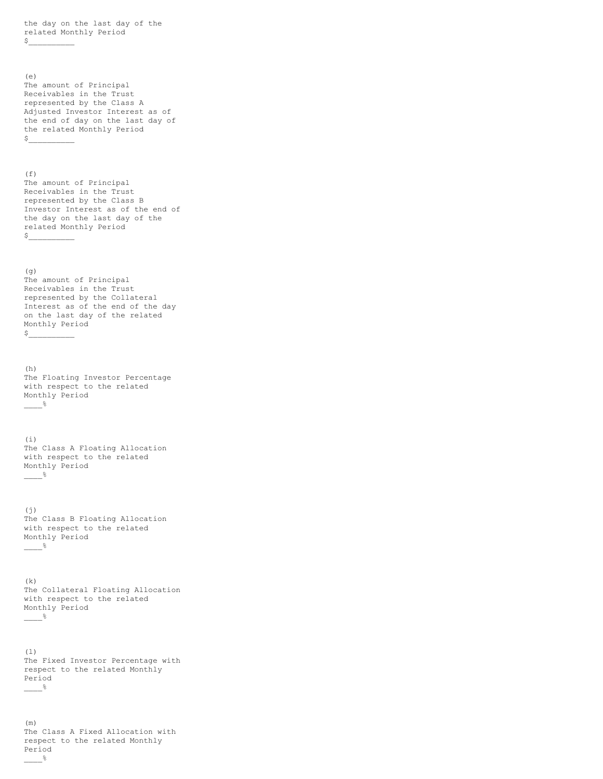the day on the last day of the related Monthly Period  $\ddot{\varsigma}$ (e) The amount of Principal Receivables in the Trust represented by the Class A Adjusted Investor Interest as of the end of day on the last day of the related Monthly Period  $S_{\perp}$ (f) The amount of Principal Receivables in the Trust represented by the Class B Investor Interest as of the end of the day on the last day of the related Monthly Period  $\zeta$ (g) The amount of Principal Receivables in the Trust represented by the Collateral Interest as of the end of the day on the last day of the related Monthly Period  $S_{\perp}$ (h) The Floating Investor Percentage with respect to the related Monthly Period  $\frac{8}{\sqrt{2}}$ (i) The Class A Floating Allocation with respect to the related Monthly Period  $\overset{\circ}{\overline{\phantom{a}}^{}}$ (j) The Class B Floating Allocation with respect to the related Monthly Period  $\frac{1}{\sqrt{2}}$ (k) The Collateral Floating Allocation with respect to the related Monthly Period  $\frac{1}{\sqrt{2}}$  $(1)$ The Fixed Investor Percentage with respect to the related Monthly Period  $\frac{8}{\sqrt{2}}$ (m) The Class A Fixed Allocation with respect to the related Monthly Period

 $\frac{1}{\sqrt{2}}$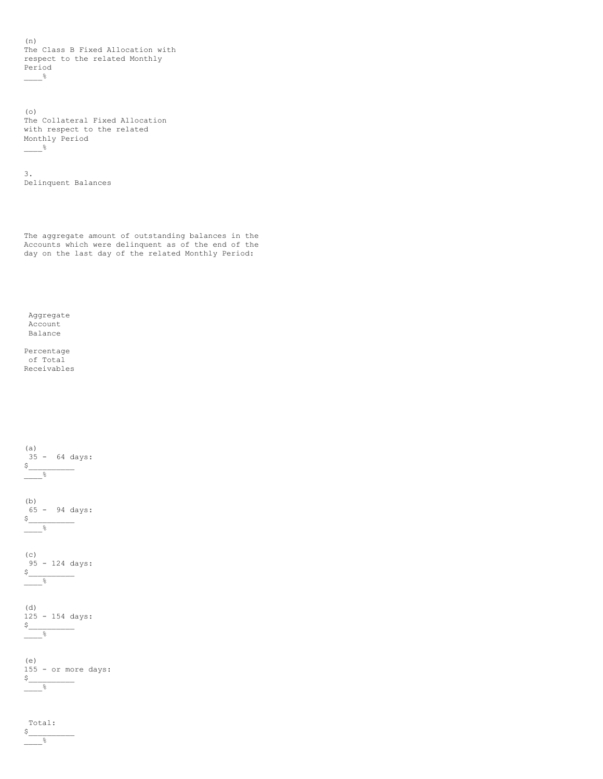(n) The Class B Fixed Allocation with respect to the related Monthly Period  $\frac{1}{\sqrt{2}}$ 

(o) The Collateral Fixed Allocation with respect to the related Monthly Period  $rac{8}{1}$ 

3. Delinquent Balances

The aggregate amount of outstanding balances in the Accounts which were delinquent as of the end of the day on the last day of the related Monthly Period:

Aggregate Account Balance

Percentage of Total Receivables

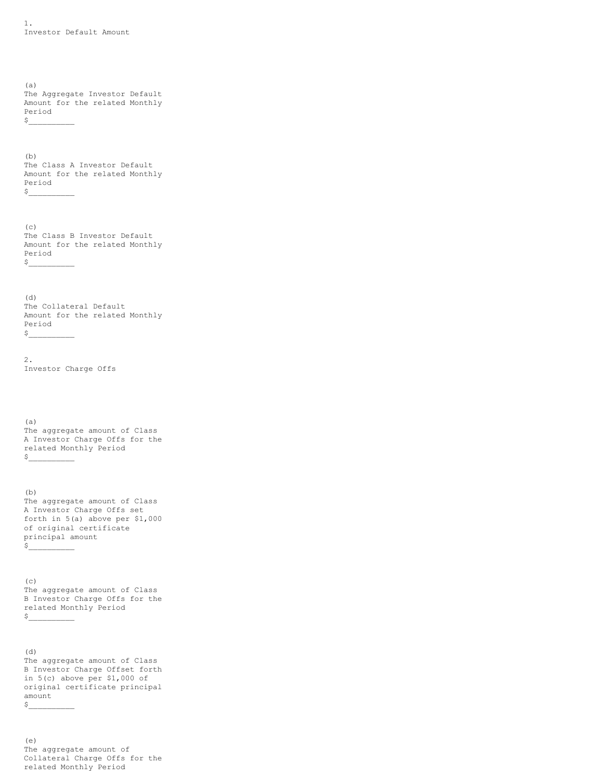(a) The Aggregate Investor Default Amount for the related Monthly Period  $\$$ (b) The Class A Investor Default Amount for the related Monthly Period  $\$$ (c) The Class B Investor Default Amount for the related Monthly Period  $\$$ (d) The Collateral Default Amount for the related Monthly Period  $\frac{1}{2}$ 2. Investor Charge Offs (a) The aggregate amount of Class A Investor Charge Offs for the related Monthly Period  $\mathsf{s}_-$ (b) The aggregate amount of Class A Investor Charge Offs set forth in 5(a) above per \$1,000 of original certificate principal amount  $S_{\perp}$ (c) The aggregate amount of Class B Investor Charge Offs for the related Monthly Period  $S_{\perp}$ (d) The aggregate amount of Class B Investor Charge Offset forth in 5(c) above per \$1,000 of original certificate principal amount  $S_{\_\_\_\_\_\_\_}$ 

(e) The aggregate amount of Collateral Charge Offs for the related Monthly Period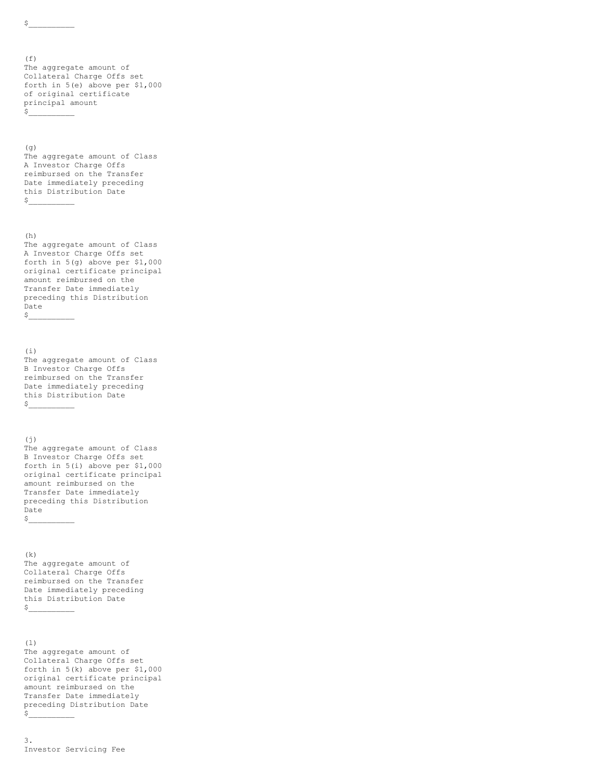$(f)$ The aggregate amount of Collateral Charge Offs set forth in 5(e) above per \$1,000 of original certificate principal amount  $\ddot{s}$ 

 $$$ 

- (g) The aggregate amount of Class A Investor Charge Offs reimbursed on the Transfer Date immediately preceding this Distribution Date  $S_{\perp}$
- (h) The aggregate amount of Class A Investor Charge Offs set forth in 5(g) above per \$1,000 original certificate principal amount reimbursed on the Transfer Date immediately preceding this Distribution Date  $\mathsf{S}$

 $(i)$ The aggregate amount of Class B Investor Charge Offs reimbursed on the Transfer Date immediately preceding this Distribution Date  $\ddot{\varsigma}$ 

- (j) The aggregate amount of Class B Investor Charge Offs set forth in 5(i) above per \$1,000 original certificate principal amount reimbursed on the Transfer Date immediately preceding this Distribution Date  $S_{\perp}$
- (k) The aggregate amount of Collateral Charge Offs reimbursed on the Transfer Date immediately preceding this Distribution Date  $\varsigma$
- (l) The aggregate amount of Collateral Charge Offs set forth in 5(k) above per \$1,000 original certificate principal amount reimbursed on the Transfer Date immediately preceding Distribution Date  $$$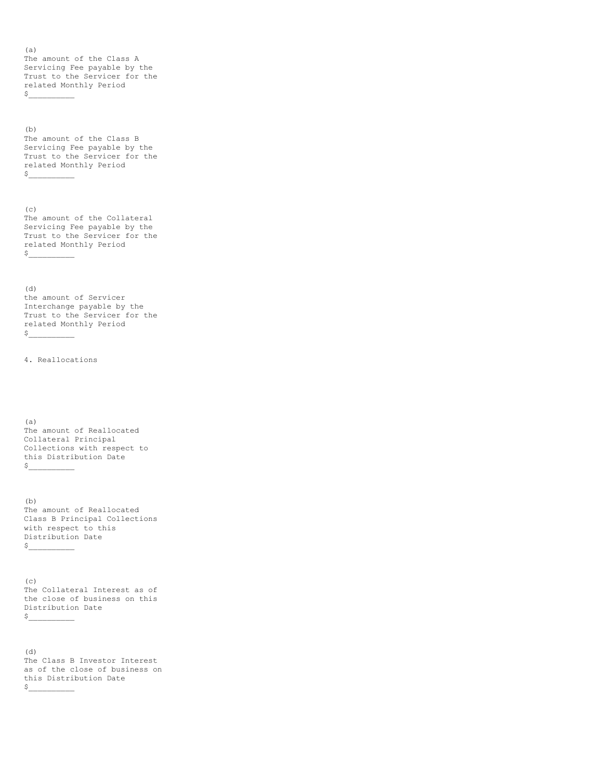(a) The amount of the Class A Servicing Fee payable by the Trust to the Servicer for the related Monthly Period  $S_{\perp}$ (b) The amount of the Class B Servicing Fee payable by the Trust to the Servicer for the related Monthly Period  $\ddot{\varsigma}$ (c) The amount of the Collateral Servicing Fee payable by the Trust to the Servicer for the related Monthly Period  $S_{\perp}$ (d) the amount of Servicer Interchange payable by the Trust to the Servicer for the related Monthly Period  $S_{\perp}$ 4. Reallocations (a) The amount of Reallocated Collateral Principal Collections with respect to this Distribution Date  $S_{\perp}$ (b) The amount of Reallocated Class B Principal Collections with respect to this Distribution Date  $S_{\perp}$ (c) The Collateral Interest as of the close of business on this Distribution Date  $S_{\perp}$ (d) The Class B Investor Interest as of the close of business on this Distribution Date  $\varsigma$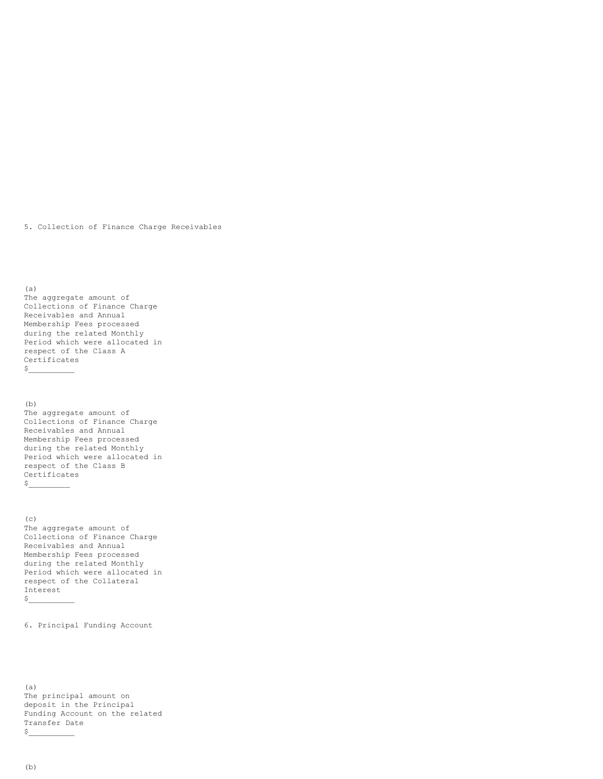5. Collection of Finance Charge Receivables

(a) The aggregate amount of Collections of Finance Charge Receivables and Annual Membership Fees processed during the related Monthly Period which were allocated in respect of the Class A Certificates  $S_{\perp}$ 

(b) The aggregate amount of Collections of Finance Charge Receivables and Annual Membership Fees processed during the related Monthly Period which were allocated in respect of the Class B Certificates  $S_{\perp}$ 

(c) The aggregate amount of Collections of Finance Charge Receivables and Annual Membership Fees processed during the related Monthly Period which were allocated in respect of the Collateral Interest  $\ddot{\varsigma}$ 

6. Principal Funding Account

(a) The principal amount on deposit in the Principal Funding Account on the related Transfer Date  $\ddot{\varsigma}$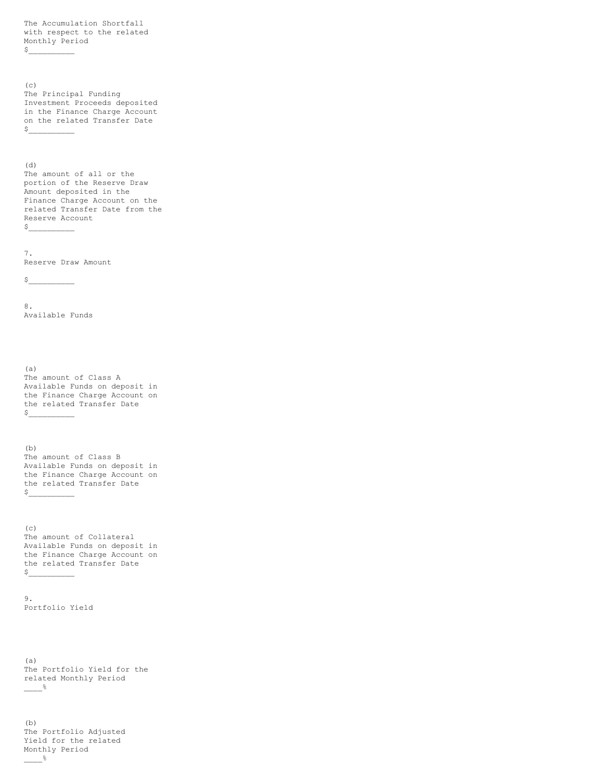The Accumulation Shortfall with respect to the related Monthly Period  $\frac{1}{2}$ (c) The Principal Funding Investment Proceeds deposited in the Finance Charge Account on the related Transfer Date  $\ddot{\varsigma}$ (d) The amount of all or the portion of the Reserve Draw Amount deposited in the Finance Charge Account on the related Transfer Date from the Reserve Account  $S_{\perp}$ 7. Reserve Draw Amount  $\ddot{\varsigma}$ 8. Available Funds (a) The amount of Class A Available Funds on deposit in the Finance Charge Account on the related Transfer Date  $\zeta$ (b) The amount of Class B Available Funds on deposit in the Finance Charge Account on the related Transfer Date  $S_{\perp}$ (c) The amount of Collateral Available Funds on deposit in the Finance Charge Account on the related Transfer Date  $S_{\perp}$ 9. Portfolio Yield (a) The Portfolio Yield for the related Monthly Period  $\frac{1}{\sqrt{2}}$ (b) The Portfolio Adjusted

Yield for the related Monthly Period

 $\frac{1}{\sqrt{2}}$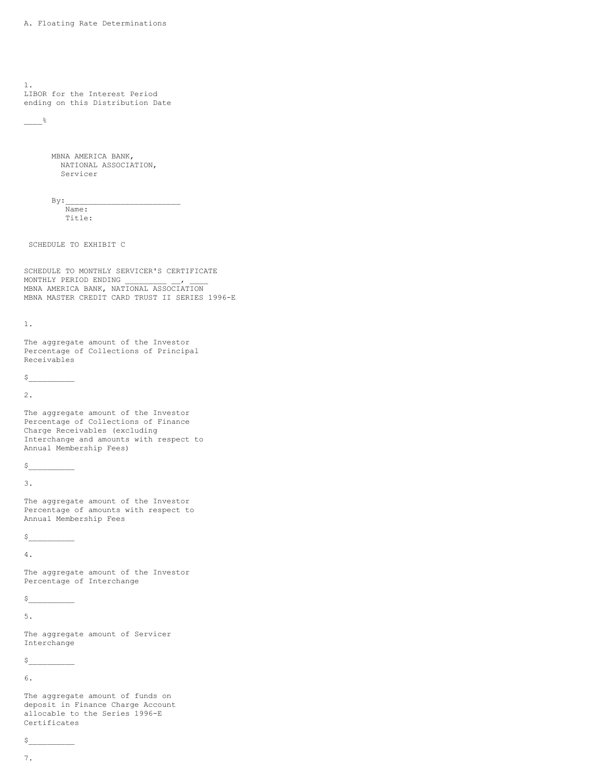1. LIBOR for the Interest Period ending on this Distribution Date

 $-\frac{6}{6}$ 

MBNA AMERICA BANK, NATIONAL ASSOCIATION, Servicer

 $By:$ Name: Title:

SCHEDULE TO EXHIBIT C

SCHEDULE TO MONTHLY SERVICER'S CERTIFICATE MONTHLY PERIOD ENDING MONTHLY PERIOD ENDING \_\_\_\_\_\_\_\_\_ \_\_, \_\_\_\_ MBNA AMERICA BANK, NATIONAL ASSOCIATION MBNA MASTER CREDIT CARD TRUST II SERIES 1996-E

1.

The aggregate amount of the Investor Percentage of Collections of Principal Receivables

 $\frac{1}{2}$ 

2.

The aggregate amount of the Investor Percentage of Collections of Finance Charge Receivables (excluding Interchange and amounts with respect to Annual Membership Fees)

 $S_{\perp}$ 

3.

The aggregate amount of the Investor Percentage of amounts with respect to Annual Membership Fees

 $\$$ 

4.

The aggregate amount of the Investor Percentage of Interchange

 $\updownarrow$ 

5.

The aggregate amount of Servicer Interchange

 $S_{\perp}$ 

6.

The aggregate amount of funds on deposit in Finance Charge Account allocable to the Series 1996-E **Certificates** 

 $S_{\perp}$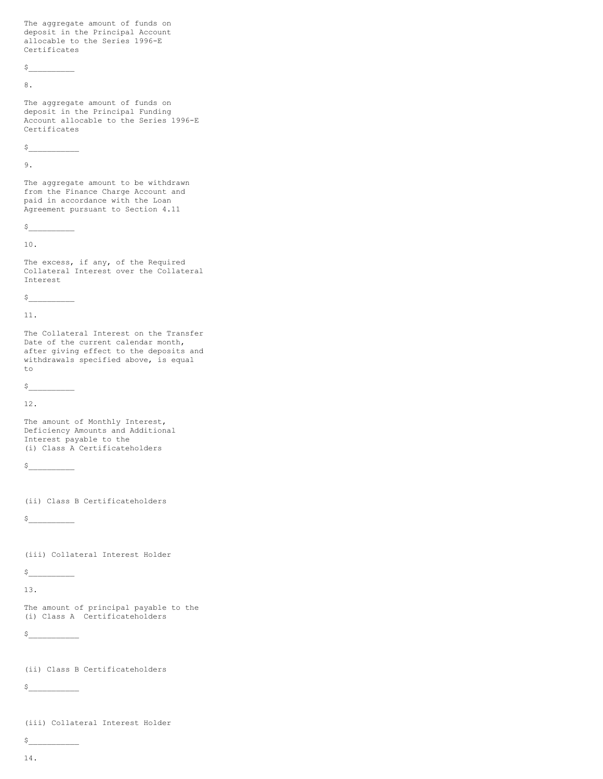The aggregate amount of funds on deposit in the Principal Account allocable to the Series 1996-E Certificates  $\frac{1}{2}$ 8. The aggregate amount of funds on deposit in the Principal Funding Account allocable to the Series 1996-E Certificates  $$$ 9. The aggregate amount to be withdrawn from the Finance Charge Account and paid in accordance with the Loan Agreement pursuant to Section 4.11  $S_{\perp}$ 10. The excess, if any, of the Required Collateral Interest over the Collateral Interest  $\frac{1}{2}$ 11. The Collateral Interest on the Transfer Date of the current calendar month, after giving effect to the deposits and withdrawals specified above, is equal to  $\$$ 12. The amount of Monthly Interest, Deficiency Amounts and Additional Interest payable to the (i) Class A Certificateholders  $\frac{1}{2}$ (ii) Class B Certificateholders  $\mathsf{S}$ (iii) Collateral Interest Holder  $\circ$ 13. The amount of principal payable to the (i) Class A Certificateholders  $\frac{1}{2}$ (ii) Class B Certificateholders  $$$ (iii) Collateral Interest Holder  $$$ 

14.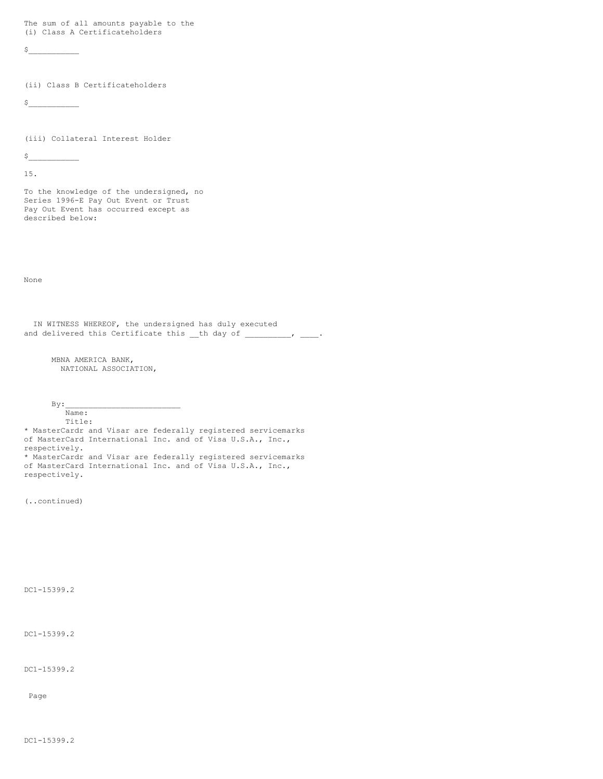The sum of all amounts payable to the (i) Class A Certificateholders  $\ddot{\varsigma}$ (ii) Class B Certificateholders  $S_{\perp}$ (iii) Collateral Interest Holder  $S_{\perp}$ 15. To the knowledge of the undersigned, no Series 1996-E Pay Out Event or Trust Pay Out Event has occurred except as described below: None IN WITNESS WHEREOF, the undersigned has duly executed and delivered this Certificate this \_\_th day of \_\_\_\_\_\_\_\_\_\_, \_\_\_\_. MBNA AMERICA BANK, NATIONAL ASSOCIATION,  $By:$ Name: Title: \* MasterCardr and Visar are federally registered servicemarks of MasterCard International Inc. and of Visa U.S.A., Inc., respectively. \* MasterCardr and Visar are federally registered servicemarks of MasterCard International Inc. and of Visa U.S.A., Inc., respectively. (..continued) DC1-15399.2

DC1-15399.2

DC1-15399.2

Page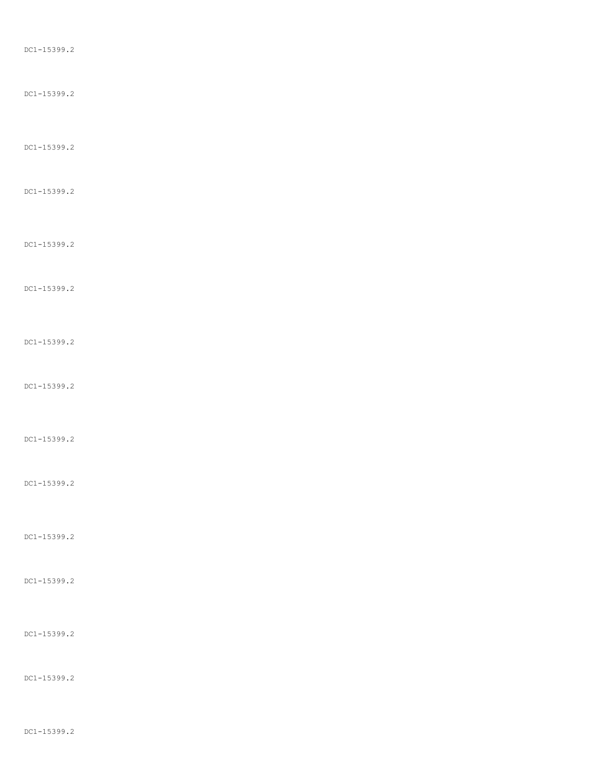| $DC1 - 15399.2$ |  |  |  |
|-----------------|--|--|--|
| DC1-15399.2     |  |  |  |
| $DC1 - 15399.2$ |  |  |  |
| DC1-15399.2     |  |  |  |
| $DC1 - 15399.2$ |  |  |  |
| $DC1 - 15399.2$ |  |  |  |
| DC1-15399.2     |  |  |  |
| DC1-15399.2     |  |  |  |
| DC1-15399.2     |  |  |  |
| $DC1 - 15399.2$ |  |  |  |
| DC1-15399.2     |  |  |  |
| $DC1 - 15399.2$ |  |  |  |
| DC1-15399.2     |  |  |  |
| $DC1 - 15399.2$ |  |  |  |